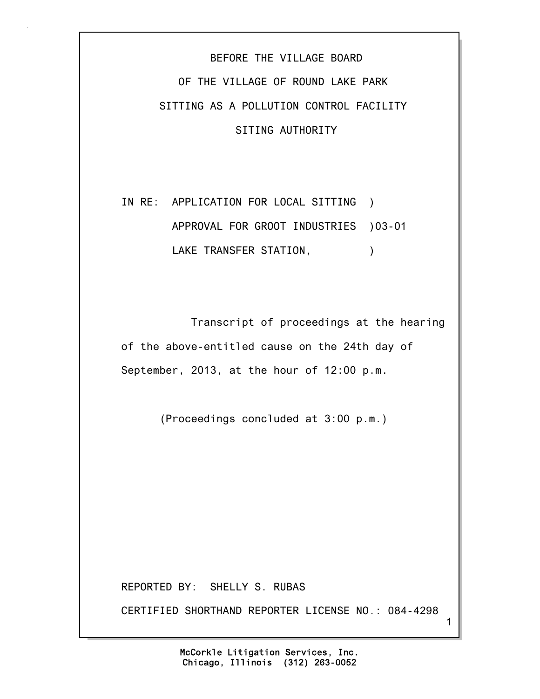## BEFORE THE VILLAGE BOARD OF THE VILLAGE OF ROUND LAKE PARK SITTING AS A POLLUTION CONTROL FACILITY SITING AUTHORITY

IN RE: APPLICATION FOR LOCAL SITTING ) APPROVAL FOR GROOT INDUSTRIES )03-01 LAKE TRANSFER STATION,  $\qquad \qquad$ )

 Transcript of proceedings at the hearing of the above-entitled cause on the 24th day of September, 2013, at the hour of 12:00 p.m.

(Proceedings concluded at 3:00 p.m.)

REPORTED BY: SHELLY S. RUBAS

CERTIFIED SHORTHAND REPORTER LICENSE NO.: 084-4298

1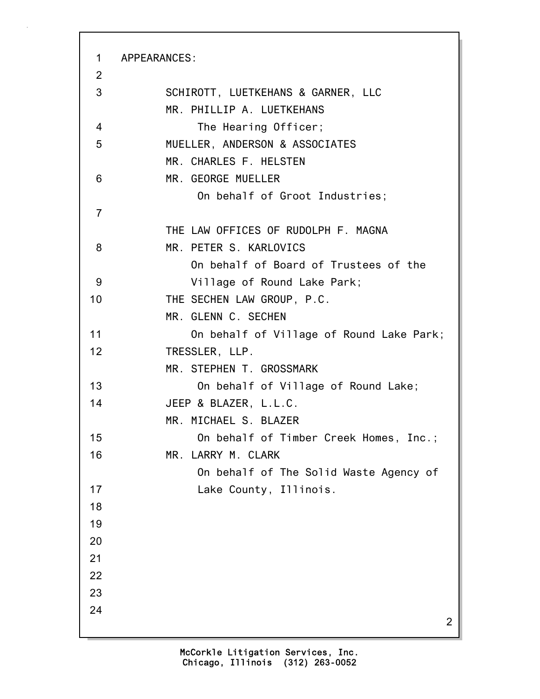2 1 APPEARANCES: 2 3 SCHIROTT, LUETKEHANS & GARNER, LLC MR. PHILLIP A. LUETKEHANS 4 The Hearing Officer; 5 MUELLER, ANDERSON & ASSOCIATES MR. CHARLES F. HELSTEN 6 MR. GEORGE MUELLER On behalf of Groot Industries; 7 THE LAW OFFICES OF RUDOLPH F. MAGNA 8 MR. PETER S. KARLOVICS On behalf of Board of Trustees of the 9 Village of Round Lake Park; 10 THE SECHEN LAW GROUP, P.C. MR. GLENN C. SECHEN 11 On behalf of Village of Round Lake Park; 12 TRESSLER, LLP. MR. STEPHEN T. GROSSMARK 13 On behalf of Village of Round Lake; 14 JEEP & BLAZER, L.L.C. MR. MICHAEL S. BLAZER 15 On behalf of Timber Creek Homes, Inc.; 16 MR. LARRY M. CLARK On behalf of The Solid Waste Agency of 17 Lake County, Illinois. 18 19 20 21 22 23 24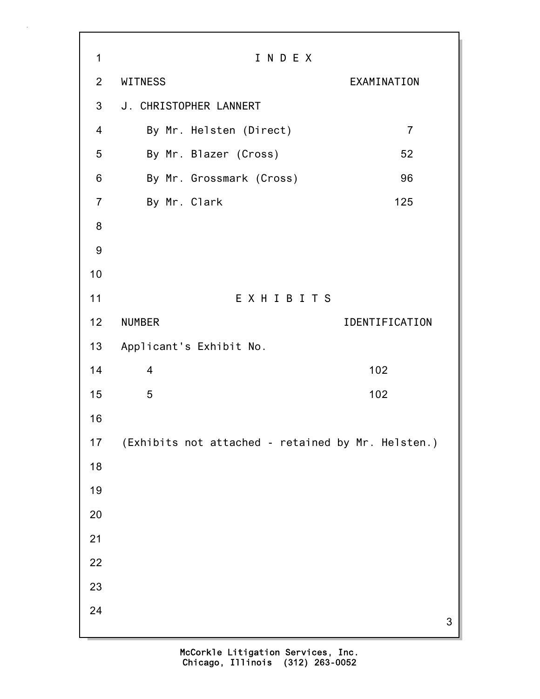3 1 I N D E X 2 WITNESS EXAMINATION 3 J. CHRISTOPHER LANNERT 4 By Mr. Helsten (Direct) 7 5 By Mr. Blazer (Cross) 52 6 By Mr. Grossmark (Cross) 96 7 By Mr. Clark 125 8 9 10 11 E X H I B I T S 12 NUMBER IDENTIFICATION 13 Applicant's Exhibit No. 14 4 102 15 5 102 16 17 (Exhibits not attached - retained by Mr. Helsten.) 18 19 20 21 22 23 24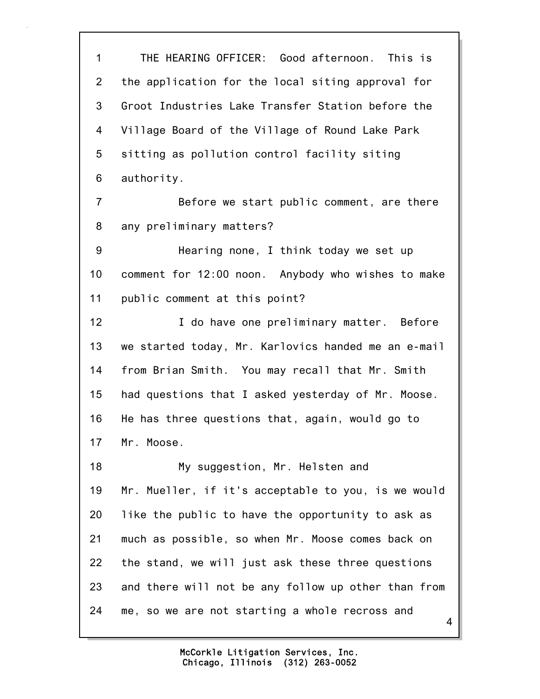4 1 THE HEARING OFFICER: Good afternoon. This is 2 the application for the local siting approval for 3 Groot Industries Lake Transfer Station before the 4 Village Board of the Village of Round Lake Park 5 sitting as pollution control facility siting 6 authority. 7 Before we start public comment, are there 8 any preliminary matters? 9 Hearing none, I think today we set up 10 comment for 12:00 noon. Anybody who wishes to make 11 public comment at this point? 12 **I** do have one preliminary matter. Before 13 we started today, Mr. Karlovics handed me an e-mail 14 from Brian Smith. You may recall that Mr. Smith 15 had questions that I asked yesterday of Mr. Moose. 16 He has three questions that, again, would go to 17 Mr. Moose. 18 My suggestion, Mr. Helsten and 19 Mr. Mueller, if it's acceptable to you, is we would 20 like the public to have the opportunity to ask as 21 much as possible, so when Mr. Moose comes back on 22 the stand, we will just ask these three questions 23 and there will not be any follow up other than from 24 me, so we are not starting a whole recross and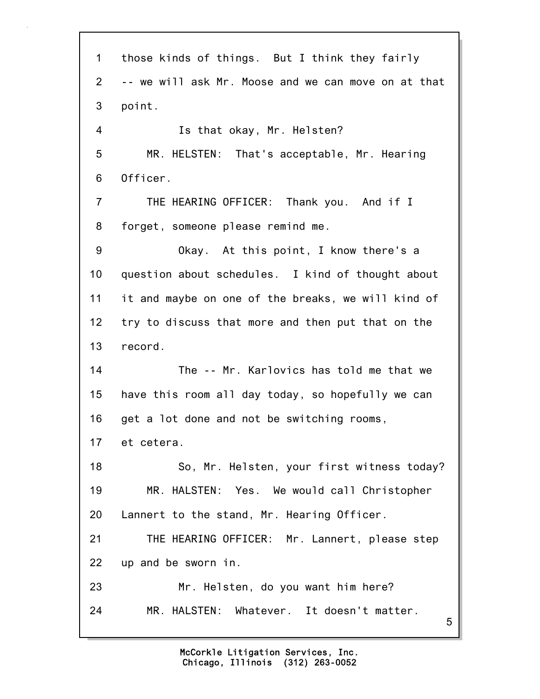5 1 those kinds of things. But I think they fairly 2 -- we will ask Mr. Moose and we can move on at that 3 point. 4 Is that okay, Mr. Helsten? 5 MR. HELSTEN: That's acceptable, Mr. Hearing 6 Officer. 7 THE HEARING OFFICER: Thank you. And if I 8 forget, someone please remind me. 9 Okay. At this point, I know there's a 10 question about schedules. I kind of thought about 11 it and maybe on one of the breaks, we will kind of 12 try to discuss that more and then put that on the 13 record. 14 The -- Mr. Karlovics has told me that we 15 have this room all day today, so hopefully we can 16 get a lot done and not be switching rooms, 17 et cetera. 18 So, Mr. Helsten, your first witness today? 19 MR. HALSTEN: Yes. We would call Christopher 20 Lannert to the stand, Mr. Hearing Officer. 21 THE HEARING OFFICER: Mr. Lannert, please step 22 up and be sworn in. 23 Mr. Helsten, do you want him here? 24 MR. HALSTEN: Whatever. It doesn't matter.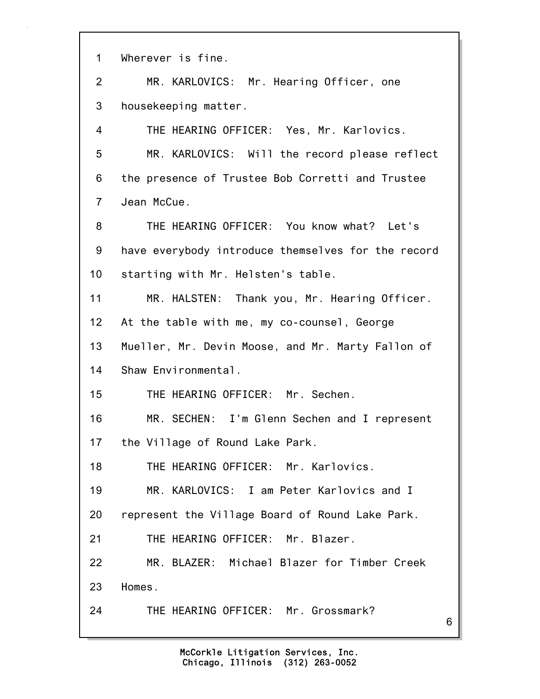| $\mathbf 1$     | Wherever is fine.                                  |
|-----------------|----------------------------------------------------|
| $\overline{2}$  | MR. KARLOVICS: Mr. Hearing Officer, one            |
| 3               | housekeeping matter.                               |
| 4               | THE HEARING OFFICER: Yes, Mr. Karlovics.           |
| 5               | MR. KARLOVICS: Will the record please reflect      |
| 6               | the presence of Trustee Bob Corretti and Trustee   |
| $\overline{7}$  | Jean McCue.                                        |
| 8               | THE HEARING OFFICER: You know what? Let's          |
| 9               | have everybody introduce themselves for the record |
| 10              | starting with Mr. Helsten's table.                 |
| 11              | MR. HALSTEN: Thank you, Mr. Hearing Officer.       |
| 12 <sub>2</sub> | At the table with me, my co-counsel, George        |
| 13              | Mueller, Mr. Devin Moose, and Mr. Marty Fallon of  |
| 14              | Shaw Environmental.                                |
| 15              | THE HEARING OFFICER: Mr. Sechen.                   |
| 16              | MR. SECHEN: I'm Glenn Sechen and I represent       |
| 17              | the Village of Round Lake Park.                    |
| 18              | THE HEARING OFFICER: Mr. Karlovics.                |
| 19              | MR. KARLOVICS: I am Peter Karlovics and I          |
| 20              | represent the Village Board of Round Lake Park.    |
| 21              | THE HEARING OFFICER: Mr. Blazer.                   |
| 22              | MR. BLAZER: Michael Blazer for Timber Creek        |
| 23              | Homes.                                             |
| 24              | THE HEARING OFFICER: Mr. Grossmark?<br>6           |
|                 |                                                    |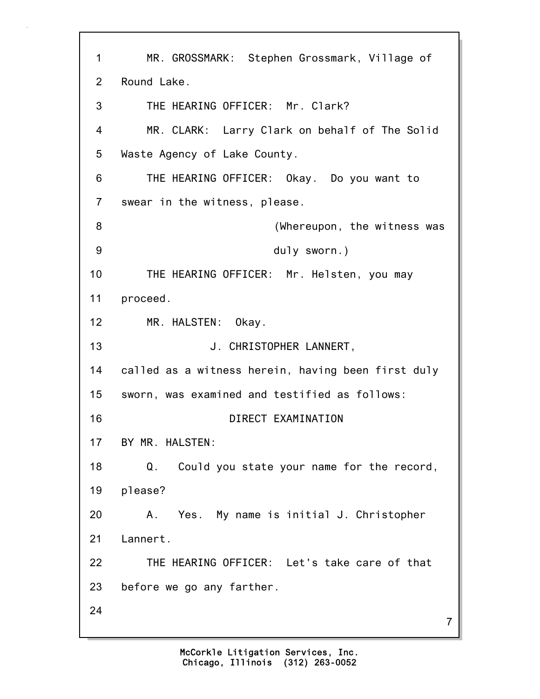7 1 MR. GROSSMARK: Stephen Grossmark, Village of 2 Round Lake. 3 THE HEARING OFFICER: Mr. Clark? 4 MR. CLARK: Larry Clark on behalf of The Solid 5 Waste Agency of Lake County. 6 THE HEARING OFFICER: Okay. Do you want to 7 swear in the witness, please. 8 (Whereupon, the witness was 9 duly sworn.) 10 THE HEARING OFFICER: Mr. Helsten, you may 11 proceed. 12 MR. HALSTEN: Okay. 13 J. CHRISTOPHER LANNERT, 14 called as a witness herein, having been first duly 15 sworn, was examined and testified as follows: 16 DIRECT EXAMINATION 17 BY MR. HALSTEN: 18 Q. Could you state your name for the record, 19 please? 20 A. Yes. My name is initial J. Christopher 21 Lannert. 22 THE HEARING OFFICER: Let's take care of that 23 before we go any farther. 24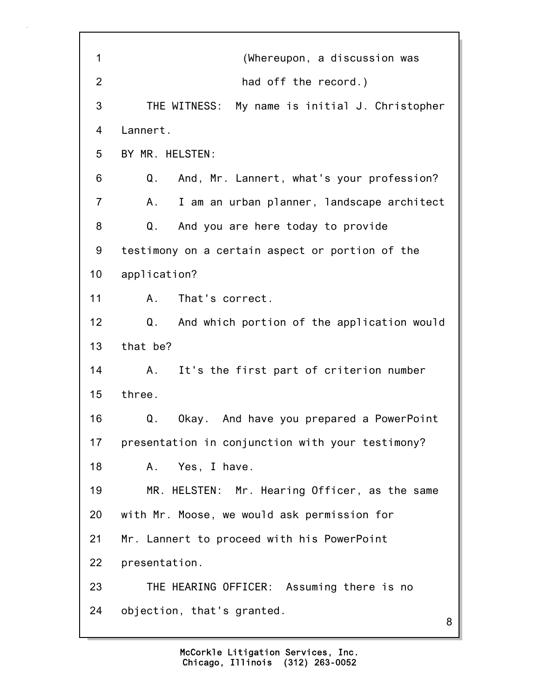| 1              | (Whereupon, a discussion was                     |
|----------------|--------------------------------------------------|
| $\overline{2}$ | had off the record.)                             |
| 3              | THE WITNESS: My name is initial J. Christopher   |
| 4              | Lannert.                                         |
| 5              | BY MR. HELSTEN:                                  |
| 6              | Q.<br>And, Mr. Lannert, what's your profession?  |
| $\overline{7}$ | I am an urban planner, landscape architect<br>Α. |
| 8              | Q.<br>And you are here today to provide          |
| 9              | testimony on a certain aspect or portion of the  |
| 10             | application?                                     |
| 11             | That's correct.<br>A.                            |
| 12             | Q.<br>And which portion of the application would |
| 13             | that be?                                         |
| 14             | It's the first part of criterion number<br>A.    |
| 15             | three.                                           |
| 16             | Okay. And have you prepared a PowerPoint<br>Q.   |
| 17             | presentation in conjunction with your testimony? |
| 18             | Yes, I have.<br>Α.                               |
| 19             | MR. HELSTEN: Mr. Hearing Officer, as the same    |
| 20             | with Mr. Moose, we would ask permission for      |
| 21             | Mr. Lannert to proceed with his PowerPoint       |
| 22             | presentation.                                    |
| 23             | THE HEARING OFFICER: Assuming there is no        |
| 24             | objection, that's granted.<br>8                  |
|                |                                                  |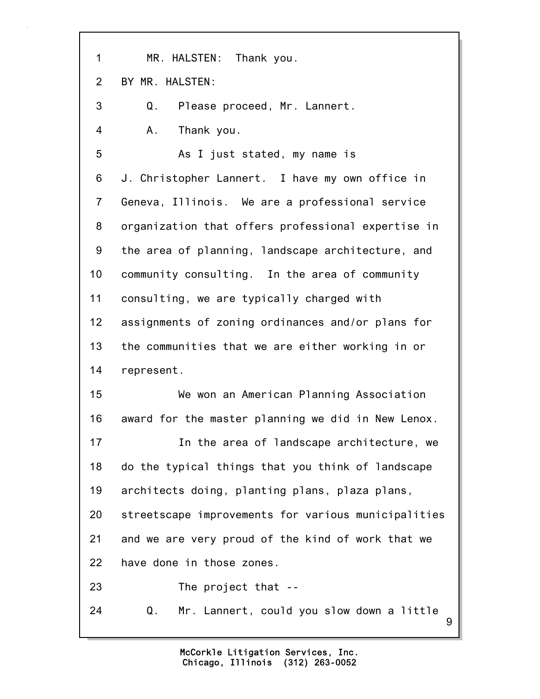1 MR. HALSTEN: Thank you. 2 BY MR. HALSTEN: 3 Q. Please proceed, Mr. Lannert. 4 A. Thank you. 5 As I just stated, my name is 6 J. Christopher Lannert. I have my own office in 7 Geneva, Illinois. We are a professional service 8 organization that offers professional expertise in 9 the area of planning, landscape architecture, and 10 community consulting. In the area of community 11 consulting, we are typically charged with 12 assignments of zoning ordinances and/or plans for 13 the communities that we are either working in or 14 represent. 15 We won an American Planning Association 16 award for the master planning we did in New Lenox. 17 **In the area of landscape architecture, we** 18 do the typical things that you think of landscape 19 architects doing, planting plans, plaza plans, 20 streetscape improvements for various municipalities 21 and we are very proud of the kind of work that we 22 have done in those zones. 23 The project that -- 24 Q. Mr. Lannert, could you slow down a little

9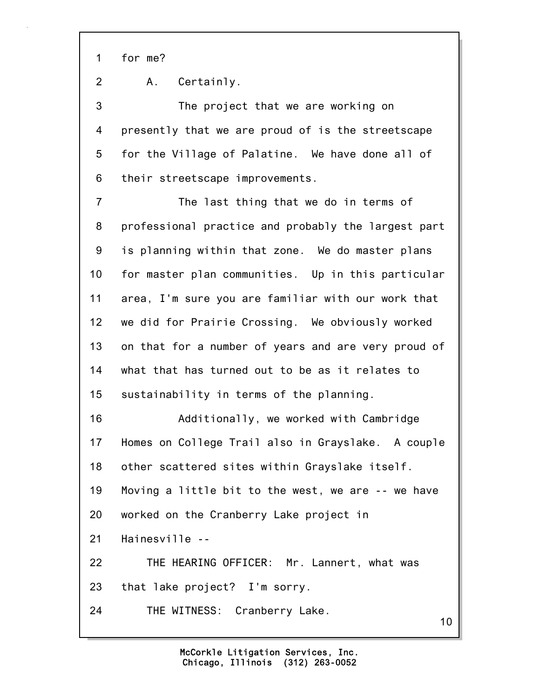1 for me?

2 A. Certainly.

3 The project that we are working on 4 presently that we are proud of is the streetscape 5 for the Village of Palatine. We have done all of 6 their streetscape improvements.

7 The last thing that we do in terms of 8 professional practice and probably the largest part 9 is planning within that zone. We do master plans 10 for master plan communities. Up in this particular 11 area, I'm sure you are familiar with our work that 12 we did for Prairie Crossing. We obviously worked 13 on that for a number of years and are very proud of 14 what that has turned out to be as it relates to 15 sustainability in terms of the planning. 16 Additionally, we worked with Cambridge 17 Homes on College Trail also in Grayslake. A couple 18 other scattered sites within Grayslake itself. 19 Moving a little bit to the west, we are -- we have 20 worked on the Cranberry Lake project in 21 Hainesville -- 22 THE HEARING OFFICER: Mr. Lannert, what was

23 that lake project? I'm sorry.

24 THE WITNESS: Cranberry Lake.

10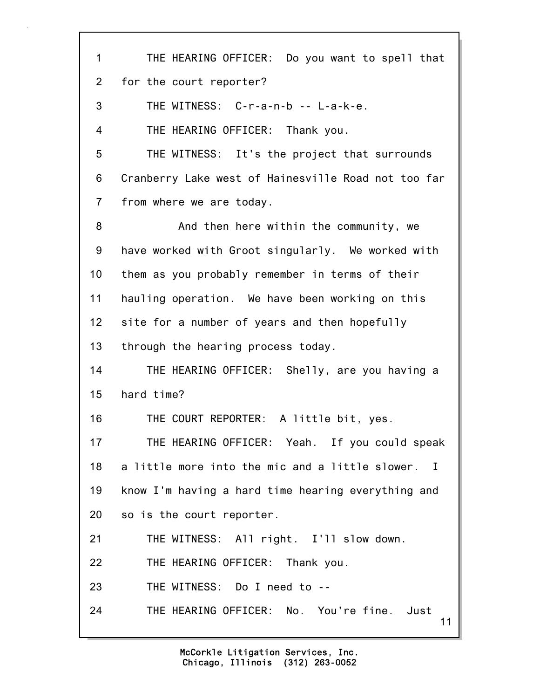| $\mathbf 1$    | THE HEARING OFFICER: Do you want to spell that      |
|----------------|-----------------------------------------------------|
| $\overline{2}$ | for the court reporter?                             |
| 3              | THE WITNESS: C-r-a-n-b -- L-a-k-e.                  |
| 4              | THE HEARING OFFICER: Thank you.                     |
| 5              | THE WITNESS: It's the project that surrounds        |
| 6              | Cranberry Lake west of Hainesville Road not too far |
| $\overline{7}$ | from where we are today.                            |
| 8              | And then here within the community, we              |
| 9              | have worked with Groot singularly. We worked with   |
| 10             | them as you probably remember in terms of their     |
| 11             | hauling operation. We have been working on this     |
| 12             | site for a number of years and then hopefully       |
| 13             | through the hearing process today.                  |
| 14             | THE HEARING OFFICER: Shelly, are you having a       |
| 15             | hard time?                                          |
| 16             | THE COURT REPORTER: A little bit, yes.              |
| 17             | THE HEARING OFFICER: Yeah. If you could speak       |
| 18             | a little more into the mic and a little slower. I   |
| 19             | know I'm having a hard time hearing everything and  |
| 20             | so is the court reporter.                           |
| 21             | THE WITNESS: All right. I'll slow down.             |
| 22             | THE HEARING OFFICER: Thank you.                     |
| 23             | THE WITNESS: Do I need to --                        |
| 24             | THE HEARING OFFICER: No. You're fine. Just<br>11    |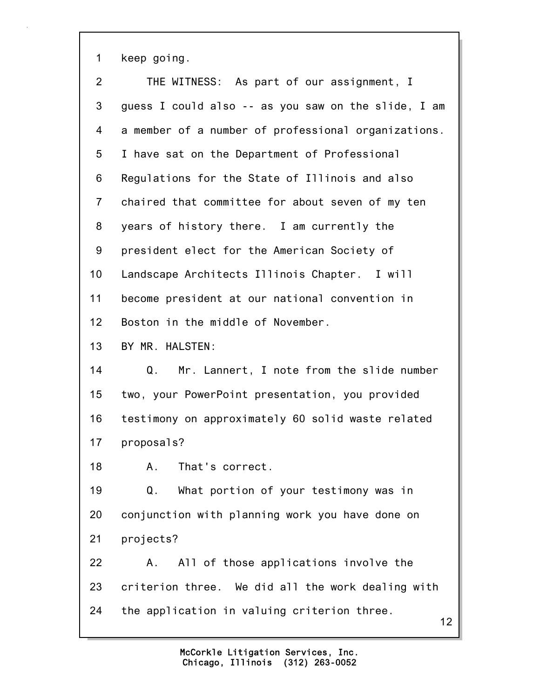1 keep going.

| $\overline{2}$ | THE WITNESS: As part of our assignment, I           |
|----------------|-----------------------------------------------------|
| 3              | guess I could also -- as you saw on the slide, I am |
| 4              | a member of a number of professional organizations. |
| 5              | I have sat on the Department of Professional        |
| 6              | Regulations for the State of Illinois and also      |
| $\overline{7}$ | chaired that committee for about seven of my ten    |
| 8              | years of history there. I am currently the          |
| 9              | president elect for the American Society of         |
| 10             | Landscape Architects Illinois Chapter. I will       |
| 11             | become president at our national convention in      |
| 12             | Boston in the middle of November.                   |
| 13             | BY MR. HALSTEN:                                     |
| 14             | Mr. Lannert, I note from the slide number<br>Q.     |
| 15             | two, your PowerPoint presentation, you provided     |
| 16             | testimony on approximately 60 solid waste related   |
| 17             | proposals?                                          |
| 18             | A. That's correct.                                  |
| 19             | What portion of your testimony was in<br>Q.         |
| 20             | conjunction with planning work you have done on     |
| 21             | projects?                                           |
| 22             | All of those applications involve the<br>А.         |
| 23             | criterion three. We did all the work dealing with   |
| 24             | the application in valuing criterion three.<br>12   |
|                |                                                     |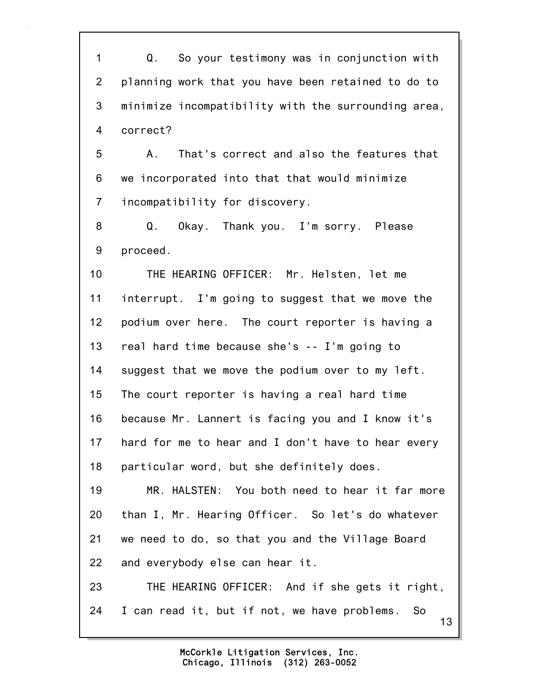1 Q. So your testimony was in conjunction with 2 planning work that you have been retained to do to 3 minimize incompatibility with the surrounding area, 4 correct?

5 A. That's correct and also the features that 6 we incorporated into that that would minimize 7 incompatibility for discovery.

8 Q. Okay. Thank you. I'm sorry. Please 9 proceed.

10 THE HEARING OFFICER: Mr. Helsten, let me 11 interrupt. I'm going to suggest that we move the 12 podium over here. The court reporter is having a 13 real hard time because she's -- I'm going to 14 suggest that we move the podium over to my left. 15 The court reporter is having a real hard time 16 because Mr. Lannert is facing you and I know it's 17 hard for me to hear and I don't have to hear every 18 particular word, but she definitely does.

19 MR. HALSTEN: You both need to hear it far more 20 than I, Mr. Hearing Officer. So let's do whatever 21 we need to do, so that you and the Village Board 22 and everybody else can hear it.

13 23 THE HEARING OFFICER: And if she gets it right, 24 I can read it, but if not, we have problems. So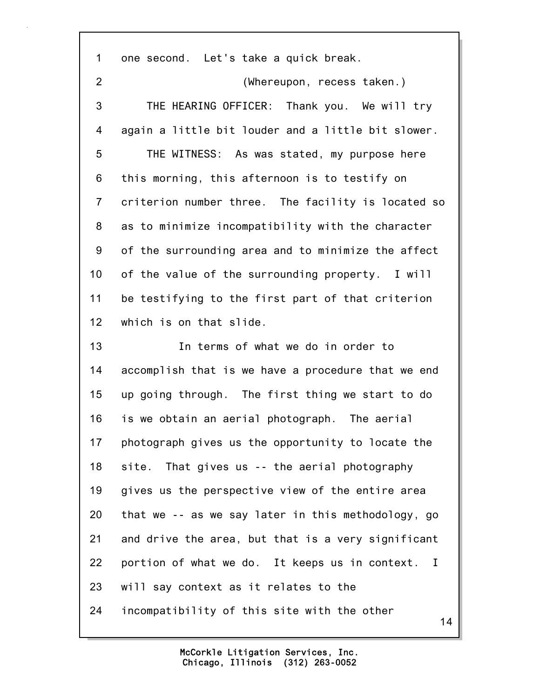14 1 one second. Let's take a quick break. 2 (Whereupon, recess taken.) 3 THE HEARING OFFICER: Thank you. We will try 4 again a little bit louder and a little bit slower. 5 THE WITNESS: As was stated, my purpose here 6 this morning, this afternoon is to testify on 7 criterion number three. The facility is located so 8 as to minimize incompatibility with the character 9 of the surrounding area and to minimize the affect 10 of the value of the surrounding property. I will 11 be testifying to the first part of that criterion 12 which is on that slide. 13 In terms of what we do in order to 14 accomplish that is we have a procedure that we end 15 up going through. The first thing we start to do 16 is we obtain an aerial photograph. The aerial 17 photograph gives us the opportunity to locate the 18 site. That gives us -- the aerial photography 19 gives us the perspective view of the entire area 20 that we -- as we say later in this methodology, go 21 and drive the area, but that is a very significant 22 portion of what we do. It keeps us in context. I 23 will say context as it relates to the 24 incompatibility of this site with the other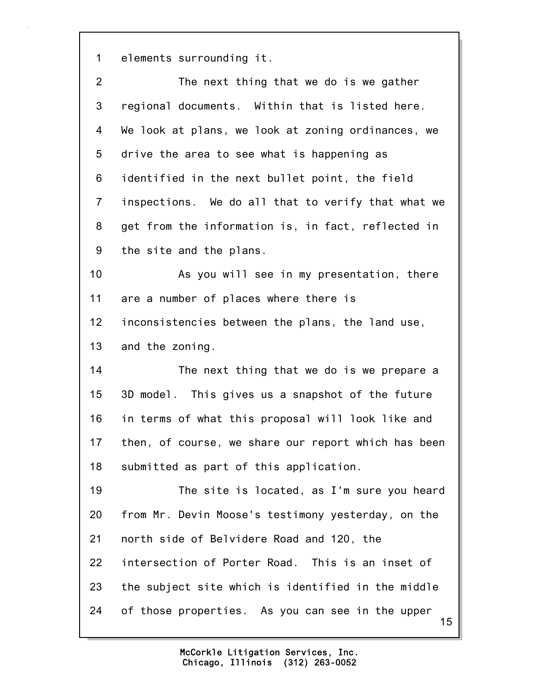1 elements surrounding it.

| $\overline{2}$ | The next thing that we do is we gather                 |
|----------------|--------------------------------------------------------|
| 3              | regional documents. Within that is listed here.        |
| 4              | We look at plans, we look at zoning ordinances, we     |
| 5              | drive the area to see what is happening as             |
| 6              | identified in the next bullet point, the field         |
| $\overline{7}$ | inspections. We do all that to verify that what we     |
| 8              | get from the information is, in fact, reflected in     |
| 9              | the site and the plans.                                |
| 10             | As you will see in my presentation, there              |
| 11             | are a number of places where there is                  |
| 12             | inconsistencies between the plans, the land use,       |
| 13             | and the zoning.                                        |
| 14             | The next thing that we do is we prepare a              |
| 15             | 3D model. This gives us a snapshot of the future       |
| 16             | in terms of what this proposal will look like and      |
| 17             | then, of course, we share our report which has been    |
| 18             | submitted as part of this application.                 |
| 19             | The site is located, as I'm sure you heard             |
| 20             | from Mr. Devin Moose's testimony yesterday, on the     |
| 21             | north side of Belvidere Road and 120, the              |
| 22             | intersection of Porter Road. This is an inset of       |
| 23             | the subject site which is identified in the middle     |
| 24             | of those properties. As you can see in the upper<br>15 |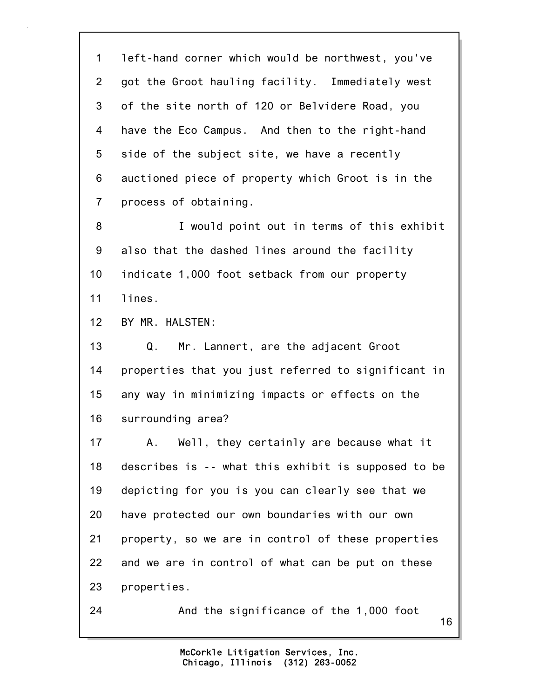16 1 left-hand corner which would be northwest, you've 2 got the Groot hauling facility. Immediately west 3 of the site north of 120 or Belvidere Road, you 4 have the Eco Campus. And then to the right-hand 5 side of the subject site, we have a recently 6 auctioned piece of property which Groot is in the 7 process of obtaining. 8 I would point out in terms of this exhibit 9 also that the dashed lines around the facility 10 indicate 1,000 foot setback from our property 11 lines. 12 BY MR. HALSTEN: 13 Q. Mr. Lannert, are the adjacent Groot 14 properties that you just referred to significant in 15 any way in minimizing impacts or effects on the 16 surrounding area? 17 A. Well, they certainly are because what it 18 describes is -- what this exhibit is supposed to be 19 depicting for you is you can clearly see that we 20 have protected our own boundaries with our own 21 property, so we are in control of these properties 22 and we are in control of what can be put on these 23 properties. 24 And the significance of the 1,000 foot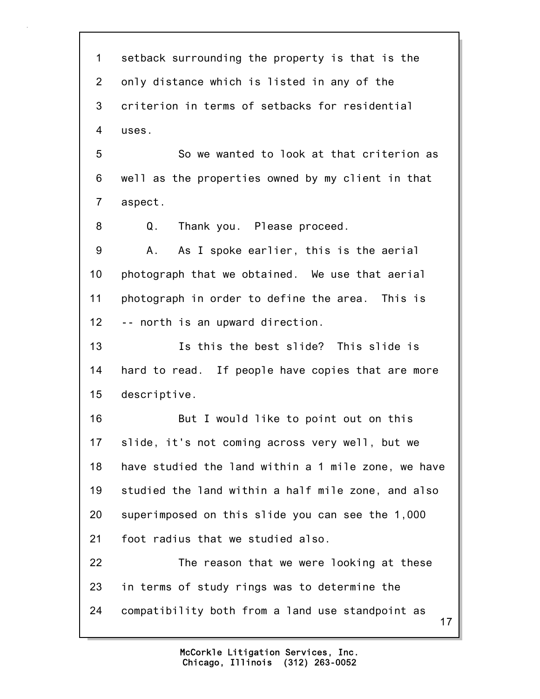17 1 setback surrounding the property is that is the 2 only distance which is listed in any of the 3 criterion in terms of setbacks for residential 4 uses. 5 So we wanted to look at that criterion as 6 well as the properties owned by my client in that 7 aspect. 8 Q. Thank you. Please proceed. 9 A. As I spoke earlier, this is the aerial 10 photograph that we obtained. We use that aerial 11 photograph in order to define the area. This is 12 -- north is an upward direction. 13 Is this the best slide? This slide is 14 hard to read. If people have copies that are more 15 descriptive. 16 But I would like to point out on this 17 slide, it's not coming across very well, but we 18 have studied the land within a 1 mile zone, we have 19 studied the land within a half mile zone, and also 20 superimposed on this slide you can see the 1,000 21 foot radius that we studied also. 22 The reason that we were looking at these 23 in terms of study rings was to determine the 24 compatibility both from a land use standpoint as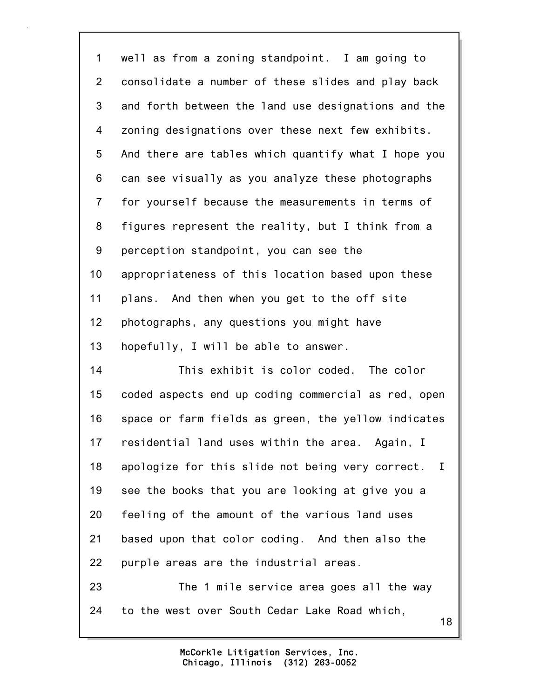| $\mathbf 1$    | well as from a zoning standpoint. I am going to        |
|----------------|--------------------------------------------------------|
| $\overline{2}$ | consolidate a number of these slides and play back     |
| 3              | and forth between the land use designations and the    |
| 4              | zoning designations over these next few exhibits.      |
| 5              | And there are tables which quantify what I hope you    |
| 6              | can see visually as you analyze these photographs      |
| $\overline{7}$ | for yourself because the measurements in terms of      |
| 8              | figures represent the reality, but I think from a      |
| 9              | perception standpoint, you can see the                 |
| 10             | appropriateness of this location based upon these      |
| 11             | plans. And then when you get to the off site           |
| 12             | photographs, any questions you might have              |
| 13             | hopefully, I will be able to answer.                   |
| 14             | This exhibit is color coded. The color                 |
| 15             | coded aspects end up coding commercial as red, open    |
| 16             | space or farm fields as green, the yellow indicates    |
| 17             | residential land uses within the area. Again, I        |
| 18             | apologize for this slide not being very correct.<br>Ι. |
| 19             | see the books that you are looking at give you a       |
| 20             | feeling of the amount of the various land uses         |
| 21             | based upon that color coding. And then also the        |
| 22             | purple areas are the industrial areas.                 |
| 23             | The 1 mile service area goes all the way               |
| 24             | to the west over South Cedar Lake Road which,<br>18    |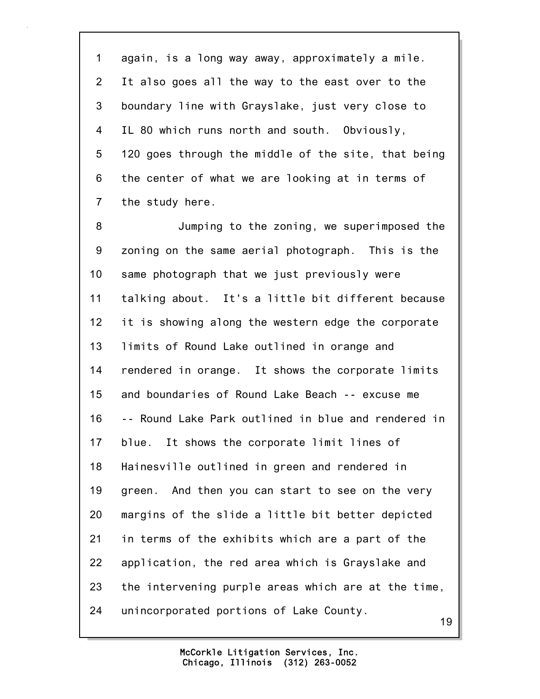1 again, is a long way away, approximately a mile. 2 It also goes all the way to the east over to the 3 boundary line with Grayslake, just very close to 4 IL 80 which runs north and south. Obviously, 5 120 goes through the middle of the site, that being 6 the center of what we are looking at in terms of 7 the study here.

8 Jumping to the zoning, we superimposed the 9 zoning on the same aerial photograph. This is the 10 same photograph that we just previously were 11 talking about. It's a little bit different because 12 it is showing along the western edge the corporate 13 limits of Round Lake outlined in orange and 14 rendered in orange. It shows the corporate limits 15 and boundaries of Round Lake Beach -- excuse me 16 -- Round Lake Park outlined in blue and rendered in 17 blue. It shows the corporate limit lines of 18 Hainesville outlined in green and rendered in 19 green. And then you can start to see on the very 20 margins of the slide a little bit better depicted 21 in terms of the exhibits which are a part of the 22 application, the red area which is Grayslake and 23 the intervening purple areas which are at the time, 24 unincorporated portions of Lake County.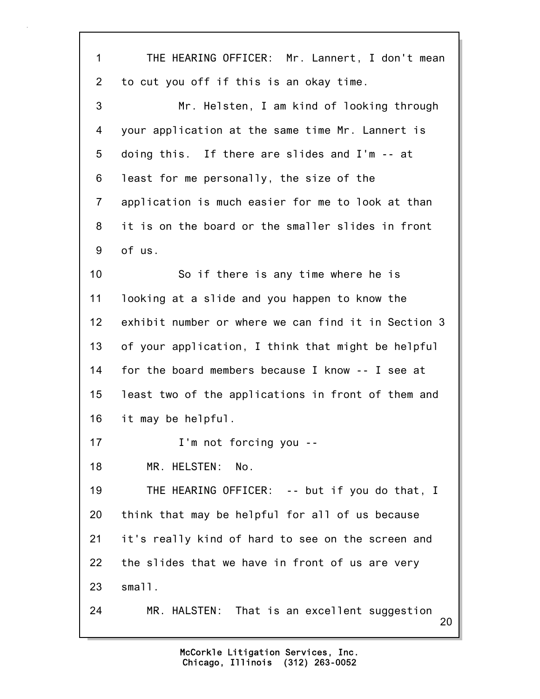| 1              | THE HEARING OFFICER: Mr. Lannert, I don't mean      |
|----------------|-----------------------------------------------------|
| 2              | to cut you off if this is an okay time.             |
| 3              | Mr. Helsten, I am kind of looking through           |
| 4              | your application at the same time Mr. Lannert is    |
| 5              | doing this. If there are slides and I'm -- at       |
| 6              | least for me personally, the size of the            |
| $\overline{7}$ | application is much easier for me to look at than   |
| 8              | it is on the board or the smaller slides in front   |
| 9              | of us.                                              |
| 10             | So if there is any time where he is                 |
| 11             | looking at a slide and you happen to know the       |
| 12             | exhibit number or where we can find it in Section 3 |
| 13             | of your application, I think that might be helpful  |
| 14             | for the board members because I know -- I see at    |
| 15             | least two of the applications in front of them and  |
| 16             | it may be helpful.                                  |
| 17             | I'm not forcing you --                              |
| 18             | MR. HELSTEN:<br>No.                                 |
| 19             | THE HEARING OFFICER: -- but if you do that, I       |
| 20             | think that may be helpful for all of us because     |
| 21             | it's really kind of hard to see on the screen and   |
| 22             | the slides that we have in front of us are very     |
| 23             | small.                                              |
| 24             | MR. HALSTEN: That is an excellent suggestion<br>20  |
|                |                                                     |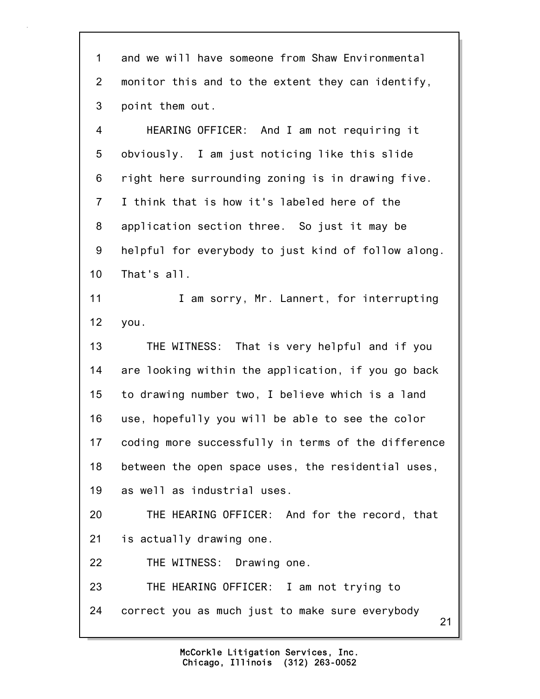1 and we will have someone from Shaw Environmental 2 monitor this and to the extent they can identify, 3 point them out.

4 HEARING OFFICER: And I am not requiring it 5 obviously. I am just noticing like this slide 6 right here surrounding zoning is in drawing five. 7 I think that is how it's labeled here of the 8 application section three. So just it may be 9 helpful for everybody to just kind of follow along. 10 That's all.

11 **I am sorry, Mr. Lannert, for interrupting** 12 you.

13 THE WITNESS: That is very helpful and if you 14 are looking within the application, if you go back 15 to drawing number two, I believe which is a land 16 use, hopefully you will be able to see the color 17 coding more successfully in terms of the difference 18 between the open space uses, the residential uses, 19 as well as industrial uses.

20 THE HEARING OFFICER: And for the record, that 21 is actually drawing one.

22 THE WITNESS: Drawing one.

23 THE HEARING OFFICER: I am not trying to 24 correct you as much just to make sure everybody

21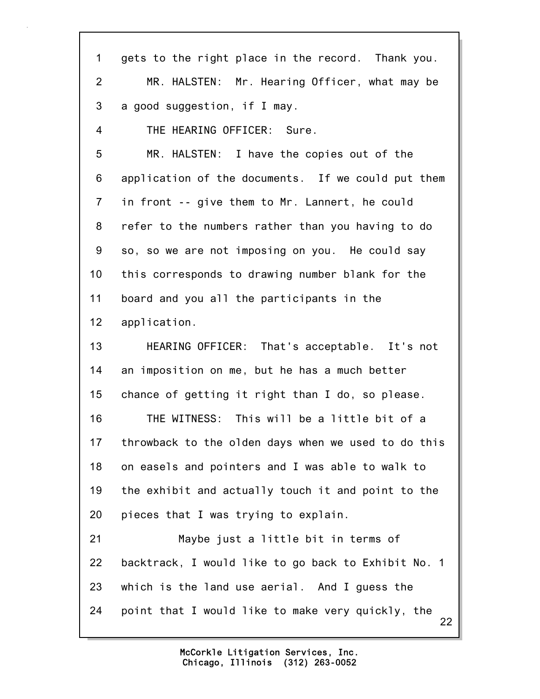| 1               | gets to the right place in the record. Thank you.       |
|-----------------|---------------------------------------------------------|
| $\overline{2}$  | MR. HALSTEN: Mr. Hearing Officer, what may be           |
| 3               | a good suggestion, if I may.                            |
| 4               | THE HEARING OFFICER: Sure.                              |
| 5               | MR. HALSTEN: I have the copies out of the               |
| 6               | application of the documents. If we could put them      |
| $\overline{7}$  | in front -- give them to Mr. Lannert, he could          |
| 8               | refer to the numbers rather than you having to do       |
| 9               | so, so we are not imposing on you. He could say         |
| 10              | this corresponds to drawing number blank for the        |
| 11              | board and you all the participants in the               |
| 12 <sub>2</sub> | application.                                            |
| 13              | HEARING OFFICER: That's acceptable. It's not            |
| 14              | an imposition on me, but he has a much better           |
| 15              | chance of getting it right than I do, so please.        |
| 16              | THE WITNESS: This will be a little bit of a             |
| 17              | throwback to the olden days when we used to do this     |
| 18              | on easels and pointers and I was able to walk to        |
| 19              | the exhibit and actually touch it and point to the      |
| 20              | pieces that I was trying to explain.                    |
| 21              | Maybe just a little bit in terms of                     |
| 22              | backtrack, I would like to go back to Exhibit No. 1     |
| 23              | which is the land use aerial. And I guess the           |
| 24              | point that I would like to make very quickly, the<br>22 |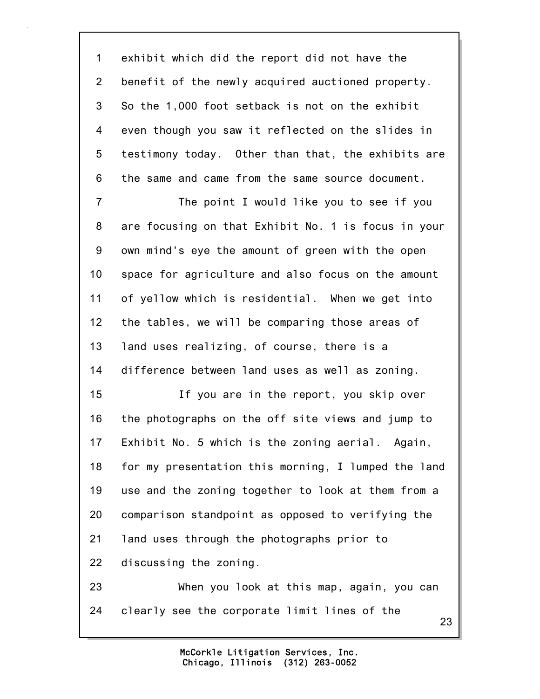1 exhibit which did the report did not have the 2 benefit of the newly acquired auctioned property. 3 So the 1,000 foot setback is not on the exhibit 4 even though you saw it reflected on the slides in 5 testimony today. Other than that, the exhibits are 6 the same and came from the same source document.

7 The point I would like you to see if you 8 are focusing on that Exhibit No. 1 is focus in your 9 own mind's eye the amount of green with the open 10 space for agriculture and also focus on the amount 11 of yellow which is residential. When we get into 12 the tables, we will be comparing those areas of 13 land uses realizing, of course, there is a 14 difference between land uses as well as zoning.

15 If you are in the report, you skip over 16 the photographs on the off site views and jump to 17 Exhibit No. 5 which is the zoning aerial. Again, 18 for my presentation this morning, I lumped the land 19 use and the zoning together to look at them from a 20 comparison standpoint as opposed to verifying the 21 land uses through the photographs prior to 22 discussing the zoning.

23 When you look at this map, again, you can 24 clearly see the corporate limit lines of the

23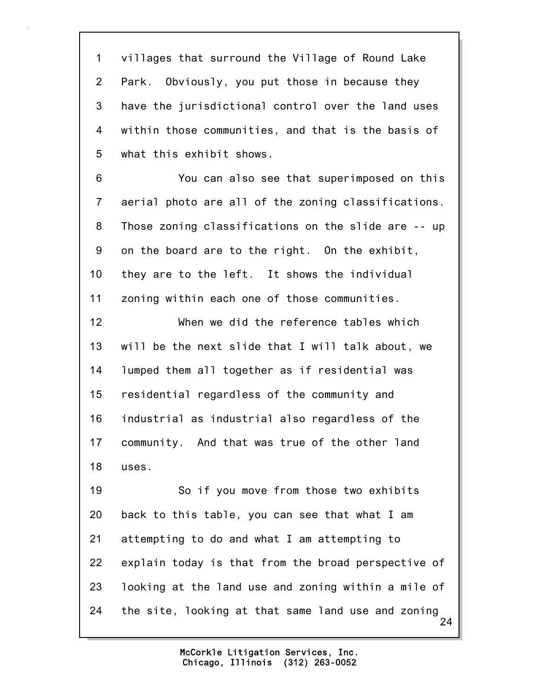1 villages that surround the Village of Round Lake 2 Park. Obviously, you put those in because they 3 have the jurisdictional control over the land uses 4 within those communities, and that is the basis of 5 what this exhibit shows.

6 You can also see that superimposed on this 7 aerial photo are all of the zoning classifications. 8 Those zoning classifications on the slide are -- up 9 on the board are to the right. On the exhibit, 10 they are to the left. It shows the individual 11 zoning within each one of those communities.

12 When we did the reference tables which 13 will be the next slide that I will talk about, we 14 lumped them all together as if residential was 15 residential regardless of the community and 16 industrial as industrial also regardless of the 17 community. And that was true of the other land 18 uses.

24 19 So if you move from those two exhibits 20 back to this table, you can see that what I am 21 attempting to do and what I am attempting to 22 explain today is that from the broad perspective of 23 looking at the land use and zoning within a mile of 24 the site, looking at that same land use and zoning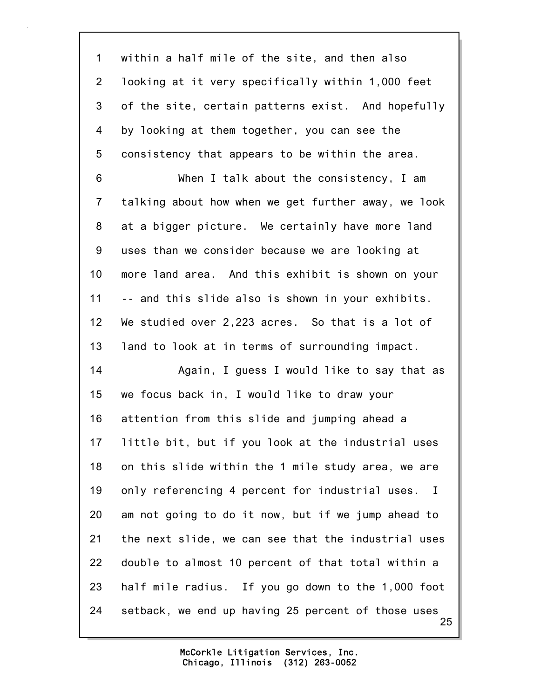1 within a half mile of the site, and then also 2 looking at it very specifically within 1,000 feet 3 of the site, certain patterns exist. And hopefully 4 by looking at them together, you can see the 5 consistency that appears to be within the area.

6 When I talk about the consistency, I am 7 talking about how when we get further away, we look 8 at a bigger picture. We certainly have more land 9 uses than we consider because we are looking at 10 more land area. And this exhibit is shown on your 11 -- and this slide also is shown in your exhibits. 12 We studied over 2,223 acres. So that is a lot of 13 land to look at in terms of surrounding impact.

25 14 Again, I guess I would like to say that as 15 we focus back in, I would like to draw your 16 attention from this slide and jumping ahead a 17 little bit, but if you look at the industrial uses 18 on this slide within the 1 mile study area, we are 19 only referencing 4 percent for industrial uses. I 20 am not going to do it now, but if we jump ahead to 21 the next slide, we can see that the industrial uses 22 double to almost 10 percent of that total within a 23 half mile radius. If you go down to the 1,000 foot 24 setback, we end up having 25 percent of those uses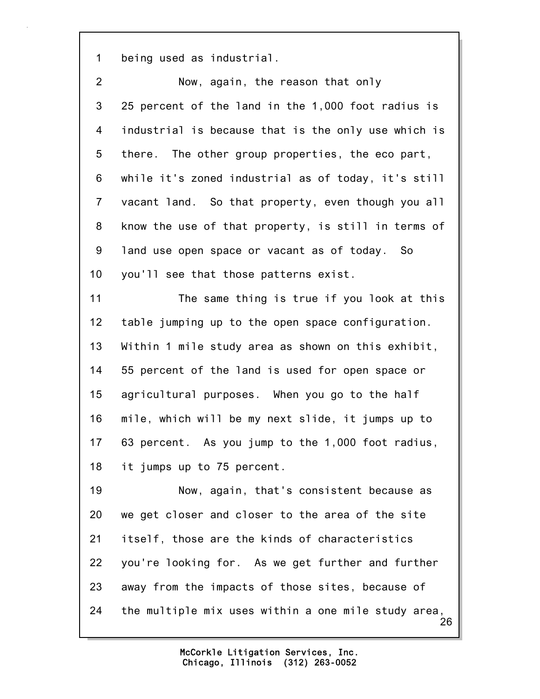1 being used as industrial.

| $\overline{2}$ | Now, again, the reason that only                          |
|----------------|-----------------------------------------------------------|
| 3              | 25 percent of the land in the 1,000 foot radius is        |
| 4              | industrial is because that is the only use which is       |
| 5              | there. The other group properties, the eco part,          |
| 6              | while it's zoned industrial as of today, it's still       |
| $\overline{7}$ | vacant land. So that property, even though you all        |
| 8              | know the use of that property, is still in terms of       |
| 9              | land use open space or vacant as of today. So             |
| 10             | you'll see that those patterns exist.                     |
| 11             | The same thing is true if you look at this                |
| 12             | table jumping up to the open space configuration.         |
| 13             | Within 1 mile study area as shown on this exhibit,        |
| 14             | 55 percent of the land is used for open space or          |
| 15             | agricultural purposes. When you go to the half            |
| 16             | mile, which will be my next slide, it jumps up to         |
| 17             | 63 percent. As you jump to the 1,000 foot radius,         |
| 18             | it jumps up to 75 percent.                                |
| 19             | Now, again, that's consistent because as                  |
| 20             | we get closer and closer to the area of the site          |
| 21             | itself, those are the kinds of characteristics            |
| 22             | you're looking for. As we get further and further         |
| 23             | away from the impacts of those sites, because of          |
| 24             | the multiple mix uses within a one mile study area,<br>26 |
|                |                                                           |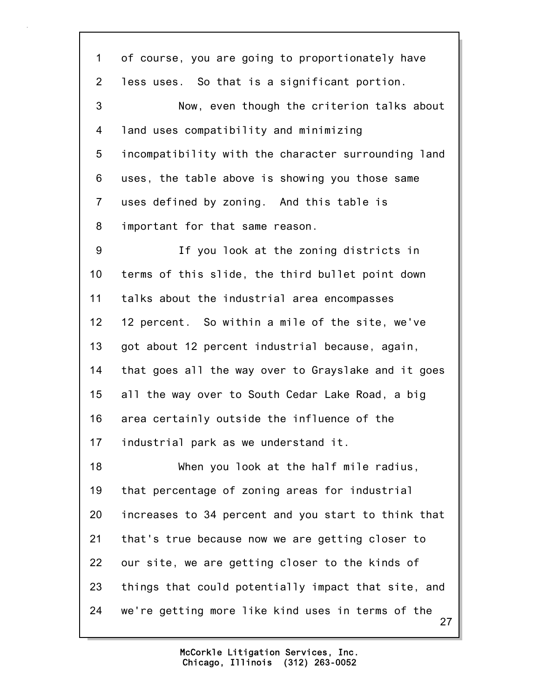27 1 of course, you are going to proportionately have 2 less uses. So that is a significant portion. 3 Now, even though the criterion talks about 4 land uses compatibility and minimizing 5 incompatibility with the character surrounding land 6 uses, the table above is showing you those same 7 uses defined by zoning. And this table is 8 important for that same reason. 9 If you look at the zoning districts in 10 terms of this slide, the third bullet point down 11 talks about the industrial area encompasses 12 12 percent. So within a mile of the site, we've 13 got about 12 percent industrial because, again, 14 that goes all the way over to Grayslake and it goes 15 all the way over to South Cedar Lake Road, a big 16 area certainly outside the influence of the 17 industrial park as we understand it. 18 When you look at the half mile radius, 19 that percentage of zoning areas for industrial 20 increases to 34 percent and you start to think that 21 that's true because now we are getting closer to 22 our site, we are getting closer to the kinds of 23 things that could potentially impact that site, and 24 we're getting more like kind uses in terms of the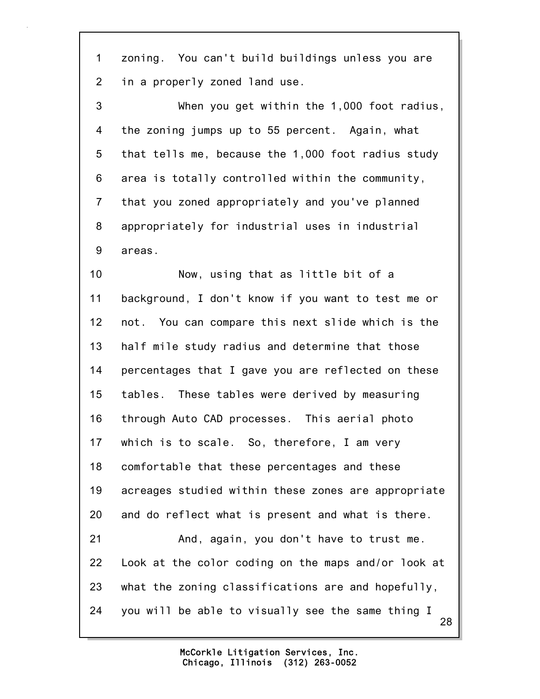1 zoning. You can't build buildings unless you are 2 in a properly zoned land use.

3 When you get within the 1,000 foot radius, 4 the zoning jumps up to 55 percent. Again, what 5 that tells me, because the 1,000 foot radius study 6 area is totally controlled within the community, 7 that you zoned appropriately and you've planned 8 appropriately for industrial uses in industrial 9 areas.

28 10 Now, using that as little bit of a 11 background, I don't know if you want to test me or 12 not. You can compare this next slide which is the 13 half mile study radius and determine that those 14 percentages that I gave you are reflected on these 15 tables. These tables were derived by measuring 16 through Auto CAD processes. This aerial photo 17 which is to scale. So, therefore, I am very 18 comfortable that these percentages and these 19 acreages studied within these zones are appropriate 20 and do reflect what is present and what is there. 21 And, again, you don't have to trust me. 22 Look at the color coding on the maps and/or look at 23 what the zoning classifications are and hopefully, 24 you will be able to visually see the same thing I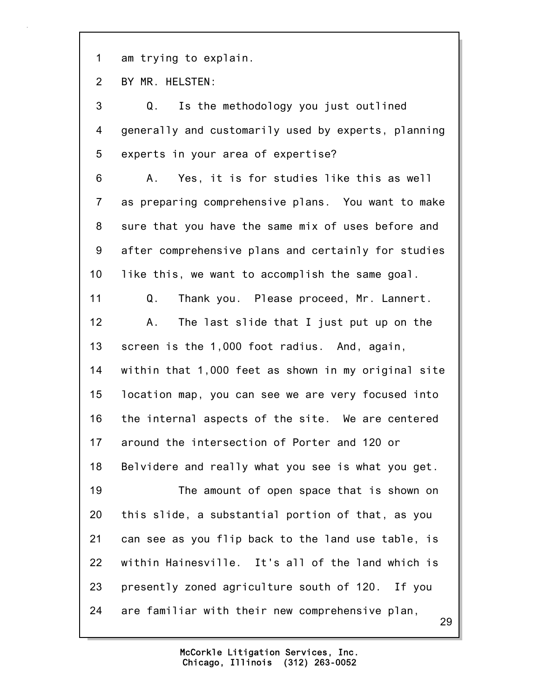1 am trying to explain.

2 BY MR. HELSTEN:

29 3 Q. Is the methodology you just outlined 4 generally and customarily used by experts, planning 5 experts in your area of expertise? 6 A. Yes, it is for studies like this as well 7 as preparing comprehensive plans. You want to make 8 sure that you have the same mix of uses before and 9 after comprehensive plans and certainly for studies 10 like this, we want to accomplish the same goal. 11 Q. Thank you. Please proceed, Mr. Lannert. 12 A. The last slide that I just put up on the 13 screen is the 1,000 foot radius. And, again, 14 within that 1,000 feet as shown in my original site 15 location map, you can see we are very focused into 16 the internal aspects of the site. We are centered 17 around the intersection of Porter and 120 or 18 Belvidere and really what you see is what you get. 19 The amount of open space that is shown on 20 this slide, a substantial portion of that, as you 21 can see as you flip back to the land use table, is 22 within Hainesville. It's all of the land which is 23 presently zoned agriculture south of 120. If you 24 are familiar with their new comprehensive plan,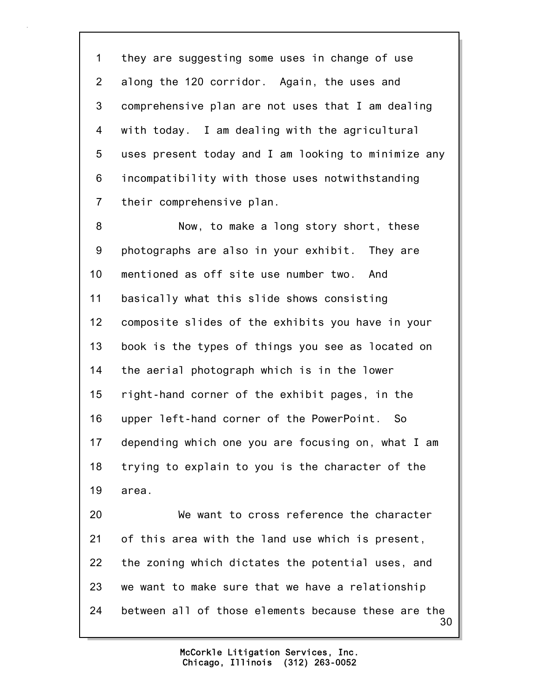1 they are suggesting some uses in change of use 2 along the 120 corridor. Again, the uses and 3 comprehensive plan are not uses that I am dealing 4 with today. I am dealing with the agricultural 5 uses present today and I am looking to minimize any 6 incompatibility with those uses notwithstanding 7 their comprehensive plan.

8 Now, to make a long story short, these 9 photographs are also in your exhibit. They are 10 mentioned as off site use number two. And 11 basically what this slide shows consisting 12 composite slides of the exhibits you have in your 13 book is the types of things you see as located on 14 the aerial photograph which is in the lower 15 right-hand corner of the exhibit pages, in the 16 upper left-hand corner of the PowerPoint. So 17 depending which one you are focusing on, what I am 18 trying to explain to you is the character of the 19 area.

30 20 We want to cross reference the character 21 of this area with the land use which is present, 22 the zoning which dictates the potential uses, and 23 we want to make sure that we have a relationship 24 between all of those elements because these are the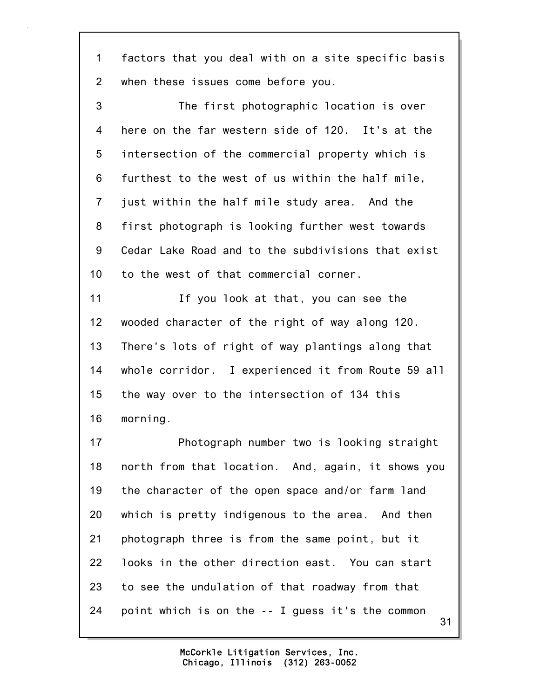1 factors that you deal with on a site specific basis 2 when these issues come before you.

3 The first photographic location is over 4 here on the far western side of 120. It's at the 5 intersection of the commercial property which is 6 furthest to the west of us within the half mile, 7 just within the half mile study area. And the 8 first photograph is looking further west towards 9 Cedar Lake Road and to the subdivisions that exist 10 to the west of that commercial corner.

11 If you look at that, you can see the 12 wooded character of the right of way along 120. 13 There's lots of right of way plantings along that 14 whole corridor. I experienced it from Route 59 all 15 the way over to the intersection of 134 this 16 morning.

31 17 Photograph number two is looking straight 18 north from that location. And, again, it shows you 19 the character of the open space and/or farm land 20 which is pretty indigenous to the area. And then 21 photograph three is from the same point, but it 22 looks in the other direction east. You can start 23 to see the undulation of that roadway from that 24 point which is on the -- I guess it's the common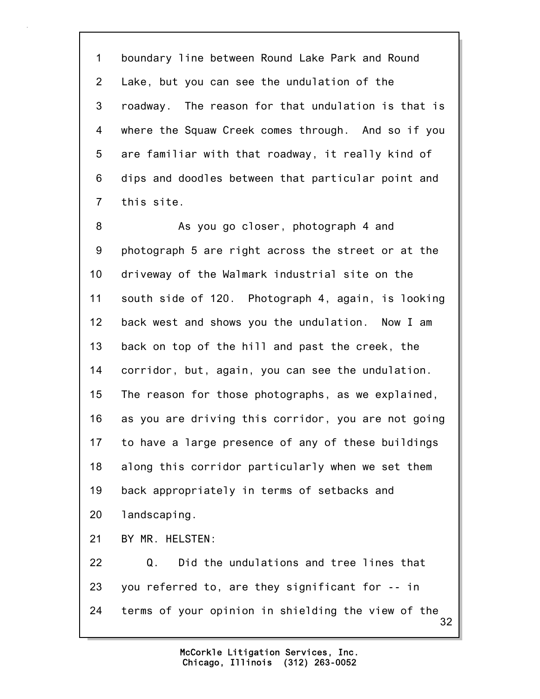1 boundary line between Round Lake Park and Round 2 Lake, but you can see the undulation of the 3 roadway. The reason for that undulation is that is 4 where the Squaw Creek comes through. And so if you 5 are familiar with that roadway, it really kind of 6 dips and doodles between that particular point and 7 this site.

8 As you go closer, photograph 4 and 9 photograph 5 are right across the street or at the 10 driveway of the Walmark industrial site on the 11 south side of 120. Photograph 4, again, is looking 12 back west and shows you the undulation. Now I am 13 back on top of the hill and past the creek, the 14 corridor, but, again, you can see the undulation. 15 The reason for those photographs, as we explained, 16 as you are driving this corridor, you are not going 17 to have a large presence of any of these buildings 18 along this corridor particularly when we set them 19 back appropriately in terms of setbacks and 20 landscaping. 21 BY MR. HELSTEN: 22 Q. Did the undulations and tree lines that 23 you referred to, are they significant for -- in 24 terms of your opinion in shielding the view of the

> Chicago, Illinois (312) 263-0052 McCorkle Litigation Services, Inc.

32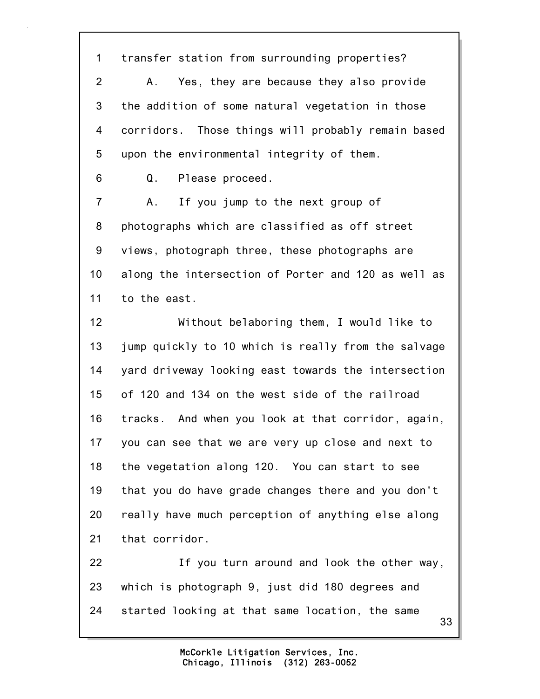1 transfer station from surrounding properties? 2 A. Yes, they are because they also provide 3 the addition of some natural vegetation in those 4 corridors. Those things will probably remain based 5 upon the environmental integrity of them.

6 Q. Please proceed.

7 A. If you jump to the next group of 8 photographs which are classified as off street 9 views, photograph three, these photographs are 10 along the intersection of Porter and 120 as well as 11 to the east.

12 Without belaboring them, I would like to 13 jump quickly to 10 which is really from the salvage 14 yard driveway looking east towards the intersection 15 of 120 and 134 on the west side of the railroad 16 tracks. And when you look at that corridor, again, 17 you can see that we are very up close and next to 18 the vegetation along 120. You can start to see 19 that you do have grade changes there and you don't 20 really have much perception of anything else along 21 that corridor.

33 22 If you turn around and look the other way, 23 which is photograph 9, just did 180 degrees and 24 started looking at that same location, the same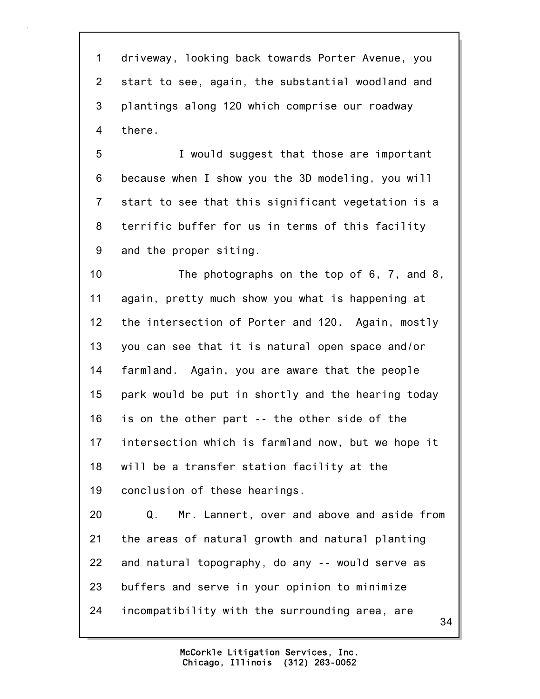1 driveway, looking back towards Porter Avenue, you 2 start to see, again, the substantial woodland and 3 plantings along 120 which comprise our roadway 4 there.

5 I would suggest that those are important 6 because when I show you the 3D modeling, you will 7 start to see that this significant vegetation is a 8 terrific buffer for us in terms of this facility 9 and the proper siting.

10 The photographs on the top of 6, 7, and 8, 11 again, pretty much show you what is happening at 12 the intersection of Porter and 120. Again, mostly 13 you can see that it is natural open space and/or 14 farmland. Again, you are aware that the people 15 park would be put in shortly and the hearing today 16 is on the other part -- the other side of the 17 intersection which is farmland now, but we hope it 18 will be a transfer station facility at the 19 conclusion of these hearings.

20 Q. Mr. Lannert, over and above and aside from 21 the areas of natural growth and natural planting 22 and natural topography, do any -- would serve as 23 buffers and serve in your opinion to minimize 24 incompatibility with the surrounding area, are

34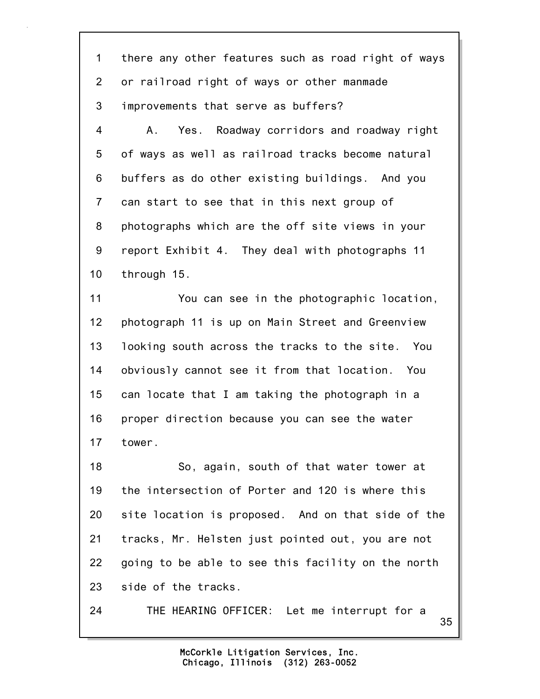1 there any other features such as road right of ways 2 or railroad right of ways or other manmade 3 improvements that serve as buffers?

4 A. Yes. Roadway corridors and roadway right 5 of ways as well as railroad tracks become natural 6 buffers as do other existing buildings. And you 7 can start to see that in this next group of 8 photographs which are the off site views in your 9 report Exhibit 4. They deal with photographs 11 10 through 15.

11 You can see in the photographic location, 12 photograph 11 is up on Main Street and Greenview 13 looking south across the tracks to the site. You 14 obviously cannot see it from that location. You 15 can locate that I am taking the photograph in a 16 proper direction because you can see the water 17 tower.

18 So, again, south of that water tower at 19 the intersection of Porter and 120 is where this 20 site location is proposed. And on that side of the 21 tracks, Mr. Helsten just pointed out, you are not 22 going to be able to see this facility on the north 23 side of the tracks.

24 THE HEARING OFFICER: Let me interrupt for a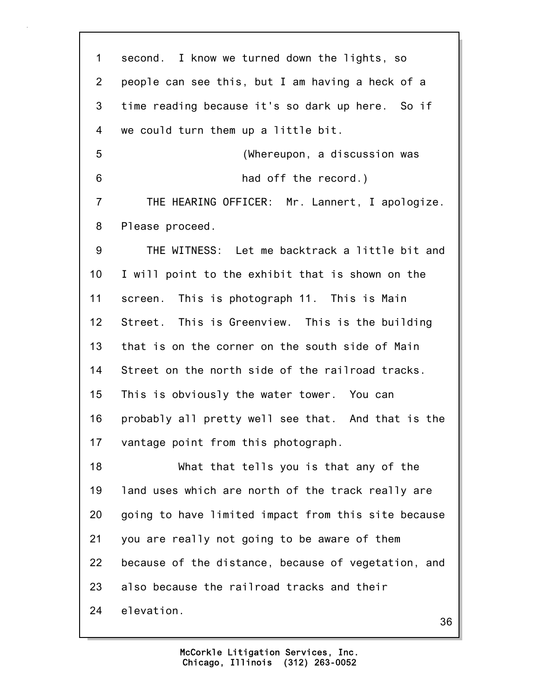| 1              | second. I know we turned down the lights, so        |
|----------------|-----------------------------------------------------|
| $\overline{2}$ | people can see this, but I am having a heck of a    |
| 3              | time reading because it's so dark up here. So if    |
| 4              | we could turn them up a little bit.                 |
| 5              | (Whereupon, a discussion was                        |
| 6              | had off the record.)                                |
| $\overline{7}$ | THE HEARING OFFICER: Mr. Lannert, I apologize.      |
| 8              | Please proceed.                                     |
| 9              | THE WITNESS: Let me backtrack a little bit and      |
| 10             | I will point to the exhibit that is shown on the    |
| 11             | screen. This is photograph 11. This is Main         |
| 12             | Street. This is Greenview. This is the building     |
| 13             | that is on the corner on the south side of Main     |
| 14             | Street on the north side of the railroad tracks.    |
| 15             | This is obviously the water tower. You can          |
| 16             | probably all pretty well see that. And that is the  |
| 17             | vantage point from this photograph.                 |
| 18             | What that tells you is that any of the              |
| 19             | land uses which are north of the track really are   |
| 20             | going to have limited impact from this site because |
| 21             | you are really not going to be aware of them        |
| 22             | because of the distance, because of vegetation, and |
| 23             | also because the railroad tracks and their          |
| 24             | elevation.<br>36                                    |
|                |                                                     |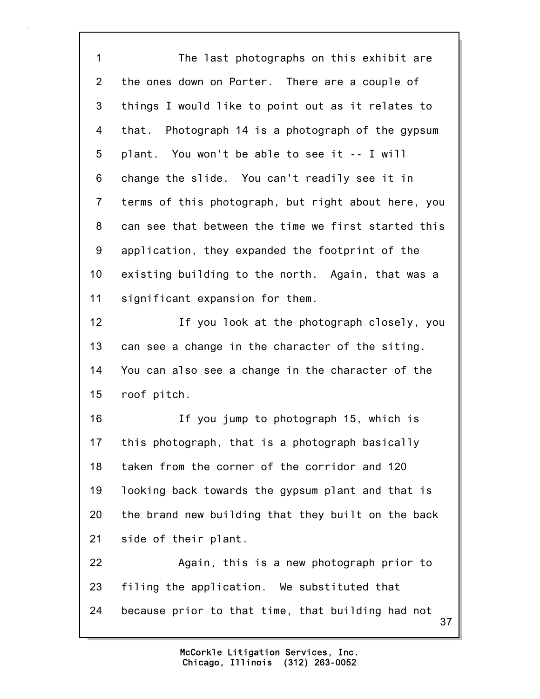1 The last photographs on this exhibit are 2 the ones down on Porter. There are a couple of 3 things I would like to point out as it relates to 4 that. Photograph 14 is a photograph of the gypsum 5 plant. You won't be able to see it -- I will 6 change the slide. You can't readily see it in 7 terms of this photograph, but right about here, you 8 can see that between the time we first started this 9 application, they expanded the footprint of the 10 existing building to the north. Again, that was a 11 significant expansion for them. 12 If you look at the photograph closely, you 13 can see a change in the character of the siting. 14 You can also see a change in the character of the 15 roof pitch. 16 If you jump to photograph 15, which is 17 this photograph, that is a photograph basically 18 taken from the corner of the corridor and 120 19 looking back towards the gypsum plant and that is 20 the brand new building that they built on the back 21 side of their plant. 22 Again, this is a new photograph prior to 23 filing the application. We substituted that

24 because prior to that time, that building had not

37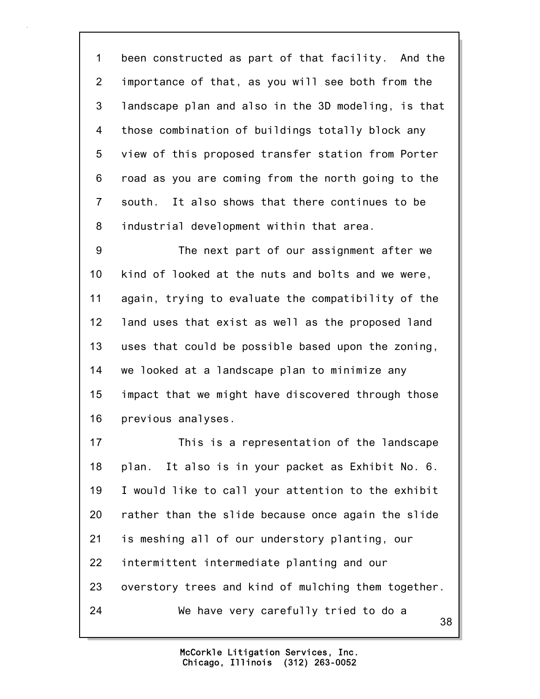1 been constructed as part of that facility. And the 2 importance of that, as you will see both from the 3 landscape plan and also in the 3D modeling, is that 4 those combination of buildings totally block any 5 view of this proposed transfer station from Porter 6 road as you are coming from the north going to the 7 south. It also shows that there continues to be 8 industrial development within that area.

9 The next part of our assignment after we 10 kind of looked at the nuts and bolts and we were, 11 again, trying to evaluate the compatibility of the 12 land uses that exist as well as the proposed land 13 uses that could be possible based upon the zoning, 14 we looked at a landscape plan to minimize any 15 impact that we might have discovered through those 16 previous analyses.

38 17 This is a representation of the landscape 18 plan. It also is in your packet as Exhibit No. 6. 19 I would like to call your attention to the exhibit 20 rather than the slide because once again the slide 21 is meshing all of our understory planting, our 22 intermittent intermediate planting and our 23 overstory trees and kind of mulching them together. 24 We have very carefully tried to do a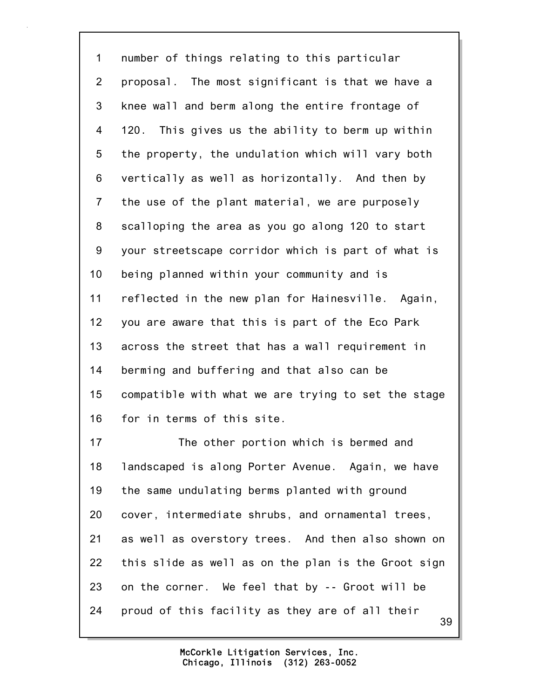1 number of things relating to this particular 2 proposal. The most significant is that we have a 3 knee wall and berm along the entire frontage of 4 120. This gives us the ability to berm up within 5 the property, the undulation which will vary both 6 vertically as well as horizontally. And then by 7 the use of the plant material, we are purposely 8 scalloping the area as you go along 120 to start 9 your streetscape corridor which is part of what is 10 being planned within your community and is 11 reflected in the new plan for Hainesville. Again, 12 you are aware that this is part of the Eco Park 13 across the street that has a wall requirement in 14 berming and buffering and that also can be 15 compatible with what we are trying to set the stage 16 for in terms of this site.

39 17 The other portion which is bermed and 18 landscaped is along Porter Avenue. Again, we have 19 the same undulating berms planted with ground 20 cover, intermediate shrubs, and ornamental trees, 21 as well as overstory trees. And then also shown on 22 this slide as well as on the plan is the Groot sign 23 on the corner. We feel that by -- Groot will be 24 proud of this facility as they are of all their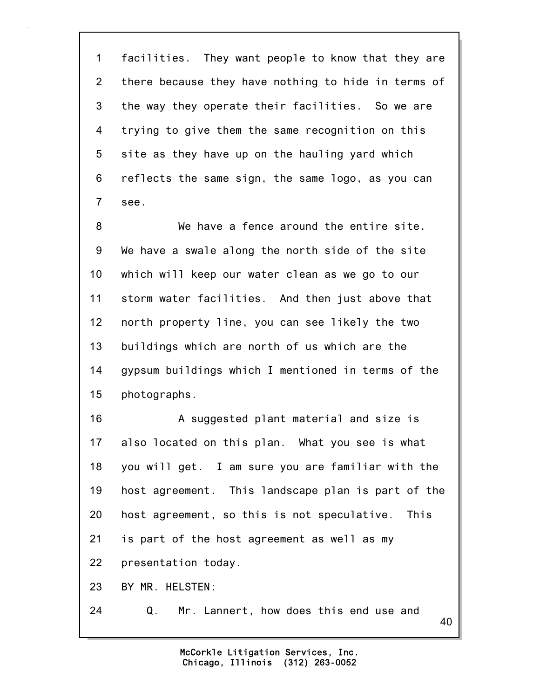1 facilities. They want people to know that they are 2 there because they have nothing to hide in terms of 3 the way they operate their facilities. So we are 4 trying to give them the same recognition on this 5 site as they have up on the hauling yard which 6 reflects the same sign, the same logo, as you can 7 see.

8 We have a fence around the entire site. 9 We have a swale along the north side of the site 10 which will keep our water clean as we go to our 11 storm water facilities. And then just above that 12 north property line, you can see likely the two 13 buildings which are north of us which are the 14 gypsum buildings which I mentioned in terms of the 15 photographs.

16 A suggested plant material and size is 17 also located on this plan. What you see is what 18 you will get. I am sure you are familiar with the 19 host agreement. This landscape plan is part of the 20 host agreement, so this is not speculative. This 21 is part of the host agreement as well as my 22 presentation today. 23 BY MR. HELSTEN:

24 Q. Mr. Lannert, how does this end use and

40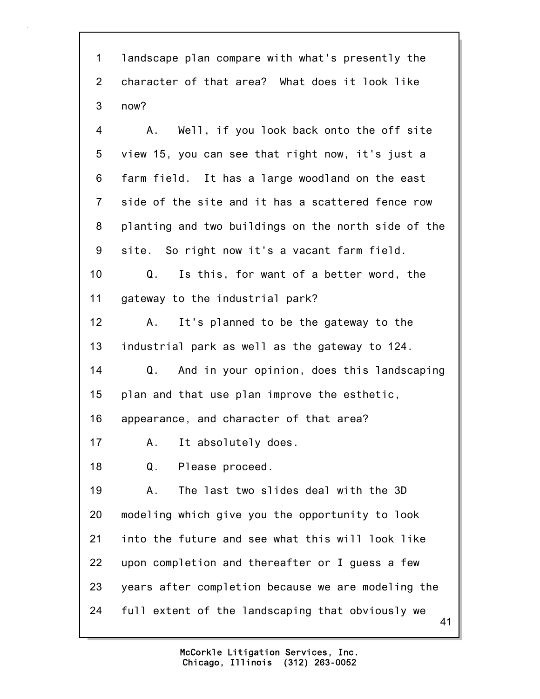1 landscape plan compare with what's presently the 2 character of that area? What does it look like 3 now?

4 A. Well, if you look back onto the off site 5 view 15, you can see that right now, it's just a 6 farm field. It has a large woodland on the east 7 side of the site and it has a scattered fence row 8 planting and two buildings on the north side of the 9 site. So right now it's a vacant farm field. 10 Q. Is this, for want of a better word, the 11 gateway to the industrial park? 12 A. It's planned to be the gateway to the 13 industrial park as well as the gateway to 124. 14 Q. And in your opinion, does this landscaping 15 plan and that use plan improve the esthetic, 16 appearance, and character of that area? 17 A. It absolutely does. 18 Q. Please proceed. 19 A. The last two slides deal with the 3D

41 20 modeling which give you the opportunity to look 21 into the future and see what this will look like 22 upon completion and thereafter or I guess a few 23 years after completion because we are modeling the 24 full extent of the landscaping that obviously we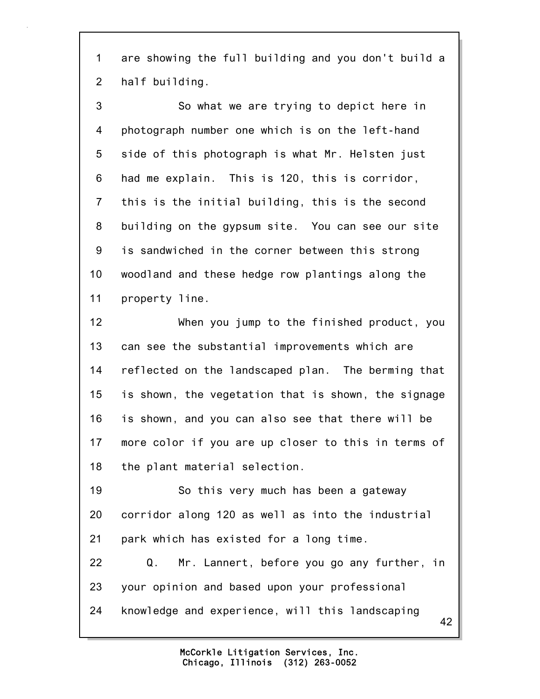1 are showing the full building and you don't build a 2 half building.

3 So what we are trying to depict here in 4 photograph number one which is on the left-hand 5 side of this photograph is what Mr. Helsten just 6 had me explain. This is 120, this is corridor, 7 this is the initial building, this is the second 8 building on the gypsum site. You can see our site 9 is sandwiched in the corner between this strong 10 woodland and these hedge row plantings along the 11 property line.

12 When you jump to the finished product, you 13 can see the substantial improvements which are 14 reflected on the landscaped plan. The berming that 15 is shown, the vegetation that is shown, the signage 16 is shown, and you can also see that there will be 17 more color if you are up closer to this in terms of 18 the plant material selection.

19 So this very much has been a gateway 20 corridor along 120 as well as into the industrial 21 park which has existed for a long time.

22 Q. Mr. Lannert, before you go any further, in 23 your opinion and based upon your professional 24 knowledge and experience, will this landscaping

42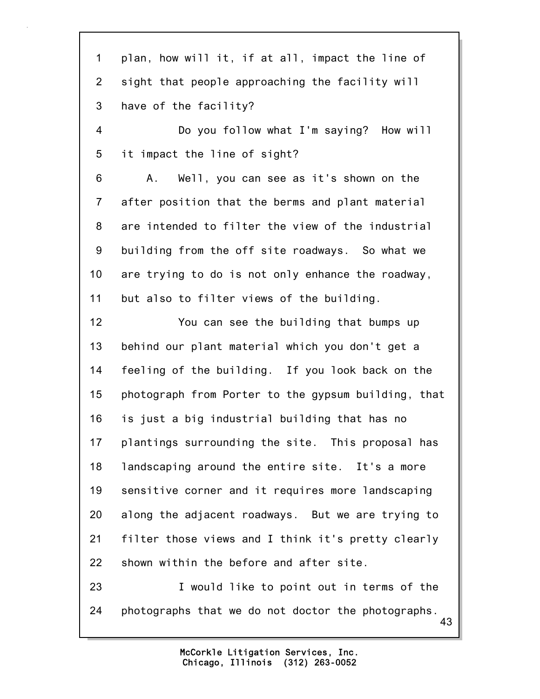43 1 plan, how will it, if at all, impact the line of 2 sight that people approaching the facility will 3 have of the facility? 4 Do you follow what I'm saying? How will 5 it impact the line of sight? 6 A. Well, you can see as it's shown on the 7 after position that the berms and plant material 8 are intended to filter the view of the industrial 9 building from the off site roadways. So what we 10 are trying to do is not only enhance the roadway, 11 but also to filter views of the building. 12 You can see the building that bumps up 13 behind our plant material which you don't get a 14 feeling of the building. If you look back on the 15 photograph from Porter to the gypsum building, that 16 is just a big industrial building that has no 17 plantings surrounding the site. This proposal has 18 landscaping around the entire site. It's a more 19 sensitive corner and it requires more landscaping 20 along the adjacent roadways. But we are trying to 21 filter those views and I think it's pretty clearly 22 shown within the before and after site. 23 I would like to point out in terms of the 24 photographs that we do not doctor the photographs.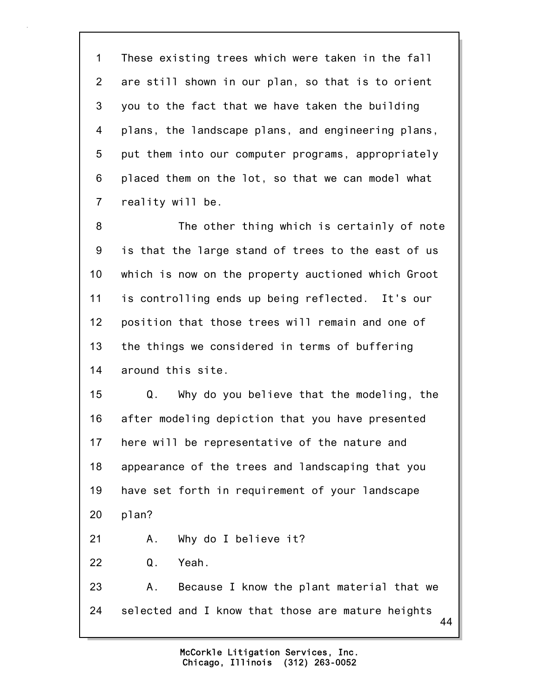1 These existing trees which were taken in the fall 2 are still shown in our plan, so that is to orient 3 you to the fact that we have taken the building 4 plans, the landscape plans, and engineering plans, 5 put them into our computer programs, appropriately 6 placed them on the lot, so that we can model what 7 reality will be.

8 The other thing which is certainly of note 9 is that the large stand of trees to the east of us 10 which is now on the property auctioned which Groot 11 is controlling ends up being reflected. It's our 12 position that those trees will remain and one of 13 the things we considered in terms of buffering 14 around this site.

15 Q. Why do you believe that the modeling, the 16 after modeling depiction that you have presented 17 here will be representative of the nature and 18 appearance of the trees and landscaping that you 19 have set forth in requirement of your landscape 20 plan?

21 A. Why do I believe it?

22 Q. Yeah.

44 23 A. Because I know the plant material that we 24 selected and I know that those are mature heights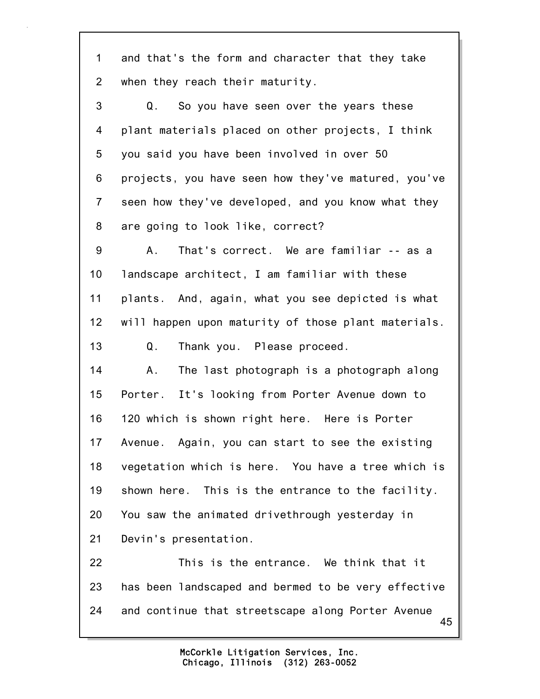| $\mathbf 1$    | and that's the form and character that they take        |
|----------------|---------------------------------------------------------|
| $\overline{2}$ | when they reach their maturity.                         |
| 3              | So you have seen over the years these<br>Q.             |
| 4              | plant materials placed on other projects, I think       |
| 5              | you said you have been involved in over 50              |
| 6              | projects, you have seen how they've matured, you've     |
| $\overline{7}$ | seen how they've developed, and you know what they      |
| 8              | are going to look like, correct?                        |
| 9              | That's correct. We are familiar -- as a<br>Α.           |
| 10             | landscape architect, I am familiar with these           |
| 11             | plants. And, again, what you see depicted is what       |
| 12             | will happen upon maturity of those plant materials.     |
| 13             | Q.<br>Thank you. Please proceed.                        |
| 14             | The last photograph is a photograph along<br>Α.         |
| 15             | Porter. It's looking from Porter Avenue down to         |
| 16             | 120 which is shown right here. Here is Porter           |
| 17             | Avenue. Again, you can start to see the existing        |
| 18             | vegetation which is here. You have a tree which is      |
| 19             | shown here. This is the entrance to the facility.       |
| 20             | You saw the animated drivethrough yesterday in          |
| 21             | Devin's presentation.                                   |
| 22             | This is the entrance. We think that it                  |
| 23             | has been landscaped and bermed to be very effective     |
| 24             | and continue that streetscape along Porter Avenue<br>45 |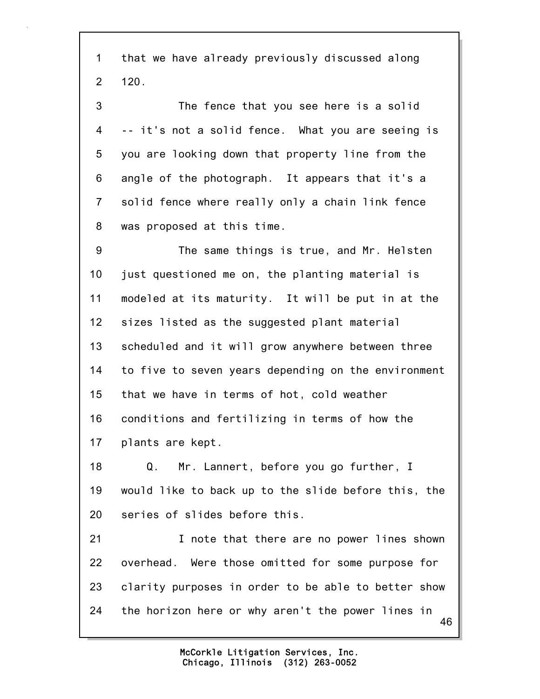1 that we have already previously discussed along 2 120.

3 The fence that you see here is a solid 4 -- it's not a solid fence. What you are seeing is 5 you are looking down that property line from the 6 angle of the photograph. It appears that it's a 7 solid fence where really only a chain link fence 8 was proposed at this time.

9 The same things is true, and Mr. Helsten 10 just questioned me on, the planting material is 11 modeled at its maturity. It will be put in at the 12 sizes listed as the suggested plant material 13 scheduled and it will grow anywhere between three 14 to five to seven years depending on the environment 15 that we have in terms of hot, cold weather 16 conditions and fertilizing in terms of how the 17 plants are kept.

18 Q. Mr. Lannert, before you go further, I 19 would like to back up to the slide before this, the 20 series of slides before this.

46 21 **I** note that there are no power lines shown 22 overhead. Were those omitted for some purpose for 23 clarity purposes in order to be able to better show 24 the horizon here or why aren't the power lines in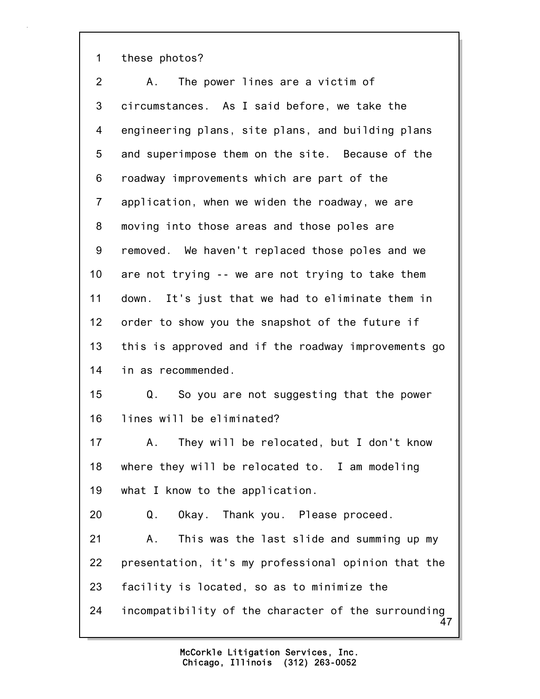1 these photos?

47 2 A. The power lines are a victim of 3 circumstances. As I said before, we take the 4 engineering plans, site plans, and building plans 5 and superimpose them on the site. Because of the 6 roadway improvements which are part of the 7 application, when we widen the roadway, we are 8 moving into those areas and those poles are 9 removed. We haven't replaced those poles and we 10 are not trying -- we are not trying to take them 11 down. It's just that we had to eliminate them in 12 order to show you the snapshot of the future if 13 this is approved and if the roadway improvements go 14 in as recommended. 15 Q. So you are not suggesting that the power 16 lines will be eliminated? 17 A. They will be relocated, but I don't know 18 where they will be relocated to. I am modeling 19 what I know to the application. 20 Q. Okay. Thank you. Please proceed. 21 A. This was the last slide and summing up my 22 presentation, it's my professional opinion that the 23 facility is located, so as to minimize the 24 incompatibility of the character of the surrounding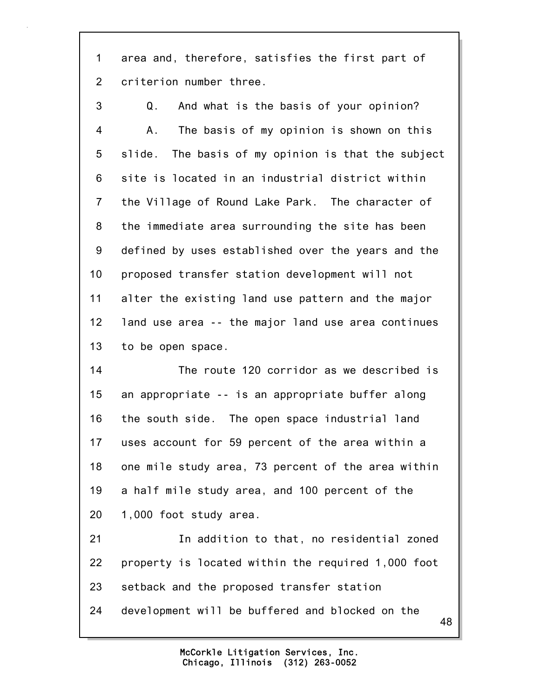1 area and, therefore, satisfies the first part of 2 criterion number three.

3 Q. And what is the basis of your opinion? 4 A. The basis of my opinion is shown on this 5 slide. The basis of my opinion is that the subject 6 site is located in an industrial district within 7 the Village of Round Lake Park. The character of 8 the immediate area surrounding the site has been 9 defined by uses established over the years and the 10 proposed transfer station development will not 11 alter the existing land use pattern and the major 12 land use area -- the major land use area continues 13 to be open space.

14 The route 120 corridor as we described is 15 an appropriate -- is an appropriate buffer along 16 the south side. The open space industrial land 17 uses account for 59 percent of the area within a 18 one mile study area, 73 percent of the area within 19 a half mile study area, and 100 percent of the 20 1,000 foot study area.

21 In addition to that, no residential zoned 22 property is located within the required 1,000 foot 23 setback and the proposed transfer station 24 development will be buffered and blocked on the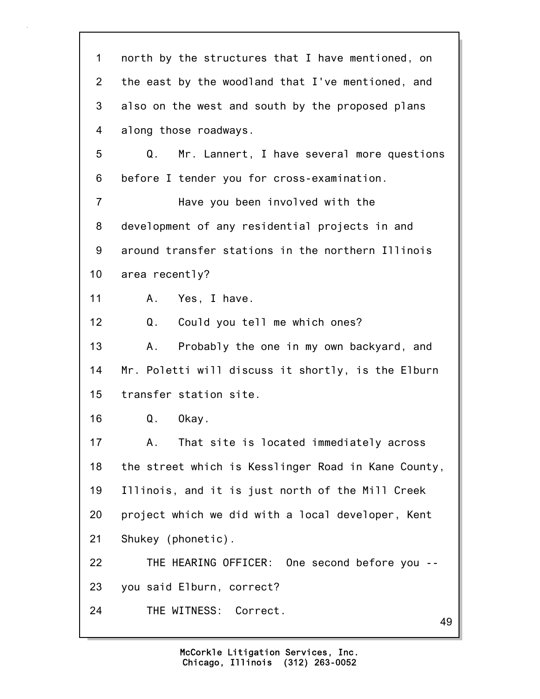49 1 north by the structures that I have mentioned, on 2 the east by the woodland that I've mentioned, and 3 also on the west and south by the proposed plans 4 along those roadways. 5 Q. Mr. Lannert, I have several more questions 6 before I tender you for cross-examination. 7 Have you been involved with the 8 development of any residential projects in and 9 around transfer stations in the northern Illinois 10 area recently? 11 A. Yes, I have. 12 Q. Could you tell me which ones? 13 A. Probably the one in my own backyard, and 14 Mr. Poletti will discuss it shortly, is the Elburn 15 transfer station site. 16 Q. Okay. 17 A. That site is located immediately across 18 the street which is Kesslinger Road in Kane County, 19 Illinois, and it is just north of the Mill Creek 20 project which we did with a local developer, Kent 21 Shukey (phonetic). 22 THE HEARING OFFICER: One second before you -- 23 you said Elburn, correct? 24 THE WITNESS: Correct.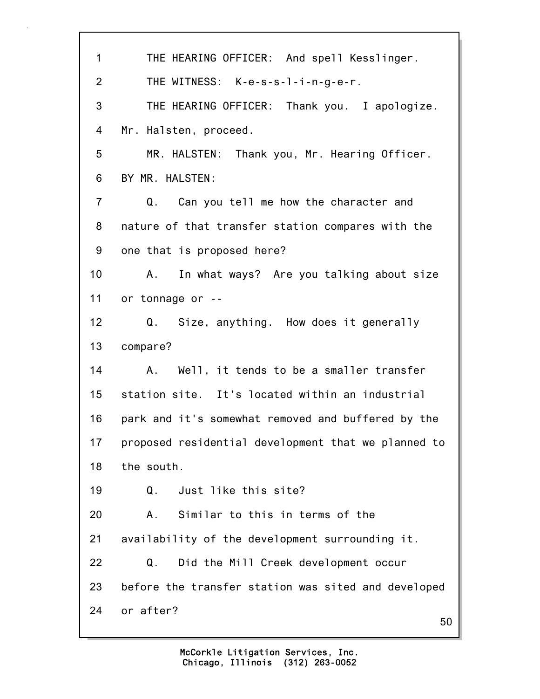50 1 THE HEARING OFFICER: And spell Kesslinger. 2 THE WITNESS: K-e-s-s-l-i-n-g-e-r. 3 THE HEARING OFFICER: Thank you. I apologize. 4 Mr. Halsten, proceed. 5 MR. HALSTEN: Thank you, Mr. Hearing Officer. 6 BY MR. HALSTEN: 7 Q. Can you tell me how the character and 8 nature of that transfer station compares with the 9 one that is proposed here? 10 A. In what ways? Are you talking about size 11 or tonnage or -- 12 Q. Size, anything. How does it generally 13 compare? 14 A. Well, it tends to be a smaller transfer 15 station site. It's located within an industrial 16 park and it's somewhat removed and buffered by the 17 proposed residential development that we planned to 18 the south. 19 Q. Just like this site? 20 A. Similar to this in terms of the 21 availability of the development surrounding it. 22 Q. Did the Mill Creek development occur 23 before the transfer station was sited and developed 24 or after?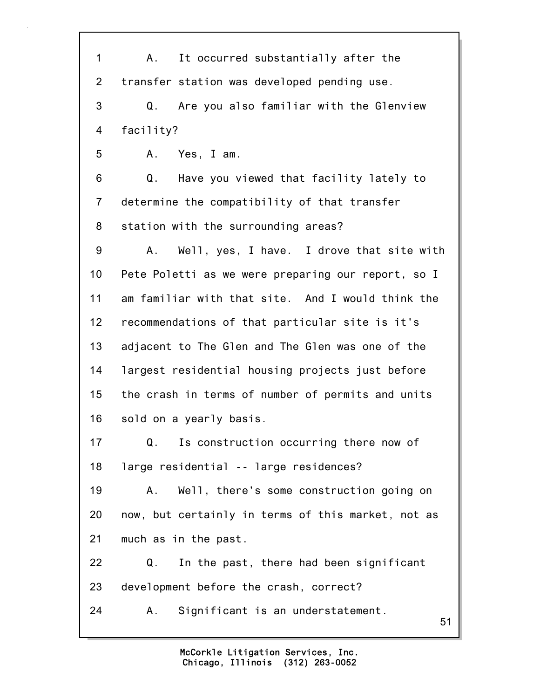51 1 A. It occurred substantially after the 2 transfer station was developed pending use. 3 Q. Are you also familiar with the Glenview 4 facility? 5 A. Yes, I am. 6 Q. Have you viewed that facility lately to 7 determine the compatibility of that transfer 8 station with the surrounding areas? 9 A. Well, yes, I have. I drove that site with 10 Pete Poletti as we were preparing our report, so I 11 am familiar with that site. And I would think the 12 recommendations of that particular site is it's 13 adjacent to The Glen and The Glen was one of the 14 largest residential housing projects just before 15 the crash in terms of number of permits and units 16 sold on a yearly basis. 17 Q. Is construction occurring there now of 18 large residential -- large residences? 19 A. Well, there's some construction going on 20 now, but certainly in terms of this market, not as 21 much as in the past. 22 Q. In the past, there had been significant 23 development before the crash, correct? 24 A. Significant is an understatement.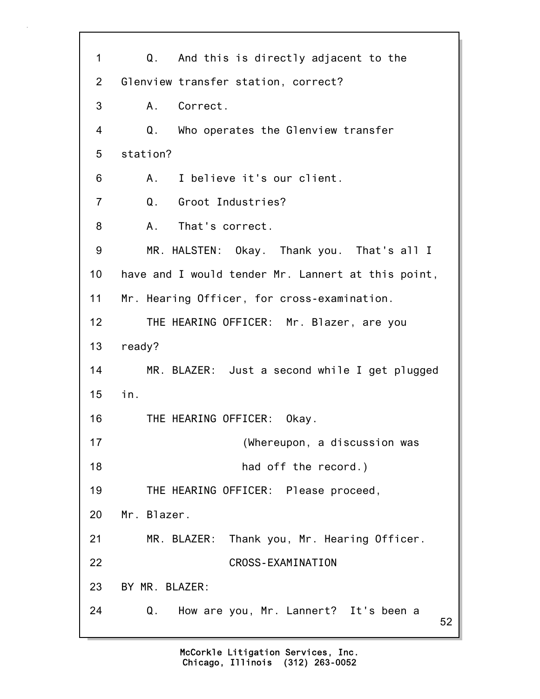52 1 Q. And this is directly adjacent to the 2 Glenview transfer station, correct? 3 A. Correct. 4 Q. Who operates the Glenview transfer 5 station? 6 A. I believe it's our client. 7 Q. Groot Industries? 8 A. That's correct. 9 MR. HALSTEN: Okay. Thank you. That's all I 10 have and I would tender Mr. Lannert at this point, 11 Mr. Hearing Officer, for cross-examination. 12 THE HEARING OFFICER: Mr. Blazer, are you 13 ready? 14 MR. BLAZER: Just a second while I get plugged 15 in. 16 THE HEARING OFFICER: Okay. 17 (Whereupon, a discussion was 18 **had off the record.**) 19 THE HEARING OFFICER: Please proceed, 20 Mr. Blazer. 21 MR. BLAZER: Thank you, Mr. Hearing Officer. 22 CROSS-EXAMINATION 23 BY MR. BLAZER: 24 Q. How are you, Mr. Lannert? It's been a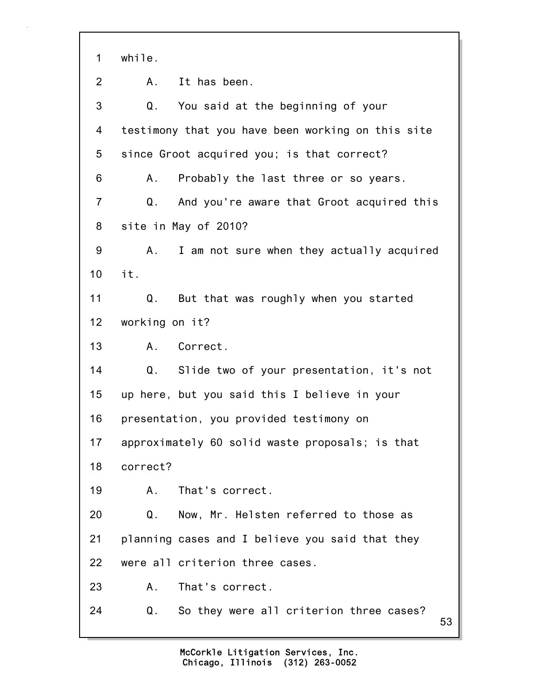53 1 while. 2 A. It has been. 3 Q. You said at the beginning of your 4 testimony that you have been working on this site 5 since Groot acquired you; is that correct? 6 A. Probably the last three or so years. 7 Q. And you're aware that Groot acquired this 8 site in May of 2010? 9 A. I am not sure when they actually acquired 10 it. 11 Q. But that was roughly when you started 12 working on it? 13 A. Correct. 14 Q. Slide two of your presentation, it's not 15 up here, but you said this I believe in your 16 presentation, you provided testimony on 17 approximately 60 solid waste proposals; is that 18 correct? 19 A. That's correct. 20 Q. Now, Mr. Helsten referred to those as 21 planning cases and I believe you said that they 22 were all criterion three cases. 23 A. That's correct. 24 Q. So they were all criterion three cases?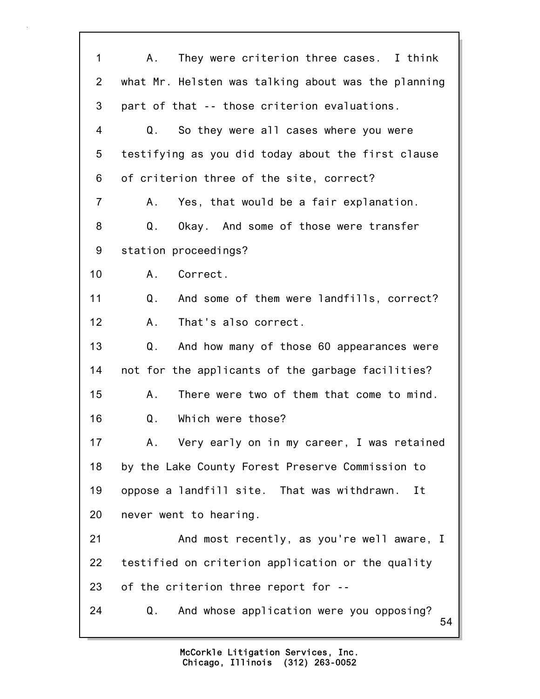| 1              | They were criterion three cases. I think<br>A.       |
|----------------|------------------------------------------------------|
| $\overline{2}$ | what Mr. Helsten was talking about was the planning  |
| 3              | part of that -- those criterion evaluations.         |
| 4              | Q.<br>So they were all cases where you were          |
| 5              | testifying as you did today about the first clause   |
| 6              | of criterion three of the site, correct?             |
| $\overline{7}$ | Yes, that would be a fair explanation.<br>А.         |
| 8              | Q.<br>Okay. And some of those were transfer          |
| 9              | station proceedings?                                 |
| 10             | Correct.<br>A.,                                      |
| 11             | Q.<br>And some of them were landfills, correct?      |
| 12             | That's also correct.<br>Α.                           |
| 13             | Q.<br>And how many of those 60 appearances were      |
| 14             | not for the applicants of the garbage facilities?    |
| 15             | There were two of them that come to mind.<br>Α.      |
| 16             | Which were those?<br>Q.                              |
| 17             | Α.<br>Very early on in my career, I was retained     |
| 18             | by the Lake County Forest Preserve Commission to     |
| 19             | oppose a landfill site. That was withdrawn.<br>Ιt    |
| 20             | never went to hearing.                               |
| 21             | And most recently, as you're well aware, I           |
| 22             | testified on criterion application or the quality    |
| 23             | of the criterion three report for --                 |
| 24             | And whose application were you opposing?<br>Q.<br>54 |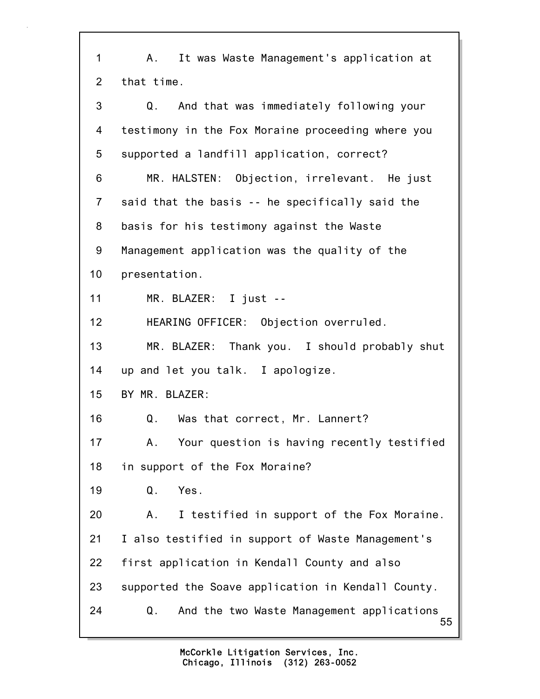55 1 A. It was Waste Management's application at 2 that time. 3 Q. And that was immediately following your 4 testimony in the Fox Moraine proceeding where you 5 supported a landfill application, correct? 6 MR. HALSTEN: Objection, irrelevant. He just 7 said that the basis -- he specifically said the 8 basis for his testimony against the Waste 9 Management application was the quality of the 10 presentation. 11 MR. BLAZER: I just -- 12 HEARING OFFICER: Objection overruled. 13 MR. BLAZER: Thank you. I should probably shut 14 up and let you talk. I apologize. 15 BY MR. BLAZER: 16 Q. Was that correct, Mr. Lannert? 17 A. Your question is having recently testified 18 in support of the Fox Moraine? 19 Q. Yes. 20 A. I testified in support of the Fox Moraine. 21 I also testified in support of Waste Management's 22 first application in Kendall County and also 23 supported the Soave application in Kendall County. 24 Q. And the two Waste Management applications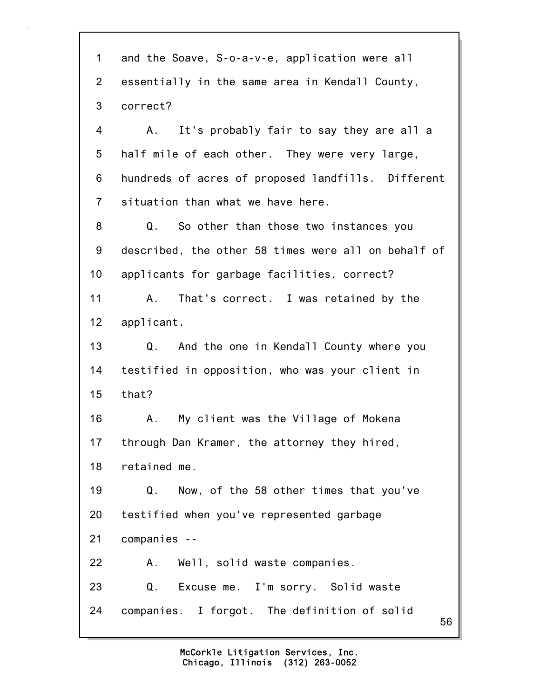56 1 and the Soave, S-o-a-v-e, application were all 2 essentially in the same area in Kendall County, 3 correct? 4 A. It's probably fair to say they are all a 5 half mile of each other. They were very large, 6 hundreds of acres of proposed landfills. Different 7 situation than what we have here. 8 Q. So other than those two instances you 9 described, the other 58 times were all on behalf of 10 applicants for garbage facilities, correct? 11 A. That's correct. I was retained by the 12 applicant. 13 Q. And the one in Kendall County where you 14 testified in opposition, who was your client in 15 that? 16 A. My client was the Village of Mokena 17 through Dan Kramer, the attorney they hired, 18 retained me. 19 Q. Now, of the 58 other times that you've 20 testified when you've represented garbage 21 companies -- 22 A. Well, solid waste companies. 23 Q. Excuse me. I'm sorry. Solid waste 24 companies. I forgot. The definition of solid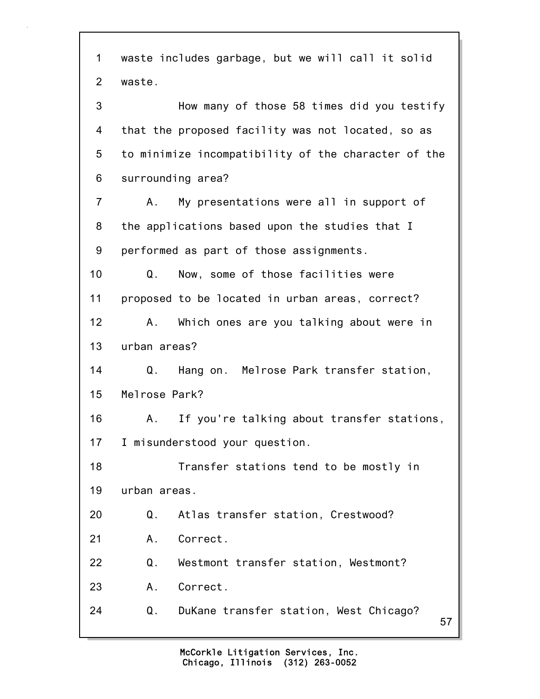57 1 waste includes garbage, but we will call it solid 2 waste. 3 How many of those 58 times did you testify 4 that the proposed facility was not located, so as 5 to minimize incompatibility of the character of the 6 surrounding area? 7 A. My presentations were all in support of 8 the applications based upon the studies that I 9 performed as part of those assignments. 10 Q. Now, some of those facilities were 11 proposed to be located in urban areas, correct? 12 A. Which ones are you talking about were in 13 urban areas? 14 Q. Hang on. Melrose Park transfer station, 15 Melrose Park? 16 A. If you're talking about transfer stations, 17 I misunderstood your question. 18 Transfer stations tend to be mostly in 19 urban areas. 20 Q. Atlas transfer station, Crestwood? 21 A. Correct. 22 Q. Westmont transfer station, Westmont? 23 A. Correct. 24 Q. DuKane transfer station, West Chicago?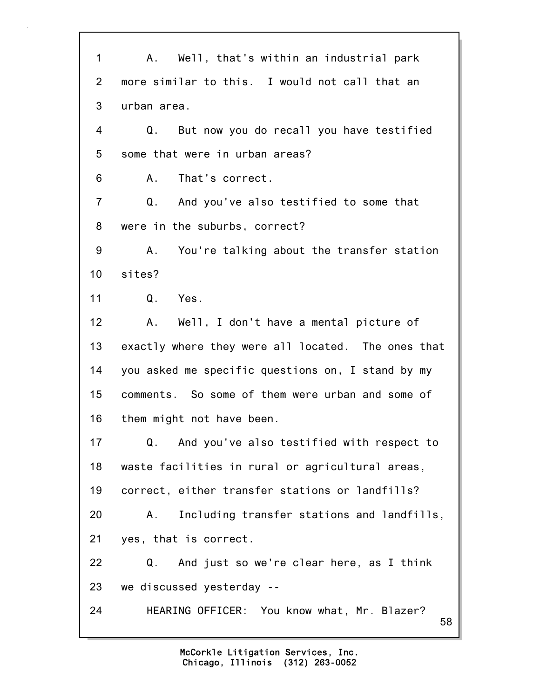58 1 A. Well, that's within an industrial park 2 more similar to this. I would not call that an 3 urban area. 4 Q. But now you do recall you have testified 5 some that were in urban areas? 6 A. That's correct. 7 Q. And you've also testified to some that 8 were in the suburbs, correct? 9 A. You're talking about the transfer station 10 sites? 11 Q. Yes. 12 A. Well, I don't have a mental picture of 13 exactly where they were all located. The ones that 14 you asked me specific questions on, I stand by my 15 comments. So some of them were urban and some of 16 them might not have been. 17 Q. And you've also testified with respect to 18 waste facilities in rural or agricultural areas, 19 correct, either transfer stations or landfills? 20 A. Including transfer stations and landfills, 21 yes, that is correct. 22 Q. And just so we're clear here, as I think 23 we discussed yesterday -- 24 HEARING OFFICER: You know what, Mr. Blazer?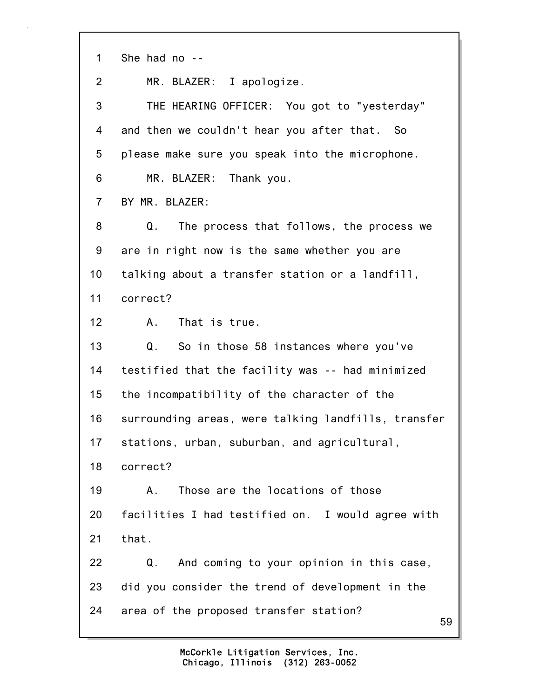| 1              | She had no --                                       |
|----------------|-----------------------------------------------------|
| 2              | MR. BLAZER: I apologize.                            |
| 3              | THE HEARING OFFICER: You got to "yesterday"         |
| 4              | and then we couldn't hear you after that. So        |
| 5              | please make sure you speak into the microphone.     |
| 6              | MR. BLAZER: Thank you.                              |
| $\overline{7}$ | BY MR. BLAZER:                                      |
| 8              | Q.<br>The process that follows, the process we      |
| 9              | are in right now is the same whether you are        |
| 10             | talking about a transfer station or a landfill,     |
| 11             | correct?                                            |
| 12             | A. That is true.                                    |
| 13             | Q.<br>So in those 58 instances where you've         |
| 14             | testified that the facility was -- had minimized    |
| 15             | the incompatibility of the character of the         |
| 16             | surrounding areas, were talking landfills, transfer |
| 17             | stations, urban, suburban, and agricultural,        |
| 18             | correct?                                            |
| 19             | Those are the locations of those<br>Α.              |
| 20             | facilities I had testified on. I would agree with   |
| 21             | that.                                               |
| 22             | And coming to your opinion in this case,<br>Q.      |
| 23             | did you consider the trend of development in the    |
| 24             | area of the proposed transfer station?<br>59        |
|                |                                                     |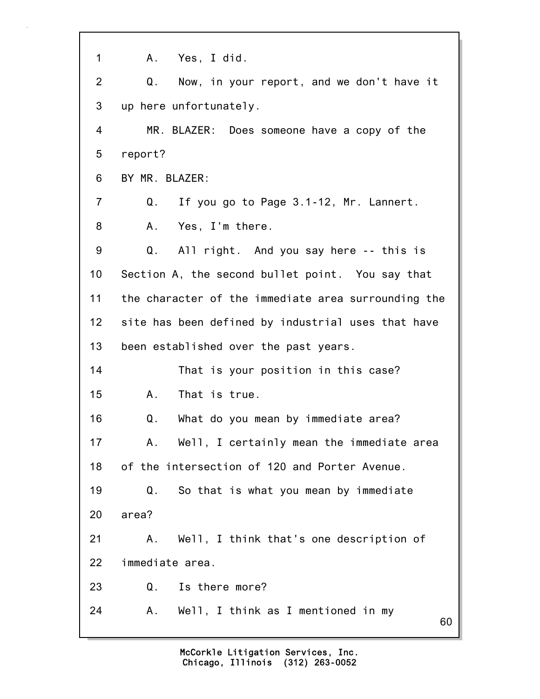60 1 A. Yes, I did. 2 Q. Now, in your report, and we don't have it 3 up here unfortunately. 4 MR. BLAZER: Does someone have a copy of the 5 report? 6 BY MR. BLAZER: 7 Q. If you go to Page 3.1-12, Mr. Lannert. 8 A. Yes, I'm there. 9 Q. All right. And you say here -- this is 10 Section A, the second bullet point. You say that 11 the character of the immediate area surrounding the 12 site has been defined by industrial uses that have 13 been established over the past years. 14 That is your position in this case? 15 A. That is true. 16 Q. What do you mean by immediate area? 17 A. Well, I certainly mean the immediate area 18 of the intersection of 120 and Porter Avenue. 19 Q. So that is what you mean by immediate 20 area? 21 A. Well, I think that's one description of 22 immediate area. 23 Q. Is there more? 24 A. Well, I think as I mentioned in my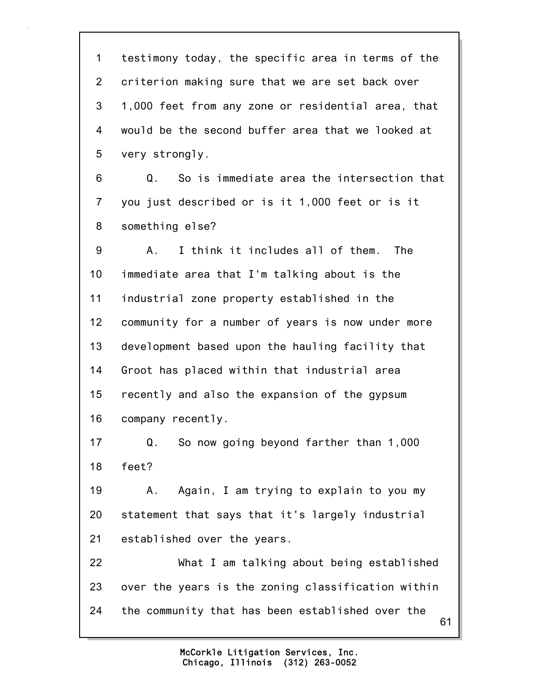61 1 testimony today, the specific area in terms of the 2 criterion making sure that we are set back over 3 1,000 feet from any zone or residential area, that 4 would be the second buffer area that we looked at 5 very strongly. 6 Q. So is immediate area the intersection that 7 you just described or is it 1,000 feet or is it 8 something else? 9 A. I think it includes all of them. The 10 immediate area that I'm talking about is the 11 industrial zone property established in the 12 community for a number of years is now under more 13 development based upon the hauling facility that 14 Groot has placed within that industrial area 15 recently and also the expansion of the gypsum 16 company recently. 17 Q. So now going beyond farther than 1,000 18 feet? 19 A. Again, I am trying to explain to you my 20 statement that says that it's largely industrial 21 established over the years. 22 What I am talking about being established 23 over the years is the zoning classification within 24 the community that has been established over the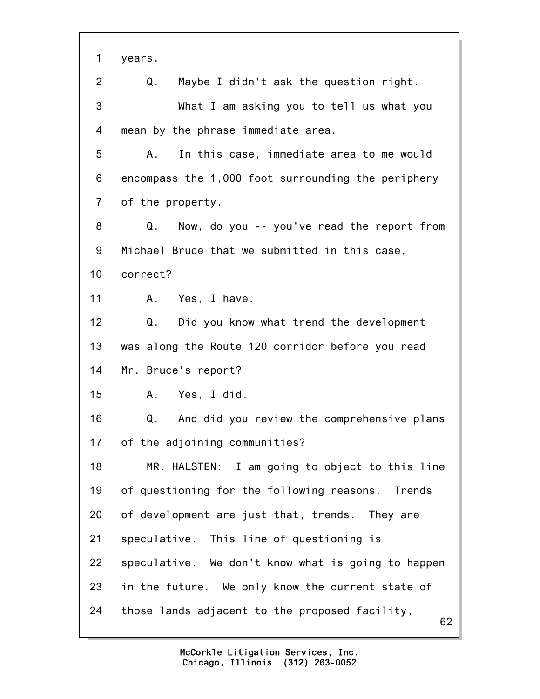62 1 years. 2 Q. Maybe I didn't ask the question right. 3 What I am asking you to tell us what you 4 mean by the phrase immediate area. 5 A. In this case, immediate area to me would 6 encompass the 1,000 foot surrounding the periphery 7 of the property. 8 Q. Now, do you -- you've read the report from 9 Michael Bruce that we submitted in this case, 10 correct? 11 A. Yes, I have. 12 Q. Did you know what trend the development 13 was along the Route 120 corridor before you read 14 Mr. Bruce's report? 15 A. Yes, I did. 16 Q. And did you review the comprehensive plans 17 of the adjoining communities? 18 MR. HALSTEN: I am going to object to this line 19 of questioning for the following reasons. Trends 20 of development are just that, trends. They are 21 speculative. This line of questioning is 22 speculative. We don't know what is going to happen 23 in the future. We only know the current state of 24 those lands adjacent to the proposed facility,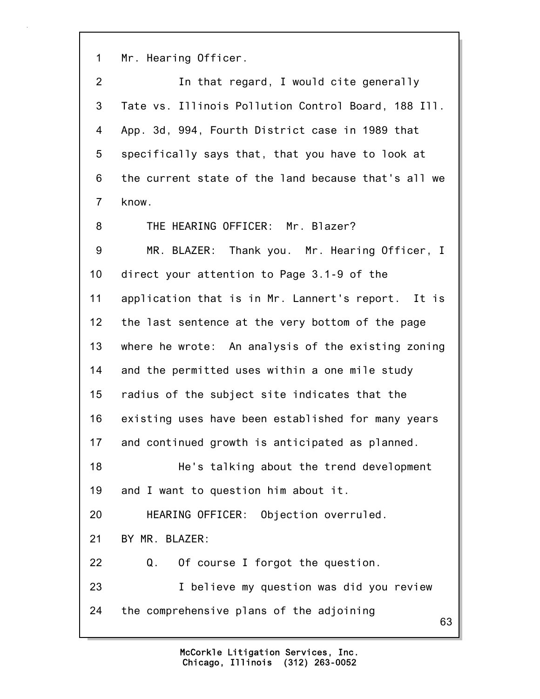1 Mr. Hearing Officer.

63 2 In that regard, I would cite generally 3 Tate vs. Illinois Pollution Control Board, 188 Ill. 4 App. 3d, 994, Fourth District case in 1989 that 5 specifically says that, that you have to look at 6 the current state of the land because that's all we 7 know. 8 THE HEARING OFFICER: Mr. Blazer? 9 MR. BLAZER: Thank you. Mr. Hearing Officer, I 10 direct your attention to Page 3.1-9 of the 11 application that is in Mr. Lannert's report. It is 12 the last sentence at the very bottom of the page 13 where he wrote: An analysis of the existing zoning 14 and the permitted uses within a one mile study 15 radius of the subject site indicates that the 16 existing uses have been established for many years 17 and continued growth is anticipated as planned. 18 He's talking about the trend development 19 and I want to question him about it. 20 HEARING OFFICER: Objection overruled. 21 BY MR. BLAZER: 22 Q. Of course I forgot the question. 23 I believe my question was did you review 24 the comprehensive plans of the adjoining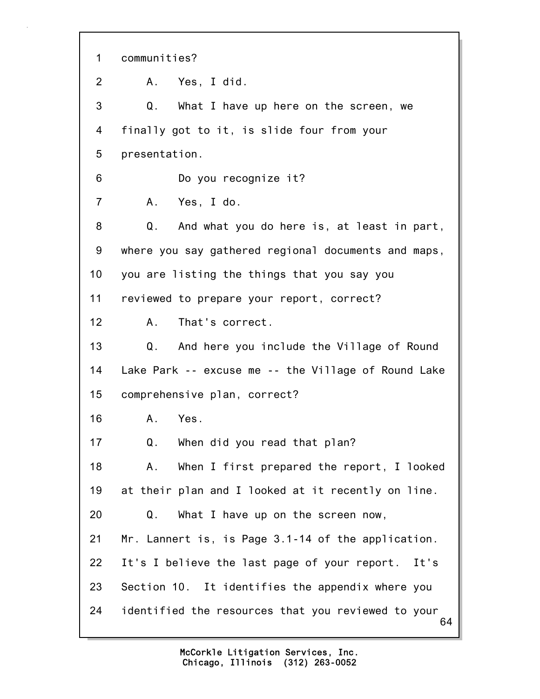64 1 communities? 2 A. Yes, I did. 3 Q. What I have up here on the screen, we 4 finally got to it, is slide four from your 5 presentation. 6 Do you recognize it? 7 A. Yes, I do. 8 Q. And what you do here is, at least in part, 9 where you say gathered regional documents and maps, 10 you are listing the things that you say you 11 reviewed to prepare your report, correct? 12 A. That's correct. 13 Q. And here you include the Village of Round 14 Lake Park -- excuse me -- the Village of Round Lake 15 comprehensive plan, correct? 16 A. Yes. 17 Q. When did you read that plan? 18 A. When I first prepared the report, I looked 19 at their plan and I looked at it recently on line. 20 Q. What I have up on the screen now, 21 Mr. Lannert is, is Page 3.1-14 of the application. 22 It's I believe the last page of your report. It's 23 Section 10. It identifies the appendix where you 24 identified the resources that you reviewed to your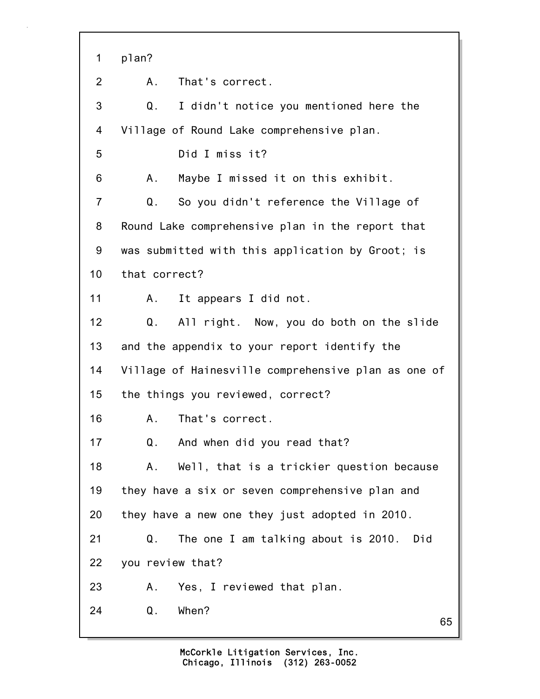65 1 plan? 2 A. That's correct. 3 Q. I didn't notice you mentioned here the 4 Village of Round Lake comprehensive plan. 5 Did I miss it? 6 A. Maybe I missed it on this exhibit. 7 Q. So you didn't reference the Village of 8 Round Lake comprehensive plan in the report that 9 was submitted with this application by Groot; is 10 that correct? 11 A. It appears I did not. 12 Q. All right. Now, you do both on the slide 13 and the appendix to your report identify the 14 Village of Hainesville comprehensive plan as one of 15 the things you reviewed, correct? 16 A. That's correct. 17 Q. And when did you read that? 18 A. Well, that is a trickier question because 19 they have a six or seven comprehensive plan and 20 they have a new one they just adopted in 2010. 21 Q. The one I am talking about is 2010. Did 22 you review that? 23 A. Yes, I reviewed that plan. 24 Q. When?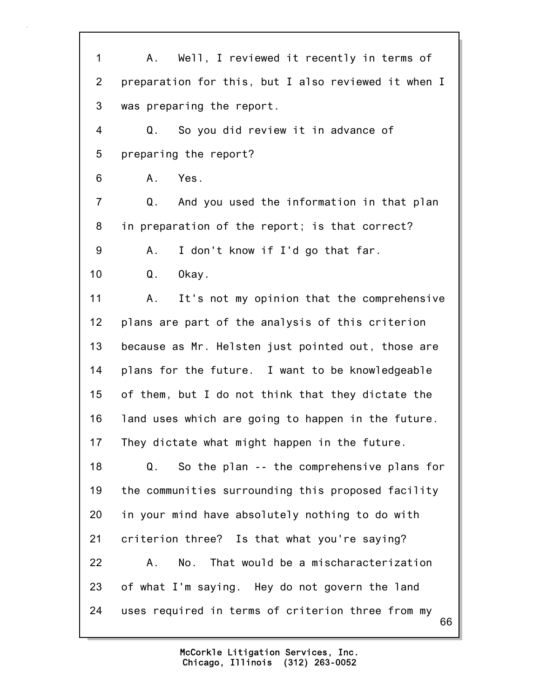66 1 A. Well, I reviewed it recently in terms of 2 preparation for this, but I also reviewed it when I 3 was preparing the report. 4 Q. So you did review it in advance of 5 preparing the report? 6 A. Yes. 7 Q. And you used the information in that plan 8 in preparation of the report; is that correct? 9 A. I don't know if I'd go that far. 10 Q. Okay. 11 A. It's not my opinion that the comprehensive 12 plans are part of the analysis of this criterion 13 because as Mr. Helsten just pointed out, those are 14 plans for the future. I want to be knowledgeable 15 of them, but I do not think that they dictate the 16 land uses which are going to happen in the future. 17 They dictate what might happen in the future. 18 Q. So the plan -- the comprehensive plans for 19 the communities surrounding this proposed facility 20 in your mind have absolutely nothing to do with 21 criterion three? Is that what you're saying? 22 A. No. That would be a mischaracterization 23 of what I'm saying. Hey do not govern the land 24 uses required in terms of criterion three from my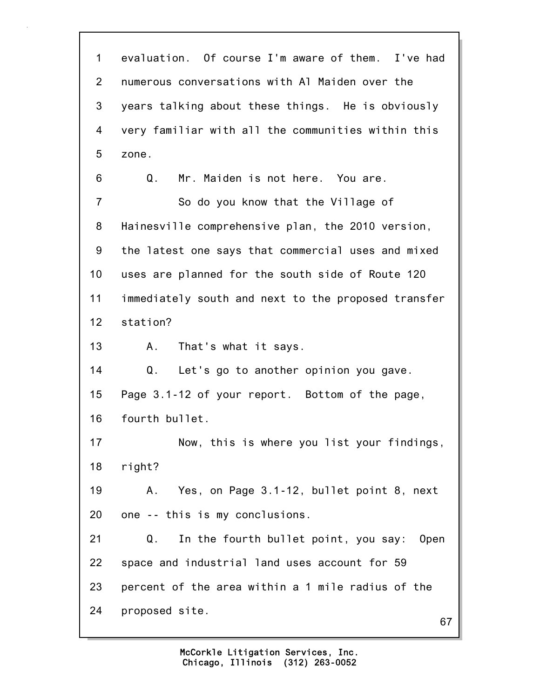67 1 evaluation. Of course I'm aware of them. I've had 2 numerous conversations with Al Maiden over the 3 years talking about these things. He is obviously 4 very familiar with all the communities within this 5 zone. 6 Q. Mr. Maiden is not here. You are. 7 So do you know that the Village of 8 Hainesville comprehensive plan, the 2010 version, 9 the latest one says that commercial uses and mixed 10 uses are planned for the south side of Route 120 11 immediately south and next to the proposed transfer 12 station? 13 A. That's what it says. 14 Q. Let's go to another opinion you gave. 15 Page 3.1-12 of your report. Bottom of the page, 16 fourth bullet. 17 Now, this is where you list your findings, 18 right? 19 A. Yes, on Page 3.1-12, bullet point 8, next 20 one -- this is my conclusions. 21 Q. In the fourth bullet point, you say: Open 22 space and industrial land uses account for 59 23 percent of the area within a 1 mile radius of the 24 proposed site.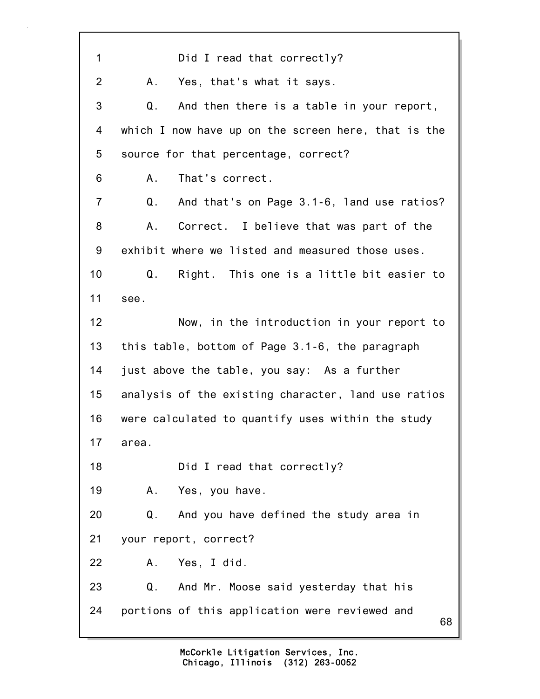68 1 Did I read that correctly? 2 A. Yes, that's what it says. 3 Q. And then there is a table in your report, 4 which I now have up on the screen here, that is the 5 source for that percentage, correct? 6 A. That's correct. 7 Q. And that's on Page 3.1-6, land use ratios? 8 A. Correct. I believe that was part of the 9 exhibit where we listed and measured those uses. 10 Q. Right. This one is a little bit easier to 11 see. 12 Now, in the introduction in your report to 13 this table, bottom of Page 3.1-6, the paragraph 14 just above the table, you say: As a further 15 analysis of the existing character, land use ratios 16 were calculated to quantify uses within the study 17 area. 18 Did I read that correctly? 19 A. Yes, you have. 20 Q. And you have defined the study area in 21 your report, correct? 22 A. Yes, I did. 23 Q. And Mr. Moose said yesterday that his 24 portions of this application were reviewed and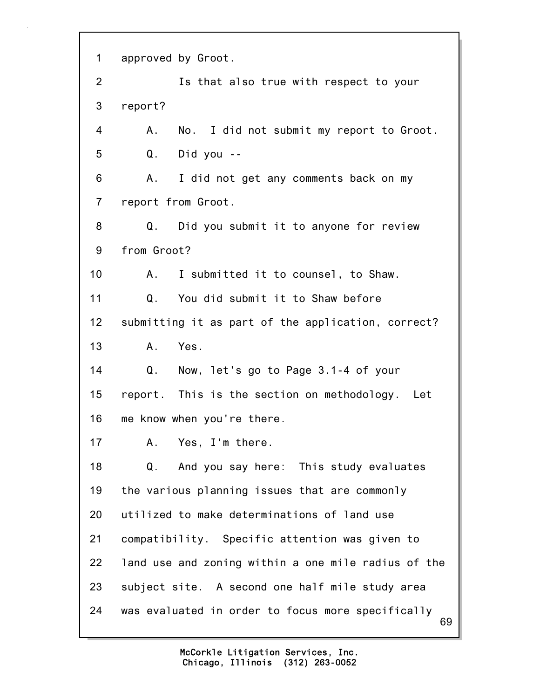69 1 approved by Groot. 2 Is that also true with respect to your 3 report? 4 A. No. I did not submit my report to Groot. 5 Q. Did you -- 6 A. I did not get any comments back on my 7 report from Groot. 8 Q. Did you submit it to anyone for review 9 from Groot? 10 A. I submitted it to counsel, to Shaw. 11 Q. You did submit it to Shaw before 12 submitting it as part of the application, correct? 13 A. Yes. 14 Q. Now, let's go to Page 3.1-4 of your 15 report. This is the section on methodology. Let 16 me know when you're there. 17 A. Yes, I'm there. 18 Q. And you say here: This study evaluates 19 the various planning issues that are commonly 20 utilized to make determinations of land use 21 compatibility. Specific attention was given to 22 land use and zoning within a one mile radius of the 23 subject site. A second one half mile study area 24 was evaluated in order to focus more specifically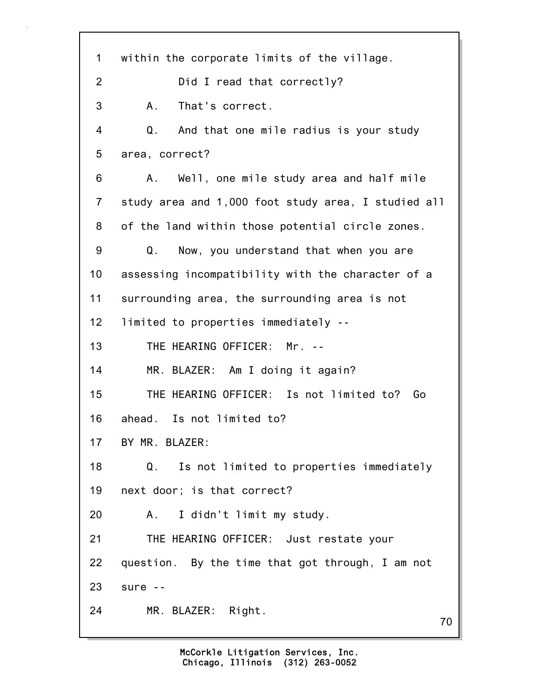70 1 within the corporate limits of the village. 2 Did I read that correctly? 3 A. That's correct. 4 Q. And that one mile radius is your study 5 area, correct? 6 A. Well, one mile study area and half mile 7 study area and 1,000 foot study area, I studied all 8 of the land within those potential circle zones. 9 Q. Now, you understand that when you are 10 assessing incompatibility with the character of a 11 surrounding area, the surrounding area is not 12 limited to properties immediately -- 13 THE HEARING OFFICER: Mr. -- 14 MR. BLAZER: Am I doing it again? 15 THE HEARING OFFICER: Is not limited to? Go 16 ahead. Is not limited to? 17 BY MR. BLAZER: 18 Q. Is not limited to properties immediately 19 next door; is that correct? 20 A. I didn't limit my study. 21 THE HEARING OFFICER: Just restate your 22 question. By the time that got through, I am not 23 sure -- 24 MR. BLAZER: Right.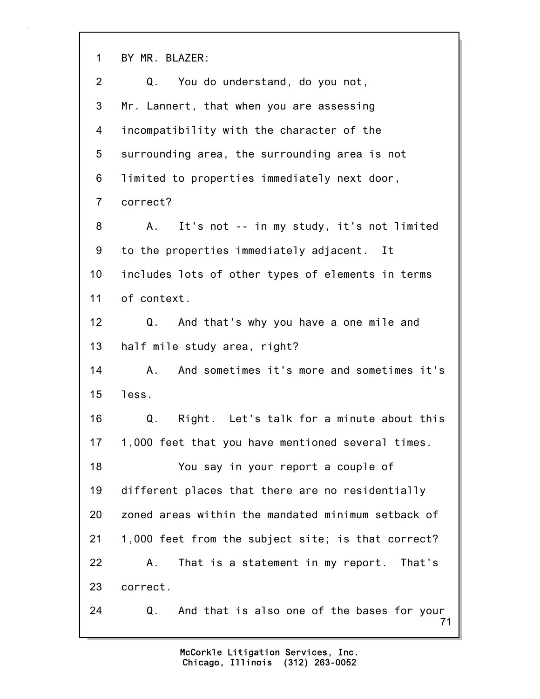1 BY MR. BLAZER:

| 2              | Q.<br>You do understand, do you not,                   |
|----------------|--------------------------------------------------------|
| 3              | Mr. Lannert, that when you are assessing               |
| 4              | incompatibility with the character of the              |
| 5              | surrounding area, the surrounding area is not          |
| 6              | limited to properties immediately next door,           |
| $\overline{7}$ | correct?                                               |
| 8              | It's not -- in my study, it's not limited<br>A.,       |
| 9              | to the properties immediately adjacent. It             |
| 10             | includes lots of other types of elements in terms      |
| 11             | of context.                                            |
| 12             | Q. And that's why you have a one mile and              |
| 13             | half mile study area, right?                           |
| 14             | And sometimes it's more and sometimes it's<br>А.       |
| 15             | less.                                                  |
| 16             | Right. Let's talk for a minute about this<br>Q.        |
| 17             | 1,000 feet that you have mentioned several times.      |
| 18             | You say in your report a couple of                     |
| 19             | different places that there are no residentially       |
| 20             | zoned areas within the mandated minimum setback of     |
| 21             | 1,000 feet from the subject site; is that correct?     |
| 22             | That is a statement in my report. That's<br>Α.         |
| 23             | correct.                                               |
| 24             | And that is also one of the bases for your<br>Q.<br>71 |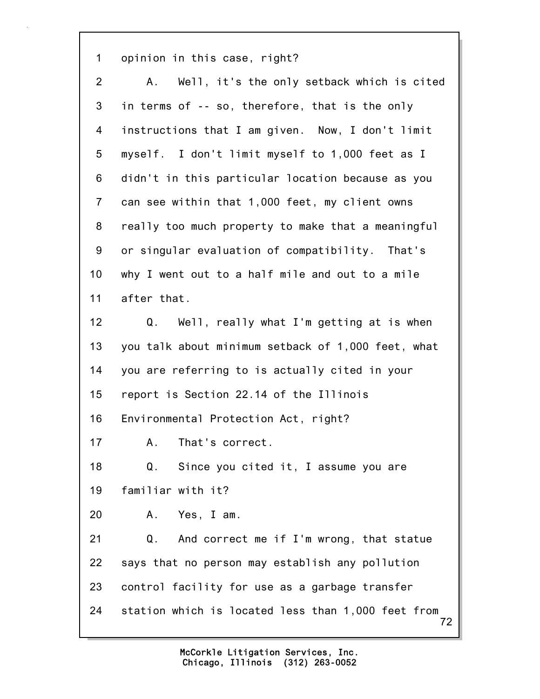1 opinion in this case, right?

72 2 A. Well, it's the only setback which is cited 3 in terms of -- so, therefore, that is the only 4 instructions that I am given. Now, I don't limit 5 myself. I don't limit myself to 1,000 feet as I 6 didn't in this particular location because as you 7 can see within that 1,000 feet, my client owns 8 really too much property to make that a meaningful 9 or singular evaluation of compatibility. That's 10 why I went out to a half mile and out to a mile 11 after that. 12 Q. Well, really what I'm getting at is when 13 you talk about minimum setback of 1,000 feet, what 14 you are referring to is actually cited in your 15 report is Section 22.14 of the Illinois 16 Environmental Protection Act, right? 17 A. That's correct. 18 Q. Since you cited it, I assume you are 19 familiar with it? 20 A. Yes, I am. 21 Q. And correct me if I'm wrong, that statue 22 says that no person may establish any pollution 23 control facility for use as a garbage transfer 24 station which is located less than 1,000 feet from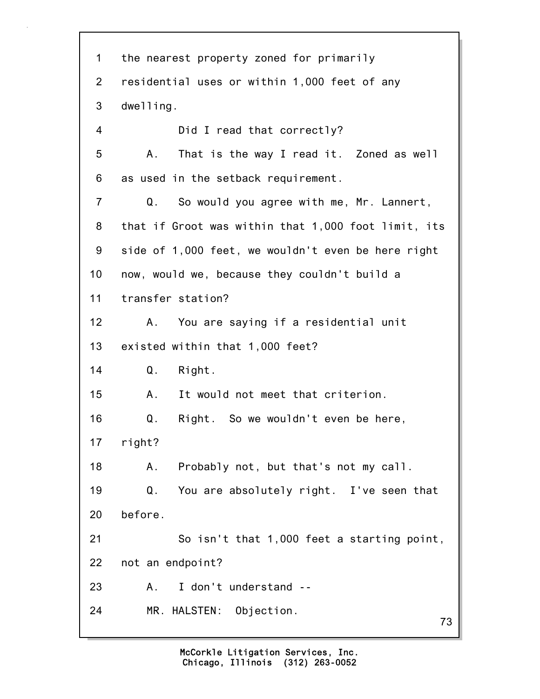73 1 the nearest property zoned for primarily 2 residential uses or within 1,000 feet of any 3 dwelling. 4 Did I read that correctly? 5 A. That is the way I read it. Zoned as well 6 as used in the setback requirement. 7 Q. So would you agree with me, Mr. Lannert, 8 that if Groot was within that 1,000 foot limit, its 9 side of 1,000 feet, we wouldn't even be here right 10 now, would we, because they couldn't build a 11 transfer station? 12 A. You are saying if a residential unit 13 existed within that 1,000 feet? 14 Q. Right. 15 A. It would not meet that criterion. 16 Q. Right. So we wouldn't even be here, 17 right? 18 A. Probably not, but that's not my call. 19 Q. You are absolutely right. I've seen that 20 before. 21 So isn't that 1,000 feet a starting point, 22 not an endpoint? 23 A. I don't understand -- 24 MR. HALSTEN: Objection.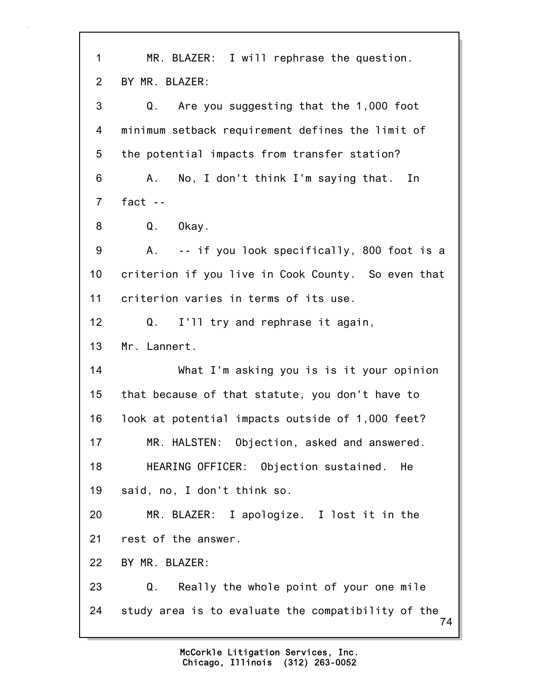| $\mathbf 1$    | MR. BLAZER: I will rephrase the question.                |
|----------------|----------------------------------------------------------|
| $\overline{2}$ | BY MR. BLAZER:                                           |
| 3              | Are you suggesting that the 1,000 foot<br>Q.             |
| 4              | minimum setback requirement defines the limit of         |
| 5              | the potential impacts from transfer station?             |
| 6              | No, I don't think I'm saying that. In<br>А.              |
| $\overline{7}$ | fact $-$                                                 |
| 8              | Q.<br>Okay.                                              |
| 9              | A.<br>-- if you look specifically, 800 foot is a         |
| 10             | criterion if you live in Cook County. So even that       |
| 11             | criterion varies in terms of its use.                    |
| 12             | I'll try and rephrase it again,<br>Q.                    |
| 13             | Mr. Lannert.                                             |
| 14             | What I'm asking you is is it your opinion                |
| 15             | that because of that statute, you don't have to          |
| 16             | look at potential impacts outside of 1,000 feet?         |
| 17             | MR. HALSTEN: Objection, asked and answered.              |
| 18             | HEARING OFFICER: Objection sustained.<br>He              |
| 19             | said, no, I don't think so.                              |
| 20             | MR. BLAZER: I apologize. I lost it in the                |
| 21             | rest of the answer.                                      |
| 22             | BY MR. BLAZER:                                           |
| 23             | Really the whole point of your one mile<br>Q.            |
| 24             | study area is to evaluate the compatibility of the<br>74 |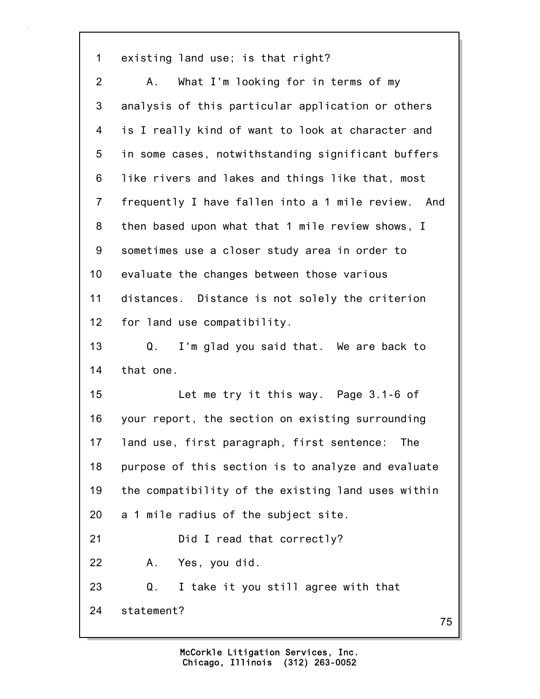1 existing land use; is that right?

2 A. What I'm looking for in terms of my 3 analysis of this particular application or others 4 is I really kind of want to look at character and 5 in some cases, notwithstanding significant buffers 6 like rivers and lakes and things like that, most 7 frequently I have fallen into a 1 mile review. And 8 then based upon what that 1 mile review shows, I 9 sometimes use a closer study area in order to 10 evaluate the changes between those various 11 distances. Distance is not solely the criterion 12 for land use compatibility. 13 Q. I'm glad you said that. We are back to 14 that one. 15 Let me try it this way. Page 3.1-6 of 16 your report, the section on existing surrounding 17 land use, first paragraph, first sentence: The 18 purpose of this section is to analyze and evaluate 19 the compatibility of the existing land uses within 20 a 1 mile radius of the subject site. 21 Did I read that correctly? 22 A. Yes, you did. 23 Q. I take it you still agree with that 24 statement?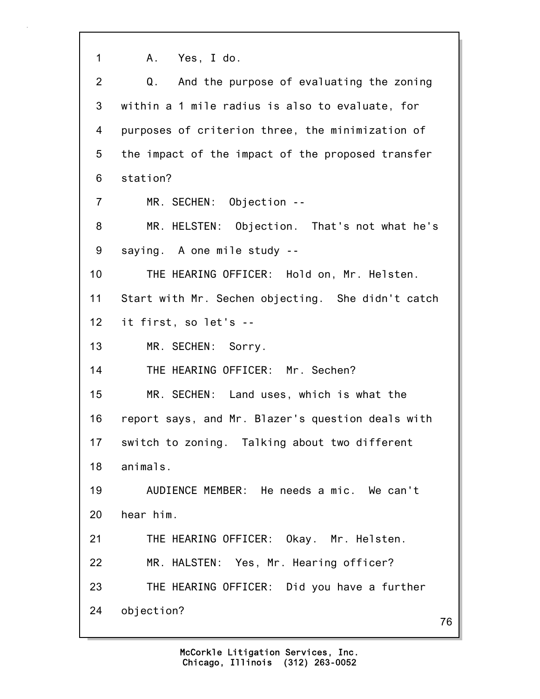1 A. Yes, I do. 2 Q. And the purpose of evaluating the zoning 3 within a 1 mile radius is also to evaluate, for 4 purposes of criterion three, the minimization of 5 the impact of the impact of the proposed transfer 6 station? 7 MR. SECHEN: Objection -- 8 MR. HELSTEN: Objection. That's not what he's 9 saying. A one mile study -- 10 THE HEARING OFFICER: Hold on, Mr. Helsten. 11 Start with Mr. Sechen objecting. She didn't catch 12 it first, so let's --

13 MR. SECHEN: Sorry.

14 THE HEARING OFFICER: Mr. Sechen?

15 MR. SECHEN: Land uses, which is what the

16 report says, and Mr. Blazer's question deals with

17 switch to zoning. Talking about two different

18 animals.

19 AUDIENCE MEMBER: He needs a mic. We can't 20 hear him.

21 THE HEARING OFFICER: Okay. Mr. Helsten.

22 MR. HALSTEN: Yes, Mr. Hearing officer?

23 THE HEARING OFFICER: Did you have a further

24 objection?

76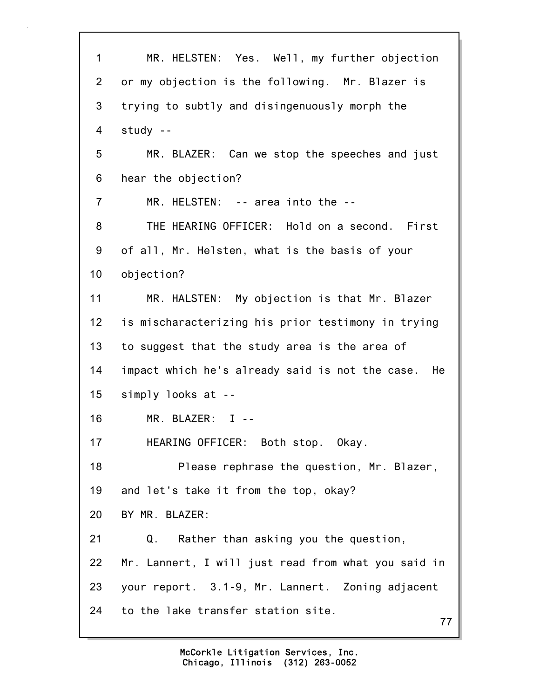77 1 MR. HELSTEN: Yes. Well, my further objection 2 or my objection is the following. Mr. Blazer is 3 trying to subtly and disingenuously morph the 4 study -- 5 MR. BLAZER: Can we stop the speeches and just 6 hear the objection? 7 MR. HELSTEN: -- area into the -- 8 THE HEARING OFFICER: Hold on a second. First 9 of all, Mr. Helsten, what is the basis of your 10 objection? 11 MR. HALSTEN: My objection is that Mr. Blazer 12 is mischaracterizing his prior testimony in trying 13 to suggest that the study area is the area of 14 impact which he's already said is not the case. He 15 simply looks at -- 16 MR. BLAZER: I -- 17 HEARING OFFICER: Both stop. Okay. 18 Please rephrase the question, Mr. Blazer, 19 and let's take it from the top, okay? 20 BY MR. BLAZER: 21 Q. Rather than asking you the question, 22 Mr. Lannert, I will just read from what you said in 23 your report. 3.1-9, Mr. Lannert. Zoning adjacent 24 to the lake transfer station site.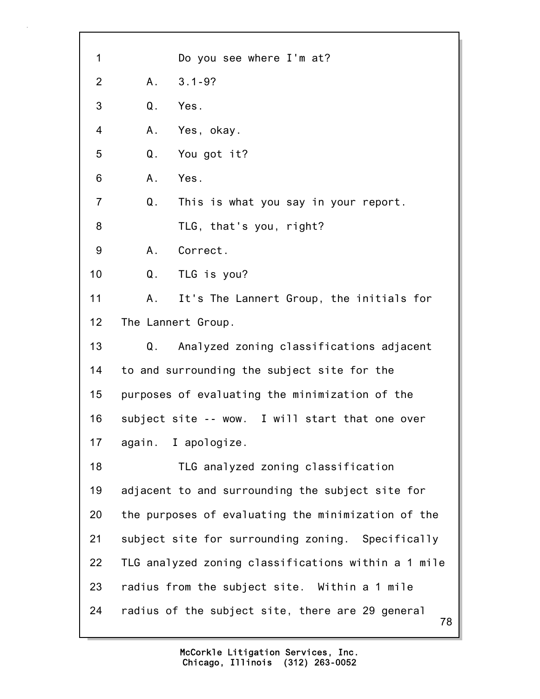78 1 Do you see where I'm at? 2 A. 3.1-9? 3 Q. Yes. 4 A. Yes, okay. 5 Q. You got it? 6 A. Yes. 7 Q. This is what you say in your report. 8 TLG, that's you, right? 9 A. Correct. 10 Q. TLG is you? 11 A. It's The Lannert Group, the initials for 12 The Lannert Group. 13 Q. Analyzed zoning classifications adjacent 14 to and surrounding the subject site for the 15 purposes of evaluating the minimization of the 16 subject site -- wow. I will start that one over 17 again. I apologize. 18 TLG analyzed zoning classification 19 adjacent to and surrounding the subject site for 20 the purposes of evaluating the minimization of the 21 subject site for surrounding zoning. Specifically 22 TLG analyzed zoning classifications within a 1 mile 23 radius from the subject site. Within a 1 mile 24 radius of the subject site, there are 29 general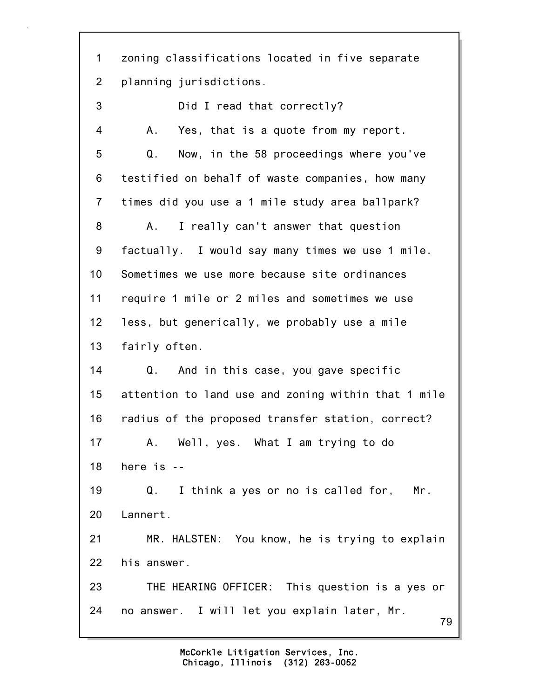1 zoning classifications located in five separate 2 planning jurisdictions.

79 3 Did I read that correctly? 4 A. Yes, that is a quote from my report. 5 Q. Now, in the 58 proceedings where you've 6 testified on behalf of waste companies, how many 7 times did you use a 1 mile study area ballpark? 8 A. I really can't answer that question 9 factually. I would say many times we use 1 mile. 10 Sometimes we use more because site ordinances 11 require 1 mile or 2 miles and sometimes we use 12 less, but generically, we probably use a mile 13 fairly often. 14 Q. And in this case, you gave specific 15 attention to land use and zoning within that 1 mile 16 radius of the proposed transfer station, correct? 17 A. Well, yes. What I am trying to do 18 here is -- 19 Q. I think a yes or no is called for, Mr. 20 Lannert. 21 MR. HALSTEN: You know, he is trying to explain 22 his answer. 23 THE HEARING OFFICER: This question is a yes or 24 no answer. I will let you explain later, Mr.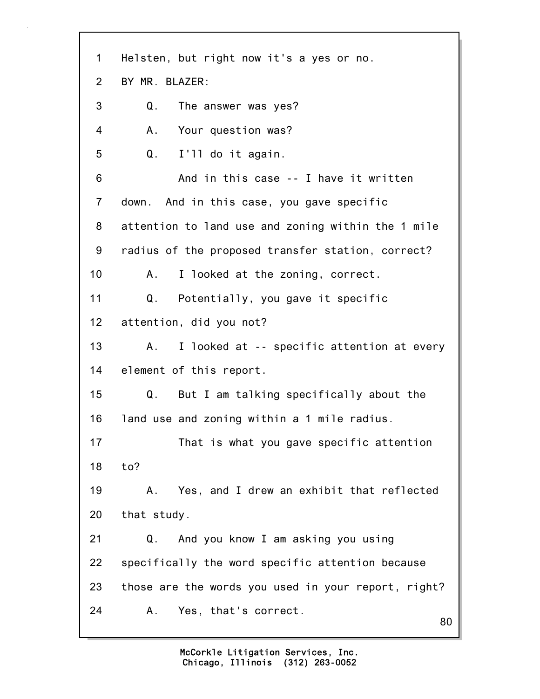| $\mathbf 1$    | Helsten, but right now it's a yes or no.            |
|----------------|-----------------------------------------------------|
| 2              | BY MR. BLAZER:                                      |
| 3              | The answer was yes?<br>Q.                           |
| 4              | Your question was?<br>Α.                            |
| 5              | I'll do it again.<br>Q.                             |
| 6              | And in this case -- I have it written               |
| $\overline{7}$ | down. And in this case, you gave specific           |
| 8              | attention to land use and zoning within the 1 mile  |
| 9              | radius of the proposed transfer station, correct?   |
| 10             | I looked at the zoning, correct.<br>$A \Box$        |
| 11             | Potentially, you gave it specific<br>Q.             |
| 12             | attention, did you not?                             |
| 13             | I looked at -- specific attention at every<br>A.    |
| 14             | element of this report.                             |
| 15             | But I am talking specifically about the<br>Q.       |
| 16             | land use and zoning within a 1 mile radius.         |
| 17             | That is what you gave specific attention            |
| 18             | to?                                                 |
| 19             | Yes, and I drew an exhibit that reflected<br>Α.     |
| 20             | that study.                                         |
| 21             | And you know I am asking you using<br>Q.            |
| 22             | specifically the word specific attention because    |
| 23             | those are the words you used in your report, right? |
| 24             | Yes, that's correct.<br>Α.<br>80                    |
|                |                                                     |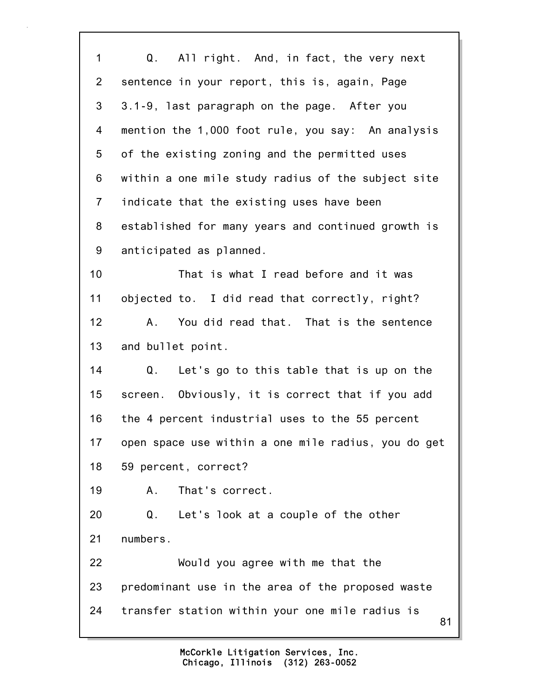81 1 Q. All right. And, in fact, the very next 2 sentence in your report, this is, again, Page 3 3.1-9, last paragraph on the page. After you 4 mention the 1,000 foot rule, you say: An analysis 5 of the existing zoning and the permitted uses 6 within a one mile study radius of the subject site 7 indicate that the existing uses have been 8 established for many years and continued growth is 9 anticipated as planned. 10 That is what I read before and it was 11 objected to. I did read that correctly, right? 12 A. You did read that. That is the sentence 13 and bullet point. 14 Q. Let's go to this table that is up on the 15 screen. Obviously, it is correct that if you add 16 the 4 percent industrial uses to the 55 percent 17 open space use within a one mile radius, you do get 18 59 percent, correct? 19 A. That's correct. 20 Q. Let's look at a couple of the other 21 numbers. 22 Would you agree with me that the 23 predominant use in the area of the proposed waste 24 transfer station within your one mile radius is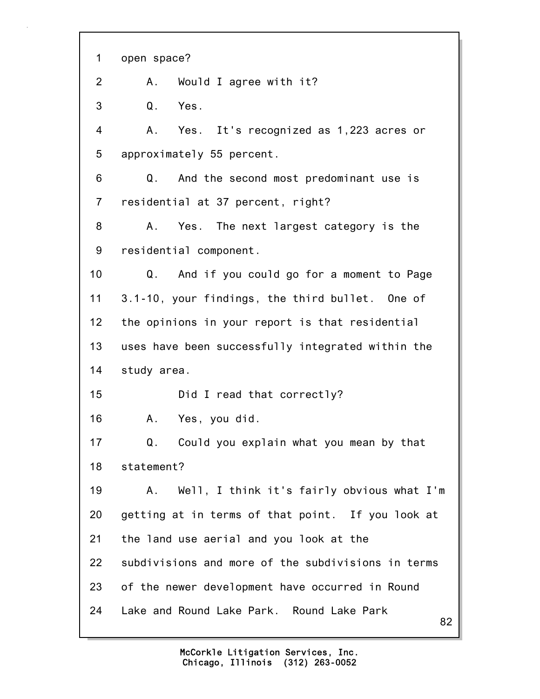82 1 open space? 2 A. Would I agree with it? 3 Q. Yes. 4 A. Yes. It's recognized as 1,223 acres or 5 approximately 55 percent. 6 Q. And the second most predominant use is 7 residential at 37 percent, right? 8 A. Yes. The next largest category is the 9 residential component. 10 Q. And if you could go for a moment to Page 11 3.1-10, your findings, the third bullet. One of 12 the opinions in your report is that residential 13 uses have been successfully integrated within the 14 study area. 15 Did I read that correctly? 16 A. Yes, you did. 17 Q. Could you explain what you mean by that 18 statement? 19 A. Well, I think it's fairly obvious what I'm 20 getting at in terms of that point. If you look at 21 the land use aerial and you look at the 22 subdivisions and more of the subdivisions in terms 23 of the newer development have occurred in Round 24 Lake and Round Lake Park. Round Lake Park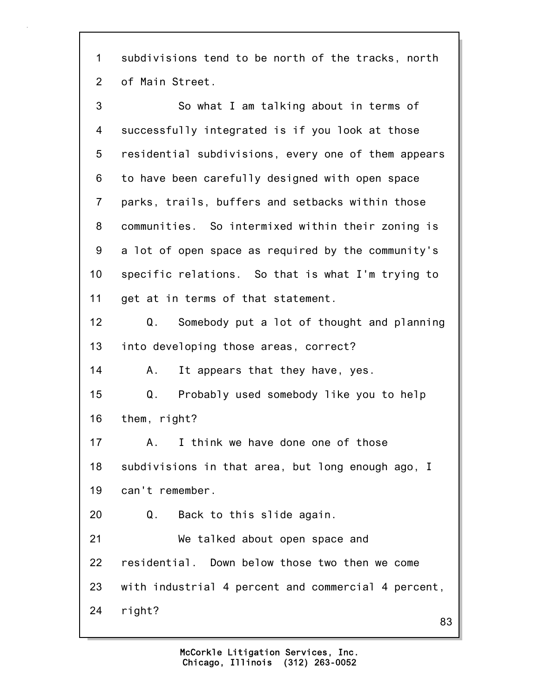1 subdivisions tend to be north of the tracks, north 2 of Main Street.

| 3              | So what I am talking about in terms of              |
|----------------|-----------------------------------------------------|
| 4              | successfully integrated is if you look at those     |
| 5              | residential subdivisions, every one of them appears |
| 6              | to have been carefully designed with open space     |
| $\overline{7}$ | parks, trails, buffers and setbacks within those    |
| 8              | communities. So intermixed within their zoning is   |
| 9              | a lot of open space as required by the community's  |
| 10             | specific relations. So that is what I'm trying to   |
| 11             | get at in terms of that statement.                  |
| 12             | Somebody put a lot of thought and planning<br>Q.    |
| 13             | into developing those areas, correct?               |
| 14             | It appears that they have, yes.<br>A.               |
| 15             | Probably used somebody like you to help<br>Q.       |
| 16             | them, right?                                        |
| 17             | I think we have done one of those<br>А.             |
| 18             | subdivisions in that area, but long enough ago, I   |
| 19             | can't remember.                                     |
| 20             | Q. Back to this slide again.                        |
| 21             | We talked about open space and                      |
| 22             | residential. Down below those two then we come      |
| 23             | with industrial 4 percent and commercial 4 percent, |
| 24             | right?                                              |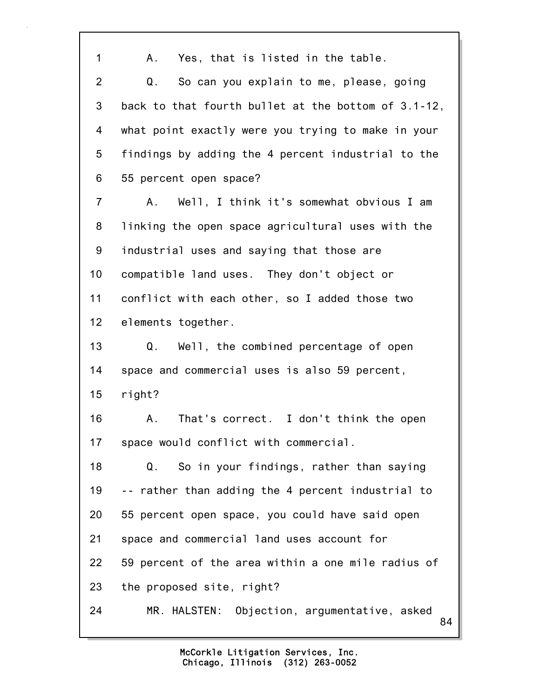84 1 A. Yes, that is listed in the table. 2 Q. So can you explain to me, please, going 3 back to that fourth bullet at the bottom of 3.1-12, 4 what point exactly were you trying to make in your 5 findings by adding the 4 percent industrial to the 6 55 percent open space? 7 A. Well, I think it's somewhat obvious I am 8 linking the open space agricultural uses with the 9 industrial uses and saying that those are 10 compatible land uses. They don't object or 11 conflict with each other, so I added those two 12 elements together. 13 Q. Well, the combined percentage of open 14 space and commercial uses is also 59 percent, 15 right? 16 A. That's correct. I don't think the open 17 space would conflict with commercial. 18 Q. So in your findings, rather than saying 19 -- rather than adding the 4 percent industrial to 20 55 percent open space, you could have said open 21 space and commercial land uses account for 22 59 percent of the area within a one mile radius of 23 the proposed site, right? 24 MR. HALSTEN: Objection, argumentative, asked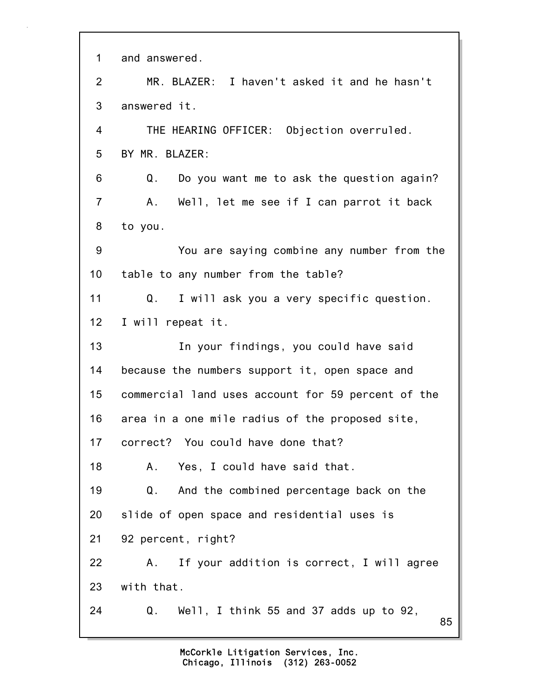| $\mathbf 1$     | and answered.                                      |
|-----------------|----------------------------------------------------|
| $\overline{2}$  | MR. BLAZER: I haven't asked it and he hasn't       |
| 3               | answered it.                                       |
| 4               | THE HEARING OFFICER: Objection overruled.          |
| 5               | BY MR. BLAZER:                                     |
| 6               | Do you want me to ask the question again?<br>Q.    |
| $\overline{7}$  | Well, let me see if I can parrot it back<br>A.,    |
| 8               | to you.                                            |
| 9               | You are saying combine any number from the         |
| 10              | table to any number from the table?                |
| 11              | I will ask you a very specific question.<br>Q.     |
| 12 <sub>2</sub> | I will repeat it.                                  |
| 13              | In your findings, you could have said              |
| 14              | because the numbers support it, open space and     |
| 15              | commercial land uses account for 59 percent of the |
| 16              | area in a one mile radius of the proposed site,    |
| 17              | correct? You could have done that?                 |
| 18              | Yes, I could have said that.<br>А.                 |
| 19              | And the combined percentage back on the<br>Q.      |
| 20              | slide of open space and residential uses is        |
| 21              | 92 percent, right?                                 |
| 22              | If your addition is correct, I will agree<br>A.    |
| 23              | with that.                                         |
| 24              | Q.<br>Well, I think 55 and 37 adds up to 92,<br>85 |

٦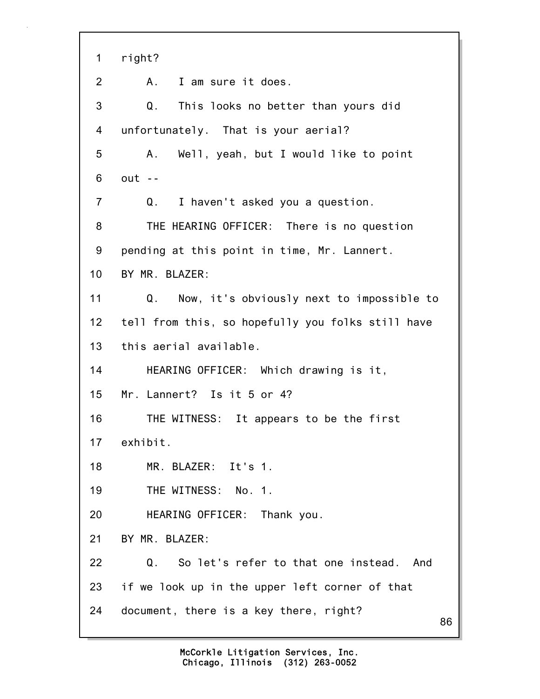86 1 right? 2 A. I am sure it does. 3 Q. This looks no better than yours did 4 unfortunately. That is your aerial? 5 A. Well, yeah, but I would like to point 6 out -- 7 Q. I haven't asked you a question. 8 THE HEARING OFFICER: There is no question 9 pending at this point in time, Mr. Lannert. 10 BY MR. BLAZER: 11 Q. Now, it's obviously next to impossible to 12 tell from this, so hopefully you folks still have 13 this aerial available. 14 HEARING OFFICER: Which drawing is it, 15 Mr. Lannert? Is it 5 or 4? 16 THE WITNESS: It appears to be the first 17 exhibit. 18 MR. BLAZER: It's 1. 19 THE WITNESS: No. 1. 20 HEARING OFFICER: Thank you. 21 BY MR. BLAZER: 22 Q. So let's refer to that one instead. And 23 if we look up in the upper left corner of that 24 document, there is a key there, right?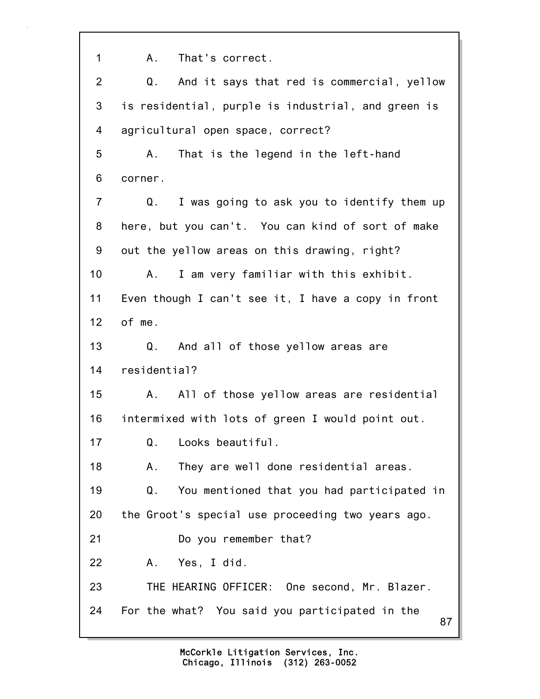87 1 A. That's correct. 2 Q. And it says that red is commercial, yellow 3 is residential, purple is industrial, and green is 4 agricultural open space, correct? 5 A. That is the legend in the left-hand 6 corner. 7 Q. I was going to ask you to identify them up 8 here, but you can't. You can kind of sort of make 9 out the yellow areas on this drawing, right? 10 A. I am very familiar with this exhibit. 11 Even though I can't see it, I have a copy in front 12 of me. 13 Q. And all of those yellow areas are 14 residential? 15 A. All of those yellow areas are residential 16 intermixed with lots of green I would point out. 17 Q. Looks beautiful. 18 A. They are well done residential areas. 19 Q. You mentioned that you had participated in 20 the Groot's special use proceeding two years ago. 21 Do you remember that? 22 A. Yes, I did. 23 THE HEARING OFFICER: One second, Mr. Blazer. 24 For the what? You said you participated in the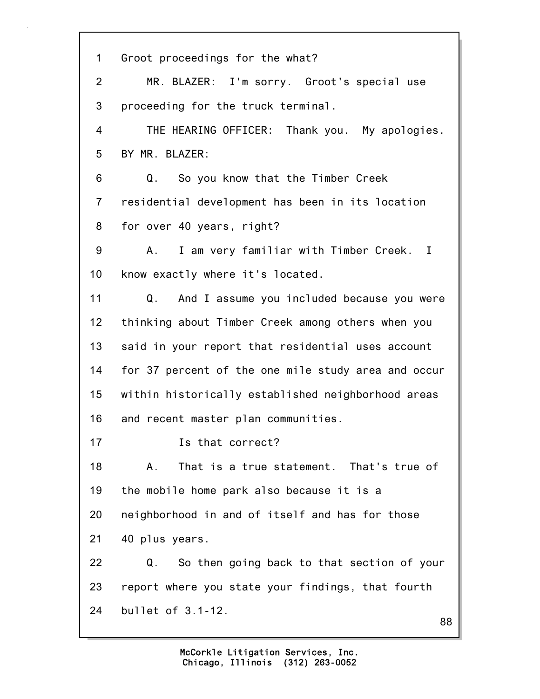| $\mathbf 1$     | Groot proceedings for the what?                     |
|-----------------|-----------------------------------------------------|
| $\overline{2}$  | MR. BLAZER: I'm sorry. Groot's special use          |
| 3               | proceeding for the truck terminal.                  |
| $\overline{4}$  | THE HEARING OFFICER: Thank you. My apologies.       |
| 5               | BY MR. BLAZER:                                      |
| 6               | So you know that the Timber Creek<br>Q.             |
| $\overline{7}$  | residential development has been in its location    |
| 8               | for over 40 years, right?                           |
| 9               | I am very familiar with Timber Creek. I<br>A.,      |
| 10 <sub>1</sub> | know exactly where it's located.                    |
| 11              | And I assume you included because you were<br>Q.    |
| 12              | thinking about Timber Creek among others when you   |
| 13              | said in your report that residential uses account   |
| 14              | for 37 percent of the one mile study area and occur |
| 15              | within historically established neighborhood areas  |
| 16              | and recent master plan communities.                 |
| 17              | Is that correct?                                    |
| 18              | That is a true statement. That's true of<br>Α.      |
| 19              | the mobile home park also because it is a           |
| 20              | neighborhood in and of itself and has for those     |
| 21              | 40 plus years.                                      |
| 22              | So then going back to that section of your<br>Q.    |
| 23              | report where you state your findings, that fourth   |
| 24              | bullet of 3.1-12.<br>88                             |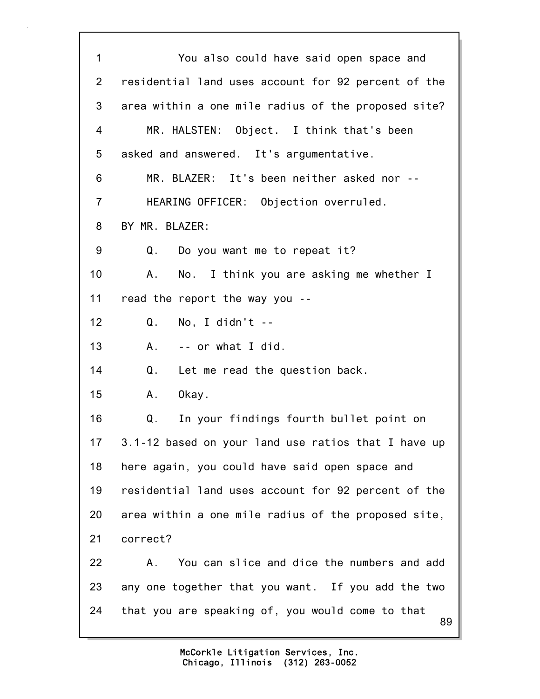89 1 You also could have said open space and 2 residential land uses account for 92 percent of the 3 area within a one mile radius of the proposed site? 4 MR. HALSTEN: Object. I think that's been 5 asked and answered. It's argumentative. 6 MR. BLAZER: It's been neither asked nor -- 7 HEARING OFFICER: Objection overruled. 8 BY MR. BLAZER: 9 Q. Do you want me to repeat it? 10 A. No. I think you are asking me whether I 11 read the report the way you -- 12 Q. No, I didn't -- 13 A. -- or what I did. 14 Q. Let me read the question back. 15 A. Okay. 16 Q. In your findings fourth bullet point on 17 3.1-12 based on your land use ratios that I have up 18 here again, you could have said open space and 19 residential land uses account for 92 percent of the 20 area within a one mile radius of the proposed site, 21 correct? 22 A. You can slice and dice the numbers and add 23 any one together that you want. If you add the two 24 that you are speaking of, you would come to that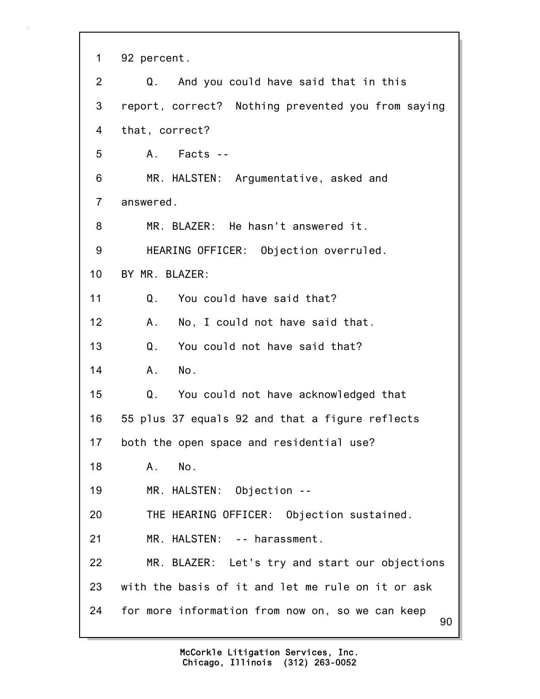|  | 92 percent. |
|--|-------------|
|  |             |

| $\overline{2}$  | Q. And you could have said that in this                |
|-----------------|--------------------------------------------------------|
| 3               | report, correct? Nothing prevented you from saying     |
| 4               | that, correct?                                         |
| 5               | A. Facts --                                            |
| 6               | MR. HALSTEN: Argumentative, asked and                  |
| $\overline{7}$  | answered.                                              |
| 8               | MR. BLAZER: He hasn't answered it.                     |
| 9               | HEARING OFFICER: Objection overruled.                  |
| 10 <sub>1</sub> | BY MR. BLAZER:                                         |
| 11              | You could have said that?<br>Q.                        |
| 12              | A.<br>No, I could not have said that.                  |
| 13              | Q.<br>You could not have said that?                    |
| 14              | No.<br>$A_{\cdot}$                                     |
| 15              | Q.<br>You could not have acknowledged that             |
| 16              | 55 plus 37 equals 92 and that a figure reflects        |
| 17              | both the open space and residential use?               |
| 18              | Α.<br>No.                                              |
| 19              | MR. HALSTEN: Objection --                              |
| 20              | THE HEARING OFFICER: Objection sustained.              |
| 21              | MR. HALSTEN: -- harassment.                            |
| 22              | MR. BLAZER: Let's try and start our objections         |
| 23              | with the basis of it and let me rule on it or ask      |
| 24              | for more information from now on, so we can keep<br>90 |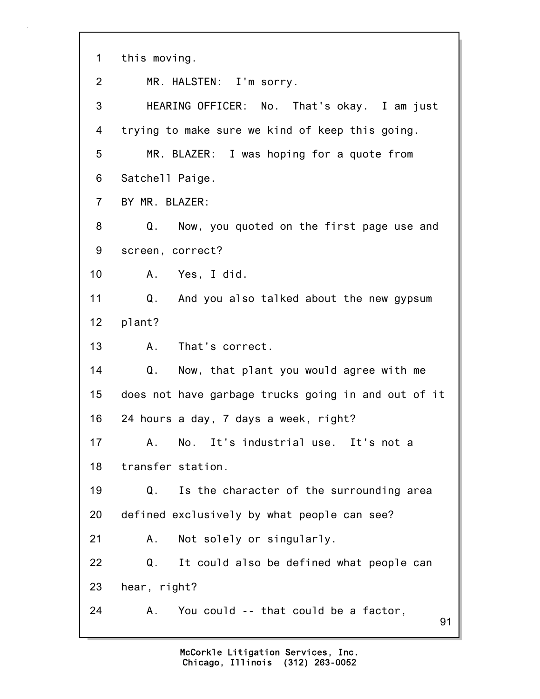| $\mathbf 1$    | this moving.                                        |
|----------------|-----------------------------------------------------|
| $\overline{2}$ | MR. HALSTEN: I'm sorry.                             |
| 3              | HEARING OFFICER: No. That's okay. I am just         |
| 4              | trying to make sure we kind of keep this going.     |
| 5              | MR. BLAZER: I was hoping for a quote from           |
| 6              | Satchell Paige.                                     |
| $\overline{7}$ | BY MR. BLAZER:                                      |
| 8              | Q.<br>Now, you quoted on the first page use and     |
| 9              | screen, correct?                                    |
| 10             | A. Yes, I did.                                      |
| 11             | Q. And you also talked about the new gypsum         |
| 12             | plant?                                              |
| 13             | That's correct.<br>A.                               |
| 14             | Now, that plant you would agree with me<br>Q.       |
| 15             | does not have garbage trucks going in and out of it |
| 16             | 24 hours a day, 7 days a week, right?               |
| 17             | A.<br>No. It's industrial use. It's not a           |
| 18             | transfer station.                                   |
| 19             | Is the character of the surrounding area<br>Q.      |
| 20             | defined exclusively by what people can see?         |
| 21             | Not solely or singularly.<br>Α.                     |
| 22             | It could also be defined what people can<br>Q.      |
| 23             | hear, right?                                        |
| 24             | You could -- that could be a factor,<br>Α.<br>91    |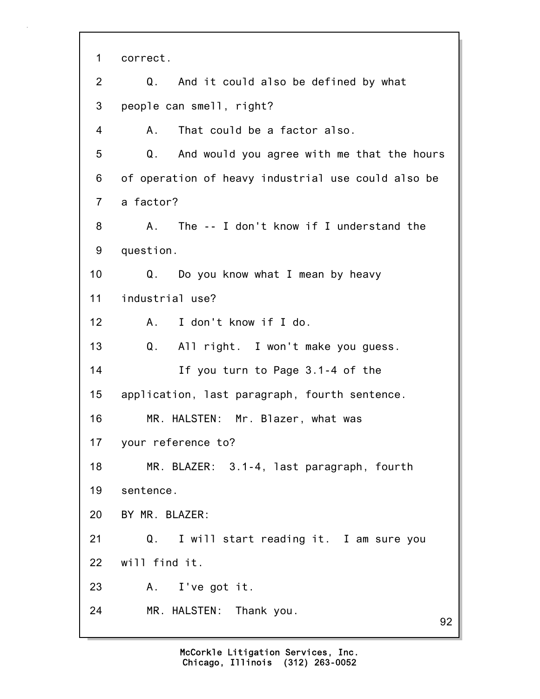92 1 correct. 2 Q. And it could also be defined by what 3 people can smell, right? 4 A. That could be a factor also. 5 Q. And would you agree with me that the hours 6 of operation of heavy industrial use could also be 7 a factor? 8 A. The -- I don't know if I understand the 9 question. 10 Q. Do you know what I mean by heavy 11 industrial use? 12 A. I don't know if I do. 13 Q. All right. I won't make you guess. 14 If you turn to Page 3.1-4 of the 15 application, last paragraph, fourth sentence. 16 MR. HALSTEN: Mr. Blazer, what was 17 your reference to? 18 MR. BLAZER: 3.1-4, last paragraph, fourth 19 sentence. 20 BY MR. BLAZER: 21 Q. I will start reading it. I am sure you 22 will find it. 23 A. I've got it. 24 MR. HALSTEN: Thank you.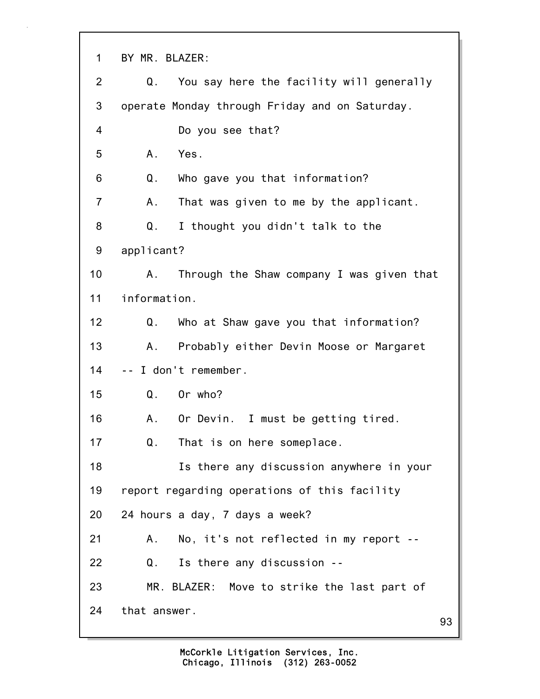93 1 BY MR. BLAZER: 2 Q. You say here the facility will generally 3 operate Monday through Friday and on Saturday. 4 Do you see that? 5 A. Yes. 6 Q. Who gave you that information? 7 A. That was given to me by the applicant. 8 Q. I thought you didn't talk to the 9 applicant? 10 A. Through the Shaw company I was given that 11 information. 12 Q. Who at Shaw gave you that information? 13 A. Probably either Devin Moose or Margaret 14 -- I don't remember. 15 Q. Or who? 16 A. Or Devin. I must be getting tired. 17 Q. That is on here someplace. 18 Is there any discussion anywhere in your 19 report regarding operations of this facility 20 24 hours a day, 7 days a week? 21 A. No, it's not reflected in my report -- 22 Q. Is there any discussion -- 23 MR. BLAZER: Move to strike the last part of 24 that answer.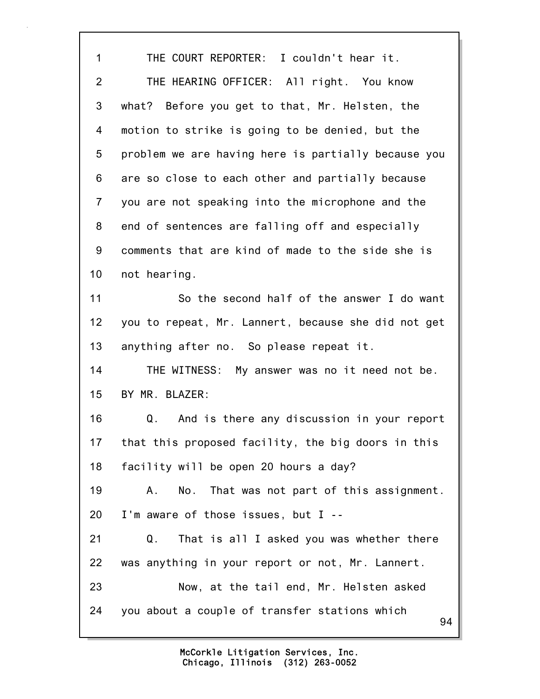94 1 THE COURT REPORTER: I couldn't hear it. 2 THE HEARING OFFICER: All right. You know 3 what? Before you get to that, Mr. Helsten, the 4 motion to strike is going to be denied, but the 5 problem we are having here is partially because you 6 are so close to each other and partially because 7 you are not speaking into the microphone and the 8 end of sentences are falling off and especially 9 comments that are kind of made to the side she is 10 not hearing. 11 So the second half of the answer I do want 12 you to repeat, Mr. Lannert, because she did not get 13 anything after no. So please repeat it. 14 THE WITNESS: My answer was no it need not be. 15 BY MR. BLAZER: 16 Q. And is there any discussion in your report 17 that this proposed facility, the big doors in this 18 facility will be open 20 hours a day? 19 A. No. That was not part of this assignment. 20 I'm aware of those issues, but I -- 21 Q. That is all I asked you was whether there 22 was anything in your report or not, Mr. Lannert. 23 Now, at the tail end, Mr. Helsten asked 24 you about a couple of transfer stations which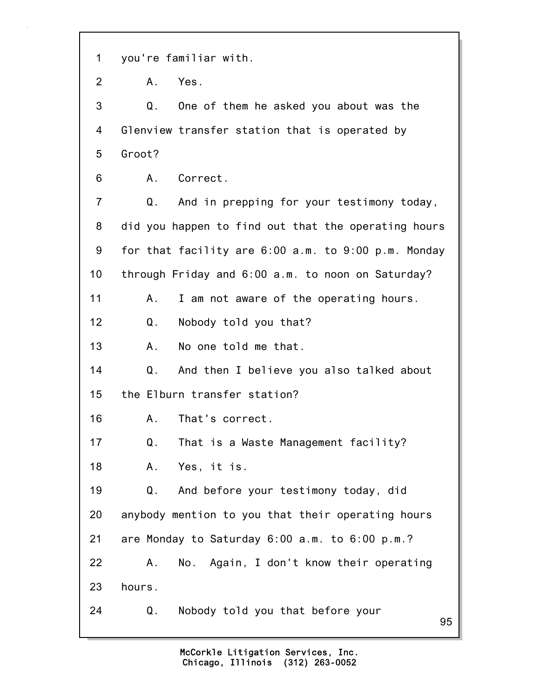1 you're familiar with.

2 A. Yes.

3 Q. One of them he asked you about was the 4 Glenview transfer station that is operated by 5 Groot?

6 A. Correct.

7 Q. And in prepping for your testimony today, 8 did you happen to find out that the operating hours 9 for that facility are 6:00 a.m. to 9:00 p.m. Monday 10 through Friday and 6:00 a.m. to noon on Saturday? 11 A. I am not aware of the operating hours. 12 Q. Nobody told you that? 13 A. No one told me that. 14 Q. And then I believe you also talked about 15 the Elburn transfer station? 16 A. That's correct. 17 Q. That is a Waste Management facility? 18 A. Yes, it is.

19 Q. And before your testimony today, did 20 anybody mention to you that their operating hours 21 are Monday to Saturday 6:00 a.m. to 6:00 p.m.? 22 A. No. Again, I don't know their operating

23 hours.

24 Q. Nobody told you that before your

95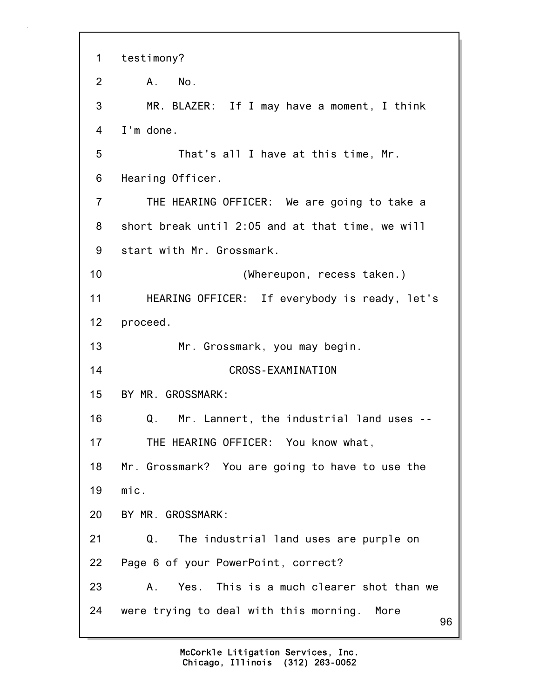96 1 testimony? 2 A. No. 3 MR. BLAZER: If I may have a moment, I think 4 I'm done. 5 That's all I have at this time, Mr. 6 Hearing Officer. 7 THE HEARING OFFICER: We are going to take a 8 short break until 2:05 and at that time, we will 9 start with Mr. Grossmark. 10 (Whereupon, recess taken.) 11 HEARING OFFICER: If everybody is ready, let's 12 proceed. 13 Mr. Grossmark, you may begin. 14 CROSS-EXAMINATION 15 BY MR. GROSSMARK: 16 Q. Mr. Lannert, the industrial land uses -- 17 THE HEARING OFFICER: You know what, 18 Mr. Grossmark? You are going to have to use the 19 mic. 20 BY MR. GROSSMARK: 21 Q. The industrial land uses are purple on 22 Page 6 of your PowerPoint, correct? 23 A. Yes. This is a much clearer shot than we 24 were trying to deal with this morning. More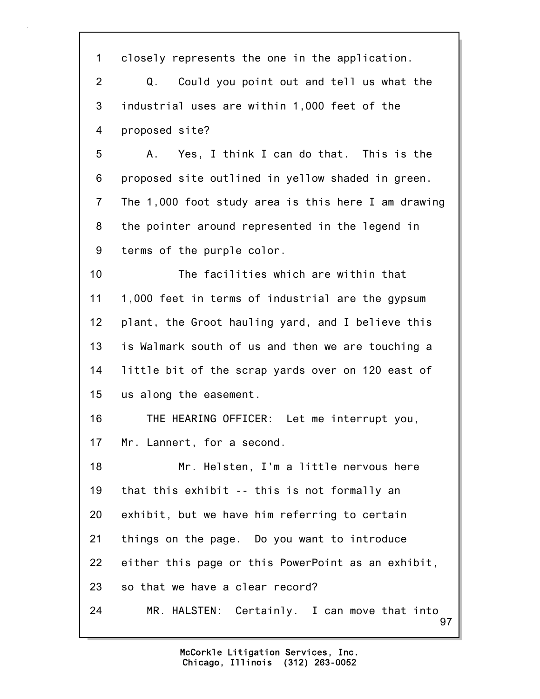97 1 closely represents the one in the application. 2 Q. Could you point out and tell us what the 3 industrial uses are within 1,000 feet of the 4 proposed site? 5 A. Yes, I think I can do that. This is the 6 proposed site outlined in yellow shaded in green. 7 The 1,000 foot study area is this here I am drawing 8 the pointer around represented in the legend in 9 terms of the purple color. 10 The facilities which are within that 11 1,000 feet in terms of industrial are the gypsum 12 plant, the Groot hauling yard, and I believe this 13 is Walmark south of us and then we are touching a 14 little bit of the scrap yards over on 120 east of 15 us along the easement. 16 THE HEARING OFFICER: Let me interrupt you, 17 Mr. Lannert, for a second. 18 Mr. Helsten, I'm a little nervous here 19 that this exhibit -- this is not formally an 20 exhibit, but we have him referring to certain 21 things on the page. Do you want to introduce 22 either this page or this PowerPoint as an exhibit, 23 so that we have a clear record? 24 MR. HALSTEN: Certainly. I can move that into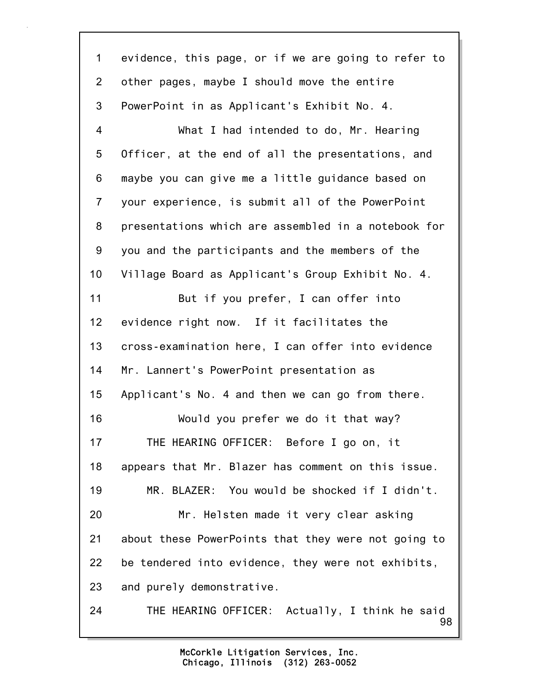98 1 evidence, this page, or if we are going to refer to 2 other pages, maybe I should move the entire 3 PowerPoint in as Applicant's Exhibit No. 4. 4 What I had intended to do, Mr. Hearing 5 Officer, at the end of all the presentations, and 6 maybe you can give me a little guidance based on 7 your experience, is submit all of the PowerPoint 8 presentations which are assembled in a notebook for 9 you and the participants and the members of the 10 Village Board as Applicant's Group Exhibit No. 4. 11 But if you prefer, I can offer into 12 evidence right now. If it facilitates the 13 cross-examination here, I can offer into evidence 14 Mr. Lannert's PowerPoint presentation as 15 Applicant's No. 4 and then we can go from there. 16 Would you prefer we do it that way? 17 THE HEARING OFFICER: Before I go on, it 18 appears that Mr. Blazer has comment on this issue. 19 MR. BLAZER: You would be shocked if I didn't. 20 Mr. Helsten made it very clear asking 21 about these PowerPoints that they were not going to 22 be tendered into evidence, they were not exhibits, 23 and purely demonstrative. 24 THE HEARING OFFICER: Actually, I think he said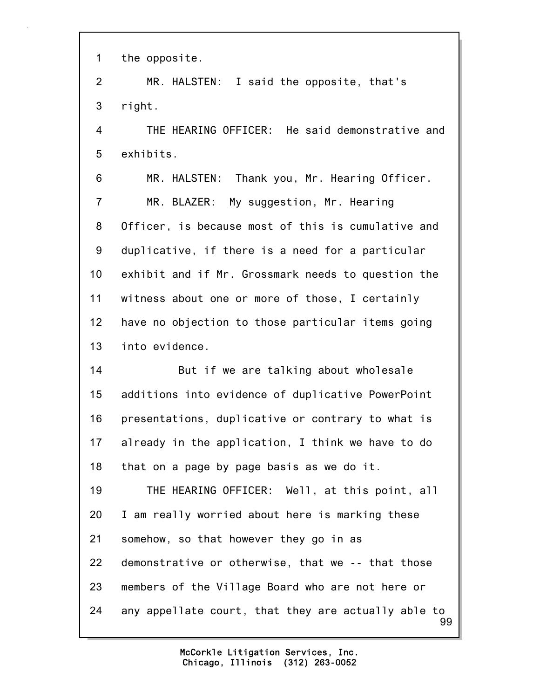1 the opposite.

2 MR. HALSTEN: I said the opposite, that's 3 right.

4 THE HEARING OFFICER: He said demonstrative and 5 exhibits.

6 MR. HALSTEN: Thank you, Mr. Hearing Officer. 7 MR. BLAZER: My suggestion, Mr. Hearing 8 Officer, is because most of this is cumulative and 9 duplicative, if there is a need for a particular 10 exhibit and if Mr. Grossmark needs to question the 11 witness about one or more of those, I certainly 12 have no objection to those particular items going 13 into evidence.

14 But if we are talking about wholesale 15 additions into evidence of duplicative PowerPoint 16 presentations, duplicative or contrary to what is 17 already in the application, I think we have to do 18 that on a page by page basis as we do it.

99 19 THE HEARING OFFICER: Well, at this point, all 20 I am really worried about here is marking these 21 somehow, so that however they go in as 22 demonstrative or otherwise, that we -- that those 23 members of the Village Board who are not here or 24 any appellate court, that they are actually able to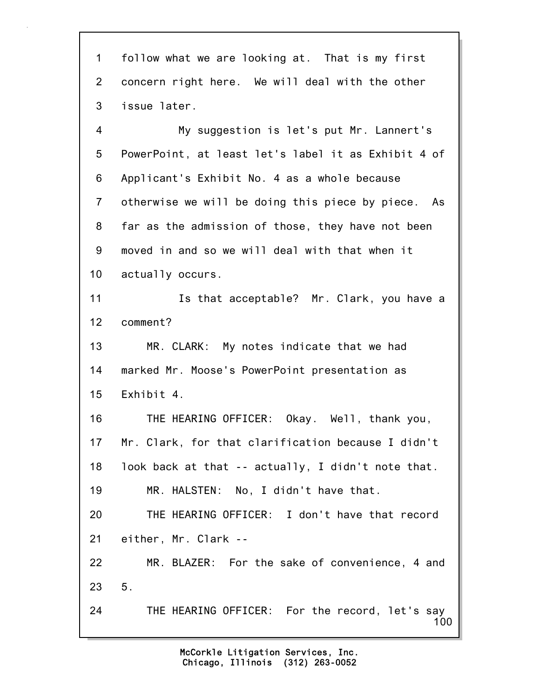1 follow what we are looking at. That is my first 2 concern right here. We will deal with the other 3 issue later.

4 My suggestion is let's put Mr. Lannert's 5 PowerPoint, at least let's label it as Exhibit 4 of 6 Applicant's Exhibit No. 4 as a whole because 7 otherwise we will be doing this piece by piece. As 8 far as the admission of those, they have not been 9 moved in and so we will deal with that when it 10 actually occurs.

11 Is that acceptable? Mr. Clark, you have a 12 comment?

13 MR. CLARK: My notes indicate that we had 14 marked Mr. Moose's PowerPoint presentation as 15 Exhibit 4.

16 THE HEARING OFFICER: Okay. Well, thank you, 17 Mr. Clark, for that clarification because I didn't 18 look back at that -- actually, I didn't note that. 19 MR. HALSTEN: No, I didn't have that.

20 THE HEARING OFFICER: I don't have that record 21 either, Mr. Clark --

22 MR. BLAZER: For the sake of convenience, 4 and 23 5.

100 24 THE HEARING OFFICER: For the record, let's say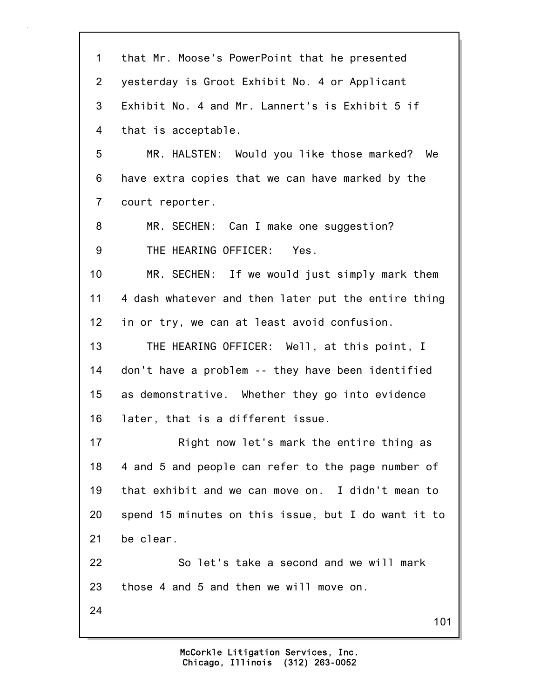| $\mathbf 1$    | that Mr. Moose's PowerPoint that he presented       |
|----------------|-----------------------------------------------------|
| $\overline{2}$ | yesterday is Groot Exhibit No. 4 or Applicant       |
| 3              | Exhibit No. 4 and Mr. Lannert's is Exhibit 5 if     |
| 4              | that is acceptable.                                 |
| 5              | MR. HALSTEN: Would you like those marked? We        |
| 6              | have extra copies that we can have marked by the    |
| $\overline{7}$ | court reporter.                                     |
| 8              | MR. SECHEN: Can I make one suggestion?              |
| 9              | THE HEARING OFFICER: Yes.                           |
| 10             | MR. SECHEN: If we would just simply mark them       |
| 11             | 4 dash whatever and then later put the entire thing |
| 12             | in or try, we can at least avoid confusion.         |
| 13             | THE HEARING OFFICER: Well, at this point, I         |
| 14             | don't have a problem -- they have been identified   |
| 15             | as demonstrative. Whether they go into evidence     |
| 16             | later, that is a different issue.                   |
| 17             | Right now let's mark the entire thing as            |
| 18             | 4 and 5 and people can refer to the page number of  |
| 19             | that exhibit and we can move on. I didn't mean to   |
| 20             | spend 15 minutes on this issue, but I do want it to |
| 21             | be clear.                                           |
| 22             | So let's take a second and we will mark             |
| 23             | those 4 and 5 and then we will move on.             |
| 24             | 101                                                 |
|                |                                                     |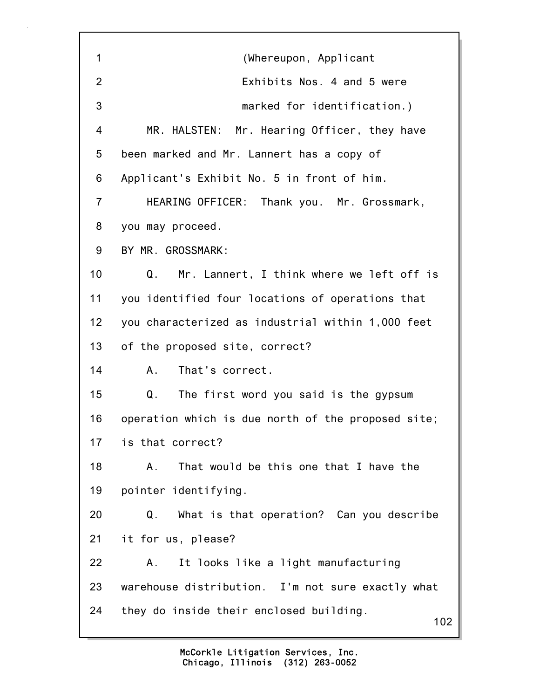102 1 (Whereupon, Applicant 2 Exhibits Nos. 4 and 5 were 3 marked for identification.) 4 MR. HALSTEN: Mr. Hearing Officer, they have 5 been marked and Mr. Lannert has a copy of 6 Applicant's Exhibit No. 5 in front of him. 7 HEARING OFFICER: Thank you. Mr. Grossmark, 8 you may proceed. 9 BY MR. GROSSMARK: 10 Q. Mr. Lannert, I think where we left off is 11 you identified four locations of operations that 12 you characterized as industrial within 1,000 feet 13 of the proposed site, correct? 14 A. That's correct. 15 Q. The first word you said is the gypsum 16 operation which is due north of the proposed site; 17 is that correct? 18 A. That would be this one that I have the 19 pointer identifying. 20 Q. What is that operation? Can you describe 21 it for us, please? 22 A. It looks like a light manufacturing 23 warehouse distribution. I'm not sure exactly what 24 they do inside their enclosed building.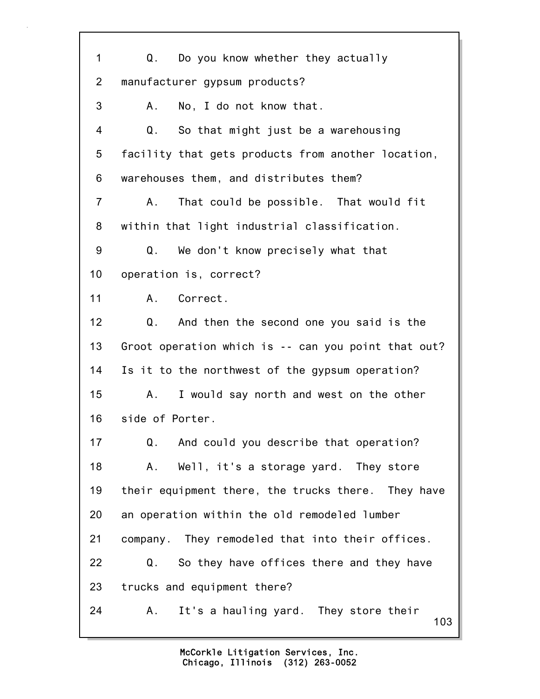103 1 Q. Do you know whether they actually 2 manufacturer gypsum products? 3 A. No, I do not know that. 4 Q. So that might just be a warehousing 5 facility that gets products from another location, 6 warehouses them, and distributes them? 7 A. That could be possible. That would fit 8 within that light industrial classification. 9 Q. We don't know precisely what that 10 operation is, correct? 11 A. Correct. 12 Q. And then the second one you said is the 13 Groot operation which is -- can you point that out? 14 Is it to the northwest of the gypsum operation? 15 A. I would say north and west on the other 16 side of Porter. 17 Q. And could you describe that operation? 18 A. Well, it's a storage yard. They store 19 their equipment there, the trucks there. They have 20 an operation within the old remodeled lumber 21 company. They remodeled that into their offices. 22 Q. So they have offices there and they have 23 trucks and equipment there? 24 A. It's a hauling yard. They store their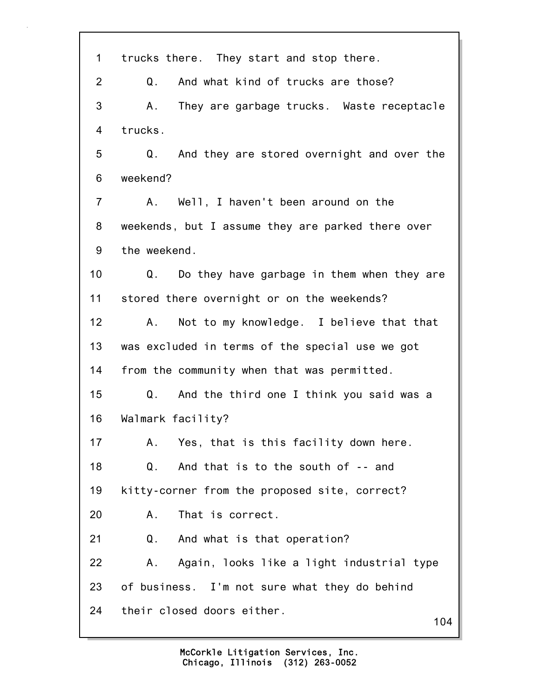| 1              | trucks there. They start and stop there.          |
|----------------|---------------------------------------------------|
| $\overline{2}$ | And what kind of trucks are those?<br>Q.          |
| 3              | A. They are garbage trucks. Waste receptacle      |
| 4              | trucks.                                           |
| 5              | And they are stored overnight and over the<br>Q.  |
| 6              | weekend?                                          |
| $\overline{7}$ | Well, I haven't been around on the<br>A.          |
| 8              | weekends, but I assume they are parked there over |
| 9              | the weekend.                                      |
| 10             | Q.<br>Do they have garbage in them when they are  |
| 11             | stored there overnight or on the weekends?        |
| 12             | Not to my knowledge. I believe that that<br>A.,   |
| 13             | was excluded in terms of the special use we got   |
| 14             | from the community when that was permitted.       |
| 15             | Q. And the third one I think you said was a       |
| 16             | Walmark facility?                                 |
| 17             | Yes, that is this facility down here.<br>Α.       |
| 18             | And that is to the south of -- and<br>Q.          |
| 19             | kitty-corner from the proposed site, correct?     |
| 20             | That is correct.<br>Α.                            |
| 21             | And what is that operation?<br>Q.                 |
| 22             | Again, looks like a light industrial type<br>Α.   |
| 23             | of business. I'm not sure what they do behind     |
| 24             | their closed doors either.<br>104                 |
|                |                                                   |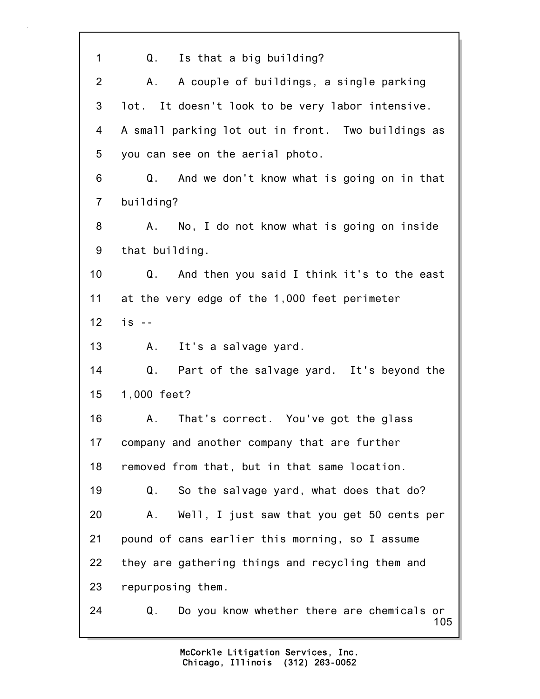| 1               | Q. Is that a big building?                              |
|-----------------|---------------------------------------------------------|
|                 |                                                         |
| $\overline{2}$  | A couple of buildings, a single parking<br>А.           |
| 3               | lot. It doesn't look to be very labor intensive.        |
| 4               | A small parking lot out in front. Two buildings as      |
| 5               | you can see on the aerial photo.                        |
| 6               | And we don't know what is going on in that<br>Q.        |
| $\overline{7}$  | building?                                               |
| 8               | No, I do not know what is going on inside<br>Α.         |
| 9               | that building.                                          |
| 10 <sub>1</sub> | Q. And then you said I think it's to the east           |
| 11              | at the very edge of the 1,000 feet perimeter            |
| 12              | $is - -$                                                |
| 13              | It's a salvage yard.<br>Α.                              |
| 14              | Q. Part of the salvage yard. It's beyond the            |
| 15              | 1,000 feet?                                             |
| 16              | That's correct. You've got the glass<br>A.              |
| 17              | company and another company that are further            |
| 18              | removed from that, but in that same location.           |
| 19              | So the salvage yard, what does that do?<br>Q.           |
| 20              | Well, I just saw that you get 50 cents per<br>Α.        |
| 21              | pound of cans earlier this morning, so I assume         |
| 22              | they are gathering things and recycling them and        |
| 23              | repurposing them.                                       |
| 24              | Do you know whether there are chemicals or<br>Q.<br>105 |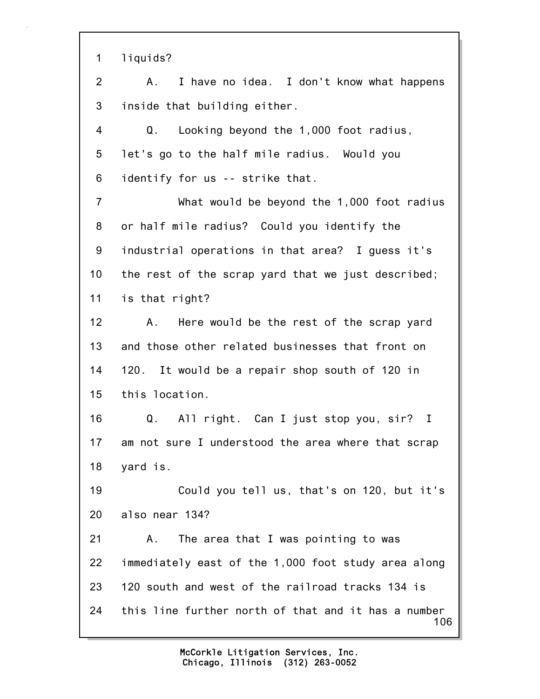1 liquids?

2 A. I have no idea. I don't know what happens 3 inside that building either.

4 Q. Looking beyond the 1,000 foot radius, 5 let's go to the half mile radius. Would you 6 identify for us -- strike that.

7 What would be beyond the 1,000 foot radius 8 or half mile radius? Could you identify the 9 industrial operations in that area? I guess it's 10 the rest of the scrap yard that we just described; 11 is that right?

12 A. Here would be the rest of the scrap yard 13 and those other related businesses that front on 14 120. It would be a repair shop south of 120 in 15 this location.

16 Q. All right. Can I just stop you, sir? I 17 am not sure I understood the area where that scrap 18 yard is.

19 Could you tell us, that's on 120, but it's 20 also near 134?

106 21 A. The area that I was pointing to was 22 immediately east of the 1,000 foot study area along 23 120 south and west of the railroad tracks 134 is 24 this line further north of that and it has a number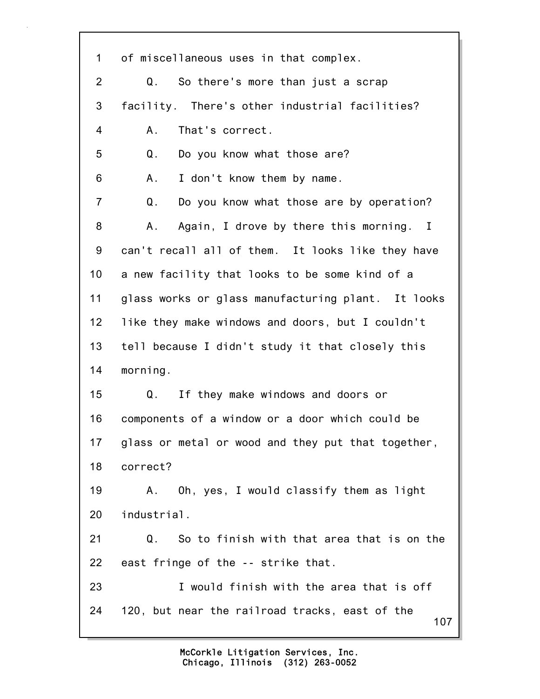107 1 of miscellaneous uses in that complex. 2 Q. So there's more than just a scrap 3 facility. There's other industrial facilities? 4 A. That's correct. 5 Q. Do you know what those are? 6 A. I don't know them by name. 7 Q. Do you know what those are by operation? 8 A. Again, I drove by there this morning. I 9 can't recall all of them. It looks like they have 10 a new facility that looks to be some kind of a 11 glass works or glass manufacturing plant. It looks 12 like they make windows and doors, but I couldn't 13 tell because I didn't study it that closely this 14 morning. 15 Q. If they make windows and doors or 16 components of a window or a door which could be 17 glass or metal or wood and they put that together, 18 correct? 19 A. Oh, yes, I would classify them as light 20 industrial. 21 Q. So to finish with that area that is on the 22 east fringe of the -- strike that. 23 I would finish with the area that is off 24 120, but near the railroad tracks, east of the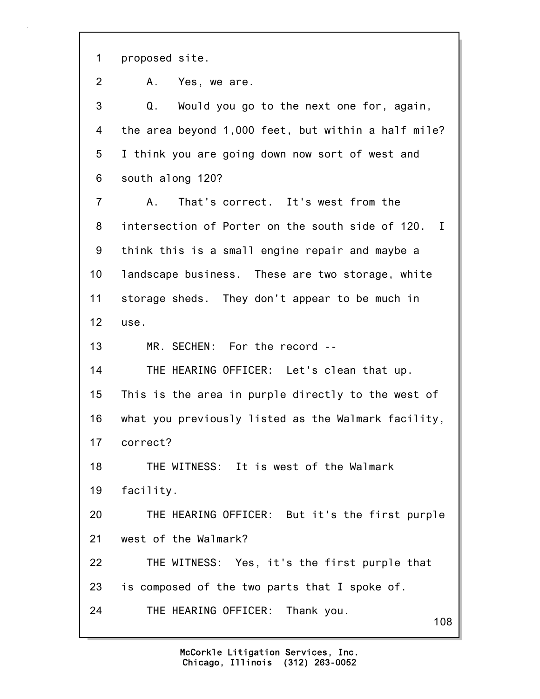1 proposed site.

2 A. Yes, we are.

108 3 Q. Would you go to the next one for, again, 4 the area beyond 1,000 feet, but within a half mile? 5 I think you are going down now sort of west and 6 south along 120? 7 A. That's correct. It's west from the 8 intersection of Porter on the south side of 120. I 9 think this is a small engine repair and maybe a 10 landscape business. These are two storage, white 11 storage sheds. They don't appear to be much in 12 use. 13 MR. SECHEN: For the record -- 14 THE HEARING OFFICER: Let's clean that up. 15 This is the area in purple directly to the west of 16 what you previously listed as the Walmark facility, 17 correct? 18 THE WITNESS: It is west of the Walmark 19 facility. 20 THE HEARING OFFICER: But it's the first purple 21 west of the Walmark? 22 THE WITNESS: Yes, it's the first purple that 23 is composed of the two parts that I spoke of. 24 THE HEARING OFFICER: Thank you.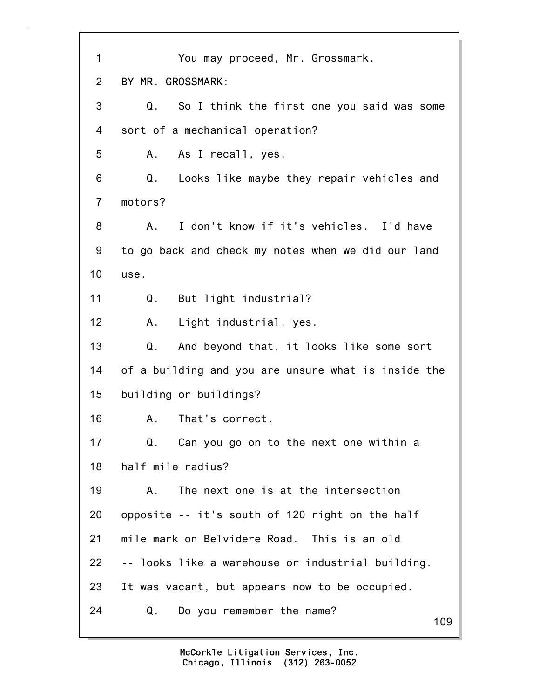| $\mathbf 1$    | You may proceed, Mr. Grossmark.                           |
|----------------|-----------------------------------------------------------|
| $\overline{2}$ | BY MR. GROSSMARK:                                         |
| 3              | $Q_{\perp}$<br>So I think the first one you said was some |
| 4              | sort of a mechanical operation?                           |
| 5              | A. As I recall, yes.                                      |
| 6              | Q.<br>Looks like maybe they repair vehicles and           |
| $\overline{7}$ | motors?                                                   |
| 8              | I don't know if it's vehicles. I'd have<br>A.             |
| 9              | to go back and check my notes when we did our land        |
| 10             | use.                                                      |
| 11             | But light industrial?<br>Q.                               |
| 12             | Light industrial, yes.<br>A.                              |
| 13             | Q.<br>And beyond that, it looks like some sort            |
| 14             | of a building and you are unsure what is inside the       |
| 15             | building or buildings?                                    |
| 16             | That's correct.<br>Α.                                     |
| 17             | Can you go on to the next one within a<br>Q.              |
| 18             | half mile radius?                                         |
| 19             | The next one is at the intersection<br>Α.                 |
| 20             | opposite -- it's south of 120 right on the half           |
| 21             | mile mark on Belvidere Road. This is an old               |
| 22             | -- looks like a warehouse or industrial building.         |
| 23             | It was vacant, but appears now to be occupied.            |
| 24             | Do you remember the name?<br>Q.<br>109                    |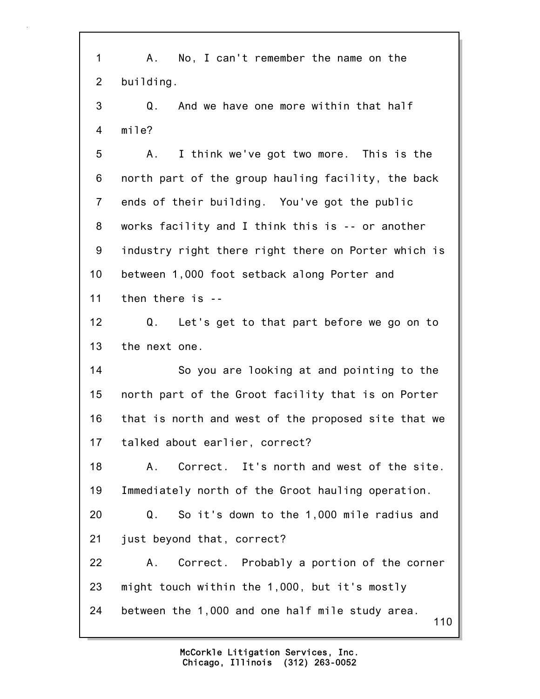110 1 A. No, I can't remember the name on the 2 building. 3 Q. And we have one more within that half 4 mile? 5 A. I think we've got two more. This is the 6 north part of the group hauling facility, the back 7 ends of their building. You've got the public 8 works facility and I think this is -- or another 9 industry right there right there on Porter which is 10 between 1,000 foot setback along Porter and 11 then there is -- 12 Q. Let's get to that part before we go on to 13 the next one. 14 So you are looking at and pointing to the 15 north part of the Groot facility that is on Porter 16 that is north and west of the proposed site that we 17 talked about earlier, correct? 18 A. Correct. It's north and west of the site. 19 Immediately north of the Groot hauling operation. 20 Q. So it's down to the 1,000 mile radius and 21 just beyond that, correct? 22 A. Correct. Probably a portion of the corner 23 might touch within the 1,000, but it's mostly 24 between the 1,000 and one half mile study area.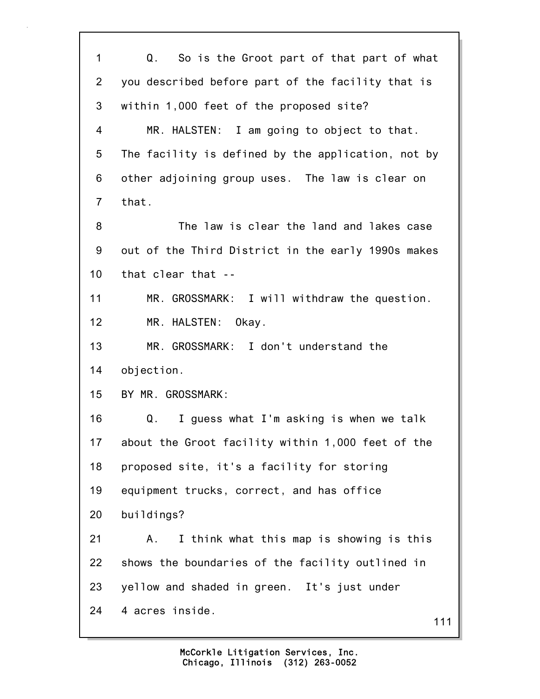111 1 Q. So is the Groot part of that part of what 2 you described before part of the facility that is 3 within 1,000 feet of the proposed site? 4 MR. HALSTEN: I am going to object to that. 5 The facility is defined by the application, not by 6 other adjoining group uses. The law is clear on 7 that. 8 The law is clear the land and lakes case 9 out of the Third District in the early 1990s makes 10 that clear that -- 11 MR. GROSSMARK: I will withdraw the question. 12 MR. HALSTEN: Okay. 13 MR. GROSSMARK: I don't understand the 14 objection. 15 BY MR. GROSSMARK: 16 Q. I guess what I'm asking is when we talk 17 about the Groot facility within 1,000 feet of the 18 proposed site, it's a facility for storing 19 equipment trucks, correct, and has office 20 buildings? 21 A. I think what this map is showing is this 22 shows the boundaries of the facility outlined in 23 yellow and shaded in green. It's just under 24 4 acres inside.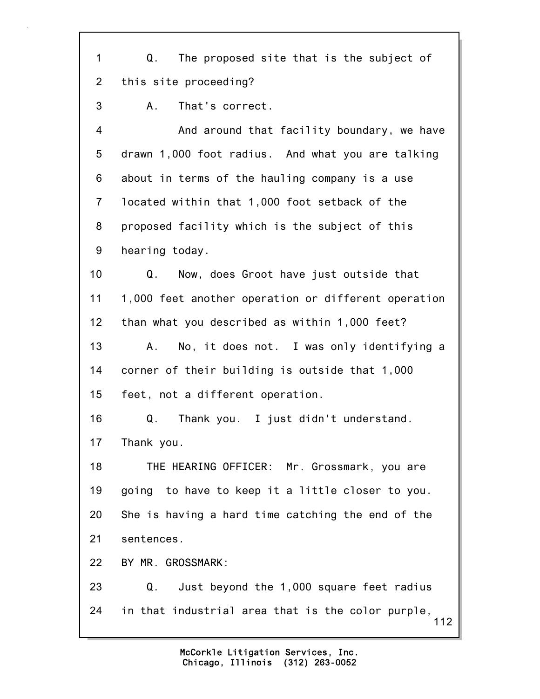1 Q. The proposed site that is the subject of 2 this site proceeding?

3 A. That's correct.

4 And around that facility boundary, we have 5 drawn 1,000 foot radius. And what you are talking 6 about in terms of the hauling company is a use 7 located within that 1,000 foot setback of the 8 proposed facility which is the subject of this 9 hearing today.

10 Q. Now, does Groot have just outside that 11 1,000 feet another operation or different operation 12 than what you described as within 1,000 feet? 13 A. No, it does not. I was only identifying a 14 corner of their building is outside that 1,000

15 feet, not a different operation.

16 Q. Thank you. I just didn't understand. 17 Thank you.

18 THE HEARING OFFICER: Mr. Grossmark, you are 19 going to have to keep it a little closer to you. 20 She is having a hard time catching the end of the 21 sentences.

22 BY MR. GROSSMARK:

112 23 Q. Just beyond the 1,000 square feet radius 24 in that industrial area that is the color purple,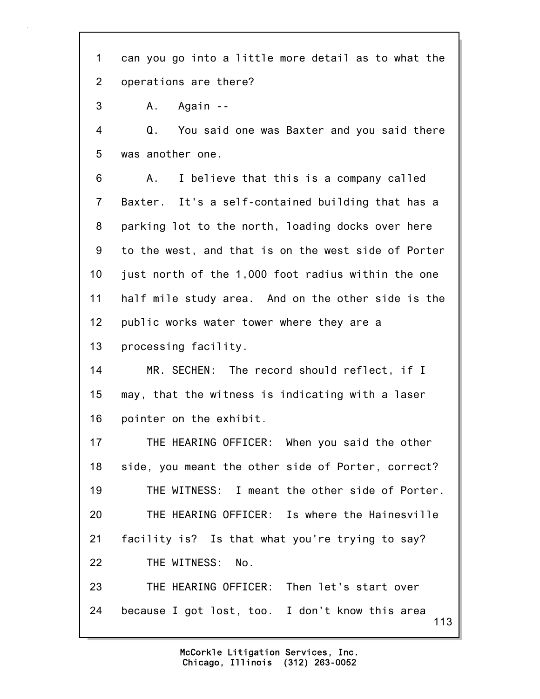1 can you go into a little more detail as to what the 2 operations are there?

3 A. Again --

4 Q. You said one was Baxter and you said there 5 was another one.

6 A. I believe that this is a company called 7 Baxter. It's a self-contained building that has a 8 parking lot to the north, loading docks over here 9 to the west, and that is on the west side of Porter 10 just north of the 1,000 foot radius within the one 11 half mile study area. And on the other side is the 12 public works water tower where they are a 13 processing facility.

14 MR. SECHEN: The record should reflect, if I 15 may, that the witness is indicating with a laser 16 pointer on the exhibit.

17 THE HEARING OFFICER: When you said the other 18 side, you meant the other side of Porter, correct? 19 THE WITNESS: I meant the other side of Porter. 20 THE HEARING OFFICER: Is where the Hainesville 21 facility is? Is that what you're trying to say? 22 THE WITNESS: No. 23 THE HEARING OFFICER: Then let's start over

113 24 because I got lost, too. I don't know this area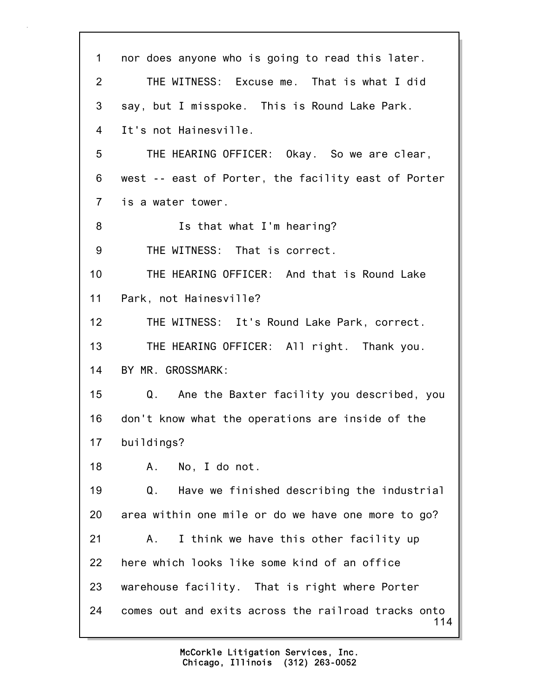114 1 nor does anyone who is going to read this later. 2 THE WITNESS: Excuse me. That is what I did 3 say, but I misspoke. This is Round Lake Park. 4 It's not Hainesville. 5 THE HEARING OFFICER: Okay. So we are clear, 6 west -- east of Porter, the facility east of Porter 7 is a water tower. 8 Is that what I'm hearing? 9 THE WITNESS: That is correct. 10 THE HEARING OFFICER: And that is Round Lake 11 Park, not Hainesville? 12 THE WITNESS: It's Round Lake Park, correct. 13 THE HEARING OFFICER: All right. Thank you. 14 BY MR. GROSSMARK: 15 Q. Ane the Baxter facility you described, you 16 don't know what the operations are inside of the 17 buildings? 18 A. No, I do not. 19 Q. Have we finished describing the industrial 20 area within one mile or do we have one more to go? 21 A. I think we have this other facility up 22 here which looks like some kind of an office 23 warehouse facility. That is right where Porter 24 comes out and exits across the railroad tracks onto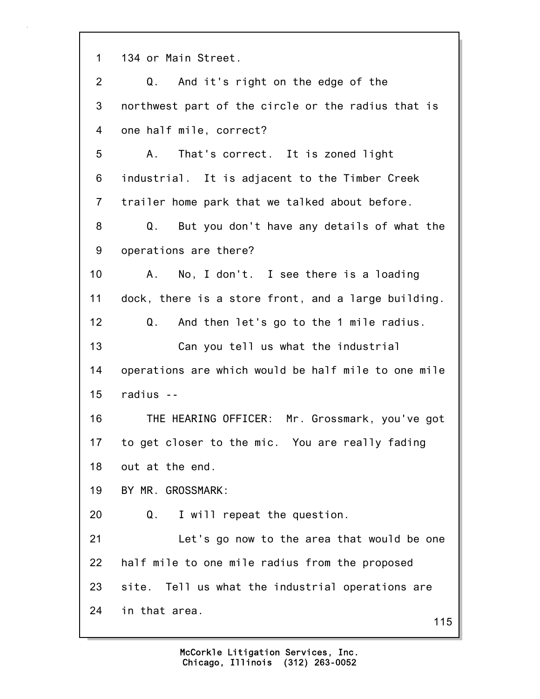1 134 or Main Street.

| $\overline{2}$  | Q. And it's right on the edge of the                |
|-----------------|-----------------------------------------------------|
| 3               | northwest part of the circle or the radius that is  |
| 4               | one half mile, correct?                             |
| 5               | That's correct. It is zoned light<br>A.,            |
| 6               | industrial. It is adjacent to the Timber Creek      |
| $\overline{7}$  | trailer home park that we talked about before.      |
| 8               | Q. But you don't have any details of what the       |
| 9               | operations are there?                               |
| 10 <sup>1</sup> | A. No, I don't. I see there is a loading            |
| 11              | dock, there is a store front, and a large building. |
| 12              | Q. And then let's go to the 1 mile radius.          |
| 13              | Can you tell us what the industrial                 |
| 14              | operations are which would be half mile to one mile |
| 15              | radius --                                           |
| 16              | THE HEARING OFFICER: Mr. Grossmark, you've got      |
| 17              | to get closer to the mic. You are really fading     |
| 18              | out at the end.                                     |
| 19              | BY MR. GROSSMARK:                                   |
| 20              | I will repeat the question.<br>Q.                   |
| 21              | Let's go now to the area that would be one          |
| 22              | half mile to one mile radius from the proposed      |
| 23              | site. Tell us what the industrial operations are    |
| 24              | in that area.<br>115                                |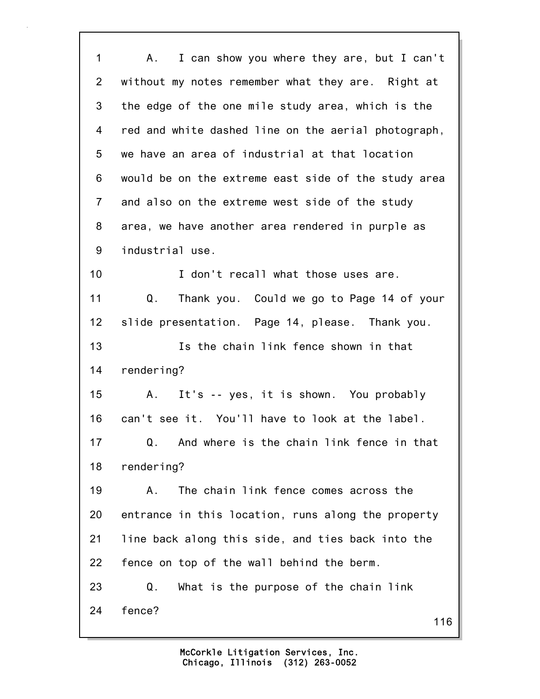116 1 A. I can show you where they are, but I can't 2 without my notes remember what they are. Right at 3 the edge of the one mile study area, which is the 4 red and white dashed line on the aerial photograph, 5 we have an area of industrial at that location 6 would be on the extreme east side of the study area 7 and also on the extreme west side of the study 8 area, we have another area rendered in purple as 9 industrial use. 10 **I** don't recall what those uses are. 11 Q. Thank you. Could we go to Page 14 of your 12 slide presentation. Page 14, please. Thank you. 13 Is the chain link fence shown in that 14 rendering? 15 A. It's -- yes, it is shown. You probably 16 can't see it. You'll have to look at the label. 17 Q. And where is the chain link fence in that 18 rendering? 19 A. The chain link fence comes across the 20 entrance in this location, runs along the property 21 line back along this side, and ties back into the 22 fence on top of the wall behind the berm. 23 Q. What is the purpose of the chain link 24 fence?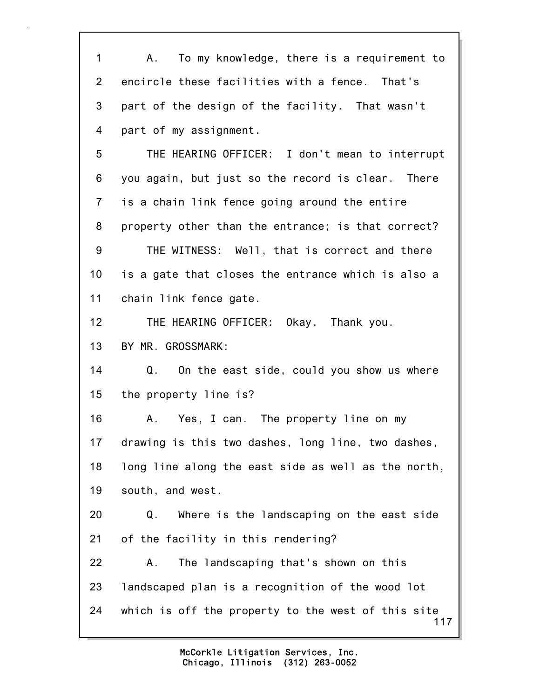117 1 A. To my knowledge, there is a requirement to 2 encircle these facilities with a fence. That's 3 part of the design of the facility. That wasn't 4 part of my assignment. 5 THE HEARING OFFICER: I don't mean to interrupt 6 you again, but just so the record is clear. There 7 is a chain link fence going around the entire 8 property other than the entrance; is that correct? 9 THE WITNESS: Well, that is correct and there 10 is a gate that closes the entrance which is also a 11 chain link fence gate. 12 THE HEARING OFFICER: Okay. Thank you. 13 BY MR. GROSSMARK: 14 Q. On the east side, could you show us where 15 the property line is? 16 A. Yes, I can. The property line on my 17 drawing is this two dashes, long line, two dashes, 18 long line along the east side as well as the north, 19 south, and west. 20 Q. Where is the landscaping on the east side 21 of the facility in this rendering? 22 A. The landscaping that's shown on this 23 landscaped plan is a recognition of the wood lot 24 which is off the property to the west of this site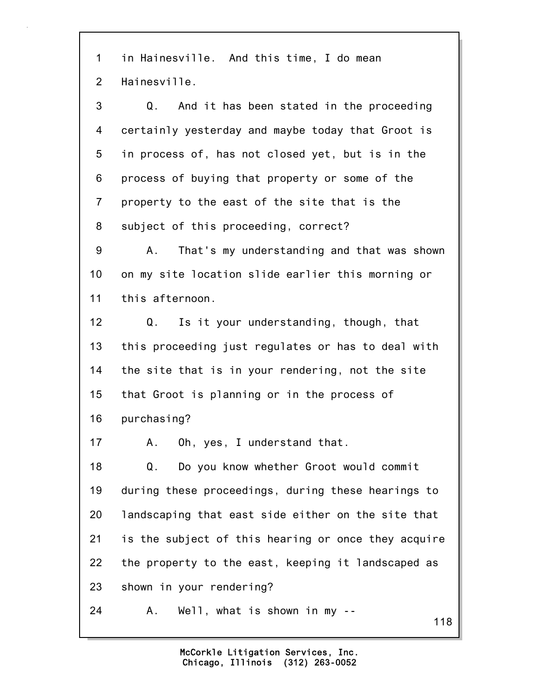1 in Hainesville. And this time, I do mean 2 Hainesville.

3 Q. And it has been stated in the proceeding 4 certainly yesterday and maybe today that Groot is 5 in process of, has not closed yet, but is in the 6 process of buying that property or some of the 7 property to the east of the site that is the 8 subject of this proceeding, correct?

9 A. That's my understanding and that was shown 10 on my site location slide earlier this morning or 11 this afternoon.

12 Q. Is it your understanding, though, that 13 this proceeding just regulates or has to deal with 14 the site that is in your rendering, not the site 15 that Groot is planning or in the process of 16 purchasing?

17 A. Oh, yes, I understand that.

18 Q. Do you know whether Groot would commit 19 during these proceedings, during these hearings to 20 landscaping that east side either on the site that 21 is the subject of this hearing or once they acquire 22 the property to the east, keeping it landscaped as 23 shown in your rendering?

24 A. Well, what is shown in my --

118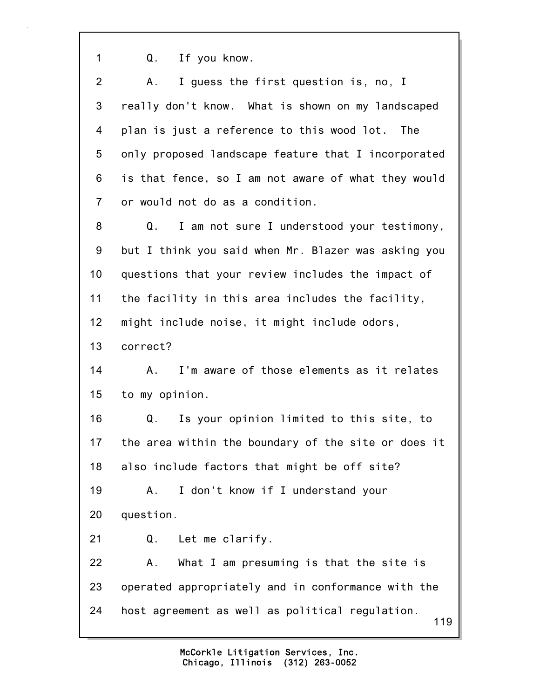1 Q. If you know.

| $\overline{2}$ | I guess the first question is, no, I<br>A.,            |
|----------------|--------------------------------------------------------|
| 3              | really don't know. What is shown on my landscaped      |
| 4              | plan is just a reference to this wood lot. The         |
| 5              | only proposed landscape feature that I incorporated    |
| 6              | is that fence, so I am not aware of what they would    |
| $\overline{7}$ | or would not do as a condition.                        |
| 8              | I am not sure I understood your testimony,<br>Q.       |
| 9              | but I think you said when Mr. Blazer was asking you    |
| 10             | questions that your review includes the impact of      |
| 11             | the facility in this area includes the facility,       |
| 12             | might include noise, it might include odors,           |
| 13             | correct?                                               |
| 14             | I'm aware of those elements as it relates<br>A.,       |
| 15             | to my opinion.                                         |
| 16             | Is your opinion limited to this site, to<br>Q.         |
| 17             | the area within the boundary of the site or does it    |
| 18             | also include factors that might be off site?           |
| 19             | I don't know if I understand your<br>Α.                |
| 20             | question.                                              |
| 21             | Let me clarify.<br>Q.                                  |
| 22             | What I am presuming is that the site is<br>Α.          |
| 23             | operated appropriately and in conformance with the     |
| 24             | host agreement as well as political regulation.<br>119 |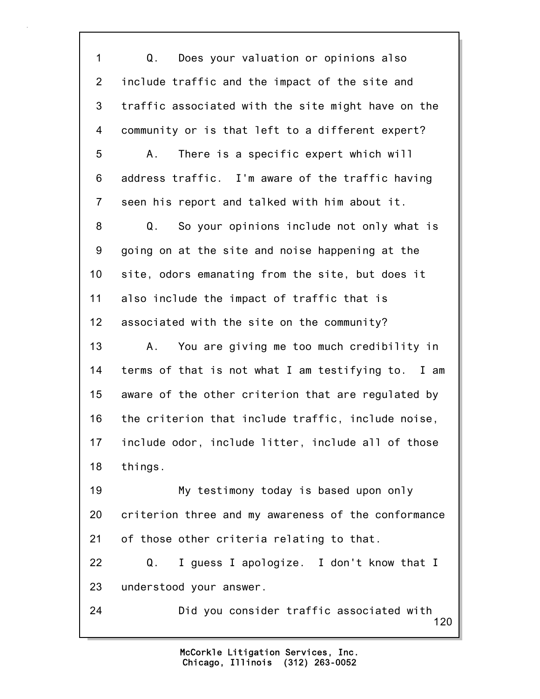120 1 Q. Does your valuation or opinions also 2 include traffic and the impact of the site and 3 traffic associated with the site might have on the 4 community or is that left to a different expert? 5 A. There is a specific expert which will 6 address traffic. I'm aware of the traffic having 7 seen his report and talked with him about it. 8 Q. So your opinions include not only what is 9 going on at the site and noise happening at the 10 site, odors emanating from the site, but does it 11 also include the impact of traffic that is 12 associated with the site on the community? 13 A. You are giving me too much credibility in 14 terms of that is not what I am testifying to. I am 15 aware of the other criterion that are regulated by 16 the criterion that include traffic, include noise, 17 include odor, include litter, include all of those 18 things. 19 My testimony today is based upon only 20 criterion three and my awareness of the conformance 21 of those other criteria relating to that. 22 Q. I guess I apologize. I don't know that I 23 understood your answer. 24 Did you consider traffic associated with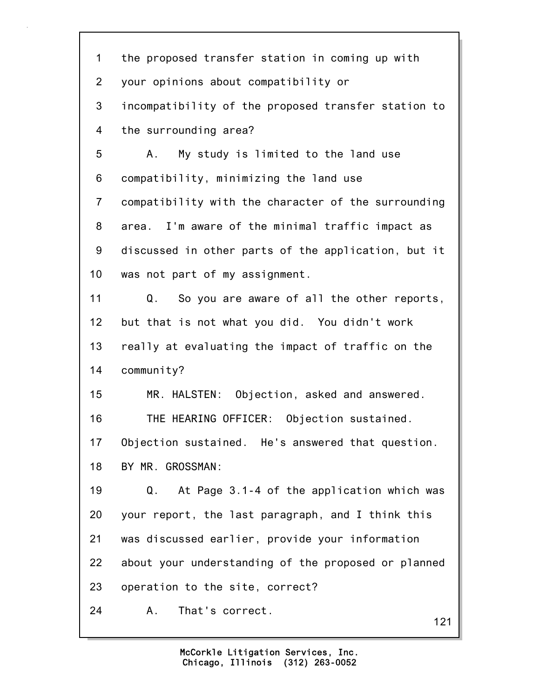| $\mathbf 1$    | the proposed transfer station in coming up with     |
|----------------|-----------------------------------------------------|
| $\overline{2}$ | your opinions about compatibility or                |
| 3              | incompatibility of the proposed transfer station to |
| $\overline{4}$ | the surrounding area?                               |
| 5              | My study is limited to the land use<br>A.           |
| 6              | compatibility, minimizing the land use              |
| $\overline{7}$ | compatibility with the character of the surrounding |
| 8              | area. I'm aware of the minimal traffic impact as    |
| 9              | discussed in other parts of the application, but it |
| 10             | was not part of my assignment.                      |
| 11             | So you are aware of all the other reports,<br>Q.    |
| 12             | but that is not what you did. You didn't work       |
| 13             | really at evaluating the impact of traffic on the   |
| 14             | community?                                          |
| 15             | MR. HALSTEN: Objection, asked and answered.         |
| 16             | THE HEARING OFFICER: Objection sustained.           |
| 17             | Objection sustained. He's answered that question.   |
| 18             | BY MR. GROSSMAN:                                    |
| 19             | At Page 3.1-4 of the application which was<br>Q.    |
| 20             | your report, the last paragraph, and I think this   |
| 21             | was discussed earlier, provide your information     |
| 22             | about your understanding of the proposed or planned |
| 23             | operation to the site, correct?                     |
| 24             | That's correct.<br>Α.<br>121                        |
|                |                                                     |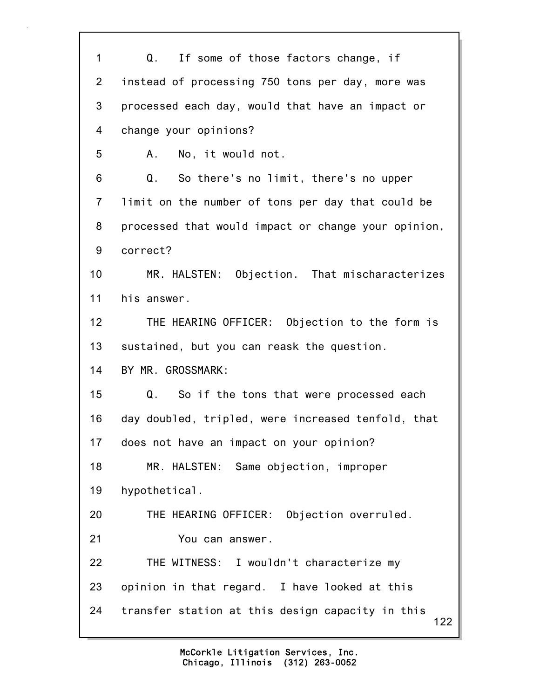122 1 Q. If some of those factors change, if 2 instead of processing 750 tons per day, more was 3 processed each day, would that have an impact or 4 change your opinions? 5 A. No, it would not. 6 Q. So there's no limit, there's no upper 7 limit on the number of tons per day that could be 8 processed that would impact or change your opinion, 9 correct? 10 MR. HALSTEN: Objection. That mischaracterizes 11 his answer. 12 THE HEARING OFFICER: Objection to the form is 13 sustained, but you can reask the question. 14 BY MR. GROSSMARK: 15 Q. So if the tons that were processed each 16 day doubled, tripled, were increased tenfold, that 17 does not have an impact on your opinion? 18 MR. HALSTEN: Same objection, improper 19 hypothetical. 20 THE HEARING OFFICER: Objection overruled. 21 You can answer. 22 THE WITNESS: I wouldn't characterize my 23 opinion in that regard. I have looked at this 24 transfer station at this design capacity in this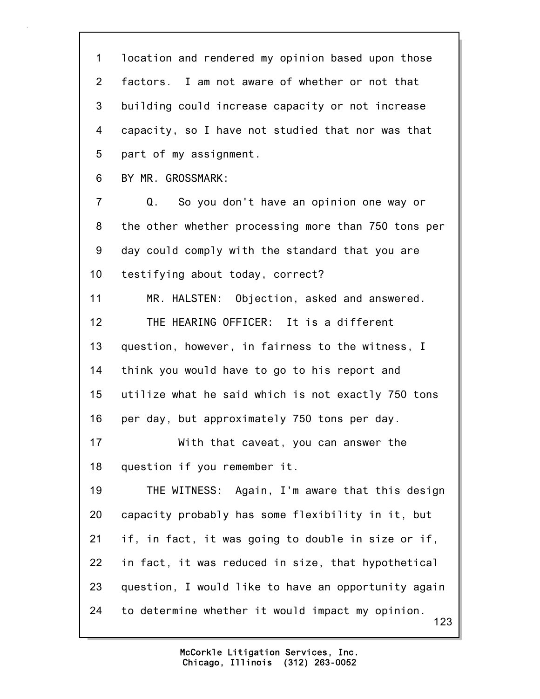123 1 location and rendered my opinion based upon those 2 factors. I am not aware of whether or not that 3 building could increase capacity or not increase 4 capacity, so I have not studied that nor was that 5 part of my assignment. 6 BY MR. GROSSMARK: 7 Q. So you don't have an opinion one way or 8 the other whether processing more than 750 tons per 9 day could comply with the standard that you are 10 testifying about today, correct? 11 MR. HALSTEN: Objection, asked and answered. 12 THE HEARING OFFICER: It is a different 13 question, however, in fairness to the witness, I 14 think you would have to go to his report and 15 utilize what he said which is not exactly 750 tons 16 per day, but approximately 750 tons per day. 17 With that caveat, you can answer the 18 question if you remember it. 19 THE WITNESS: Again, I'm aware that this design 20 capacity probably has some flexibility in it, but 21 if, in fact, it was going to double in size or if, 22 in fact, it was reduced in size, that hypothetical 23 question, I would like to have an opportunity again 24 to determine whether it would impact my opinion.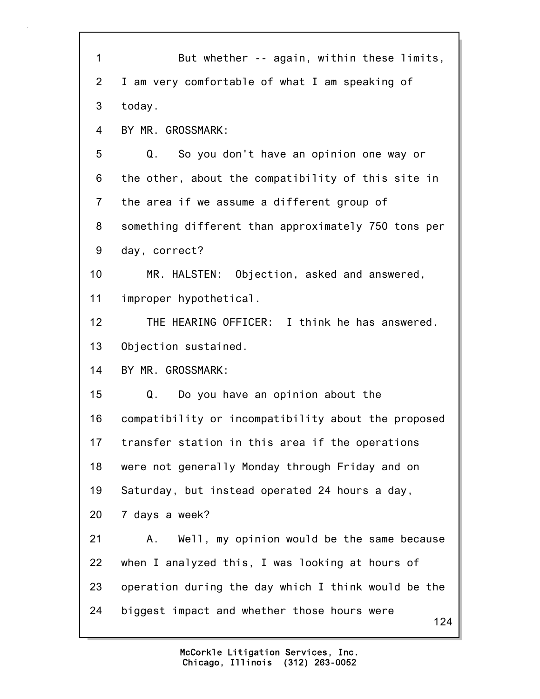| $\mathbf{1}$    | But whether -- again, within these limits,          |
|-----------------|-----------------------------------------------------|
| $\overline{2}$  | I am very comfortable of what I am speaking of      |
| 3               | today.                                              |
| 4               | BY MR. GROSSMARK:                                   |
| 5               | So you don't have an opinion one way or<br>Q.       |
| 6               | the other, about the compatibility of this site in  |
| $\overline{7}$  | the area if we assume a different group of          |
| 8               | something different than approximately 750 tons per |
| 9               | day, correct?                                       |
| 10              | MR. HALSTEN: Objection, asked and answered,         |
| 11              | improper hypothetical.                              |
| 12 <sup>2</sup> | THE HEARING OFFICER: I think he has answered.       |
| 13              | Objection sustained.                                |
| 14              | BY MR. GROSSMARK:                                   |
| 15              | Q.<br>Do you have an opinion about the              |
| 16              | compatibility or incompatibility about the proposed |
| 17              | transfer station in this area if the operations     |
| 18              | were not generally Monday through Friday and on     |
| 19              | Saturday, but instead operated 24 hours a day,      |
| 20              | 7 days a week?                                      |
| 21              | Well, my opinion would be the same because<br>Α.    |
| 22              | when I analyzed this, I was looking at hours of     |
| 23              | operation during the day which I think would be the |
| 24              | biggest impact and whether those hours were<br>124  |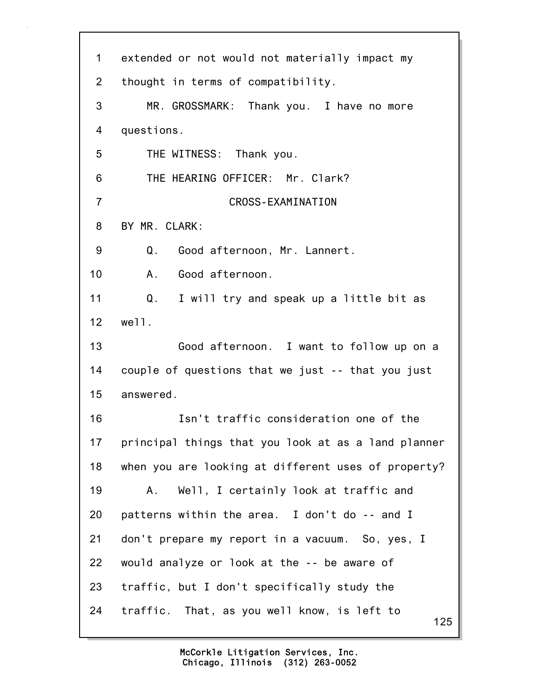| $\mathbf 1$    | extended or not would not materially impact my      |
|----------------|-----------------------------------------------------|
| $\overline{2}$ | thought in terms of compatibility.                  |
| 3              | MR. GROSSMARK: Thank you. I have no more            |
| 4              | questions.                                          |
| 5              | THE WITNESS: Thank you.                             |
| 6              | THE HEARING OFFICER: Mr. Clark?                     |
| $\overline{7}$ | CROSS-EXAMINATION                                   |
| 8              | BY MR. CLARK:                                       |
| 9              | Good afternoon, Mr. Lannert.<br>Q.                  |
| 10             | Good afternoon.<br>A.,                              |
| 11             | Q. I will try and speak up a little bit as          |
| 12             | well.                                               |
| 13             | Good afternoon. I want to follow up on a            |
| 14             | couple of questions that we just -- that you just   |
| 15             | answered.                                           |
| 16             | Isn't traffic consideration one of the              |
| 17             | principal things that you look at as a land planner |
| 18             | when you are looking at different uses of property? |
| 19             | Well, I certainly look at traffic and<br>Α.         |
| 20             | patterns within the area. I don't do -- and I       |
| 21             | don't prepare my report in a vacuum. So, yes, I     |
| 22             | would analyze or look at the -- be aware of         |
| 23             | traffic, but I don't specifically study the         |
| 24             | traffic. That, as you well know, is left to<br>125  |
|                |                                                     |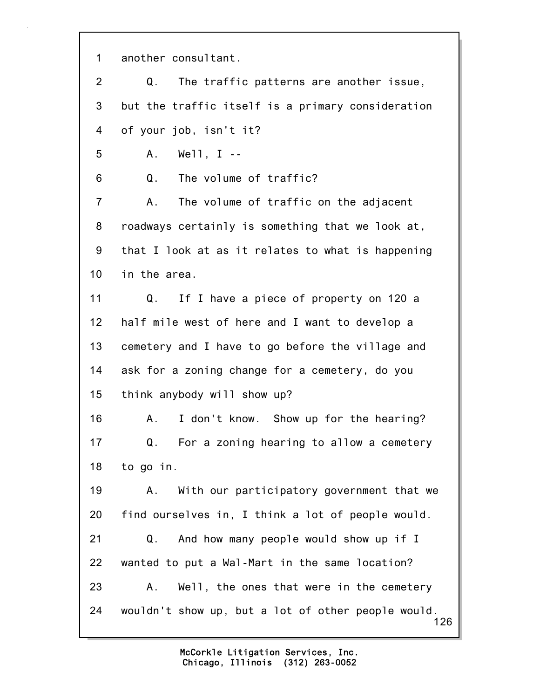1 another consultant.

2 Q. The traffic patterns are another issue, 3 but the traffic itself is a primary consideration 4 of your job, isn't it?

5 A. Well, I --

6 Q. The volume of traffic?

7 A. The volume of traffic on the adjacent 8 roadways certainly is something that we look at, 9 that I look at as it relates to what is happening 10 in the area.

11 Q. If I have a piece of property on 120 a 12 half mile west of here and I want to develop a 13 cemetery and I have to go before the village and 14 ask for a zoning change for a cemetery, do you 15 think anybody will show up?

16 A. I don't know. Show up for the hearing? 17 Q. For a zoning hearing to allow a cemetery 18 to go in.

126 19 A. With our participatory government that we 20 find ourselves in, I think a lot of people would. 21 Q. And how many people would show up if I 22 wanted to put a Wal-Mart in the same location? 23 A. Well, the ones that were in the cemetery 24 wouldn't show up, but a lot of other people would.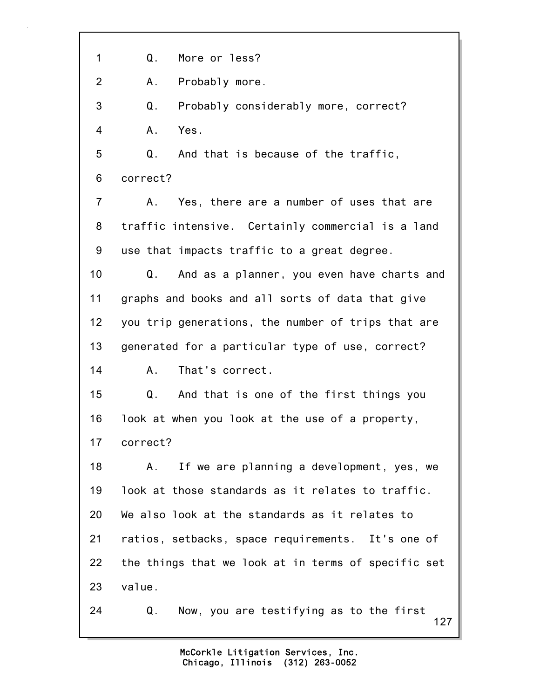1 Q. More or less?

2 A. Probably more.

3 Q. Probably considerably more, correct? 4 A. Yes.

5 Q. And that is because of the traffic, 6 correct?

7 A. Yes, there are a number of uses that are 8 traffic intensive. Certainly commercial is a land 9 use that impacts traffic to a great degree.

10 Q. And as a planner, you even have charts and 11 graphs and books and all sorts of data that give 12 you trip generations, the number of trips that are 13 generated for a particular type of use, correct? 14 A. That's correct.

15 Q. And that is one of the first things you 16 look at when you look at the use of a property, 17 correct?

18 A. If we are planning a development, yes, we 19 look at those standards as it relates to traffic. 20 We also look at the standards as it relates to 21 ratios, setbacks, space requirements. It's one of 22 the things that we look at in terms of specific set 23 value.

127 24 Q. Now, you are testifying as to the first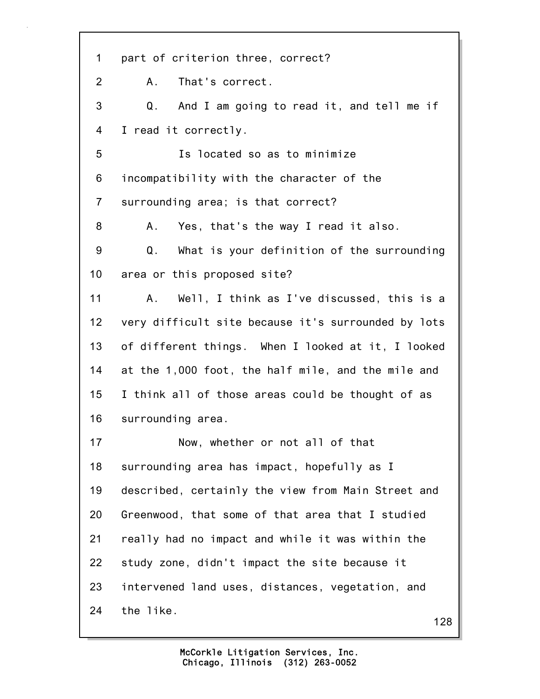128 1 part of criterion three, correct? 2 A. That's correct. 3 Q. And I am going to read it, and tell me if 4 I read it correctly. 5 Is located so as to minimize 6 incompatibility with the character of the 7 surrounding area; is that correct? 8 A. Yes, that's the way I read it also. 9 Q. What is your definition of the surrounding 10 area or this proposed site? 11 A. Well, I think as I've discussed, this is a 12 very difficult site because it's surrounded by lots 13 of different things. When I looked at it, I looked 14 at the 1,000 foot, the half mile, and the mile and 15 I think all of those areas could be thought of as 16 surrounding area. 17 Now, whether or not all of that 18 surrounding area has impact, hopefully as I 19 described, certainly the view from Main Street and 20 Greenwood, that some of that area that I studied 21 really had no impact and while it was within the 22 study zone, didn't impact the site because it 23 intervened land uses, distances, vegetation, and 24 the like.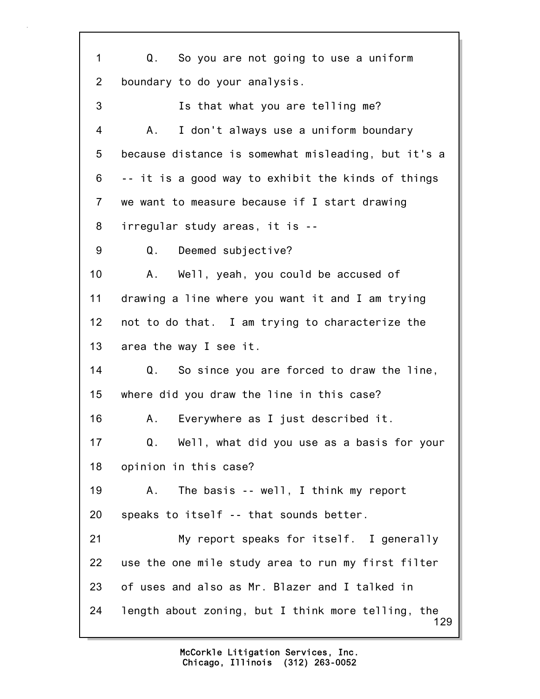129 1 Q. So you are not going to use a uniform 2 boundary to do your analysis. 3 Is that what you are telling me? 4 A. I don't always use a uniform boundary 5 because distance is somewhat misleading, but it's a 6 -- it is a good way to exhibit the kinds of things 7 we want to measure because if I start drawing 8 irregular study areas, it is -- 9 Q. Deemed subjective? 10 A. Well, yeah, you could be accused of 11 drawing a line where you want it and I am trying 12 not to do that. I am trying to characterize the 13 area the way I see it. 14 Q. So since you are forced to draw the line, 15 where did you draw the line in this case? 16 A. Everywhere as I just described it. 17 Q. Well, what did you use as a basis for your 18 opinion in this case? 19 A. The basis -- well, I think my report 20 speaks to itself -- that sounds better. 21 My report speaks for itself. I generally 22 use the one mile study area to run my first filter 23 of uses and also as Mr. Blazer and I talked in 24 length about zoning, but I think more telling, the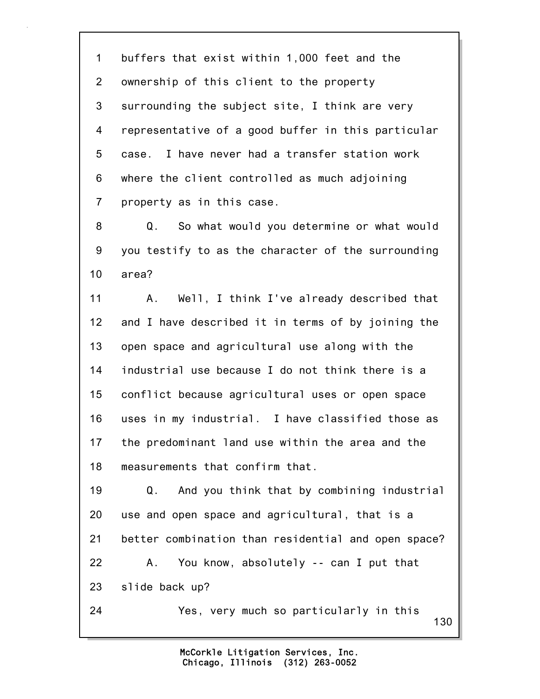1 buffers that exist within 1,000 feet and the 2 ownership of this client to the property 3 surrounding the subject site, I think are very 4 representative of a good buffer in this particular 5 case. I have never had a transfer station work 6 where the client controlled as much adjoining 7 property as in this case.

8 Q. So what would you determine or what would 9 you testify to as the character of the surrounding 10 area?

11 A. Well, I think I've already described that 12 and I have described it in terms of by joining the 13 open space and agricultural use along with the 14 industrial use because I do not think there is a 15 conflict because agricultural uses or open space 16 uses in my industrial. I have classified those as 17 the predominant land use within the area and the 18 measurements that confirm that.

19 Q. And you think that by combining industrial 20 use and open space and agricultural, that is a 21 better combination than residential and open space? 22 A. You know, absolutely -- can I put that 23 slide back up? 24 Yes, very much so particularly in this

130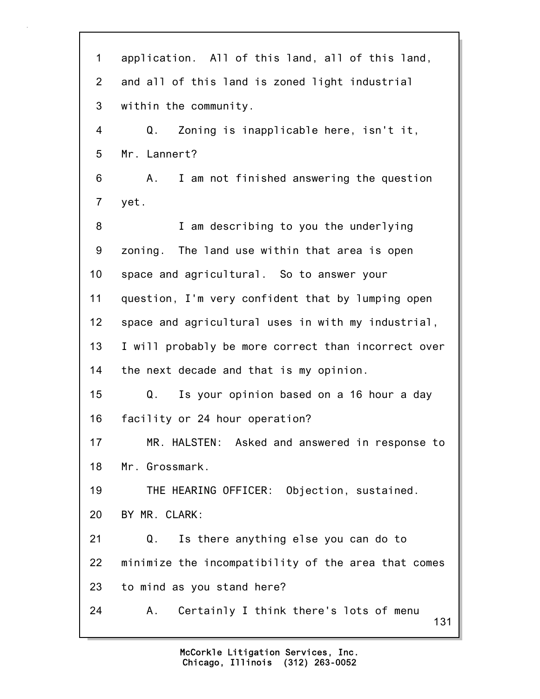131 1 application. All of this land, all of this land, 2 and all of this land is zoned light industrial 3 within the community. 4 Q. Zoning is inapplicable here, isn't it, 5 Mr. Lannert? 6 A. I am not finished answering the question 7 yet. 8 I am describing to you the underlying 9 zoning. The land use within that area is open 10 space and agricultural. So to answer your 11 question, I'm very confident that by lumping open 12 space and agricultural uses in with my industrial, 13 I will probably be more correct than incorrect over 14 the next decade and that is my opinion. 15 Q. Is your opinion based on a 16 hour a day 16 facility or 24 hour operation? 17 MR. HALSTEN: Asked and answered in response to 18 Mr. Grossmark. 19 THE HEARING OFFICER: Objection, sustained. 20 BY MR. CLARK: 21 Q. Is there anything else you can do to 22 minimize the incompatibility of the area that comes 23 to mind as you stand here? 24 A. Certainly I think there's lots of menu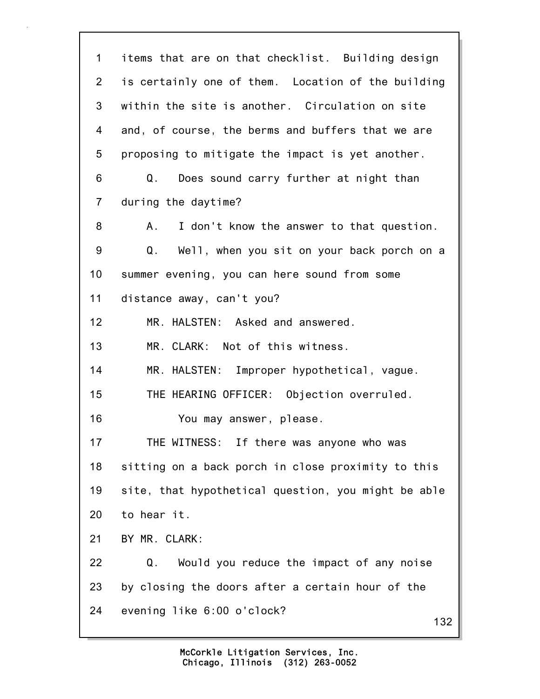132 1 items that are on that checklist. Building design 2 is certainly one of them. Location of the building 3 within the site is another. Circulation on site 4 and, of course, the berms and buffers that we are 5 proposing to mitigate the impact is yet another. 6 Q. Does sound carry further at night than 7 during the daytime? 8 A. I don't know the answer to that question. 9 Q. Well, when you sit on your back porch on a 10 summer evening, you can here sound from some 11 distance away, can't you? 12 MR. HALSTEN: Asked and answered. 13 MR. CLARK: Not of this witness. 14 MR. HALSTEN: Improper hypothetical, vague. 15 THE HEARING OFFICER: Objection overruled. 16 You may answer, please. 17 THE WITNESS: If there was anyone who was 18 sitting on a back porch in close proximity to this 19 site, that hypothetical question, you might be able 20 to hear it. 21 BY MR. CLARK: 22 Q. Would you reduce the impact of any noise 23 by closing the doors after a certain hour of the 24 evening like 6:00 o'clock?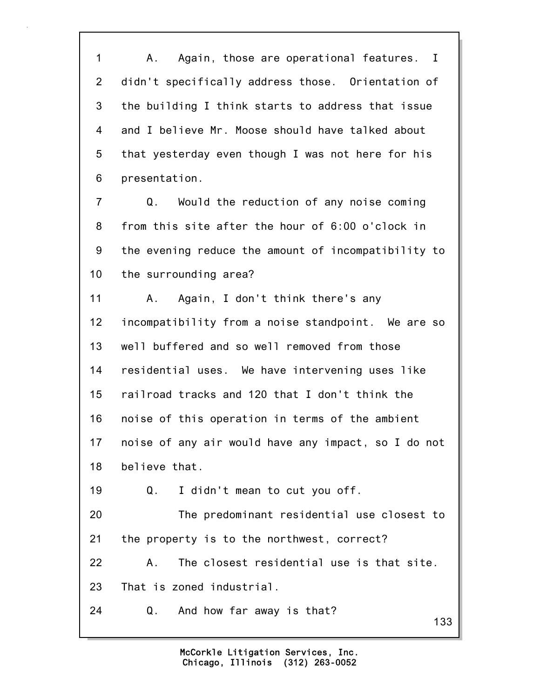1 A. Again, those are operational features. I 2 didn't specifically address those. Orientation of 3 the building I think starts to address that issue 4 and I believe Mr. Moose should have talked about 5 that yesterday even though I was not here for his 6 presentation.

7 Q. Would the reduction of any noise coming 8 from this site after the hour of 6:00 o'clock in 9 the evening reduce the amount of incompatibility to 10 the surrounding area?

11 A. Again, I don't think there's any 12 incompatibility from a noise standpoint. We are so 13 well buffered and so well removed from those 14 residential uses. We have intervening uses like 15 railroad tracks and 120 that I don't think the 16 noise of this operation in terms of the ambient 17 noise of any air would have any impact, so I do not 18 believe that.

19 Q. I didn't mean to cut you off.

20 The predominant residential use closest to 21 the property is to the northwest, correct?

22 A. The closest residential use is that site. 23 That is zoned industrial.

24 Q. And how far away is that?

133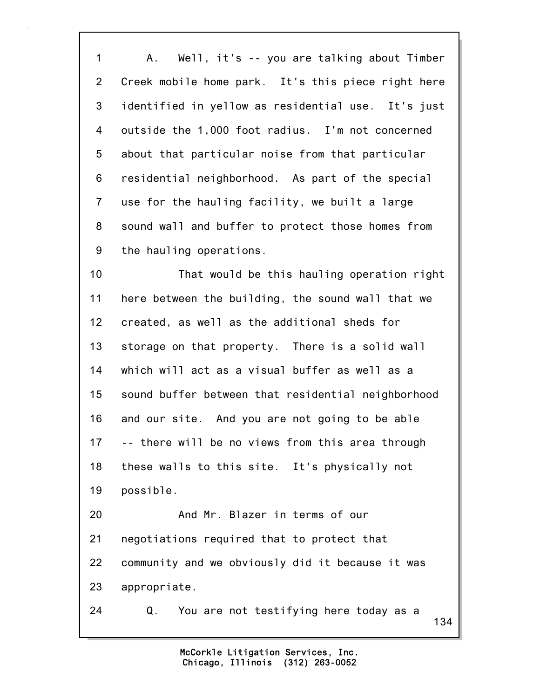1 A. Well, it's -- you are talking about Timber 2 Creek mobile home park. It's this piece right here 3 identified in yellow as residential use. It's just 4 outside the 1,000 foot radius. I'm not concerned 5 about that particular noise from that particular 6 residential neighborhood. As part of the special 7 use for the hauling facility, we built a large 8 sound wall and buffer to protect those homes from 9 the hauling operations.

10 That would be this hauling operation right 11 here between the building, the sound wall that we 12 created, as well as the additional sheds for 13 storage on that property. There is a solid wall 14 which will act as a visual buffer as well as a 15 sound buffer between that residential neighborhood 16 and our site. And you are not going to be able 17 -- there will be no views from this area through 18 these walls to this site. It's physically not 19 possible. 20 And Mr. Blazer in terms of our 21 negotiations required that to protect that

22 community and we obviously did it because it was 23 appropriate.

24 Q. You are not testifying here today as a

134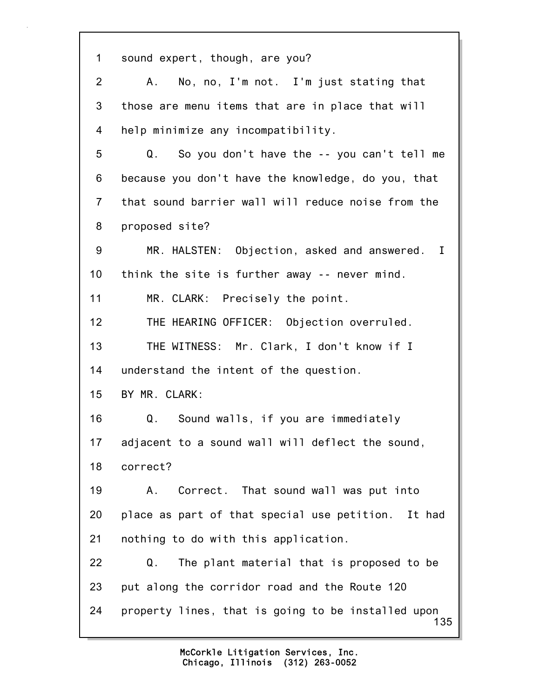135 1 sound expert, though, are you? 2 A. No, no, I'm not. I'm just stating that 3 those are menu items that are in place that will 4 help minimize any incompatibility. 5 Q. So you don't have the -- you can't tell me 6 because you don't have the knowledge, do you, that 7 that sound barrier wall will reduce noise from the 8 proposed site? 9 MR. HALSTEN: Objection, asked and answered. I 10 think the site is further away -- never mind. 11 MR. CLARK: Precisely the point. 12 THE HEARING OFFICER: Objection overruled. 13 THE WITNESS: Mr. Clark, I don't know if I 14 understand the intent of the question. 15 BY MR. CLARK: 16 Q. Sound walls, if you are immediately 17 adjacent to a sound wall will deflect the sound, 18 correct? 19 A. Correct. That sound wall was put into 20 place as part of that special use petition. It had 21 nothing to do with this application. 22 Q. The plant material that is proposed to be 23 put along the corridor road and the Route 120 24 property lines, that is going to be installed upon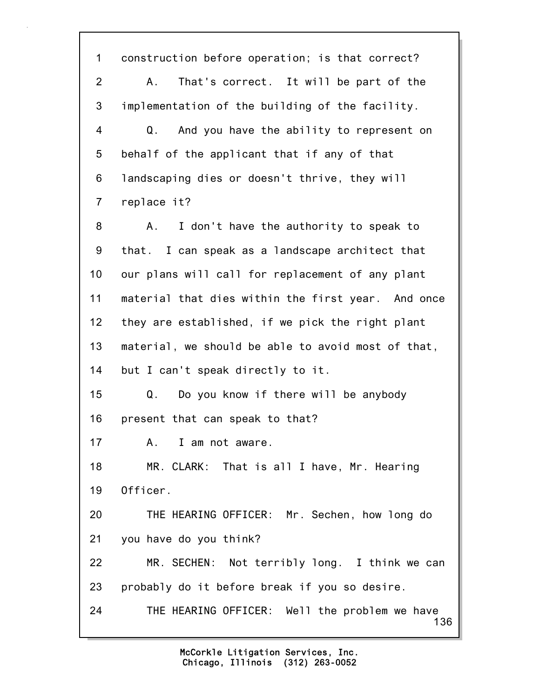136 1 construction before operation; is that correct? 2 A. That's correct. It will be part of the 3 implementation of the building of the facility. 4 Q. And you have the ability to represent on 5 behalf of the applicant that if any of that 6 landscaping dies or doesn't thrive, they will 7 replace it? 8 A. I don't have the authority to speak to 9 that. I can speak as a landscape architect that 10 our plans will call for replacement of any plant 11 material that dies within the first year. And once 12 they are established, if we pick the right plant 13 material, we should be able to avoid most of that, 14 but I can't speak directly to it. 15 Q. Do you know if there will be anybody 16 present that can speak to that? 17 A. I am not aware. 18 MR. CLARK: That is all I have, Mr. Hearing 19 Officer. 20 THE HEARING OFFICER: Mr. Sechen, how long do 21 you have do you think? 22 MR. SECHEN: Not terribly long. I think we can 23 probably do it before break if you so desire. 24 THE HEARING OFFICER: Well the problem we have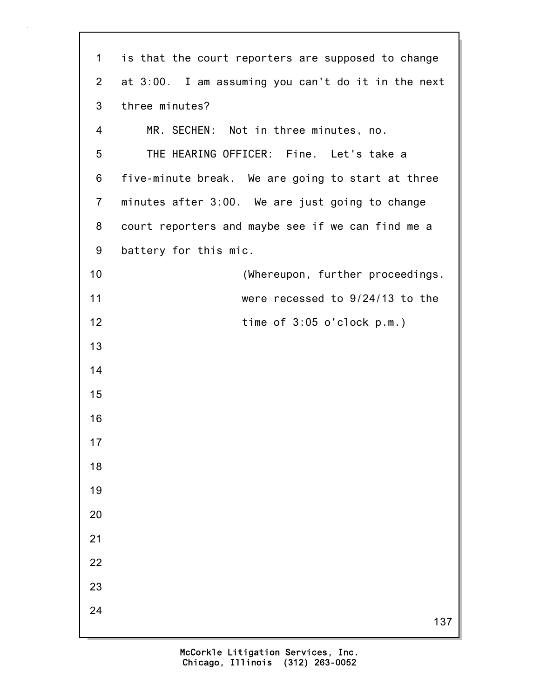| $\mathbf 1$    | is that the court reporters are supposed to change |
|----------------|----------------------------------------------------|
| 2              | at 3:00. I am assuming you can't do it in the next |
| 3              | three minutes?                                     |
| 4              | MR. SECHEN: Not in three minutes, no.              |
| 5              | THE HEARING OFFICER: Fine. Let's take a            |
| 6              | five-minute break. We are going to start at three  |
| $\overline{7}$ | minutes after 3:00. We are just going to change    |
| 8              | court reporters and maybe see if we can find me a  |
| 9              | battery for this mic.                              |
| 10             | (Whereupon, further proceedings.                   |
| 11             | were recessed to 9/24/13 to the                    |
| 12             | time of $3:05$ o'clock $p.m.$ )                    |
| 13             |                                                    |
| 14             |                                                    |
| 15             |                                                    |
| 16             |                                                    |
| 17             |                                                    |
| 18             |                                                    |
| 19             |                                                    |
| 20             |                                                    |
| 21             |                                                    |
| 22             |                                                    |
| 23             |                                                    |
| 24             | 137                                                |
|                |                                                    |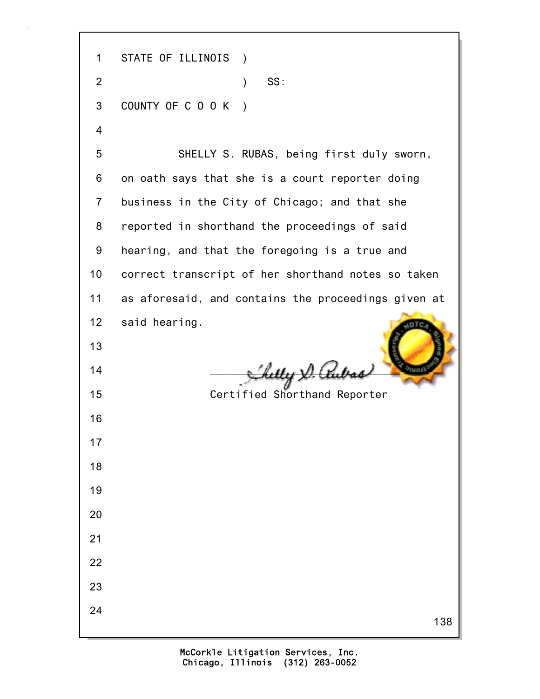138 1 STATE OF ILLINOIS ) 2 ) SS: 3 COUNTY OF C O O K ) 4 5 SHELLY S. RUBAS, being first duly sworn, 6 on oath says that she is a court reporter doing 7 business in the City of Chicago; and that she 8 reported in shorthand the proceedings of said 9 hearing, and that the foregoing is a true and 10 correct transcript of her shorthand notes so taken 11 as aforesaid, and contains the proceedings given at 12 said hearing. 13  $14$   $\frac{1}{2}$   $\frac{1}{2}$   $\frac{1}{2}$   $\frac{1}{2}$   $\frac{1}{2}$   $\frac{1}{2}$   $\frac{1}{2}$   $\frac{1}{2}$   $\frac{1}{2}$   $\frac{1}{2}$   $\frac{1}{2}$   $\frac{1}{2}$   $\frac{1}{2}$   $\frac{1}{2}$   $\frac{1}{2}$   $\frac{1}{2}$   $\frac{1}{2}$   $\frac{1}{2}$   $\frac{1}{2}$   $\frac{1}{2}$   $\frac{1}{2}$   $\frac{1}{$ 15 Certified Shorthand Reporter 16 17 18 19 20 21 22 23 24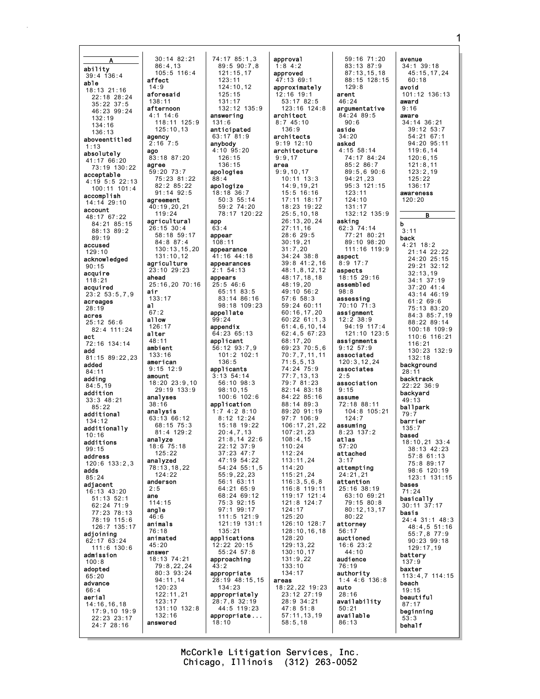A ability 39:4 136:4 able 18:13 21:16 22:18 28:24 35:22 37:5 46:23 99:24 132:19 134:16 136:13 aboveentitled 1:13 absolutely 41:17 66:20 73:19 130:22 acceptable 4:19 5:5 22:13 100:11 101:4 accomplish 14:14 29:10 account 48:17 67:22 84:21 85:15 88:13 89:2 89:19 accused 129:10 acknowledged 90:15 acquire 118:21 acquired 23:2 53:5,7,9 acreages 28:19 acres 25:12 56:6 82:4 111:24 act 72:16 134:14 add 81:15 89:22,23 added 84:11 adding  $84.5, 19$ addition 33:3 48:21  $85.22$ additional 134:12 additionally 10:16 additions 99:15 address 120:6 133:2,3 adds 85:24 adjacent 16:13 43:20 51:13 52:1 62:24 71:9 77:23 78:13 78:19 115:6 126:7 135:17 adjoining 62:17 63:24  $111:6$  130:6 admission  $100.8$ adopted 65:20 advance 66:4 aerial 14:16,16,18 17:9,10 19:9 22:23 23:17 24:7 28:16 30:14 82:21 86:4,13 105:5 116:4 affect 14:9 aforesaid 138:11 afternoon 4:1 14:6 118:11 125:9 125:10,13 agency  $2:16$  7:5 ago 83:18 87:20 agree 59:20 73:7 75:23 81:22 82:2 85:22 91:14 92:5 agreement 40:19,20,21 119:24 agricultural 26:15 30:4 58:18 59:17 84:8 87:4 130:13,15,20 131:10,12 agriculture 23:10 29:23 ahead 25:16,20 70:16 air 133:17 al 67:2 allow 126:17 alter 48:11 ambient 133:16 american 9:15 12:9 amount 18:20 23:9,10 29:19 133:9 analyses 38:16 analysis 63:13 66:12 68:15 75:3 81:4 129:2 analyze 18:6 75:18  $125.22$ analyzed 78:13,18,22  $124.22$ anderson 2:5 ane 114:15 angle 46:6 animals 76:18 animated 45:20 answer 18:13 74:21 79:8,22,24 80:3 93:24 94:11,14 120:23 122:11,21 123:17 131:10 132:8 132:16 answered 74:17 85:1,3 89:5 90:7,8 121:15,17 123:11 124:10,12 125:15 131:17 132:12 135:9 answering 131:6 anticipated 63:17 81:9 anybody 4:10 95:20 126:15 136:15 apologies 88:4 apologize 18:18 36:7 50:3 55:14 59:2 74:20 78:17 120:22 app 63:4 appear 108:11 appearance 41:16 44:18 appearances 2:1 54:13 appears 25:5 46:6 65:11 83:5 83:14 86:16 98:18 109:23 appellate  $99.24$ appendix 64:23 65:13 applicant 56:12 93:7,9 101:2 102:1 136:5 applicants 3:13 54:14 56:10 98:3 98:10,15 100:6 102:6 application 1:7 4:2 8:10 8:12 12:24 15:18 19:22 20:4,7,13 21:8,14 22:6 22:12 37:9 37:23 47:7 47:19 54:22 54:24 55:1,5  $55.9, 22, 23$ 56:1 63:11 64:21 65:9 68:24 69:12 75:3 92:15 97:1 99:17 111:5 121:9 121:19 131:1 135:21 applications 12:22 20:15 55:24 57:8 approaching 43:2 appropriate 28:19 48:15,15 134:23 appropriately 28:7,8 32:19 44:5 119:23 appropriate ... 18:10 approval 1:8 4:2 approved 47:13 69:1 approximately 12:16 19:1 53:17 82:5 123:16 124:8 architect  $8:7$  45:10 136:9 architects  $9.1912.10$ architecture 9:9,17 area 9:9,10,17 10:11 13:3 14:9,19,21 15:5 16:16 17:11 18:17 18:23 19:22 25:5,10,18 26:13,20,24 27:11,16 28:6 29:5 30:19,21 31:7,20 34:24 38:8 39:8 41:2,16 48:1,8,12,12 48:17,18,18 48:19,20 49:10 56:2 57:6 58:3 59:24 60:11 60:16,17,20 60:22 61:1,3 61:4,6,10,14 62:4,5 67:23 68:17,20 69:23 70:5,6 70:7,7,11,11 71:5,5,13 74:24 75:9 77:7,13,13 79:7 81:23 82:14 83:18 84:22 85:16 88:14 89:3 89:20 91:19 97:7 106:9 106:17,21,22  $107 \cdot 21$ , 23 108:4,15 110:24  $112.24$ 113:11,24 114:20 115:21,24 116:3,5,6,8 116:8 119:11 119:17 121:4 121:8 124:7 124:17 125:20 126:10 128:7 128:10,16,18 128:20 129:13,22 130:10,17 131:9,22 133:10 134:17 areas 18:22,22 19:23 23:12 27:19 28:9 34:21 47:8 51:8 57:11,13,19 58:5,18 59:16 71:20 83:13 87:9 87:13,15,18 88:15 128:15 129:8 arent  $46.24$ argumentative 84:24 89:5  $90.6$ aside 34:20 asked 4:15 58:14 74:17 84:24 85:2 86:7 89:5,6 90:6 94:21,23 95:3 121:15 123:11  $124:10$ 131:17 132:12 135:9 asking 62:3 74:14 77:21 80:21 89:10 98:20 111:16 119:9 aspect 8:9 17:7 aspects 18:15 29:16 assembled 98:8 assessing 70:10 71:3 assignment 12:2 38:9 94:19 117:4 121:10 123:5 assignments 9:12 57:9 associated 120:3,12,24 associates  $2.5$ association 9:15 assume 72:18 88:11 104:8 105:21 124:7 assuming 8:23 137:2 atlas 57:20 attached 3:17 attempting  $21.21.21$ attention 25:16 38:19 63:10 69:21 79:15 80:8 80:12,13,17 80:22 attorney 56:17 auctioned 16:6 23:2  $44 \cdot 10$ audience 76:19 authority 1:4 4:6 136:8 auto 28:16 availability 50:21 available 86:13 avenue 34:1 39:18 45:15,17,24 60:18 avoid 101:12 136:13 award 9:16 aware 34:14 36:21 39:12 53:7 54:21 67:1 94:20 95:11 119:6,14 120:6,15 121:8,11 123:2,19  $125.22$ 136:17 awareness 120:20 B b 3:11 back 4:21 18:2 21:14 22:22 24:20 25:15 29:21 32:12 32:13,19 34:1 37:19 37:20 41:4 43:14 46:19 61:2 69:6 75:13 83:20 84:3 85:7,19 88:22 89:14 100:18 109:9 110:6 116:21  $116.21$ 130:23 132:9 132:18 background 28:11 backtrack  $22.22$   $36.9$ backyard 49:13 ballpark 79:7 barrier 135:7 based 18:10,21 33:4 38:13 42:23 57:8 61:13 75:8 89:17 98:6 120:19 123:1 131:15 bases 71:24 basically 30:11 37:17 basis 24:4 31:1 48:3 48:4,5 51:16 55:7,8 77:9 90:23 99:18 129:17,19 battery 137:9 baxter 113:4,7 114:15 beach 19:15 beautiful 87:17 beginning 53:3 behalf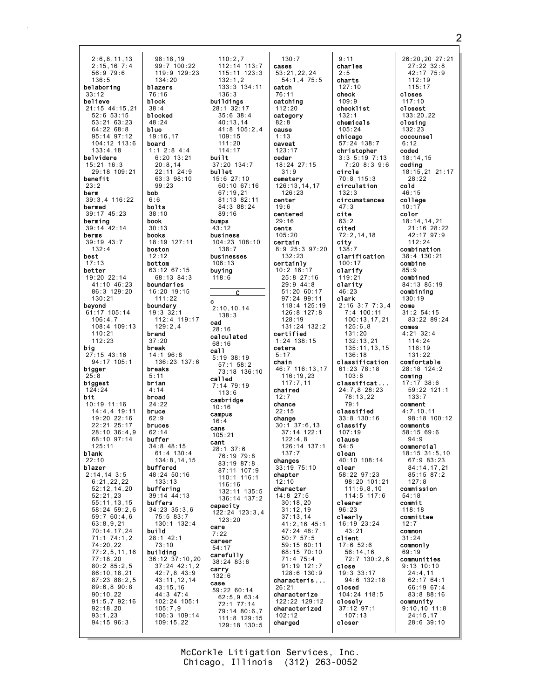2:6,8,11,13 2:15,16 7:4 56:9 79:6 136:5 belaboring 33:12 believe 21:15 44:15,21 52:6 53:15 53:21 63:23 64:22 68:8 95:14 97:12 104:12 113:6 133:4,18 belvidere 15:21 16:3 29:18 109:21 benefit 23:2 berm 39:3,4 116:22 bermed 39:17 45:23 berming 39:14 42:14 berms 39:19 43:7 132:4 best 17:13 better 19:20 22:14 41:10 46:23 86:3 129:20 130:21 beyond 61:17 105:14 106:4,7 108:4 109:13 110:21 112:23 **big**<br>27:15 43:16 94:17 105:1 bigger 25:8 biggest 124:24 bit 10:19 11:16 14:4,4 19:11 19:20 22:16 22:21 25:17  $28.10$   $36.4$  9 68:10 97:14 125:11 blank  $22.10$ blazer  $2.14$ , 14 3.5 6:21,22,22 52:12,14,20 52:21,23 55:11,13,15 58:24 59:2,6 59:7 60:4,6 63:8,9,21 70:14,17,24 71:1 74:1,2 74:20,22 77:2,5,11,16 77:18,20 80:2 85:2,5 86:10,18,21 87:23 88:2,5 89:6,8 90:8 90:10,22 91:5,7 92:16 92:18,20 93:1,23 94:15 96:3 98:18,19 99:7 100:22 119:9 129:23 134:20 blazers 76:16 block 38:4 blocked 48:24 blue 19:16,17 board 1:1 2:8 4:4 6:20 13:21 20:8,14 22:11 24:9 63:3 98:10 99:23 bob 6:6 bolts 38:10 book 30:13 books 18:19 127:11 boston 12:12 bottom 63:12 67:15 68:13 84:3 boundaries 16:20 19:15 111:22 boundary 19:3 32:1 112:4 119:17 129:2,4 brand 37:20 break 14:1 96:8 136:23 137:6 breaks 5:11 brian 4:14 broad 24:22 bruce 62:9 bruces  $62.14$ buffer 34:8 48:15  $61 \cdot 4$  130 $\cdot 4$ 134:8,14,15 buffered  $48.24 50.16$ 133:13 buffering 39:14 44:13 buffers 34:23 35:3,6 75:5 83:7 130:1 132:4 build 28:1 42:1 73:10 building 36:12 37:10,20 37:24 42:1,2 42:7,8 43:9 43:11,12,14 43:15,16 44:3 47:4 102:24 105:1 105:7,9 106:3 109:14 109:15,22

110:2,7 112:14 113:7 115:11 123:3 132:1,2 133:3 134:11 136:3 buildings 28:1 32:17 35:6 38:4 40:13,14 41:8 105:2,4 109:15 111:20 114:17 built 37:20 134:7 bullet 15:6 27:10 60:10 67:16 67:19,21 81:13 82:11 84:3 88:24 89:16 bumps 43:12 business 104:23 108:10 138:7 businesses 106:13 buying 118:6  $\overline{\mathbf{c}}$ c 2:10,10,14 138:3 cad 28:16 calculated 68:16 call 5:19 38:19 57:1 58:2 73:18 136:10 called 7:14 79:19  $113.6$ cambridge 10:16 campus 16:4 cans 105:21 cant 28:1 37:6 76:19 79:8 83:19 87:8 87:11 107:9 110:1 116:1 116:16 132:11 135:5 136:14 137:2 capacity 122:24 123:3,4 123:20 care 7:22 career 54:17 carefully 38:24 83:6 carry 132:6 case 59:22 60:14 62:5,9 63:4 72:1 77:14 79:14 80:6,7 111:8 129:15 129:18 130:5

130:7 cases 53:21,22,24  $54:1,4$  75:5 catch 76:11 catching 112:20 category  $82.8$ cause 1:13 caveat 123:17 cedar 18:24 27:15 31:9 cemetery 126:13,14,17 126:23 center 19:6 centered 29:16 cents 105:20 certain 8:9 25:3 97:20 132:23 certainly 10:2 16:17 25:8 27:16 29:9 44:8 51:20 60:17 97:24 99:11 118:4 125:19 126:8 127:8 128:19 131:24 132:2 certified 1:24 138:15 cetera 5:17 chain 46:7 116:13,17 116:19,23 117:7,11 chaired  $12.7$ chance 22:15 change 30:1 37:6,13 37:14 122:1  $122:4.8$ 126:14 137:1 137:7 changes 33:19 75:10 chapter 12:10 character 14:8 27:5 30:18,20 31:12,19 37:13,14 41:2,16 45:1 47:24 48:7 50:7 57:5 59:15 60:11 68:15 70:10 71:4 75:4 91:19 121:7 128:6 130:9 characteris ... 26:21 characterize 122:22 129:12 characterized 102:12 charged

9:11 charles  $2:5$ charts 127:10 check  $109.9$ checklist 132:1 chemicals 105:24 chicago 57:24 138:7 christopher 3:3 5:19 7:13 7:20 8:3 9:6 circle 70:8 115:3 circulation 132:3 circumstances 47:3 cite  $63.2$ cited 72:2,14,18 city 138:7 clarification 100:17 clarify 119:21 clarity 46:23 clark 2:16 3:7 7:3,4 7:4 100:11 100:13,17,21 125:6,8 131:20 132:13,21 135:11,13,15 136:18 classification 61:23 78:18 103:8 classificat ... 24:7,8 28:23 78:13,22 79:1 classified 33:8 130:16 classify 107:19 clause 54:5 clean 40:10 108:14 clear 58:22 97:23 98:20 101:21 111:6,8,10 114:5 117:6 clearer 96:23 clearly 16:19 23:24 43:21 client 17:6 52:6 56:14,16 72:7 130:2,6 close 19:3 33:17 94:6 132:18 closed 104:24 118:5 closely 37:12 97:1 107:13 closer

26:20,20 27:21 27:22 32:8 42:17 75:9 112:19 115:17 closes 117:10 closest 133:20,22 closing 132:23 cocounsel  $6:12$ coded 18:14,15 coding 18:15,21 21:17  $28.22$ cold 46:15 college 10:17 color 18:14,14,21 21:16 28:22 42:17 97:9 112:24 combination 38:4 130:21 combine 85:9 combined 84:13 85:19 combining 130:19 come 31:2 54:15 83:22 89:24 comes 4:21 32:4 114:24 116:19 131:22 comfortable 28:18 124:2 coming 17:17 38:6 59:22 121:1 133:7 comment 4:7,10,11 98:18 100:12 comments 58:15 69:6 94:9 commercial 18:15 31:5,10 67:9 83:23 84:14,17,21 85:15 87:2  $127:8$ commission 54:18 commit 118:18 committee 12:7 common 31:24 commonly 69:19 communities 9:13 10:10 24:4,11 62:17 64:1 66:19 67:4 83:8 88:16 community 9:10,10 11:8 24:15,17

28:6 39:10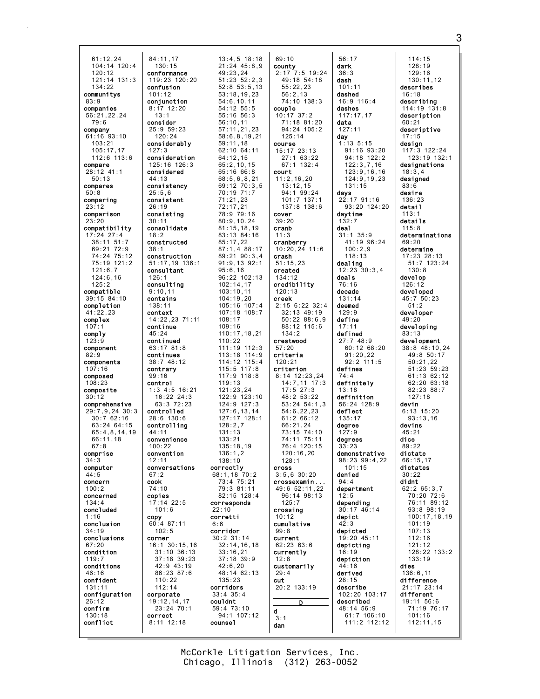61:12,24 104:14 120:4 120:12 121:14 131:3 134:22 communitys 83:9 companies 56:21,22,24 79:6 company 61:16 93:10 103:21 105:17,17 112:6 113:6 compare 28:12 41:1 50:13 compares 50:8 comparing 23:12 comparison 23:20 compatibility 17:24 27:4 38:11 51:7 69:21 72:9 74:24 75:12 75:19 121:2 121:6,7 124:6,16 125:2 compatible 39:15 84:10 completion 41:22,23 complex  $107:$ comply  $123:9$ component  $82.9$ components 107:16 composed 108:23 composite  $30.12$ comprehensive 29:7,9,24 30:3  $30:7.62:16$ 63:24 64:15 65:4,8,14,19 66:11,18 67:8 comprise 34:3 computer  $A \cdot 5$ concern 100:2 concerned 134:4 concluded 1:16 conclusion 34:19 conclusions 67:20 condition 119:7 conditions 46:16 confident 131:11 configuration 26:12 confirm 130:18 conflict 38:1  $67.2$ cook copy

84:11,17 130:15 conformance 119:23 120:20 confusion 101:12 conjunction 8:17 12:20  $13:1$ consider 25:9 59:23  $120.24$ considerably 127:3 consideration 125:16 126:3 considered  $44.13$ consistency 25:5,6 consistent 26:19 consisting 30:11 consolidate 18:2 constructed construction 51:17,19 136:1 consultant 126:1 consulting 9:10,11 contains 138:11 context 14:22,23 71:11 continue 45:24 continued 63:17 81:8 continues 38:7 48:12 contrary 99:16 control 1:3 4:5 16:21 16:22 24:3 63:3 72:23 controlled 28:6 130:6 controlling 44:11 convenience  $100.22$ convention 12:11 conversations 74:10 copies 17:14 22:5 101:6 60:4 87:11 102:5 corner 16:1 30:15,16 31:10 36:13 37:18 39:23 42:9 43:19 86:23 87:6 110:22 112:14 corporate 19:12,14,17 23:24 70:1 correct 8:11 12:18 22:10 corretti 6:6 corridor couldnt counsel

13:4,5 18:18 21:24 45:8,9 49:23,24 51:23 52:2,3 52:8 53:5,13 53:18,19,23  $54.6$  10, 11 54:12 55:5 55:16 56:3 56:10,11 57:11,21,23 58:6,8,19,21 59:11,18 62:10 64:11 64:12,15 65:2,10,15 65:16 66:8 68:5,6,8,21 69:12 70:3,5 70:19 71:7 71:21,23 72:17,21 78:9 79:16 80:9,10,24 81:15,18,19 83:13 84:16 85:17,22 87:1,4 88:17 89:21 90:3,4 91:9,13 92:1 95:6,16 96:22 102:13 102:14,17 103:10,11 104:19,20 105:16 107:4 107:18 108:7  $108:17$ 109:16 110:17,18,21 110:22 111:19 112:3 113:18 114:9 114:12 115:4 115:5 117:8 117:9 118:8 119:13 121:23,24  $122.9$  123:10 124:9 127:3 127:6,13,14 127:17 128:1 128:2,7 131:13 133:21 135:18,19 136:1,2 138:10 correctly 68:1,18 70:2 73:4 75:21 79:3 81:11 82:15 128:4 corresponds 30:2 31:14 32:14,16,18 33:16,21 37:18 39:9 42:6,20 48:14 62:13 135:23 corridors 33:4 35:4 59:4 73:10 94:1 107:12 69:10 county 55:22,23 56:2,13 couple 10:17 37:2 125:14 course 15:17 23:13 27:1 63:22 67:1 132:4 court 11:2,16,20 13:12,15 94:1 99:24 cover 39:20 cranb 11:3 cranberry 10:20,24 11:6 crash 51:15,23 created 134:12 credibility 120:13 creek 134:2 crestwood 57:20 criteria 120:21 criterion 8:14 12:23,24 17:5 27:3  $48.253.22$ 54:6,22,23 61:2 66:12 66:21,24 120:16,20  $128:1$ cross 3:5,6 30:20 crossexamin ... 49:6 52:11,22 125:7 crossing 10:12 cumulative  $99.8$ current 62:23 63:6 currently 12:8 customarily 29:4 cut 20:2 133:19 d 3:1 dan

2:17 7:5 19:24 49:18 54:18  $74:10$  138:3 71:18 81:20 94:24 105:2 101:7 137:1 137:8 138:6 2:15 6:22 32:4 32:13 49:19 50:22 88:6,9 88:12 115:6 14:7,11 17:3 53:24 54:1,3 73:15 74:10 74:11 75:11 76:4 120:15 96:14 98:13 D 56:17 dark 36:3 dash 101:11 dashed 16:9 116:4 dashes 117:17,17 data 127:11 day 1:13 5:15 122:3,7,16 131:15 days  $22:17$  91:16 daytime 132:7 deal 31:1 35:9 100:2,9 118:13 dealing 12:23 30:3,4 deals 76:16 decade 131:14 deemed 129:9 define 17:11 defined 27:7 48:9 91:20,22 92:2 111:5 defines 74:4 definitely 13:18 definition 56:24 128:9 deflect 135:17 degree  $127.9$ degrees 33:23 demonstrative 98:23 99:4,22 101:15 denied 94:4 department 12:5 depending 30:17 46:14 depict 42:3 depicted 19:20 45:11 depicting 16:19 depiction 44:16 derived 28:15 describe 102:20 103:17 described 48:14 56:9

91:16 93:20 94:18 122:2 123:9,16,16 124:9,19,23 93:20 124:20 41:19 96:24 60:12 68:20 61:7 106:10 111:2 112:12 114:15 128:19 129:16 130:11,12 describes 16:18 describing 114:19 131:8 description  $60.21$ descriptive 17:15 design 117:3 122:24 123:19 132:1 designations 18:3,4 designed 83:6 desire 136:23 detail 113:1 details 115:8 determinations 69:20 determine 17:23 28:13 51:7 123:24 130:8 develop 126:12 developed 45:7 50:23  $51:2$ developer 49:20 developing 83:13 development 38:8 48:10,24 49:8 50:17 50:21,22 51:23 59:23 61:13 62:12 62:20 63:18 82:23 88:7  $127.18$ devin 6:13 15:20 93:13,16 devins  $45.21$ dice  $89.22$ dictate 66:15,17 dictates  $30.22$ didnt 62:2 65:3,7 70:20 72:6 76:11 89:12 93:8 98:19 100:17,18,19 101:19 107:13 112:16 121:12 128:22 133:2 133:19 dies 136:6,11 difference 21:17 23:14 different 19:11 56:6 71:19 76:17 101:16 112:11,15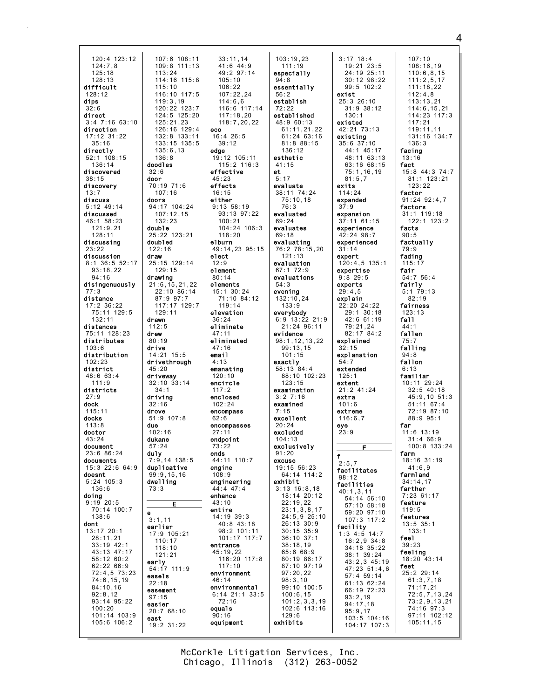120:4 123:12 124:7,8 125:18 128:13 difficult 128:12 dips 32:6 direct 3:4 7:16 63:10 direction 17:12 31:22 35:16 directly 52:1 108:15  $136 \cdot 14$ discovered 38:15 discovery 13:7 discuss 5:12 49:14 discussed 46:1 58:23 121:9,21 128:11 discussing 23:22 discussion 8:1 36:5 52:17 93:18,22 94:16 disingenuously 77:3 distance 17:2 36:22 75:11 129:5 132:11 distances 75:11 128:23 distributes 103:6 distribution 102:23 district 48:6 63:4 111:9 districts  $27.9$ dock 115:11 docks 113:8 doctor 43:24 document 23:6 86:24 documents 15:3 22:6 64:9 doesnt 5:24 105:3 136:6 doing 9:19 20:5 70:14 100:7 138:6 dont 13:17 20:1 28:11,21 33:19 42:1 43:13 47:17 58:12 60:2 62:22 66:9 72:4,5 73:23 74:6,15,19 84:10,16 92:8,12 93:14 95:22 100:20 101:14 103:9 105:6 106:2

109:8 111:13 33:11,14 41:6 44:9 49:2 97:14 105:10 106:22 107:22,24  $114.66$ 116:6 117:14 117:18,20 118:7,20,22 eco 16:4 26:5 39:12 edge 19:12 105:11 115:2 116:3 effective  $45.23$ effects 16:15 either 9:13 58:19 93:13 97:22 100:21 104:24 106:3 118:20 elburn 49:14,23 95:15 elect 12:9 element 80:14 elements 15:1 30:24 71:10 84:12 119:14 elevation 36:24 eliminate 47:11 eliminated 47:16 email 4:13 emanating 120:10 encircle 117:2 enclosed 102:24 encompass 62:6 encompasses  $27:11$ endpoint 73:22 ends 44:11 110:7 engine  $108.9$ engineering 44:4 47:4 enhance 43:10 entire 14:19 39:3 40:8 43:18 98:2 101:11 101:17 117:7 entrance 45:19,22 116:20 117:8 117:10 environment 46:14 environmental 6:14 21:1 33:5 72:16 equals 90:16 equipment

107:6 108:11

113:24 114:16 115:8 115:10 116:10 117:5  $119.3,19$ 120:22 123:7 124:5 125:20 125:21,23 126:16 129:4 132:8 133:11 133:15 135:5 135:6,13 136:8 doodles 32:6 door 70:19 71:6 107:16 doors 94:17 104:24 107:12,15  $132.23$ double 25:22 123:21 doubled 122:16 draw

25:15 129:14 129:15 drawing 21:6,15,21,22 22:10 86:14 87:9 97:7 117:17 129:7 129:11 drawn 112:5 drew 80:19 drive 14:21 15:5 drivethrough 45:20 driveway 32:10 33:14 34:1 driving 32:16 drove 51:9 107:8 due 102:16 dukane 57:24 duly 7:9,14 138:5 duplicative  $99.9, 15, 16$ dwelling 73:3

E

e  $3:1,11$ earlier 17:9 105:21 110:17 118:10 121:21 early 54:17 111:9 easels 22:18 easement 97:15 easier 20:7 68:10 east 19:2 31:22

103:19,23 111:19 especially 94:8 essentially 56:2 establish 72:22 established 48:9 60:13 61:11,21,22 61:24 63:16 81:8 88:15 136:12 esthetic 41:15 et 5:17 evaluate 38:11 74:24 75:10,18 76:3 evaluated 69:24 evaluates 69:18 evaluating 76:2 78:15,20 121:13 evaluation 67:1 72:9 evaluations 54:3 evening 132:10,24 133:9 everybody 6:9 13:22 21:9 21:24 96:11 evidence 98:1,12,13,22 99:13,15 101:15 exactly 58:13 84:4 88:10 102:23 123:15 examination  $3.27.16$ examined 7:15 excellent 20:24 excluded 104:13 exclusively  $91:20$ excuse 19:15 56:23  $64.14$   $114.2$ exhibit 3:13 16:8,18 18:14 20:12 22:19,22 23:1,3,8,17 24:5,9 25:10 26:13 30:9 30:15 35:9 36:10 37:1 38:18,19 65:6 68:9 80:19 86:17 87:10 97:19 97:20,22 98:3,10 99:10 100:5 100:6,15 101:2,3,3,19 102:6 113:16 129:6 exhibits

3:17 18:4 19:21 23:5 24:19 25:11 30:12 98:22 99:5 102:2 exist  $25:3$  26:10 31:9 38:12 130:1 existed 42:21 73:13 existing 35:6 37:10 44:1 45:17 48:11 63:13 63:16 68:15 75:1,16,19  $81.5.7$ exits 114:24 expanded 37:9 expansion 37:11 61:15 experience 42:24 98:7 experienced 31:14 expert 120:4,5 135:1 expertise 9:8 29:5 experts  $29:4.5$ explain 22:20 24:22 29:1 30:18  $42:6$  61:19 79:21,24 82:17 84:2 explained 32:15 explanation 54:7 extended 125:1 extent 21:2 41:24 extra 101:6 extreme 116:6,7 23:9 F  $2:5.7$ facilitates 98:12 facilities 40:1,3,11 54:14 56:10 57:10 58:18 59:20 97:10 107:3 117:2 facility 1:3 4:5 14:7 16:2,9 34:8 34:18 35:22 38:1 39:24 43:2,3 45:19 47:23 51:4,6 57:4 59:14 61:13 62:24 66:19 72:23 93:2,19 94:17,18 95:9,17 103:5 104:16 104:17 107:3 107:10 fact fair fall 75:7 6:13 far farm feel feet 105:11,15

eye

f

108:16,19 110:6,8,15 111:2,5,17 111:18,22 112:4,8  $113 \cdot 13$ , 21 114:6,15,21 114:23 117:3 117:21 119:11,11 131:16 134:7 136:3 facing 13:16 15:8 44:3 74:7 81:1 123:21 123:22 factor 91:24 92:4,7 factors 31:1 119:18 122:1 123:2 facts 90:5 factually 79:9 fading 115:17 54:7 56:4 fairly 5:1 79:13 82:19 fairness 123:13 44:1 fallen falling  $94.8$ fallon familiar 10:11 29:24 32:5 40:18  $45.9, 10, 51.3$ 51:11 67:4 72:19 87:10 88:9 95:1  $11:6$  13:19 31:4 66:9 100:8 133:24 18:16 31:19 41:6,9 farmland 34:14,17 farther 7:23 61:17 feature 119:5 features 13:5 35:1 133:1 39:23 feeling 18:20 43:14 25:2 29:14 61:3,7,18 71:17,21 72:5,7,13,24 73:2,9,13,21 74:16 97:3 97:11 102:12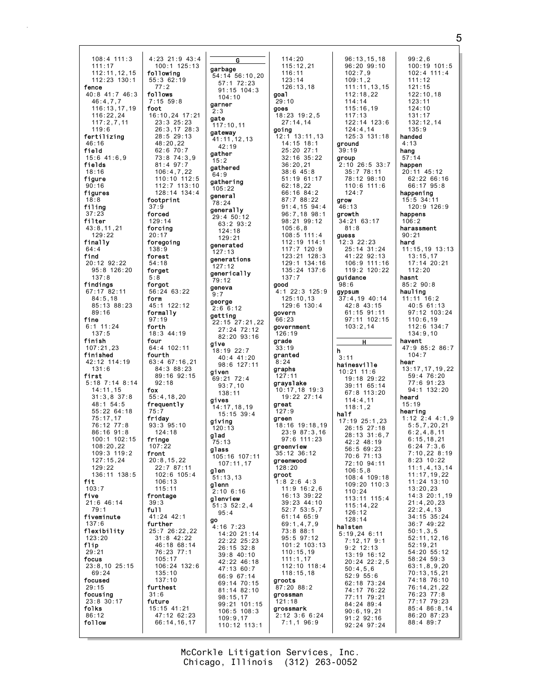108:4 111:3 111:17 112:11,12,15 112:23 130:1 fence 40:8 41:7 46:3  $46 \cdot 4$ , 7, 7 116:13,17,19 116:22,24 117:2,7,11 119:6 fertilizing 46:16 field 15:6 41:6,9 fields 18:16 figure 90:16 figures  $18.8$ filing 37:23 filter 43:8,11,21 129:22 finally 64:4 find 20:12 92:22 95:8 126:20 137:8 findings 67:17 82:11 84:5,18 85:13 88:23 89:16 fine 6:1 11:24 137:5 finish 107:21,23 finished 42:12 114:19 131:6 first 5:18 7:14 8:14 14:11,15 31:3,8 37:8 48:1 54:5 55:22 64:18  $75:17,17$ 76:12 77:8 86:16 91:8 100:1 102:15 108:20,22 109:3 119:2 127:15,24 129:22 136:11 138:5 fit 103:7 five 21:6 46:14 79:1 fiveminute 137:6 flexibility 123:20 flip 29:21 focus 23:8,10 25:15 69:24 focused 29:15 focusing 23:8 30:17 folks 86:12 follow

4:23 21:9 43:4 100:1 125:13 following 55:3 62:19 77:2 follows 7:15 59:8 foot 16:10,24 17:21 23:3 25:23 26:3,17 28:3 28:5 29:13 48:20,22 62:6 70:7 73:8 74:3,9 81:4 97:7 106:4,7,22  $110 \cdot 10$   $112 \cdot 5$ 112:7 113:10 128:14 134:4 footprint 37:9 forced  $129.14$ forcing 20:17 foregoing 138:9 forest 54:18 forget 5:8 forgot 56:24 63:22 form 45:1 122:12 formally 97:19 forth 18:3 44:19 four 64:4 102:11 fourth 63:4 67:16,21 84:3 88:23 89:16 92:15 92:18 fox 55:4,18,20 frequently 75:7 friday 93:3 95:10 124:18 fringe 107:22 front 20:8,15,22 22:7 87:11  $102 \cdot 6$   $105 \cdot 4$ 106:13 115:11 frontage 39:3 full 41:24 42:1 further 25:7 26:22,22 31:8 42:22 46:18 68:14 76:23 77:1 105:17 106:24 132:6 135:10 137:10 furthest 31:6 future 15:15 41:21 47:12 62:23 66:14,16,17

 $2.3$ gate

 $15:2$ 

64:9

9:7

give

glad

glen

go

G garbage 54:14 56:10,20 57:1 72:23 91:15 104:3 104:10 garner 117:10,11 gateway 41:11,12,13 42:19 gather gathered gathering  $105:22$ general 78:24 generally 29:4 50:12 63:2 93:2 124:18 129:21 generated 127:13 generations 127:12 generically 79:12 geneva george  $2:6$  6:12 getting 22:15 27:21,22 27:24 72:12 82:20 93:16 18:19 22:7 40:4 41:20 98:6 127:11 given  $69:21$  72:4  $93 \cdot 7, 10$ 138:11 gives 14:17,18,19 15:15 39:4 giving 120:13 75:13 glass 105:16 107:11 107:11,17 51:13,13 glenn  $2:10$  6:16 glenview 51:3 52:2,4 95:4 4:16 7:23 14:20 21:14 22:22 25:23 26:15 32:8 39:8 40:10 42:22 46:18 47:13 60:7 66:9 67:14 69:14 70:15 81:14 82:10 98:15,17 99:21 101:15 106:5 108:3 109:9,17 110:12 113:1 goal  $29.10$ goes going 137:7 good govern  $66.23$ 126:19 grade 33:19 granted 8:24 graphs 127:11 grayslake great  $127.9$ green greenview greenwood 128:20 groot groots grossman 121:18 grossmark 7:1,1 96:9

114:20 115:12,21 116:11 123:14 126:13,18 18:23 19:2,5 27:14,14 12:1 13:11,13 14:15 18:1 25:20 27:1 32:16 35:22 36:20,21 38:6 45:8 51:19 61:17 62:18,22 66:16 84:2 87:7 88:22 91:4,15 94:4 96:7,18 98:1 98:21 99:12 105:6,8 108:5 111:4 112:19 114:1 117:7 120:9 123:21 128:3 129:1 134:16 135:24 137:6 4:1 22:3 125:9 125:10,13 129:6 130:4 government 10:17,18 19:3 19:22 27:14 18:16 19:18,19 23:9 87:3,16 97:6 111:23 35:12 36:12 1:8 2:6 4:3 11:9 16:2,6 16:13 39:22 39:23 44:10 52:7 53:5,7 61:14 65:9 69:1,4,7,9 73:8 88:1 95:5 97:12 101:2 103:13  $110 \cdot 15,19$ 111:1,17 112:10 118:4 118:15,18 87:20 88:2 2:12 3:6 6:24 96:13,15,18 96:20 99:10 102:7,9  $109:1.2$ 111:11,13,15 112:18,22 114:14 115:16,19 117:13  $122.14$   $123.6$ 124:4,14 125:3 131:18 ground 39:19 group 2:10 26:5 33:7 35:7 78:11 78:12 98:10 110:6 111:6 124:7 grow 46:13 growth 34:21 63:17 81:8 guess 12:3 22:23 25:14 31:24 41:22 92:13 106:9 111:16 119:2 120:22 guidance  $98:6$ gypsum  $37:4.19$  40:14 42:8 43:15 61:15 91:11 97:11 102:15 103:2,14 h 3:11 hainesville 10:21 11:6 19:18 29:22 39:11 65:14 67:8 113:20 114:4,11 118:1,2 half 17:19 25:1,23 26:15 27:18 28:13 31:6,7 42:2 48:19 56:5 69:23 70:6 71:13 72:10 94:11 106:5,8 108:4 109:18 109:20 110:3 110:24 113:11 115:4 115:14,22 126:12 128:14 halsten 5:19,24 6:11 7:12,17 9:1 9:2 12:13 13:19 16:12 20:24 22:2,5 50:4,5,6 52:9 55:6 62:18 73:24 74:17 76:22 77:11 79:21 84:24 89:4 90:6,19,21 91:2 92:16

H

92:24 97:24

99:2,6 100:19 101:5 102:4 111:4 111:12 121:15 122:10,18  $123 \cdot 11$ 124:10 131:17  $132.12$ , 14 135:9 handed 4:13 hang 57:14 happen 20:11 45:12 62:22 66:16 66:17 95:8 happening 15:5 34:11 120:9 126:9 happens 106:2 harassment 90:21 hard 11:15,19 13:13 13:15,17 17:14 20:21 112:20 hasnt 85:2 90:8 hauling 11:11 16:2 40:5 61:13 97:12 103:24 110:6,19 112:6 134:7 134:9,10 havent 47:9 85:2 86:7 104:7 hear 13:17,17,19,22 59:4 76:20 77:6 91:23 94:1 132:20 heard 15:19 hearing 1:12 2:4 4:1,9 5:5,7,20,21  $6:2,4,8,11$ 6:15,18,21 6:24 7:3,6 7:10,22 8:19 8:23 10:22 11:1,4,13,14 11:17,19,22 11:24 13:10 13:20,23 14:3 20:1,19 21:4,20,23 22:2,4,13 34:15 35:24 36:7 49:22 50:1,3,5 52:11,12,16 52:19,21  $54.20$   $55.12$ 58:24 59:3 63:1,8,9,20 70:13,15,21 74:18 76:10 76:14,21,22 76:23 77:8 77:17 79:23 85:4 86:8,14 86:20 87:23 88:4 89:7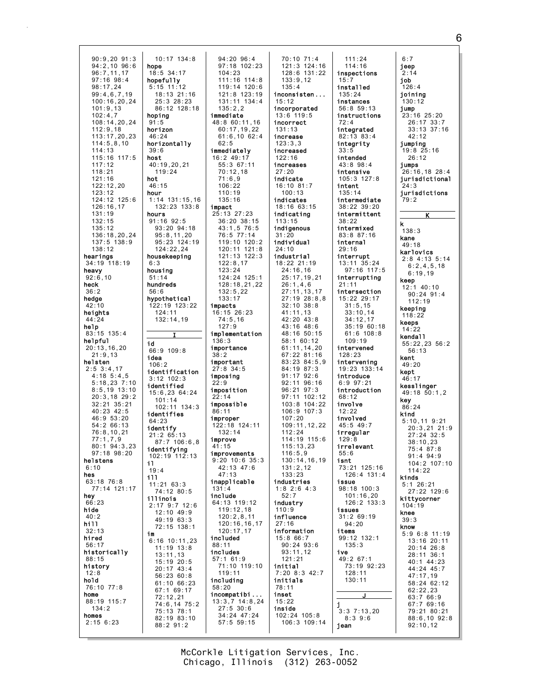90:9,20 91:3 94:2,10 96:6 96:7,11,17 97:16 98:4 98:17,24 99:4,6,7,19  $100 \cdot 16, 20, 24$ 101:9,13 102:4,7 108:14,20,24 112:9,18 113:17,20,23 114:5,8,10 114:13 115:16 117:5 117:12 118:21  $121.16$ 122:12,20 123:12  $124.12$   $125.6$ 126:16,17 131:19 132:15 135:12 136:18,20,24 137:5 138:9 138:12 hearings 34:19 118:19 heavy 92:6,10 heck 36:2 hedge 42:10 heights  $44.24$ help 83:15 135:4 helpful 20:13,16,20 21:9,13 helsten 2:5 3:4,17 4:18 5:4,5 5:18,23 7:10 8:5,19 13:10 20:3,18 29:2 32:21 35:21 40:23 42:5 46:9 53:20 54:2 66:13 76:8,10,21 77:1,7,9 80:1 94:3,23 97:18 98:20 helstens 6:10 hes 63:18 76:8 77:14 121:17 hey 66:23 hide 40:2 hill 32:13 hired 56:17 historically 88:15 history 12:8 hold 76:10 77:8 home 88:19 115:7 134:2 homes 2:15 6:23 10:17 134:8 hope 18:5 34:17 hopefully 5:15 11:12 18:13 21:16 25:3 28:23 86:12 128:18 hoping  $91.5$ horizon 46:24 horizontally 39:6 host 40:19,20,21 119:24 hot 46:15 hour 1:14 131:15,16 132:23 133:8 hours 91:16 92:5 93:20 94:18 95:8,11,20 95:23 124:19 124:22,24 housekeeping 6:3 housing 51:14 hundreds 56:6 hypothetical 122:19 123:22 124:11 132:14,19 id 66:9 109:8 idea  $106.2$ identification 3:12 102:3 identified 15:6,23 64:24 101:14  $102.11$   $134.3$ identifies 64:23 identify 21:2 65:13 87:7 106:6,8 identifying 102:19 112:13 il 19:4 ill 11:21 63:3 74:12 80:5 illinois 2:17 9:7 12:6 12:10 49:9 49:19 63:3 72:15 138:1 im 6:16 10:11,23 11:19 13:8 13:11,13 15:19 20:5 20:17 43:4 56:23 60:8 61:10 66:23 67:1 69:17 72:12,21 74:6,14 75:2 75:13 78:1 82:19 83:10 88:2 91:2

I

94:20 96:4 97:18 102:23 104:23 111:16 114:8 119:14 120:6 121:8 123:19 131:11 134:4 135:2,2 immediate 48:8 60:11,16 60:17,19,22 61:6,10 62:4  $62.5$ immediately 16:2 49:17 55:3 67:11 70:12,18  $71.69$ 106:22 110:19 135:16 impact 25:13 27:23 36:20 38:15 43:1,5 76:5 76:5 77:14 119:10 120:2 120:11 121:8 121:13 122:3 122:8,17 123:24 124:24 125:1 128:18,21,22 132:5,22 133:17 impacts 16:15 26:23 74:5,16 127:9 implementation 136:3 importance 38:2 important 27:8 34:5 imposing  $22:9$ imposition  $22.14$ impossible 86:11 improper 122:18 124:11 132:14 improve 41:15 improvements 9:20 10:6 35:3 42:13 47:6 47:13 inapplicable 131:4 include 64:13 119:12 119:12,18 120:2,8,11 120:16,16,17 120:17,17 included 88:11 includes 57:1 61:9 71:10 119:10 119:11 including 58:20 incompatibi ... 13:3,7 14:8,24 27:5 30:6 34:24 47:24 57:5 59:15

70:10 71:4 121:3 124:16 128:6 131:22 133:9,12 135:4 inconsisten ...  $15:12$ incorporated 13:6 119:5 incorrect 131:13 increase 123:3,3 increased 122:16 increases 27:20 indicate 16:10 81:7 100:13 indicates 18:16 63:15 indicating 113:15 indigenous 31:20 individual 24:10 industrial 18:22 21:19 24:16,16 25:17,19,21 26:1,4,6 27:11,13,17 27:19 28:8,8 32:10 38:8 41:11,13 42:20 43:8 43:16 48:6 48:16 50:15 58:1 60:12 61:11,14,20 67:22 81:16 83:23 84:5,9 84:19 87:3 91:17 92:6 92:11 96:16 96:21 97:3 97:11 102:12 103:8 104:22 106:9 107:3 107:20 109:11,12,22  $112.24$ 114:19 115:6 115:13,23  $116:5.9$ 130:14,16,19 131:2,12 133:23 industries 1:8 2:6 4:3  $52.7$ industry 110:9 influence 27:16 information 15:8 66:7 90:24 93:6 93:11,12 121:21 initial 7:20 8:3 42:7 initials 78:11 inset 15:22 inside 102:24 105:8 106:3 109:14

111:24 114:16 inspections 15:7 installed 135:24 instances 56:8 59:13 instructions  $72.4$ integrated 82:13 83:4 integrity 33:5 intended 43:8 98:4 intensive 105:3 127:8 intent 135:14 intermediate 38:22 39:20 intermittent 38:22 intermixed 83:8 87:16 internal 29:16 interrupt 13:11 35:24 97:16 117:5 interrupting 21:11 intersection 15:22 29:17 31:5,15 33:10,14 34:12,17 35:19 60:18 61:6 108:8 109:19 intervened 128:23 intervening 19:23 133:14 introduce 6:9 97:21 introduction 68:12 involve 12:22 involved 45:5 49:7 irregular 129:8 irrelevant 55:6 isnt 73:21 125:16  $126 \cdot 4$   $131 \cdot 4$ issue 98:18 100:3 101:16,20 126:2 133:3 issues 31:2 69:19 94:20 items 99:12 132:1 135:3 ive 49:2 67:1 73:19 92:23 128:11 130:11 J j  $3:3$  7:13.20 8:3 9:6 jean

6:7 jeep 2:14 job  $126:4$ joining 130:12 jump 23:16 25:20 26:17 33:7 33:13 37:16 42:12 jumping 19:8 25:16 26:12 jumps 26:16,18 28:4 jurisdictional 24:3 jurisdictions 79:2 K k 138:3 kane 49:18 karlovics 2:8 4:13 5:14 6:2,4,5,18 6:19,19 keep  $12:1$   $40:10$ 90:24 91:4 112:19 keeping 118:22 keeps 14:22 kendall 55:22,23 56:2 56:13 kent  $49.20$ kept 46:17 kesslinger 49:18 50:1,2 key 86:24 kind 5:10,11 9:21 20:3,21 21:9 27:24 32:5 38:10,23 75:4 87:8 91:4 94:9 104:2 107:10 114:22 kinds 5:1 26:21 27:22 129:6 kittycorner 104:19 knee 39:3 know 5:9 6:8 11:19 13:16 20:11 20:14 26:8 28:11 36:1 40:1 44:23 44:24 45:7 47:17,19 58:24 62:12 62:22,23 63:7 66:9 67:7 69:16 79:21 80:21 88:6,10 92:8 92:10,12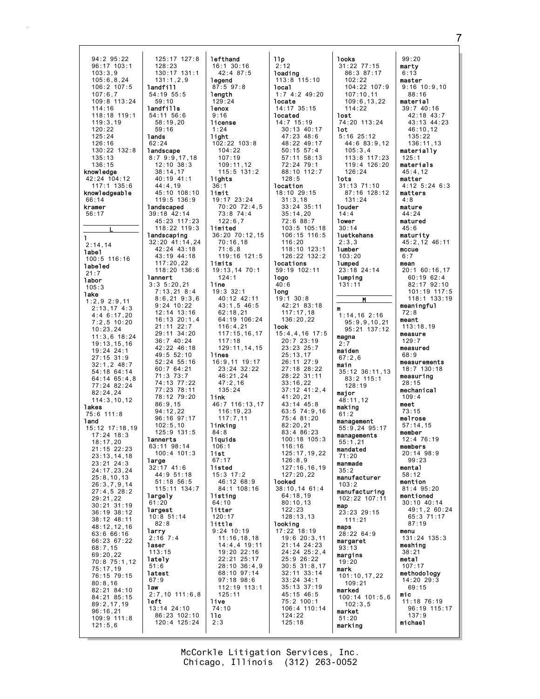94:2 95:22 96:17 103:1 103:3,9 105:6,8,24 106:2 107:5 107:6,7 109:8 113:24 114:16 118:18 119:1 119:3,19 120:22 125:24 126:16 130:22 132:8 135:13 136:15 knowledge 42:24 104:12 117:1 135:6 knowledgeable 66:14 kramer 56:17 L l 2:14,14 label 100:5 116:16 labeled 21:7 labor  $105.3$ lake 1:2,9 2:9,11 2:13,17 4:3 4:4 6:17,20 7:2,5 10:20 10:23,24 11:3,6 18:24  $19.13, 15, 16$ 19:24 24:1 27:15 31:9  $32 \cdot 1, 2$  48 $\cdot 7$ 54:18 64:14 64:14 65:4,8 77:24 82:24 82:24,24 114:3,10,12 lakes 75:6 111:8 land 15:12 17:18,19 17:24 18:3 18:17,20 21:15 22:23 23:13,14,18 23:21 24:3 24:17,23,24 25:8,10,13 26:3,7,9,14 27:4,5 28:2 29:21,22 30:21 31:19 36:19 38:12 38:12 48:11 48:12,12,16 63:6 66:16 66:23 67:22 68:7,15 69:20,22 70:8 75:1,12 75:17,19 76:15 79:15 80:8,16 82:21 84:10 84:21 85:15 89:2,17,19 96:16,21 109:9 111:8 121:5,6 125:17 127:8 128:23 130:17 131:1 131:1,2,9 landfill 54:19 55:5 59:10 landfills 54:11 56:6 58:19,20 59:16 lands 62:24 **landscape** 8:7 9:9,17,18 12:10 38:3 38:14,17  $40.19$   $41.1$ 44:4,19 45:10 108:10 119:5 136:9 landscaped 39:18 42:14 45:23 117:23 118:22 119:3 landscaping 32:20 41:14,24 42:24 43:18 43:19 44:18 117:20,22 118:20 136:6 lannert 3:3 5:20,21 7:13,21 8:4 8:6,21 9:3,6 9:24 10:22 12:14 13:16 16:13 20:1,4 21:11 22:7 29:11 34:20 36:7 40:24 42:22 46:18 49:5 52:10 52:24 55:16 60:7 64:21 71:3 73:7 74:13 77:22 77:23 78:11 78:12 79:20 86:9,15 94:12,22 96:16 97:17 102:5,10 125:9 131:5 lannerts 63:11 98:14  $100 \cdot 4$  101  $\cdot$  3 large 32:17 41:6  $44.9$  51.18 51:18 56:5 115:11 134:7 largely 61:20 largest 10:8 51:14 82:8 larry 2:16 7:4 laser 113:15 lately 51:6 latest 67:9 law 2:7,10 111:6,8 left 13:14 24:10 86:23 102:10 120:4 125:24

lefthand 16:1 30:16 42:4 87:5 legend 87:5 97:8 **length**  $129.24$ lenox 9:16 license 1:24 light 102:22 103:8 104:22 107:19 109:11,12 115:5 131:2 lights  $36$ limit 19:17 23:24 70:20 72:4,5 73:8 74:4 122:6,7 limited 36:20 70:12,15 70:16,18 71:6,8 119:16 121:5 limits 19:13,14 70:1 124:1 line 19:3 32:1 40:12 42:11 43:1,5 46:5 62:18,21 64:19 106:24 116:4,21 117:15,16,17 117:18 129:11,14,15 lines 16:9,11 19:17 23:24 32:22 46:21,24 47:2,16 135:24 link 46:7 116:13,17 116:19,23 117:7,11 linking 84:8 liquids 106:1 list 67:17 listed  $15:3$  17:2 46:12 68:9 84:1 108:16 listing 64:10 litter 120:17 little 9:24 10:19 11:16,18,18 14:4,4 19:11 19:20 22:16 22:21 25:17 28:10 36:4,9 68:10 97:14 97:18 98:6 112:19 113:1 125:11 live 74:10 11c 2:3

llp 2:12 loading 113:8 115:10 local 1:7 4:2 49:20 locate 14:17 35:15 located 14:7 15:19 30:13 40:17 47:23 48:6 48:22 49:17 50:15 57:4 57:11 58:13 72:24 79:1 88:10 112:7  $128.5$ location 18:10 29:15 31:3,18 33:24 35:11 35:14,20 72:6 88:7 103:5 105:18 106:15 116:5 116:20 118:10 123:1 126:22 132:2 locations 59:19 102:11 logo  $40:6$ long 19:1 30:8 42:21 83:18 117:17,18 136:20,22 look 15:4,4,16 17:5 20:7 23:19 23:23 25:7 25:13,17 26:11 27:9 27:18 28:22 28:22 31:11 33:16,22 37:12 41:2,4  $41:20,21$ 43:14 45:8 63:5 74:9,16 75:4 81:20 82:20,21  $83:4$   $86:23$ 100:18 105:3 116:16 125:17,19,22 126:8,9 127:16,16,19 127:20,22 looked 38:10,14 61:4 64:18,19 80:10,13 122:23 128:13,13 looking 17:22 18:19 19:6 20:3,11 21:14 24:23 24:24 25:2,4 25:9 26:22 30:5 31:8,17 32:11 33:14 33:24 34:1 35:13 37:19 45:15 46:5 75:2 100:1 106:4 110:14 124:22 125:18

looks 31:22 77:15 86:3 87:17 102:22 104:22 107:9 107:10,11  $109.6, 13, 22$ 114:22 lost. 74:20 113:24 lot 5:16 25:12 44:6 83:9,12 105:3,4 113:8 117:23 119:4 126:20 126:24 lots 31:13 71:10 87:16 128:12 131:24 louder 14:4 lower 30:14 **luetkehans**  $2:3.3$ lumber 103:20 lumped 23:18 24:14 lumping 131:11 M m 1:14,16 2:16 95:9,9,10,21 95:21 137:12 magna  $\Omega$ . maiden 67:2,6 main 35:12 36:11,13 83:2 115:1  $128.19$ major 48:11,12 making 61:2 management 55:9,24 95:17 managements 55:1,21 mandated 71:20 manmade 35:2 manufacturer  $103.2$ manufacturing 102:22 107:11 map 23:23 29:15 111:21 maps 28:22 64:9 margaret 93:13 margins  $19.20$ mark 101:10,17,22 109:21 marked 100:14 101:5,6 102:3,5 market 51:20

marking

99:20 marty 6:13 master 9:16 10:9,10 88:16 material 39:7 40:16 42:18 43:7 43:13 44:23 46:10,12 135:22 136:11,13 materially 125:1 materials 45:4,12 matter 4:12 5:24 6:3 matters 4:8 mature 44:24 matured 45:6 maturity 45:2,12 46:11 mccue 6:7 mean 20:1 60:16,17 60:19 62:4 82:17 92:10 101:19 117:5 118:1 133:19 meaningful 72:8 meant 113:18,19 measure 129:7 measured  $68.9$ measurements 18:7 130:18 measuring 28:15 mechanical  $109:4$ meet 73:15 melrose 57:14,15 member 12:4 76:19 members  $20.14$  98.9 99:23 mental 58:12 mention 81:4 95:20 mentioned 30:10 40:14 49:1,2 60:24 65:3 71:17 87:19 menu 131:24 135:3 meshing 38:21 metal 107:17 methodology 14:20 29:3 69:15 mic 11:18 76:19 96:19 115:17 137:9 michael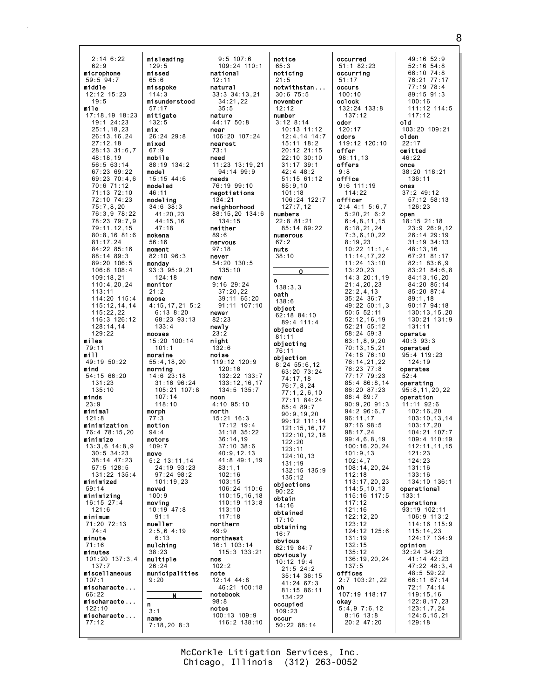| 2:14 6:22                     | misleading                  |
|-------------------------------|-----------------------------|
| 62:9                          | 129:5                       |
| microphone                    | missed                      |
| 59:5 94:7                     | 65:6                        |
| middle<br>12:12 15:23         | misspoke<br>114:3           |
| 19:5                          | misunderstood               |
| mile                          | 57:17                       |
| 17:18,19 18:23<br>19:1 24:23  | mitigate<br>132:5           |
| 25:1,18,23                    | mix                         |
| 26:13,16,24                   | 26:24 29:8                  |
| 27:12,18                      | mixed                       |
| 28:13 31:6,7<br>48:18,19      | 67:9<br>mobile              |
| 56:5 63:14                    | 88:19 134:2                 |
| 67:23 69:22                   | model                       |
| 69:23 70:4,6<br>70:6 71:12    | 15:15 44:6<br>modeled       |
|                               | 46:11                       |
| 71:13 72:10<br>72:10 74:23    | modeling                    |
| 75:7,8,20                     | 34:6 38:3                   |
| 76:3,9 78:22<br>78:23 79:7,9  | 41:20,23<br>44:15,16        |
| 79:11, 12, 15                 | 47:18                       |
| 80:8,1681:6                   | mokena                      |
| 81:17,24<br>84:22 85:16       | 56:16<br>moment             |
| 88:14 89:3                    | 82:10 96:3                  |
| 89:20 106:5                   | monday                      |
| 106:8 108:4                   | 93:3 95:9,21                |
| 109:18,21<br>110:4,20,24      | 124:18<br>monitor           |
| 113:11                        | 21:2                        |
| 114:20 115:4                  | moose                       |
| 115:12, 14, 14<br>115:22,22   | 4:15,17,21 5:2<br>6:13 8:20 |
| 116:3 126:12                  | 68:23 93:13                 |
| 128:14,14                     | 133:4                       |
| 129:22<br>miles               | mooses<br>15:20 100:14      |
| 79:11                         | 101:1                       |
| mill                          | moraine                     |
| 49:19 50:22                   | 55:4, 18, 20                |
| mind<br>54:15 66:20           | morning<br>14:6 23:18       |
| 131:23                        | 31:16 96:24                 |
| 135:10<br>minds               | 105:21 107:8                |
| 23:9                          | 107:14<br>118:10            |
| minimal                       | morph                       |
| 121:8                         | 77:3                        |
| minimization<br>76:4 78:15,20 | motion<br>94:4              |
| minimize                      | motors                      |
| 13:3,6 14:8,9                 | 109:7                       |
| $30:5$ 34:23<br>38:14 47:23   | move<br>$5:2$ 13:11, 14     |
| $57:5$ 128:5                  | 24:19 93:23                 |
| 131:22 135:4                  | 97:24 98:2                  |
| minimized<br>59:14            | 101:19,23<br>moved          |
| minimizing                    | 100:9                       |
| $16:15$ 27:4                  | moving                      |
| 121:6                         | 10:19 47:8                  |
| minimum<br>71:20 72:13        | 91:1<br>mueller             |
| 74:4                          | 2:5,6 4:19                  |
| minute                        | 6:13                        |
| 71:16<br>minutes              | mulching<br>38:23           |
| 101:20 137:3,4                | multiple                    |
| 137:7                         | 26:24                       |
| miscellaneous<br>107:1        | municipalities<br>9:20      |
| mischaracte                   |                             |
| 66:22                         | N                           |
| mischaracte<br>122:10         | n                           |
| mischaracte                   | 3:1                         |
| 77:12                         | name<br>7:18,20 8:3         |
|                               |                             |

9:5 107:6 109:24 110:1 national 12:11 natural 33:3 34:13,21 34:21,22 35:5 nature 44:17 50:8 near 106:20 107:24 nearest 73:1 need 11:23 13:19,21 94:14 99:9 needs 76:19 99:10 negotiations 134:21 neighborhood 88:15,20 134:6 134:15 neither 89:6 nervous 97:18 never 54:20 130:5 135:10 new 9:16 29:24 37:20,22 39:11 65:20 91:11 107:10 newer 82:23 newly 23:2 night 132:6 **noise**<br>119:12 120:9 120:16 132:22 133:7 133:12,16,17 134:5 135:7 noon 4:10 95:10 north 15:21 16:3 17:12 19:4 31:18 35:22 36:14,19 37:10 38:6 40:9,12,13 41:8 49:1,19 83:1,1 102:16 103:15 106:24 110:6 110:15,16,18 110:19 113:8 113:10 117:18 northern 49:9 northwest 16:1 103:14 115:3 133:21 nos 102:2 note 12:14 44:8 46:21 100:18 notebook 98:8 notes 100:13 109:9 116:2 138:10

|   | notice<br>65:3<br>noticing<br>21:5<br>notwithstan .<br>30:675:5<br>november<br>12:12<br>number<br>3:12 8:14<br>10:13 11:12<br>$12:4, 14$ 14:7<br>15:11 18:2<br>20:12 21:15 |
|---|----------------------------------------------------------------------------------------------------------------------------------------------------------------------------|
| ۱ | 22:10 30:10<br>31:17 39:1<br>$42:4$ $48:2$<br>$51:15$ 61:12<br>85:9,10<br>101:18<br>106:24 122:7<br>127:7,12                                                               |
| ͽ | numbers<br>22:8 81:21<br>85:14 89:22<br>numerous<br>67:2<br>nuts<br>38:10                                                                                                  |
|   | 0                                                                                                                                                                          |
|   | о<br>138:3,3<br>oath<br>138:6<br>object<br>62:18 84:10<br>89:4 111:4<br>objected<br>81:11                                                                                  |
|   | objecting<br>76:11<br>objection<br>8:24 55:6,12<br>63:20 73:24<br>74:17,18<br>76:7,8,24<br>77:1, 2, 6, 10<br>77:11 84:24<br>85:4 89:7                                      |
|   | 90:9, 19, 20<br>99:12 111:14<br>121:15,16,<br>17<br>122:10,12,18<br>22:<br>20<br>1<br>123:11<br>124:10,13                                                                  |
| l | 131:19<br>132:15<br>135:9                                                                                                                                                  |
|   | 135:12<br>objections<br>90:22<br>obtain<br>14:16<br>obtained<br>17:10<br>obtaining                                                                                         |
|   | 16:7<br>obvious<br>82:19 84:7<br>obviously<br>$10:12$ 19:4<br>$21:5$ 24:2<br>35:14 36:15<br>41:24 67:3<br>81:15 86:11                                                      |
|   | 134:22<br>occupied<br>109:23<br>occur<br>50:22 88:14                                                                                                                       |

| occurred<br>51:1 82:23<br>occurring<br>51:17<br>occurs<br>100:10<br>oclock<br>132:24 133:8<br>137:12<br>odor<br>120:17<br>odors<br>119:12 120:10<br>offer<br>98:11,13<br>offers<br>9:8<br>office<br>9:6 111:19<br>114:22<br>officer<br>$2:4$ 4:1 5:6,7<br>5:20,216:2<br>6:4,8,11,15<br>6:18,21,24<br>7:3,6,10,22<br>8:19,23<br>10:22 11:1,4<br>11:14,17,22<br>11:24 13:10<br>13:20,23<br>14:3 20:1,19<br>21:4, 20, 23<br>22:2,4,13<br>$35:24$ 36:7<br>49:22 50:1,3<br>$50:5$ 52:11<br>52:12,16,19<br>52:21 55:12<br>58:24 59:3<br>63:1, 8, 9, 20   | 49:16 52:9<br>54:8<br>52:16<br>66:10 74:8<br>76:21 77:17<br>77:19 78:4<br>89:15 91:3<br>100:16<br>111:12 114:5<br>117:12<br>old<br>103:20 109:21<br>olden<br>22:17<br>omitted<br>46:22<br>once<br>38:20 118:21<br>136:11<br>ones<br>$37:2$ 49:12<br>57:12 58:13<br>126:23<br>open<br>18:15 21:18<br>23:9 26:9,12<br>26:14 29:19<br>31:19 34:13<br>48:13,16<br>67:21 81:17<br>82:183:6.9<br>83:21 84:6,8<br>84:13,16,20<br>84:20 85:14<br>85:20 87:4<br>89:1,18<br>$90:17$ $94:18$<br>130:13, 15, 20<br>130:21 131:9<br>131:11<br>operate<br>40:3 93:3                    |
|----------------------------------------------------------------------------------------------------------------------------------------------------------------------------------------------------------------------------------------------------------------------------------------------------------------------------------------------------------------------------------------------------------------------------------------------------------------------------------------------------------------------------------------------------|--------------------------------------------------------------------------------------------------------------------------------------------------------------------------------------------------------------------------------------------------------------------------------------------------------------------------------------------------------------------------------------------------------------------------------------------------------------------------------------------------------------------------------------------------------------------------|
| 70:13,15,21<br>74:18 76:10<br>76:14,21,22<br>76:23 77:8<br>77:17 79:23<br>85:4 86:8,14<br>86:20 87:23<br>88:4 89:7<br>$90:9,20$ $91:3$<br>94:296:6,7<br>96:11,17<br>97:16 98:5<br>98:17,24<br>99:4,6,8,19<br>100:16,20,24<br>101:9,13<br>102:4,7<br>108:14,20,24<br>112:18<br>113:17,20,23<br>114:5, 10, 13<br>115:16 117:5<br>117:12<br>121:16<br>122:12,20<br>123:12<br>124:12 125:6<br>131:19<br>132:15<br>135:12<br>136:19,20,24<br>137:5<br>offices<br>2:7 103:21,22<br>oh<br>107:19 118:17<br>okay<br>5:4,97:6,12<br>8:16 13:8<br>20:2 47:20 | operated<br>95:4 119:23<br>124:19<br>operates<br>52:4<br>operating<br>95:8, 11, 20, 22<br>operation<br>11:11 92:6<br>102:16,20<br>103:10, 13, 14<br>103:17,20<br>104:21 107:7<br>109:4 110:19<br>112:11, 11, 15<br>121:23<br>124:23<br>131:16<br>133:16<br>134:10 136:1<br>operational<br>133:1<br>operations<br>93:19 102:11<br>106:9 113:2<br>114:16 115:9<br>115:14,23<br>124:17 134:9<br>opinion<br>$32:24$ $34:23$<br>41:14 42:23<br>47:22 48:3,4<br>48:5 59:22<br>66:11 67:14<br>72:1 74:14<br>119:15,16<br>122:8, 17, 23<br>123:1,7,24<br>124:5, 15, 21<br>129:18 |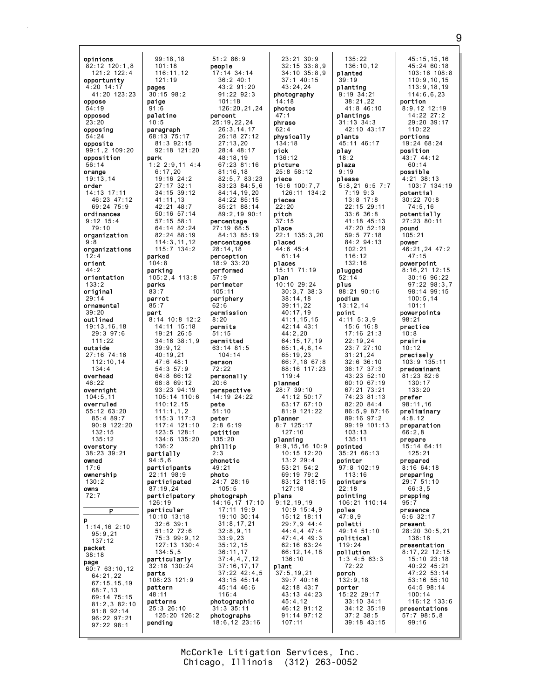opinions 82:12 120:1,8 121:2 122:4 opportunity 4:20 14:17 41:20 123:23 oppose 54:19 opposed  $23:20$ opposing 54:24 opposite 99:1,2 109:20 opposition 56:14 orange 19:13,14 order 14:13 17:11 46:23 47:12 69:24 75:9 ordinances 9:12 15:4 79:10 organization 9:8 organizations  $12:4$ orient 44:2 orientation 133:2 original 29:14 ornamental 39:20 outlined 19:13,16,18 29:3 97:6 111:22 outside 27:16 74:16 112:10,14 134:4 overhead 46:22 overnight 104:5,11 overruled 55:12 63:20 85:4 89:7 90:9 122:20 132:15 135:12 overstory 38:23 39:21 owned 17:6 ownership 130:2 owns 72:7  $\overline{P}$ p 1:14,16 2:10 95:9,21 137:12 packet 38:18 page 60:7 63:10,12 64:21,22 67:15,15,19 68:7,13 69:14 75:15 81:2,3 82:10 91:8 92:14 96:22 97:21 97:22 98:1 pages paige 91:6 palatine  $10.5$ park parked 104:8 parking parks 83:7 parrot 85:7 part 94:5,6 126:19 parts pattern 48:11 patterns pending

99:18,18 101:18 116:11,12 121:19 30:15 98:2 paragraph 68:13 75:17 81:3 92:15 92:18 121:20 1:2 2:9,11 4:4 6:17,20 19:16 24:2 27:17 32:1 34:15 39:12 41:11,13 42:21 48:7 50:16 57:14 57:15 58:1 64:14 82:24 82:24 88:19 114:3,11,12 115:7 134:2 105:2,4 113:8 8:14 10:8 12:2 14:11 15:18 19:21 26:5 34:16 38:1,9 39:9,12 40:19,21 47:6 48:1 54:3 57:9 64:8 66:12 68:8 69:12 93:23 94:19  $105 \cdot 14$  110 $\cdot$ 6 110:12,15 111:1,1,2 115:3 117:3 117:4 121:10 123:5 128:1 134:6 135:20 partially participants  $22.11$   $98.9$ participated 87:19,24 participatory particular 10:10 13:18 32:6 39:1 51:12 72:6 75:3 99:9,12 127:13 130:4  $134.5,5$ particularly 32:18 130:24 108:23 121:9 25:3 26:10 125:20 126:2 51:2 86:9 people 17:14 34:14 36:2 40:1 43:2 91:20 91:22 92:3  $101.18$ 126:20,21,24 percent 25:19,22,24 26:3,14,17 26:18 27:12  $27:13,20$ 28:4 48:17 48:18,19 67:23 81:16 81:16,18 82:5,7 83:23 83:23 84:5,6 84:14,19,20 84:22 85:15 85:21 88:14 89:2,19 90:1 percentage 27:19 68:5 84:13 85:19 percentages 28:14,18 perception 18:9 33:20 performed 57:9 perimeter 105:11 periphery 62:6 permission  $8.20$ permits 51:15 permitted  $63:14$  81:5 104:14 person 72:22 personally 20:6 perspective 14:19 24:22 pete 51:10 peter  $2:8$  6:19 petition 135:20 phillip  $2.3$ phonetic 49:21 photo 24:7 28:16 105:5 photograph 14:16,17 17:10 17:11 19:9 19:10 30:14 31:8,17,21 32:8,9,11 33:9,23 35:12,15 36:11,17 37:4,4,7,12 37:16,17,17 37:22 42:4,5 43:15 45:14 45:14 46:6 116:4 photographic 31:3 35:11 photographs

 $136.2$ 

18:6,12 23:16 23:21 30:9 32:15 33:8,9 34:10 35:8,9 37:1 40:15 43:24,24 photography 14:18 photos 47:1 phrase  $62:4$ physically 134:18 pick 136:12 picture 25:8 58:12 piece 16:6 100:7,7 126:11 134:2 pieces 22:20 pitch 37:15 place 22:1 135:3,20 placed 44:6 45:4 61:14 places 15:11 71:19 plan 10:10 29:24 30:3,7 38:3 38:14,18 39:11,22 40:17,19 41:1,15,15 42:14 43:1 44:2,20 64:15,17,19 65:1,4,8,14 65:19,23 66:7,18 67:8 88:16 117:23 119:4 planned 28:7 39:10 41:12 50:17 63:17 67:10 81:9 121:22 planner 8:7 125:17 127:10 planning 9:9,15,16 10:9  $10.15$   $12.20$ 13:2 29:4 53:21 54:2  $69.19 79.2$ 83:12 118:15 127:18 plans 9:12,19,19 10:9 15:4,9 15:12 18:11 29:7,9 44:4 44:4,4 47:4 47:4,4 49:3 62:16 63:24 66:12,14,18 136:10 plant 37:5,19,21 39:7 40:16 42:18 43:7 43:13 44:23 45:4,12 46:12 91:12 91:14 97:12 107:11

135:22 136:10,12 planted 39:19 planting 9:19 34:21  $38:21.22$ 41:8 46:10 plantings 31:13 34:3 42:10 43:17 plants 45:11 46:17 play 18:2 plaza 9:19 please 5:8,21 6:5 7:7 7:19 9:3 13:8 17:8 22:15 29:11 33:6 36:8 41:18 45:13 47:20 52:19 59:5 77:18 84:2 94:13 102:21 116:12 132:16 plugged 52:14 plus 88:21 90:16 podium 13:12,14 point 4:11 5:3,9 15:6 16:8 17:16 21:3 22:19,24 23:7 27:10 31:21,24 32:6 36:10 36:17 37:3 43:23 52:10 60:10 67:19 67:21 73:21 74:23 81:13 82:20 84:4 86:5,9 87:16 89:16 97:2 99:19 101:13 103:13 135:11 pointed 35:21 66:13 pointer 97:8 102:19  $113.16$ pointers 22:18 pointing 106:21 110:14 poles 47:8,9 poletti 49:14 51:10 political 119:24 pollution 1:3 4:5 63:3 72:22 porch 132:9,18 porter 15:22 29:17 33:10 34:1 34:12 35:19 37:2 38:5 39:18 43:15

45:15,15,16 45:24 60:18 103:16 108:8 110:9,10,15 113:9,18,19 114:6,6,23 portion 8:9,12 12:19 14:22 27:2 29:20 39:17 110:22 portions 19:24 68:24 position 43:7 44:12  $60.14$ possible 4:21 38:13 103:7 134:19 potential 30:22 70:8 74:5,16 potentially 27:23 80:11 pound 105:21 power 46:21,24 47:2 47:15 powerpoint 8:16,21 12:15 30:16 96:22 97:22 98:3,7 98:14 99:15 100:5,14 101:1 powerpoints 98:21 practice 10:8 prairie 10:12 precisely 103:9 135:11 predominant 81:23 82:6  $130:17$ 133:20 prefer 98:11,16 preliminary 4:8,12 preparation  $66.2,8$ prepare 15:14 64:11  $125.21$ prepared 8:16 64:18 preparing 29:7 51:10 66:3,5 prepping  $95:7$ presence 6:6 32:17 present 28:20 30:5,21 136:16 presentation 8:17,22 12:15 15:10 23:18 40:22 45:21 47:22 53:14 53:16 55:10 64:5 98:14 100:14 116:12 133:6 presentations 57:7 98:5,8 99:16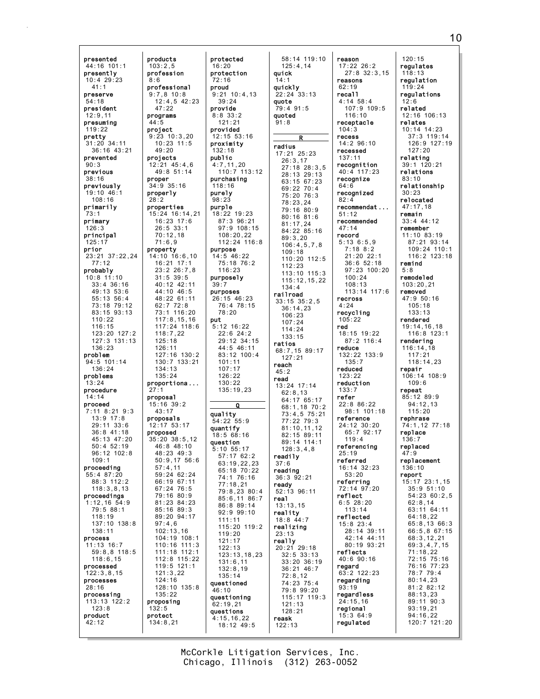presented 44:16 101:1 presently 10:4 29:23 41:1 preserve 54:18 president 12:9,11 presuming 119:22 pretty 31:20 34:11 36:16 43:21 prevented  $90:3$ previous 38:16 previously 19:10 46:1 108:16 primarily 73:1 primary 126:3 principal 125:17 prior 23:21 37:22,24 77:12 probably 10:8 11:10 33:4 36:16 49:13 53:6 55:13 56:4 73:18 79:12 83:15 93:13 110:22 116:15 123:20 127:2 127:3 131:13 136:23 problem 94:5 101:14 136:24 problems 13:24 procedure 14:14 proceed 7:11 8:21 9:3 13:9 17:8 29:11 33:6 36:8 41:18 45:13 47:20 50:4 52:19 96:12 102:8  $109:1$ proceeding 55:4 87:20 88:3 112:2 118:3,8,13 proceedings 1:12,16 54:9 79:5 88:1 118:19 137:10 138:8 138:11 process 11:13 16:7 59:8,8 118:5 118:6,15 processed 122:3,8,15 processes 28:16 processing 113:13 122:2 123:8 product 42:12 products  $103:2.5$ profession 8:6 professional 9:7,8 10:8  $12:4.5$  42:23 47:22 programs 44:5 project 9:23 10:3,20  $10.23$   $11.5$ 49:20 projects 12:21 45:4,6 49:8 51:14 proper 34:9 35:16 properly 28:2 properties 15:24 16:14,21 16:23 17:6 26:5 33:1 70:12,18 71:6,9 property 14:10 16:6,10 16:21 17:1 23:2 26:7,8 31:5 39:5 40:12 42:11 44:10 46:5 48:22 61:11 62:7 72:8 73:1 116:20 117:8,15,16 117:24 118:6 118:7,22 125:18 126:11 127:16 130:2 130:7 133:21 134:13 135:24 proportiona ... 27:1 proposal 15:16 39:2  $43 \cdot 17$ proposals 12:17 53:17 proposed 35:20 38:5,12 46:8 48:10 48:23 49:3 50:9,17 56:6 57:4,11 59:24 62:24 66:19 67:11 67:24 76:5 79:16 80:9 81:23 84:23 85:16 89:3 89:20 94:17 97:4,6 102:13,16 104:19 108:1 110:16 111:3 111:18 112:1 112:8 115:22 119:5 121:1 121:3,22 124:16 128:10 135:8 135:22 proposing 132:5 protect 134:8,21

protected 16:20 protection 72:16 proud 9:21 10:4,13 39:24 provide 8:8 33:2  $121.21$ provided 12:15 53:16 proximity 132:18 public 4:7,11,20 110:7 113:12 purchasing 118:16 purely 98:23 purple 18:22 19:23 87:3 96:21 97:9 108:15 108:20,22 112:24 116:8 purpose 14:5 46:22 75:18 76:2 116:23 purposely 39:7 purposes 26:15 46:23 76:4 78:15 78:20 put 5:12 16:22 22:6 24:2 29:12 34:15 44:5 46:11 83:12 100:4 101:11 107:17 126:22 130:22 135:19,23 Q quality 54:22 55:9 quantify 18:5 68:16 question 5:10 55:17 57:17 62:2 63:19,22,23 65:18 70:22 74:1 76:16 77:18,21 79:8,23 80:4 85:6,11 86:7 86:8 89:14 92:9 99:10 111:11 115:20 119:2 119:20 121:17 122:13 123:13,18,23 131:6,11 132:8,19 135:14 questioned  $46:10$ questioning 62:19,21 questions 4:15,16,22  $18:12$  49:5

58:14 119:10 125:4,14 quick 14:1 quickly 22:24 33:13 quote 79:4 91:5 quoted  $91.8$ R radius 17:21 25:23 26:3,17 27:18 28:3,5 28:13 29:13 63:15 67:23 69:22 70:4 75:20 76:3 78:23,24 79:16 80:9 80:16 81:6 81:17,24 84:22 85:16 89:3,20 106:4,5,7,8 109:18 110:20 112:5 112:23 113:10 115:3 115:12,15,22 134:4 railroad 33:15 35:2,5 36:14,23 106:23 107:24 114:24 133:15 ratios 68:7,15 89:17 127:21 reach 45:2 read 13:24 17:14 62:8,13 64:17 65:17 68:1,18 70:2 73:4,5 75:21 77:22 79:3 81:10,11,12 82:15 89:11 89:14 114:1 128:3,4,8 readily 37:6 reading 36:3 92:21 ready 52:13 96:11 real 13:13,15 reality 18:8 44:7 realizing 23:13 really 20:21 29:18 32:5 33:13 33:20 36:19 36:21 46:7 72:8,12 74:23 75:4 79:8 99:20 115:17 119:3 121:13 128:21 reask

reason 17:22 26:2 27:8 32:3,15 reasons 62:19 recall  $4:14$  58:4 107:9 109:5 116:10 receptacle 104:3 recess  $14.296.10$ recessed 137:11 recognition 40:4 117:23 recognize 64:6 recognized 82:4 recommendat ... 51:12 recommended 47:14 record 5:13 6:5,9 7:18 8:2 21:20 22:1 36:6 52:18 97:23 100:20  $100.24$ 108:13 113:14 117:6 recross 4:24 recycling 105:22 red 18:15 19:22 87:2 116:4 reduce 132:22 133:9 135:7 reduced 123:22 reduction 133:7 refer 22:8 86:22 98:1 101:18 reference 24:12 30:20 65:7 92:17 119:4 referencing 25:19 referred 16:14 32:23 53:20 referring 72:14 97:20 reflect 6:5 28:20 113:14 reflected 15:8 23:4 28:14 39:11 42:14 44:11 80:19 93:21 reflects 40:6 90:16 regard 63:2 122:23 regarding 93:19 regardless 24:15,16 regional 15:3 64:9 regulated

120:15 regulates 118:13 regulation 119:24 regulations  $12.6$ related 12:16 106:13 relates 10:14 14:23 37:3 119:14 126:9 127:19  $127:20$ relating 39:1 120:21 relations 83:10 relationship 30:23 relocated 47:17,18 remain 33:4 44:12 remember 11:10 83:19 87:21 93:14 109:24 110:1 116:2 123:18 remind 5:8 remodeled 103:20,21 removed 47:9 50:16 105:18 133:13 rendered 19:14,16,18 116:8 123:1 rendering 116:14,18  $117:21$ 118:14,23 repair 106:14 108:9 109:6 repeat 85:12 89:9 94:12,13  $115:20$ rephrase 74:1,12 77:18 replace 136:7 replaced  $47.9$ replacement 136:10 report 15:17 23:1,15 35:9 51:10 54:23 60:2,5 62:8,14 63:11 64:11 64:18,22 65:8,13 66:3 66:5,8 67:15 68:3,12,21 69:3,4,7,15 71:18,22 72:15 75:16 76:16 77:23 78:7 79:4 80:14,23 81:2 82:12 88:13,23 89:11 90:3 93:19,21 94:16,22 120:7 121:20

Chicago, Illinois (312) 263-0052 McCorkle Litigation Services, Inc.

122:13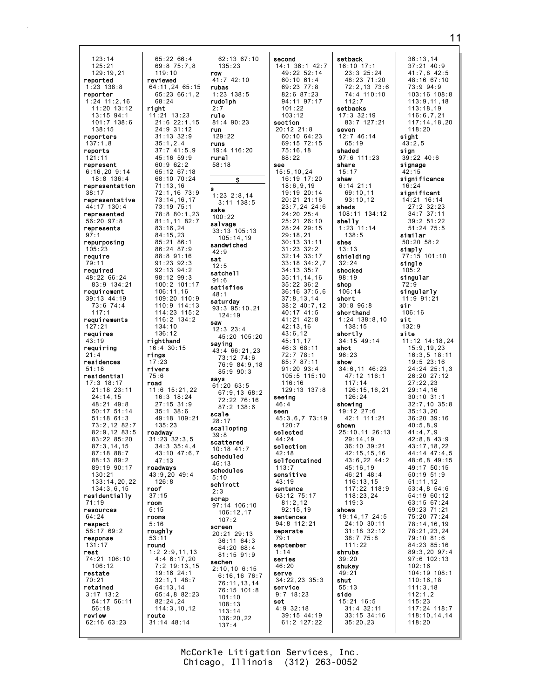123:14 125:21 129:19,21 reported 1:23 138:8 reporter 1:24 11:2,16 11:20 13:12 13:15 94:1 101:7 138:6 138:15 reporters 137:1,8 reports 121:11 represent 6:16,20 9:14 18:8 136:4 representation 38:17 representative 44:17 130:4 represented 56:20 97:8 represents 97:1 repurposing 105:23 require 79:11 required 48:22 66:24 83:9 134:21 requirement 39:13 44:19 73:6 74:4 117:1 requirements 127:21 requires 43:19 requiring  $21:4$ residences 51:18 residential 17:3 18:17 21:18 23:11 24:14,15 48:21 49:8 50:17 51:14 51:18 61:3 73:2,12 82:7 82:9,12 83:5 83:22 85:20 87:3,14,15 87:18 88:7 88:13 89:2 89:19 90:17 130:21 133:14,20,22 134:3,6,15 residentially 71:19 resources 64:24 respect 58:17 69:2 response 131:17 rest 74:21 106:10 106:12 restate 70:21 retained 3:17 13:2 54:17 56:11 56:18 review 62:16 63:23 119:10 reviewed 68:24 right 11:21 13:23 35:1,2,4 60:9 62:2 71:13,16 83:16,24 84:15,23 85:21 86:1 106:11,16 134:10 136:12 righthand 16:4 30:15 rings 17:23 rivers 75:6 road 35:1 38:6 135:23 roadway 31:23 32:3,5 47:13 roadways 43:9,20 49:4 126:8 roof 37:15 room 5:15 rooms 5:16 roughly 53:11 round 64:13,14 82:24,24 route 31:14 48:14

65:22 66:4 69:8 75:7,8 64:11,24 65:15 65:23 66:1,2 21:6 22:1,15 24:9 31:12 31:13 32:9 37:7 41:5,9 45:16 59:9 65:12 67:18 68:10 70:24 72:1,16 73:9 73:14,16,17 73:19 75:1 78:8 80:1,23 81:1,11 82:7 86:24 87:9 88:8 91:16 91:23 92:3 92:13 94:2 98:12 99:3 100:2 101:17 109:20 110:9 110:9 114:13 114:23 115:2 116:2 134:2 11:6 15:21,22 16:3 18:24 27:15 31:9 49:18 109:21 34:3 35:4,4  $43.10$   $47.6$  7 1:2 2:9,11,13 4:4 6:17,20 7:2 19:13,15 19:16 24:1 32:1,1 48:7 65:4,8 82:23 114:3,10,12 62:13 67 135:23 row 41:7 42:10 rubas 1:23 138:5 rudolph 2:7 rule 81:4 90:23 run 129:22 runs 19:4 116:20 rural 58:18  $\overline{s}$ s  $1:23$   $2:8,1$  $3:11$  138 sake 100:22 salvage  $33:13$  105: 105:14,19 sandwiched 42:9 sat 12:5 satchell 91:6 satisfies 48:1 saturday  $93:3$ ,  $95:10$ 124:19 saw 12:3 23:4  $45:20:10$ saying  $43:4$  66:21 73:12 74:6  $76.9.84$ 85:9 90: says  $61.20$   $63.5$  $67:9,13$ 72:22 76 87:2 138:6 scale 28:17 scalloping 39:8 scattered 10:18 41:7 scheduled 46:13 schedules 5:10 schirott 2:3 scrap  $97:14$  106: 106:12,17 107:2 screen 20:21 29:13 36:11 64 64:20 68 81:15 91 sechen  $2:10,106$ :  $6:16.16$ 76:11,13,14  $76:15.10$ 101:10 108:13 113:14 136:20,22 137:4

| :10                   | second<br>36:142:<br>14:1                         |
|-----------------------|---------------------------------------------------|
|                       | 49:22 52:14<br>60:10 61:4                         |
|                       | $69:23$ 77:8<br>82:6 87:23<br>$94:11$ $97:17$     |
|                       | 101:22<br>103:12                                  |
|                       | section<br>20:12 21:8                             |
| 0                     | 60:10 64:23<br>69:15 72:15<br>75:16,18            |
|                       | 88:22<br>see                                      |
|                       | i:5,10,24<br>16:19 17:20<br>15:5<br>18:6,9,19     |
| $\overline{4}$<br>: 5 | 19:19 20:14<br>$20:21$ 21:16                      |
|                       | 23:7,24 24:<br>24:20<br>25:4<br>25:21<br>26:10    |
| 13<br>9               | 28:24 29:15<br>29:18,21                           |
|                       | $30:13$ $31:11$<br>32:2<br>33:17                  |
|                       | 31:23<br>32:14<br>33:18<br>34:2,<br>34:13<br>35:7 |
|                       | 35:11,<br>14,16<br>35:22 36:2<br>36:16 37:5,      |
| , 21                  | 37:8, 13, 14<br>$38:2 \ 40:7,12$                  |
|                       | 40:17 41:5<br>$41:21$ $42:8$                      |
| 5:20                  | 42:13,16<br>43:6,12<br>45:11,17                   |
| , 23<br>: 6           | 46:3 68:11<br>72:7 78:1<br>85:7 87:11             |
| 9,18<br>$\frac{1}{3}$ | 91:20 93:4<br>105:5 115:1                         |
| 68:2                  | 116:16<br>129:13 137:8                            |
| :16<br>:6             | seeing<br>46:4<br>seen                            |
|                       | 45:3,6,7 73:1<br>120:7                            |
|                       | selected<br>44:24<br>selection                    |
|                       | 42:18<br>selfcontained<br>113:7                   |
|                       | sensitive<br>43:19                                |
|                       | sentence<br>63:12 75:17<br>81:2,12                |
| 10<br>7               | 92:15,19<br>sentences                             |
| 3                     | 94:8 112:21<br>separate<br>79:1                   |
| : 3<br>:4<br>: 9      | september<br>1:14                                 |
| 15                    | series<br>46:20<br>serve                          |
| 76:7<br>, 14<br>1:8   | 34:22,23 35:3<br>service                          |
|                       | $9:7$ 18:23<br>set<br>4:9 32:18                   |
| 2                     | 39:15 44:19<br>61:2 127:22                        |

 $12:7$ 14  $\frac{1}{17}$ 23 15  $20$  $14$ 16  $4:6$ 10 15 11 17  $\frac{2}{7}$ 16<br>2  $\frac{5}{4}$  $,12$ 5<br>8  $: 10$  $7:8$  $3:19$ ed  $5:3$ 19 setback 16:10 17:1 23:3 25:24 48:23 71:20 72:2,13 73:6 74:4 110:10 112:7 setbacks 17:3 32:19 83:7 127:21 seven 12:7 46:14 65:19 shaded 97:6 111:23 share 15:17 shaw 6:14 21:1 69:10,11  $93 \cdot 10$ , 12 sheds 108:11 134:12 shelly 1:23 11:14 138:5 shes 13:13 shielding 32:24 shocked 98:19 shop 106:14 short 30:8 96:8 shorthand 1:24 138:8,10 138:15 shortly 34:15 49:14 shot 96:23 show 34:6,11 46:23 47:12 116:1 117:14 126:15,16,21  $126:24$ showing 19:12 27:6 42:1 111:21 shown 25:10,11 26:13 29:14,19 36:10 39:21 42:15,15,16 43:6,22 44:2 45:16,19  $46.21$   $48.4$ 116:13,15 117:22 118:9 118:23,24 119:3 shows 19:14,17 24:5 24:10 30:11 31:18 32:12 38:7 75:8 111:22 shrubs 39:20 shukey 49:21 shut 55:13 side 15:21 16:5 31:4 32:11 33:15 34:16 35:20,23

36:13,14 37:21 40:9 41:7,8 42:5 48:16 67:10 73:9 94:9 103:16 108:8  $113.9$  11, 18 113:18,19 116:6,7,21 117:14,18,20 118:20 sight  $43:2.5$ sign 39:22 40:6 signage 42:15 significance 16:24 significant 14:21 16:14 27:2 32:23 34:7 37:11 39:2 51:22 51:24 75:5 similar 50:20 58:2 simply 77:15 101:10 single  $105:2$ singular 72:9 singularly 11:9 91:21 sir 106:16 sit 132:9 site 11:12 14:18,24 15:9,19,23 16:3,5 18:11 19:5 23:16 24:24 25:1,3 26:20 27:12 27:22,23 29:14,16 30:10 31:1 32:7,10 35:8 35:13,20 36:20 39:16 40:5,8,9  $41 \cdot 4$  7 9 42:8,8 43:9 43:17,18,22  $44.14$   $47.4$  5 48:6,8 49:15 49:17 50:15  $50.1951:9$ 51:11,12 53:4,8 54:6 54:19 60:12 63:15 67:24 69:23 71:21 75:20 77:24 78:14,16,19 78:21,23,24 79:10 81:6 84:23 85:16 89:3,20 97:4 97:6 102:13 102:16 104:19 108:1 110:16,18 111:3,18 112:1,2 115:23 117:24 118:7 118:10,14,14

118:20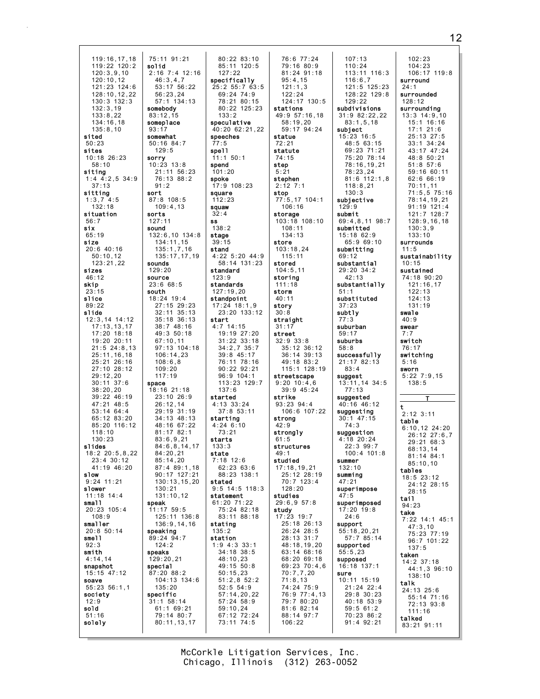119:16,17,18 119:22 120:2 120:3,9,10 120:10,12 121:23 124:6 128:10,12,22 130:3 132:3 132:3,19 133:8,22 134:16,18 135:8,10 sited 50:23 sites 10:18 26:23 58:10 siting 1:4 4:2,5 34:9 37:13 sitting 1:3,7 4:5 132:18 situation 56:7 six 65:19 size 20:6 40:16 50:10,12 123:21,22 sizes 46:12 skip 23:15 slice 89:22 slide 12:3,14 14:12 17:13,13,17 17:20 18:18 19:20 20:11 21:5 24:8,13 25:11,16,18 25:21 26:16 27:10 28:12 29:12,20 30:11 37:6 38:20,20  $39.22 \, 46.19$ 47:21 48:5 53:14 64:4 65:12 83:20 85:20 116:12  $118 \cdot 10$ 130:23 slides  $18.220.5822$ 23:4 30:12 41:19 46:20 slow 9:24 11:21 slower 11:18 14:4 small 20:23 105:4 108:9 smaller 20:8 50:14 smell 92:3 smith 4:14,14 snapshot 15:15 47:12 soave 55:23 56:1,1 society 12:9 sold 51:16 solely 75:11 91:21 solid 2:16 7:4 12:16 46:3,4,7 53:17 56:22 56:23,24 57:1 134:13 somebody 83:12,15 someplace 93:17 somewhat 50:16 84:7  $129.5$ sorry 10:23 13:8 21:11 56:23 76:13 88:2 91:2 sort 87:8 108:5 109:4,13 sorts 127:11 sound 132:6,10 134:8 134:11,15 135:1,7,16 135:17,17,19 sounds 129:20 source 23:6 68:5 south 18:24 19:4 27:15 29:23 32:11 35:13 35:18 36:13 38:7 48:16 49:3 50:18 67:10,11 97:13 104:18 106:14,23 108:6,8 109:20 117:19 space 18:16 21:18 23:10 26:9 26:12,14 29:19 31:19 34:13 48:13 48:16 67:22 81:17 82:1 83:6,9,21 84:6,8,14,17 84:20,21 85:14,20 87:4 89:1,18 90:17 127:21 130:13,15,20 130:21 131:10,12 speak 11:17 59:5 125:11 136:8 136:9,14,16 speaking 89:24 94:7 124:2 speaks 129:20,21 special 87:20 88:2 104:13 134:6 135:20 specific 31:1 58:14 61:1 69:21 79:14 80:7 80:11,13,17

80:22 83:10 85:11 120:5 127:22 specifically 25:2 55:7 63:5 69:24 74:9 78:21 80:15 80:22 125:23 133:2 speculative 40:20 62:21,22 speeches 77:5 spell 11:1 50:1 spend 101:20 spoke 17:9 108:23 square 112:23 squaw 32:4 ss 138:2 stage 39:15 stand 4:22 5:20 44:9 58:14 131:23 standard 123:9 standards 127:19,20 standpoint 17:24 18:1,9 23:20 133:12 start 4:7 14:15 19:19 27:20 31:22 33:18 34:2,7 35:7 39:8 45:17 76:11 78:16 90:22 92:21 96:9 104:1 113:23 129:7 137:6 started 4:13 33:24 37:8 53:11 starting 4:24 6:10 73:21 starts  $133.3$ state 7:18 12:6 62:23 63:6 88:23 138:1 stated 9:5 14:5 118:3 statement 61:20 71:22 75:24 82:18 83:11 88:18 stating 135:2 station 1:9 4:3 33:1 34:18 38:5 48:10,23 49:15 50:8 50:15,23 51:2,8 52:2 52:5 54:9 57:14,20,22 57:24 58:9 59:10,24 67:12 72:24 73:11 74:5

76:6 77:24 79:16 80:9 81:24 91:18 95:4,15  $121:1.3$ 122:24 124:17 130:5 stations 49:9 57:16,18 58:19,20 59:17 94:24 statue 72:21 statute 74:15 step 5:21 stephen 2:12 7:1 stop 77:5,17 104:1 106:16 storage 103:18 108:10 108:11 134:13 store 103:18,24 115:11 stored 104:5,11 storing 111:18 storm 40:11 story 30:8 straight 31:17 street 32:9 33:8 35:12 36:12 36:14 39:13 49:18 83:2 115:1 128:19 streetscape 9:20 10:4,6 39:9 45:24 strike 93:23 94:4 106:6 107:22 strong 42:9 strongly 61:5 structures  $49:1$ studied 17:18,19,21 25:12 28:19 70:7 123:4 128:20 studies 29:6,9 57:8 study 17:23 19:7 25:18 26:13 26:24 28:5 28:13 31:7 48:18,19,20 63:14 68:16 68:20 69:18 69:23 70:4,6 70:7,7,20 71:8,13 74:24 75:9 76:9 77:4,13 79:7 80:20 81:6 82:14 88:14 97:7 106:22

107:13 110:24 113:11 116:3 116:6,7 121:5 125:23 128:22 129:8  $129.22$ subdivisions 31:9 82:22,22  $83 \cdot 1, 5, 18$ subject 15:23 16:5 48:5 63:15 69:23 71:21 75:20 78:14 78:16,19,21 78:23,24 81:6 112:1,8 118:8,21 130:3 subjective  $129:9$ submit 69:4,8,11 98:7 submitted 15:18 62:9 65:9 69:10 submitting 69:12 substantial 29:20 34:2 42:13 substantially 51:1 substituted 37:23 subtly 77:3 suburban 59:17 suburbs 58:8 successfully 21:17 82:13 83:4 suggest 13:11,14 34:5 77:13 suggested 40:16 46:12 suggesting 30:1 47:15 74:3 suggestion 4:18 20:24 22:3 99:7  $100 \cdot 4$  101:8 summer 132:10 summing 47:21 superimpose 47:5 superimposed 17:20 19:8  $24:6$ support 55:18,20,21 57:7 85:14 supported 55:5,23 supposed 16:18 137:1 sure 10:11 15:19 21:24 22:4 29:8 30:23 40:18 53:9 59:5 61:2 70:23 86:2 91:4 92:21

102:23 104:23 106:17 119:8 surround  $24:1$ surrounded  $128.12$ surrounding 13:3 14:9,10 15:1 16:16 17:1 21:6 25:13 27:5 33:1 34:24 43:17 47:24 48:8 50:21 51:8 57:6 59:16 60:11 62:6 66:19 70:11,11 71:5,5 75:16 78:14,19,21 91:19 121:4 121:7 128:7 128:9,16,18 130:3,9 133:10 surrounds 11:5 sustainability 10:15 sustained 74:18 90:20 121:16,17 122:13 124:13 131:19 swale  $40.9$ swear 7:7 switch 76:17 switching 5:16 sworn 5:22 7:9,15 138:5 T t 2:12 3:11 table 6:10,12 24:20 26:12 27:6,7 29:21 68:3 68:13,14 81:14 84:1 85:10,10 tables 18:5 23:12 24:12 28:15 28:15 tail 94:23 take 7:22 14:1 45:1 47:3,10 75:23 77:19 96:7 101:22 137:5 taken 14:2 37:18 44:1,3 96:10 138:10 talk 24:13 25:6 55:14 71:16 72:13 93:8 111:16 talked 83:21 91:11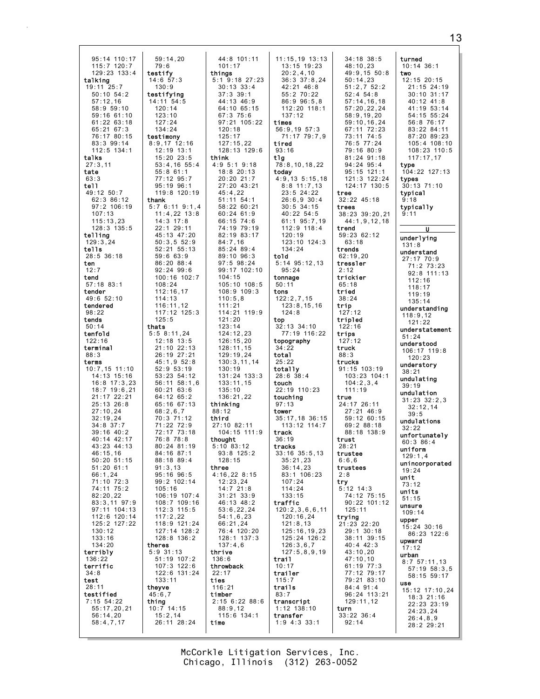| 95:14 110:17    | 59:14,20         | 44:8 101:11      | $11:15,19$ $13:13$     | $34:18$ $38:5$  | turned                        |
|-----------------|------------------|------------------|------------------------|-----------------|-------------------------------|
| 115:7 120:7     | 79:6             | 101:17           | $13:15$ $19:23$        | 48:10,23        | $10:14$ 36:1                  |
| 129:23 133:4    |                  | things           | 20:2.4.10              |                 |                               |
|                 | testify          |                  |                        | 49:9,15 50:8    | two                           |
| talking         | $14:6$ 57:3      | $5:1$ 9:18 27:23 | $36:3$ $37:8$ , 24     | 50:14,23        | $12:15$ $20:15$               |
| 19:11 25:7      | 130:9            | $30:13 \, 33:4$  | 42:21 46:8             | 51:2,752:2      | 21:15 24:19                   |
| $50:10$ $54:2$  | testifying       | $37:3$ 39:1      | 55:2 70:22             | $52:4$ $54:8$   | $30:10$ $31:17$               |
| 57:12.16        | 14:11 54:5       | 44:13 46:9       | 86:9 96:5.8            | 57:14,16,18     | 40:12 41:8                    |
| 58:9 59:10      | 120:14           | 64:10 65:15      | 112:20 118:1           | 57:20,22,24     | 41:19 53:14                   |
| $59:16$ 61:10   | 123:10           | 67:3 75:6        | 137:12                 | 58:9,19,20      | 54:15 55:24                   |
| $61:22$ $63:18$ | 127:24           | 97:21 105:22     | times                  | 59:10, 16, 24   | 56:8 76:17                    |
| 65:21 67:3      | 134:24           | 120:18           | $56:9,19$ $57:3$       | 67:11 72:23     | 83:22 84:11                   |
| 76:17 80:15     |                  |                  |                        |                 |                               |
|                 | testimony        | 125:17           | 71:17 79:7,9           | 73:11 74:5      | 87:20 89:23                   |
| 83:3 99:14      | $8:9,17$ 12:16   | 127:15,22        | tired                  | 76:5 77:24      | $105:4$ 108:10                |
| $112:5$ 134:1   | 12:19 13:1       | 128:13 129:6     | 93:16                  | 79:16 80:9      | 108:23 110:5                  |
| talks           | $15:20$ $23:5$   | think            | tlg                    | $81:24$ $91:18$ | 117:17,17                     |
| 27:3,11         | $53:4,16$ 55:4   | 4:95:19:18       | 78:8,10,18,22          | $94:24$ $95:4$  | type                          |
| tate            | 55:8 61:1        | 18:8 20:13       | today                  | $95:15$ 121:1   | 104:22 127:13                 |
| 63:3            | 77:12 95:7       | 20:20 21:7       | $4:9,13 \quad 5:15,18$ | 121:3 122:24    | types                         |
| te11            | 95:19 96:1       | 27:20 43:21      | $8:8$ 11:7,13          | 124:17 130:5    | $30:13$ $71:10$               |
| 49:12 50:7      | 119:8 120:19     | 45:4,22          | 23:5 24:22             | tree            | typical                       |
| 62:3 86:12      | thank            | $51:11$ $54:1$   | $26:6,9$ 30:4          | $32:22$ $45:18$ | 9:18                          |
| 97:2 106:19     | 5:76:119:1,4     | 58:22 60:21      | $30:5$ 34:15           |                 |                               |
|                 |                  |                  |                        | trees           | typically                     |
| 107:13          | $11:4,22$ $13:8$ | $60:24$ 61:9     | 40:22 54:5             | 38:23 39:20,21  | 9:11                          |
| 115:13,23       | $14:3$ 17:8      | 66:15 74:6       | $61:1$ $95:7,19$       | 44:1,9,12,18    |                               |
| $128:3$ $135:5$ | $22:1$ 29:11     | 74:19 79:19      | 112:9 118:4            | trend           | U                             |
| telling         | 45:13 47:20      | 82:19 83:17      | 120:19                 | 59:2362:12      | underlying                    |
| 129:3,24        | 50:3.552:9       | 84:7,16          | $123:10$ $124:3$       | 63:18           |                               |
| tells           | 52:21 55:13      | $85:24$ $89:4$   | 134:24                 | trends          | 131:8                         |
| $28:5$ 36:18    | 59:663:9         | 89:10 96:3       | told                   | 62:19,20        | understand                    |
| ten             | $86:20$ $88:4$   | $97:5$ $98:24$   | $5:14$ $95:12,13$      | tressler        | 27:17 70:9                    |
|                 |                  |                  |                        |                 | 71:2 73:23                    |
| 12:7            | $92:24$ $99:6$   | 99:17 102:10     | 95:24                  | 2:12            | $92:8$ 111:13                 |
| tend            | 100:16 102:7     | 104:15           | tonnage                | trickier        | 112:16                        |
| $57:18$ 83:1    | 108:24           | 105:10 108:5     | 50:11                  | 65:18           | 118:17                        |
| tender          | 112:16,17        | $108:9$ $109:3$  | tons                   | tried           | 119:19                        |
| 49:6 52:10      | 114:13           | 110:5.8          | 122:2,7,15             | 38:24           | 135:14                        |
| tendered        | 116:11,12        | 111:21           | 123:8,15,16            | trip            |                               |
| 98:22           | $117:12$ $125:3$ | 114:21 119:9     | 124:8                  | 127:12          | understanding                 |
| tends           | 125:5            | 121:20           | top                    | tripled         | 118:9,12                      |
| 50:14           | thats            | 123:14           | $32:13$ $34:10$        | 122:16          | 121:22                        |
|                 |                  |                  |                        |                 | understatement                |
| tenfold         | 5:58:11,24       | 124:12,23        | 77:19 116:22           | trips           | 51:24                         |
|                 |                  |                  |                        |                 |                               |
| 122:16          | $12:18$ $13:5$   | 126:15,20        | topography             | 127:12          |                               |
| terminal        | 21:10 22:13      | 128:11,15        | 34:22                  | truck           | understood                    |
| 88:3            | 26:19 27:21      | 129:19,24        | total                  | 88:3            | 106:17 119:8                  |
| terms           | 45:1,952:8       | 130:3, 11, 14    | 25:22                  | trucks          | 120:23                        |
| $10:7,15$ 11:10 | 52:9 53:19       | 130:19           | totally                | $91:15$ 103:19  | understory                    |
| 14:13 15:16     | 53:23 54:12      | $131:24$ $133:3$ | $28:6$ 38:4            | 103:23 104:1    | 38:21                         |
|                 |                  |                  |                        |                 | undulating                    |
| $16:8$ 17:3,23  | $56:11$ $58:1,6$ | 133:11,15        | touch                  | 104:2,3,4       | 39:19                         |
| 18:7 19:6,21    | $60:21$ $63:6$   | 135:10           | 22:19 110:23           | 111:19          | undulation                    |
| $21:17$ $22:21$ | 64:12 65:2       | 136:21,22        | touching               | true            | $31:23 \ 32:2,3$              |
| $25:13$ $26:8$  | 65:16 67:13      | thinking         | 97:13                  | 24:17 26:11     | 32:12,14                      |
| 27:10,24        | 68:2,6,7         | 88:12            | tower                  | $27:21$ 46:9    | 39:5                          |
| 32:19,24        | 70:3 71:12       | third            | 35:17,18 36:15         | $59:12$ 60:15   | undulations                   |
| $34:8$ 37:7     | 71:22 72:9       | 27:10 82:11      | 113:12 114:7           | 69:288:18       | 32:22                         |
| $39:16$ $40:2$  | 72:17 73:18      | 104:15 111:9     | track                  | 88:18 138:9     |                               |
| 40:14 42:17     | 76:8 78:8        | thought          | 36:19                  | trust           | unfortunately                 |
| 43:23 44:13     | 80:24 81:19      | $5:10$ $83:12$   | tracks                 | 28:21           | 60:386:4                      |
| 46:15,16        | 84:16 87:1       | $93:8$ 125:2     | $33:16$ $35:5,13$      | trustee         | uniform                       |
| $50:20$ $51:15$ | 88:18 89:4       | 128:15           | 35:21,23               | 6:6,6           | 129:1,4                       |
|                 |                  |                  |                        |                 | unincorporated                |
| $51:20$ 61:1    | 91:3,13          | three            | 36:14,23               | trustees        | 19:24                         |
| 66:1,24         | $95:16$ $96:5$   | 4:16,228:15      | 83:1 106:23            | 2:8             | unit                          |
| 71:10 72:3      | 99:2 102:14      | 12:23,24         | 107:24                 | try.            | 73:12                         |
| 74:11 75:2      | 105:16           | 14:721:8         | 114:24                 | $5:12$ 14:3     | units                         |
| 82:20,22        | 106:19 107:4     | $31:21$ $33:9$   | 133:15                 | 74:12 75:15     | 51:15                         |
| $83:3,11$ 97:9  | 108:7 109:16     | 46:13 48:2       | traffic                | $90:22$ 101:12  |                               |
| 97:11 104:13    | 112:3 115:5      | 53:6, 22, 24     | 120:2,3,6,6,11         | 125:11          | unsure                        |
| 112:6 120:14    | 117:2,22         | 54:1,6,23        | 120:16,24              | trying          | 109:14                        |
| 125:2 127:22    | 118:9 121:24     | 66:21,24         | 121:8,13               | 21:23 22:20     | upper                         |
| 130:12          | $127:14$ $128:2$ | 76:4 120:20      | 125:16, 19, 23         | $29:1$ 30:18    | $15:24$ 30:16                 |
| 133:16          | 128:8 136:2      | 128:1 137:3      | 125:24 126:2           | 38:11 39:15     | 86:23 122:6                   |
|                 |                  |                  |                        |                 | upward                        |
| 134:20          | theres           | 137:4,6          | 126:3,6,7              | $40:4$ $42:3$   | 17:12                         |
| terribly        | $5:9$ 31:13      | thrive           | 127:5,8,9,19           | 43:10,20        | urban                         |
| 136:22          | 51:19 107:2      | 136:6            | trail                  | 47:10,10        | 8:7,57:11,13                  |
| terrific        | $107:3$ $122:6$  | throwback        | 10:17                  | 61:19 77:3      | $57:19$ $58:3,5$              |
| 34:8            | 122:6 131:24     | 22:17            | trailer                | 77:12 79:17     | 58:15 59:17                   |
| test            | 133:11           | ties             | 115:7                  | 79:21 83:10     |                               |
| 28:11           | theyve           | 116:21           | trails                 | $84:4$ 91:4     | use                           |
| testified       | 45:6,7           | timber           | 83:7                   | 96:24 113:21    |                               |
| $7:15$ 54:22    | thing            | $2:15$ 6:22 88:6 | transcript             | 129:11,12       | $18:3$ 21:16                  |
| 55:17,20,21     | $10:7$ 14:15     | 88:9.12          |                        | turn            | 15:12 17:10,24<br>22:23 23:19 |
|                 |                  |                  | $1:12$ $138:10$        |                 | 24:23.24                      |
| 56:14,20        | 15:2,14          | 115:6 134:1      | transfer               | $33:22$ $36:4$  | 26:4,8,9                      |
| 58:4,7,17       | 26:11 28:24      | time             | $1:9$ 4:3 33:1         | 92:14           | 28:2 29:21                    |

McCorkle Litigation Services, Inc.<br>Chicago, Illinois (312) 263-0052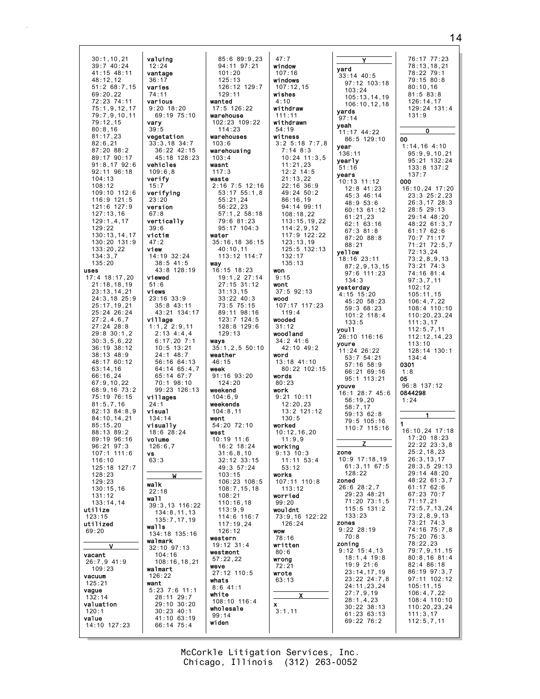$30:1, 10, 21$ <br> $39:7$  40:24 valuing  $12:24$ vantage 41:15 48:11  $48:12.12$  $36:17$  $51:2$  68:7,15 varies 69:20,22<br>72:23 74:11  $74:11$ various  $75:1.9.12.17$  $9:20$  18:20 69:19 75:10 79:7,9,10,11  $79.12$  15 vary  $80:8.16$  $39:5$  $81:17,23$ vegetation  $82:6.21$  $33:3,18$  34:7 87:20 88:2 36:22 42:15 89:17 90:17 45:18 128:23  $91:8.17$   $92:6$ vehicles 92:11 96:18  $109:6, 8$  $104.13$ verify  $108:12$  $15:7$ 109:10 112:6 verifying 116:9 121:5  $23:20$ version 121:6 127:9  $127:13,16$  $67:8$  $129:1,4,17$ vertically  $129:22$  $39:6$ victim  $130:13,14,17$ 130:20 131:9  $47:2$  $133:20,22$ view  $134:3.7$ 14:19 32:24  $135:20$  $38:5$  41:5 uses 43:8 128:19 17:4 18:17,20 viewed  $21:18, 18, 19$  $51:6$  $23:13, 14, 21$ views  $24:3,18$  25:9  $23:16$  33:9  $25:17,19,21$  $35:8$  43:11 25:24 26:24 43:21 134:17  $27:2,4,6,7$ village  $27:24$  28:8  $1:1,2$  2:9,11  $29:8$  30:1.2  $2:13$  4:4,4  $30:3,5,6,22$  $6:17,20$  7:1  $36:19.38:12$  $10:5$  13:21  $38:13$  48:9  $24:1$  48:7 48:17 60:12 56:16 64:13  $64:14$   $65:4,7$ 63:14,16<br>66:16,24 65:14 67:7  $67:9,10,22$  $70:1$  98:10 68:9,16 73:2 99:23 126:13 75:19 76:15 villages  $81:5,7,16$  $24:1$ 82:13 84:8.9 visual 84:10.14.21  $134:14$  $85:15.20$ visually  $18.628.24$ 88:13 89:2 89:19 96:16 volume  $96:21$   $97:3$  $126:6.7$  $107:1$  111:6 **vs**  $116:10$  $63:3$ 125:18 127:7  $128.23$  $129:23$ walk  $130:15,16$  $22:18$  $131:12$ wall  $133:14,14$ 39:3,13 116:22 utilize  $134:8, 11, 13$  $123:15$  $135:7,17,19$ utilized walls  $69:20$ 134:18 135:16 walmark 32:10 97:13 vacant  $104:16$  $108:16, 18, 21$  $26:7,9$  41:9  $109:23$ walmart vacuum  $126:22$  $125:21$ want  $5:23$  7:6 11:1 vaque 28:11 29:7  $132:14$  $29:10$  30:20 valuation  $30:23$  40:1  $120:1$ 41:10 63:19 value  $14:10$   $127:23$  $66:14$  75:4

 $85:689:9.23$ 94:11 97:21  $101:20$  $125:13$  $126:12$   $129:7$  $129:11$ wanted 17:5 126:22 warehouse  $102.23$   $109.22$  $114:23$ warehouses  $103:6$ warehousing  $103:4$ wasnt  $117:3$ waste 2:16 7:5 12:16  $53:17$   $55:1,8$  $55:21.24$  $56:22,23$  $57:1, 2 58:18$ 79:6 81:23 95:17 104:3 water  $35:16,18$  36:15  $40:10,11$ 113:12 114:7 way  $16:15$   $18:23$ 19:1,2 27:14  $27:15$  31:12  $31:13,15$  $33:22$  40:3  $73:5$  75:15 89:11 98:16  $123:7$   $124:5$ 128:8 129:6  $129:13$ wavs  $35:1.2.5 50:10$ weather  $46:15$ week  $91:16$   $93:20$  $124:20$ weekend  $104.69$ weekends  $104:8,11$ went  $54:20$  72:10 west  $10:19$  11:6  $16:2$  18:24  $31:6.8.10$  $32:12$   $33:15$ 49:3 57:24  $103 \cdot 15$ 106:23 108:5  $108:7, 15, 18$  $108.21$  $110:16,18$  $113:9,9$ 114:6 116:7  $117:19,24$  $126:12$ western 19:12 31:4 westmont  $57:22.22$ weve 27:12 110:5 whats  $8:6$  41:1 white 108:10 116:4 wholesale  $99:14$ widen

| 47:7                       |                                 |
|----------------------------|---------------------------------|
| window                     | yard                            |
| 107:16                     | 33:14                           |
| windows                    | 97:1                            |
| 107:12,15                  | 103:                            |
| wishes                     | 105:                            |
| 4:10                       | 106:                            |
| withdraw                   | yards                           |
| 111:11<br>withdrawn        | 97:14                           |
| 54:19                      | yeah                            |
| witness                    | 11:17                           |
| $3:2$ 5:18 $7:7,8$         | 86:5                            |
| $7:14$ 8:3                 | year                            |
| $10:24$ 11:3,5             | 136:11                          |
| 11:21,23                   | vearly<br>51:16                 |
| $12:2$ 14:5                | years                           |
| 21:13,22                   | 10:13                           |
| 22:16 36:9<br>49:24 50:2   | 12:8                            |
|                            | 45:3                            |
| 86:16,19                   | 48:9                            |
| 94:14 99:11                | 60:1                            |
| 108:18,22                  | 61:2                            |
| 113:15, 19, 22             | 62:1                            |
| 114:2,9,12<br>117:9 122:22 | 67:3                            |
| 123:13,19                  | 87:2                            |
| 125:5 132:13               | 88:2                            |
| 132:17                     | yellow                          |
| 135:13                     | 18:16                           |
| won                        | 87:2                            |
| 9:15                       | 97:6<br>134:                    |
| wont                       | yester                          |
| $37:5$ $92:13$             | $4:15$ 1                        |
| wood                       | 45:2                            |
| 107:17 117:23              | 59:3                            |
| 119:4                      | 101:                            |
| wooded                     | 133:                            |
| 31:12                      | you11                           |
| woodland                   | 26:10                           |
| 34:2 41:6                  | youre                           |
| 42:10 49:2<br>word         | 11:24                           |
| 13:18 41:10                | 53:7                            |
| 80:22 102:15               | 57:1                            |
| words                      | 66:2                            |
| 80:23                      | 95:1                            |
| work                       | youve<br>$\overline{2}$<br>16:1 |
| $9:21$ 10:11               | 56:1                            |
| 12:20,23                   | 58:7                            |
| 13:2 121:12                | 59:1                            |
| 130:5                      | 79:5                            |
| worked                     | 110:                            |
| 10:12, 16, 20              |                                 |
| 11:9,9                     |                                 |
| working<br>9:13<br>10:3    | zone                            |
| 11:11 53:4                 | $10:9$ 1                        |
| 53:12                      | 61:3                            |
| works                      | 128:                            |
| 107:11 110:8               | zoned                           |
| 113:12                     | 26:62                           |
| worried                    | 29:2                            |
| 99:20                      | 71:2                            |
| wouldnt                    | 115 :                           |
| 73:9,16 122:22             | 133:                            |
| 126:24                     | zones<br>9:222                  |
| <b>WOW</b><br>78:16        | 70:8                            |
| written                    | zoning                          |
| 80:6                       | $\overline{1}$<br>9:12          |
| wrong                      | 18:1                            |
| 72:21                      | 19:9                            |
| wrote                      | 23:1                            |
| 63:13                      | 23:2                            |
|                            | 24:1                            |
| Χ                          | 27:7                            |
| x                          | 28:1                            |
| 3:1,11                     | 30:2                            |
|                            | 61:2<br>69:2                    |
|                            |                                 |
|                            |                                 |

76:17 77:23  $\overline{Y}$ 78:13,18,21 78:22 79:1  $14.40:5$  $79:15 80:8$  $: 12$  103:18  $80:10.16$  $3:24$  $81:583:8$  $15:13, 14, 19$ 126:14.17  $06:10, 12, 18$ 129:24 131:4  $131:9$  $\Omega$  $17.44.22$  $: 5$  129:10 00  $1:14,16$  4:10  $95:9,9,10,21$ 95:21 132:24 133:8 137:2  $137:7$  $13, 11:12$ 000  $: 8$  41:23 16:10.24 17:20  $:346:14$  $23:3$   $25:2,23$  $:953:6$ 26:3,17 28:3  $: 13 \, 61 : 12$  $28:5$  29:13  $: 21, 23$ 29:14 48:20  $: 1$  63:16 48:22 61:3,7  $61:17$   $62:6$  $:381:8$  $: 20 88:8$ 70:7 71:17 71:21 72:5,7  $: 21$  $72:13,24$ 16 23:11  $73:2,8,9,13$ 73:21 74:3  $: 2, 9, 13, 15$  $:6$  111:23 74:16 81:4  $4:3$  $97:3.7.11$ erday  $102:12$  $5, 15:20$  $105:11,15$  $\frac{1}{20}$  58:23  $106:4,7,22$ <br> $108:4$  110:10  $:368:23$  $1:2$  118:4  $110:20.23.24$  $33:5$  $111:3,17$  $112:5.7.11$  $10.116:16$  $112:12,14,23$  $113 \cdot 10$ 24 26:22  $128:14$  130:1  $:7.54:21$  $134:4$  $.16.58.9$ 0301  $: 2169:16$  $1:8$  $: 1$  113:21 05  $96.8137.12$  $128:745:6$ 0844298  $: 19, 20$  $1:24$  $:7.17$  $: 1362:8$ :5 105:16  $0:7$  115:16 16:10.24 17:18  $17:20$  18:23  $\overline{z}$  $22:22$   $23:3,8$  $25:2,18,23$  $9 17:18,19$  $26:3,13,17$  $:3,1167:5$  $28:3,5$  29:13  $29:14$  48:20  $8:22$ 48:22 61:3,7  $628:2,7$  $61:1762:6$  $: 23 \, 48:21$ 67:23 70:7  $: 20, 73:1, 5$  $71:17,21$  $5:5$  131:2  $72:5.7.13.24$  $73:2,8,9,13$  $3:23$  $73:21.74:3$  $228:19$  $74:16$   $75:7.8$ 75:20 76:3 i**ng**<br>2 15:4,13  $78:22.23$  $79:7.9.11.15$  $1:1.4$  19:8  $80:8.16$   $81:4$  $:921:6$ 82:4 86:18  $: 14.17.19$  $86.1997.37$  $: 22, 24:7.8$ 97:11 102:12  $: 11, 23, 24$  $105:11,15$  $106:4,7,22$  $:7,9,19$  $: 1.4.23$ 108:4 110:10  $110:20,23,24$ :22 38:13  $: 2363 : 13$  $111:3.17$  $: 22 \ 76:2$  $112:5.7.11$ 

McCorkle Litigation Services, Inc. Chicago, Illinois (312) 263-0052